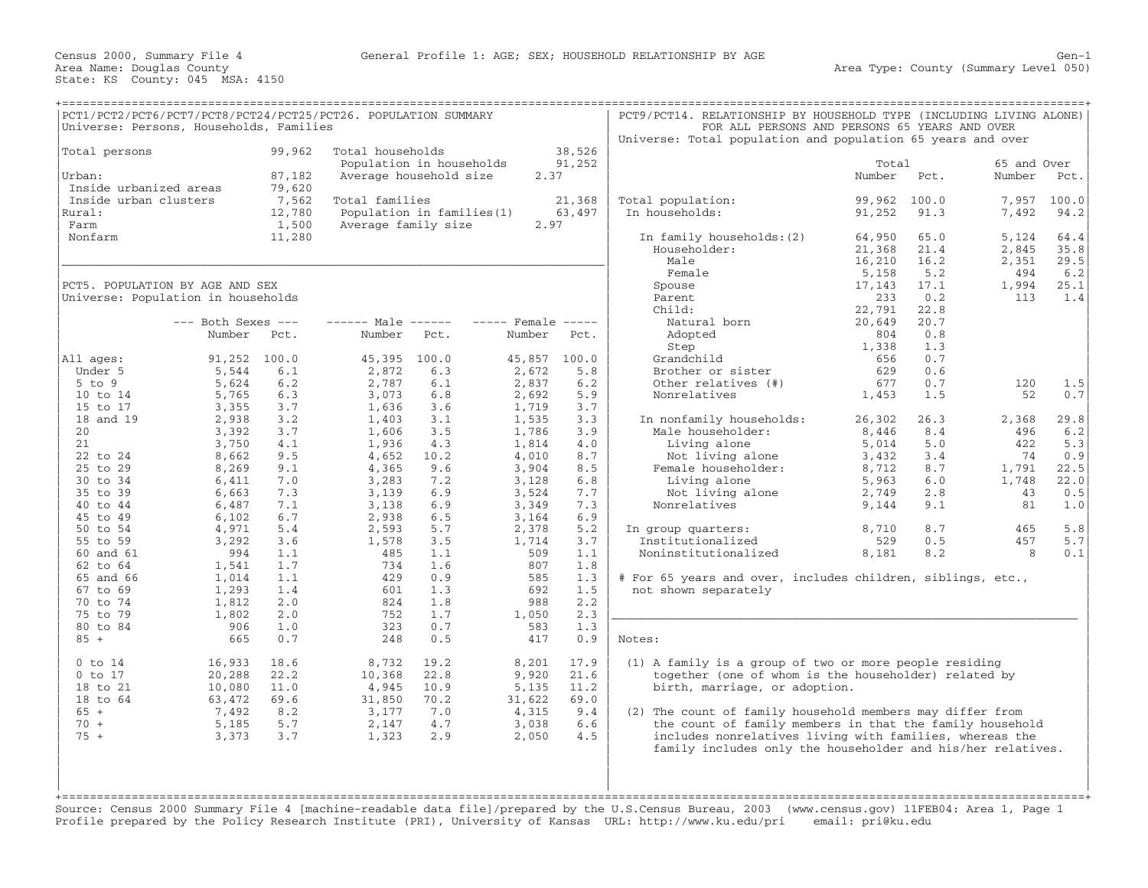|                        | PCT1/PCT2/PCT6/PCT7/PCT8/PCT24/PCT25/PCT26. POPULATION SUMMARY<br>Universe: Persons, Households, Families |        |                            |       |                    |        | PCT9/PCT14. RELATIONSHIP BY HOUSEHOLD TYPE (INCLUDING LIVING ALONE)<br>FOR ALL PERSONS AND PERSONS 65 YEARS AND OVER<br>Universe: Total population and population 65 years and over |        |       |             |       |
|------------------------|-----------------------------------------------------------------------------------------------------------|--------|----------------------------|-------|--------------------|--------|-------------------------------------------------------------------------------------------------------------------------------------------------------------------------------------|--------|-------|-------------|-------|
| Total persons          |                                                                                                           | 99,962 | Total households           |       |                    | 38,526 |                                                                                                                                                                                     |        |       |             |       |
|                        |                                                                                                           |        | Population in households   |       |                    | 91,252 |                                                                                                                                                                                     | Total  |       | 65 and Over |       |
| Urban:                 |                                                                                                           | 87,182 | Average household size     |       | 2.37               |        |                                                                                                                                                                                     | Number | Pct.  | Number      | Pct.  |
| Inside urbanized areas |                                                                                                           | 79,620 |                            |       |                    |        |                                                                                                                                                                                     |        |       |             |       |
| Inside urban clusters  |                                                                                                           | 7,562  | Total families             |       |                    | 21,368 | Total population:                                                                                                                                                                   | 99,962 | 100.0 | 7,957       | 100.0 |
| Rural:                 |                                                                                                           | 12,780 | Population in families (1) |       |                    | 63,497 | In households:                                                                                                                                                                      | 91,252 | 91.3  | 7,492       | 94.2  |
| Farm                   |                                                                                                           | 1,500  | Average family size        |       | 2.97               |        |                                                                                                                                                                                     |        |       |             |       |
| Nonfarm                |                                                                                                           | 11,280 |                            |       |                    |        | In family households: (2)                                                                                                                                                           | 64,950 | 65.0  | 5,124       | 64.4  |
|                        |                                                                                                           |        |                            |       |                    |        | Householder:                                                                                                                                                                        | 21,368 | 21.4  | 2,845       | 35.8  |
|                        |                                                                                                           |        |                            |       |                    |        | Male                                                                                                                                                                                | 16,210 | 16.2  | 2,351       | 29.5  |
|                        |                                                                                                           |        |                            |       |                    |        | Female                                                                                                                                                                              | 5,158  | 5.2   | 494         | 6.2   |
|                        | PCT5. POPULATION BY AGE AND SEX                                                                           |        |                            |       |                    |        | Spouse                                                                                                                                                                              | 17,143 | 17.1  | 1,994       | 25.1  |
|                        | Universe: Population in households                                                                        |        |                            |       |                    |        | Parent                                                                                                                                                                              | 233    | 0.2   | 113         | 1.4   |
|                        |                                                                                                           |        |                            |       |                    |        | Child:                                                                                                                                                                              | 22,791 | 22.8  |             |       |
|                        | $---$ Both Sexes $---$                                                                                    |        | $--- - -$ Male $--- -$     |       | $---$ Female $---$ |        | Natural born                                                                                                                                                                        | 20,649 | 20.7  |             |       |
|                        | Number                                                                                                    | Pct.   | Number                     | Pct.  | Number             | Pct.   | Adopted                                                                                                                                                                             | 804    | 0.8   |             |       |
|                        |                                                                                                           |        |                            |       |                    |        |                                                                                                                                                                                     |        |       |             |       |
|                        |                                                                                                           |        |                            |       |                    |        | Step                                                                                                                                                                                | 1,338  | 1.3   |             |       |
| All ages:              | 91,252 100.0                                                                                              |        | 45,395                     | 100.0 | 45,857             | 100.0  | Grandchild                                                                                                                                                                          | 656    | 0.7   |             |       |
| Under 5                | 5,544                                                                                                     | 6.1    | 2,872                      | 6.3   | 2,672              | 5.8    | Brother or sister                                                                                                                                                                   | 629    | 0.6   |             |       |
| $5$ to $9$             | 5,624                                                                                                     | 6.2    | 2,787                      | 6.1   | 2,837              | 6.2    | Other relatives (#)                                                                                                                                                                 | 677    | 0.7   | 120         | 1.5   |
| 10 to 14               | 5,765                                                                                                     | 6.3    | 3,073                      | 6.8   | 2,692              | 5.9    | Nonrelatives                                                                                                                                                                        | 1,453  | 1.5   | 52          | 0.7   |
| 15 to 17               | 3,355                                                                                                     | 3.7    | 1,636                      | 3.6   | 1,719              | 3.7    |                                                                                                                                                                                     |        |       |             |       |
| 18 and 19              | 2,938                                                                                                     | 3.2    | 1,403                      | 3.1   | 1,535              | 3.3    | In nonfamily households:                                                                                                                                                            | 26,302 | 26.3  | 2,368       | 29.8  |
| 20                     | 3,392                                                                                                     | 3.7    | 1,606                      | 3.5   | 1,786              | 3.9    | Male householder:                                                                                                                                                                   | 8,446  | 8.4   | 496         | 6.2   |
| 21                     | 3,750                                                                                                     | 4.1    | 1,936                      | 4.3   | 1,814              | 4.0    | Living alone                                                                                                                                                                        | 5,014  | 5.0   | 422         | 5.3   |
| 22 to 24               | 8,662                                                                                                     | 9.5    | 4,652                      | 10.2  | 4,010              | 8.7    | Not living alone                                                                                                                                                                    | 3,432  | 3.4   | 74          | 0.9   |
| 25 to 29               | 8,269                                                                                                     | 9.1    | 4,365                      | 9.6   | 3,904              | 8.5    | Female householder:                                                                                                                                                                 | 8,712  | 8.7   | 1,791       | 22.5  |
| 30 to 34               | 6,411                                                                                                     | 7.0    | 3,283                      | 7.2   | 3,128              | 6.8    | Living alone                                                                                                                                                                        | 5,963  | 6.0   | 1,748       | 22.0  |
| 35 to 39               | 6,663                                                                                                     | 7.3    | 3,139                      | 6.9   | 3,524              | 7.7    | Not living alone                                                                                                                                                                    | 2,749  | 2.8   | 43          | 0.5   |
| 40 to 44               | 6,487                                                                                                     | 7.1    | 3,138                      | 6.9   | 3,349              | 7.3    | Nonrelatives                                                                                                                                                                        | 9,144  | 9.1   | 81          | 1.0   |
| 45 to 49               | 6,102                                                                                                     | 6.7    | 2,938                      | 6.5   | 3,164              | 6.9    |                                                                                                                                                                                     |        |       |             |       |
| 50 to 54               | 4,971                                                                                                     | 5.4    | 2,593                      | 5.7   | 2,378              | 5.2    | In group quarters:                                                                                                                                                                  | 8,710  | 8.7   | 465         | 5.8   |
| 55 to 59               | 3,292                                                                                                     | 3.6    | 1,578                      | 3.5   | 1,714              | 3.7    | Institutionalized                                                                                                                                                                   | 529    | 0.5   | 457         | 5.7   |
| 60 and 61              | 994                                                                                                       | 1.1    | 485                        | 1.1   | 509                | 1.1    | Noninstitutionalized                                                                                                                                                                | 8,181  | 8.2   | 8           | 0.1   |
| 62 to 64               | 1,541                                                                                                     | 1.7    | 734                        | 1.6   | 807                | 1.8    |                                                                                                                                                                                     |        |       |             |       |
| 65 and 66              | 1,014                                                                                                     | 1.1    | 429                        | 0.9   | 585                | 1.3    | # For 65 years and over, includes children, siblings, etc.,                                                                                                                         |        |       |             |       |
| 67 to 69               | 1,293                                                                                                     | 1.4    | 601                        | 1.3   | 692                | 1.5    | not shown separately                                                                                                                                                                |        |       |             |       |
| 70 to 74               | 1,812                                                                                                     | 2.0    | 824                        | 1.8   | 988                | 2.2    |                                                                                                                                                                                     |        |       |             |       |
| 75 to 79               | 1,802                                                                                                     | 2.0    | 752                        | 1.7   | 1,050              | 2.3    |                                                                                                                                                                                     |        |       |             |       |
| 80 to 84               | 906                                                                                                       | 1.0    | 323                        | 0.7   | 583                | 1.3    |                                                                                                                                                                                     |        |       |             |       |
| $85 +$                 | 665                                                                                                       | 0.7    | 248                        | 0.5   | 417                | 0.9    | Notes:                                                                                                                                                                              |        |       |             |       |
|                        |                                                                                                           |        |                            |       |                    |        |                                                                                                                                                                                     |        |       |             |       |
| $0$ to $14$            |                                                                                                           | 18.6   |                            | 19.2  |                    | 17.9   |                                                                                                                                                                                     |        |       |             |       |
| $0$ to $17$            | 16,933                                                                                                    | 22.2   | 8,732                      |       | 8,201              |        | (1) A family is a group of two or more people residing                                                                                                                              |        |       |             |       |
|                        | 20,288                                                                                                    |        | 10,368                     | 22.8  | 9,920              | 21.6   | together (one of whom is the householder) related by                                                                                                                                |        |       |             |       |
| 18 to 21               | 10,080                                                                                                    | 11.0   | 4,945                      | 10.9  | 5,135              | 11.2   | birth, marriage, or adoption.                                                                                                                                                       |        |       |             |       |
| 18 to 64               | 63,472                                                                                                    | 69.6   | 31,850                     | 70.2  | 31,622             | 69.0   |                                                                                                                                                                                     |        |       |             |       |
| $65 +$                 | 7,492                                                                                                     | 8.2    | 3,177                      | 7.0   | 4,315              | 9.4    | (2) The count of family household members may differ from                                                                                                                           |        |       |             |       |
| $70 +$                 | 5,185                                                                                                     | 5.7    | 2,147                      | 4.7   | 3,038              | 6.6    | the count of family members in that the family household                                                                                                                            |        |       |             |       |
| $75 +$                 | 3,373                                                                                                     | 3.7    | 1,323                      | 2.9   | 2,050              | 4.5    | includes nonrelatives living with families, whereas the                                                                                                                             |        |       |             |       |
|                        |                                                                                                           |        |                            |       |                    |        | family includes only the householder and his/her relatives.                                                                                                                         |        |       |             |       |
|                        |                                                                                                           |        |                            |       |                    |        |                                                                                                                                                                                     |        |       |             |       |
|                        |                                                                                                           |        |                            |       |                    |        |                                                                                                                                                                                     |        |       |             |       |
|                        |                                                                                                           |        |                            |       |                    |        |                                                                                                                                                                                     |        |       |             |       |

+===================================================================================================================================================+ Source: Census 2000 Summary File 4 [machine−readable data file]/prepared by the U.S.Census Bureau, 2003 (www.census.gov) 11FEB04: Area 1, Page 1 Profile prepared by the Policy Research Institute (PRI), University of Kansas URL: http://www.ku.edu/pri email: pri@ku.edu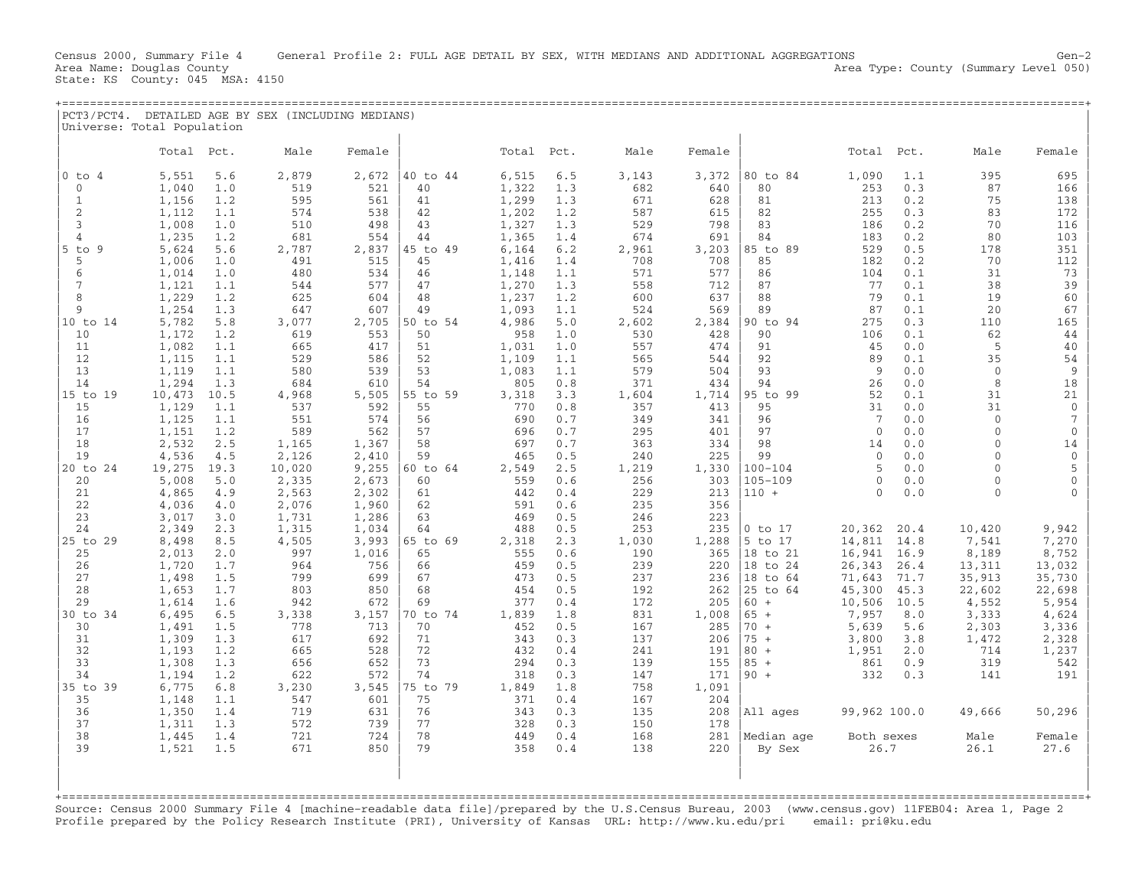| PCT3/PCT4<br>Universe: Total Population |            | DETAILED AGE BY SEX (INCLUDING MEDIANS) |  |            |  |       |       |  |
|-----------------------------------------|------------|-----------------------------------------|--|------------|--|-------|-------|--|
| 'ota                                    | $D \cap$ + |                                         |  | $D \cap$ t |  | Total | $P^+$ |  |

| $0$ to $4$    | 5,551<br>5.6   | 2,879  | 2,672 | 40 to 44 | 6,515 | 6.5 | 3,143 | 3,372 | 80 to 84    | 1,090        | 1.1  | 395          | 695             |
|---------------|----------------|--------|-------|----------|-------|-----|-------|-------|-------------|--------------|------|--------------|-----------------|
| $\mathbf{0}$  |                | 519    | 521   | 40       |       |     |       |       | 80          |              | 0.3  | 87           |                 |
|               | 1,040<br>1.0   |        |       |          | 1,322 | 1.3 | 682   | 640   |             | 253          |      |              | 166             |
| $\mathbf{1}$  | 1,156<br>1.2   | 595    | 561   | 41       | 1,299 | 1.3 | 671   | 628   | 81          | 213          | 0.2  | 75           | 138             |
| 2             | 1,112<br>1.1   | 574    | 538   | 42       | 1,202 | 1.2 | 587   | 615   | 82          | 255          | 0.3  | 83           | 172             |
| 3             | 1,008<br>1.0   | 510    | 498   | 43       | 1,327 | 1.3 | 529   | 798   | 83          | 186          | 0.2  | 70           | 116             |
| 4             | 1,235<br>1.2   | 681    | 554   | 44       | 1,365 | 1.4 | 674   | 691   | 84          | 183          | 0.2  | 80           | 103             |
| $5$ to $9$    | 5,624<br>5.6   | 2,787  | 2,837 | 45 to 49 | 6,164 | 6.2 | 2,961 | 3,203 | 85 to 89    | 529          | 0.5  | 178          | 351             |
| 5             | 1,006<br>1.0   | 491    | 515   | 45       | 1,416 | 1.4 | 708   | 708   | 85          | 182          | 0.2  | 70           | 112             |
| 6             | 1,014<br>1.0   | 480    | 534   | 46       | 1,148 | 1.1 | 571   | 577   | 86          | 104          | 0.1  | 31           | 73              |
| 7             | 1.1<br>1,121   | 544    | 577   | 47       | 1,270 | 1.3 | 558   | 712   | 87          | 77           | 0.1  | 38           | 39              |
| 8             | 1,229<br>1.2   | 625    | 604   | 48       | 1,237 | 1.2 | 600   | 637   | 88          | 79           | 0.1  | 19           | 60              |
| 9             | 1,254<br>1.3   | 647    | 607   | 49       | 1,093 | 1.1 | 524   | 569   | 89          | 87           | 0.1  | 20           | 67              |
| 10 to 14      | 5,782<br>5.8   | 3,077  | 2,705 | 50 to 54 | 4,986 | 5.0 | 2,602 | 2,384 | 90 to 94    | 275          | 0.3  | 110          | 165             |
| 10            | 1,172<br>1.2   | 619    | 553   | 50       | 958   | 1.0 | 530   | 428   | 90          | 106          | 0.1  | 62           | 44              |
| 11            | 1,082<br>1.1   | 665    | 417   | 51       | 1,031 | 1.0 | 557   | 474   | 91          | 45           | 0.0  | 5            | 40              |
| 12            | 1,115<br>1.1   | 529    | 586   | 52       | 1,109 | 1.1 | 565   | 544   | 92          | 89           | 0.1  | 35           | 54              |
| 13            | 1,119<br>1.1   | 580    | 539   | 53       | 1,083 | 1.1 | 579   | 504   | 93          | 9            | 0.0  | $\mathbf{0}$ | 9               |
| 14            | 1,294<br>1.3   | 684    | 610   | 54       | 805   | 0.8 | 371   | 434   | 94          | 26           | 0.0  | 8            | 18              |
|               |                |        |       |          |       |     |       |       |             |              |      |              |                 |
| 15 to 19      | 10,473<br>10.5 | 4,968  | 5,505 | 55 to 59 | 3,318 | 3.3 | 1,604 | 1,714 | 95 to 99    | 52           | 0.1  | 31           | 21              |
| 15            | 1,129<br>1.1   | 537    | 592   | 55       | 770   | 0.8 | 357   | 413   | 95          | 31           | 0.0  | 31           | $\Omega$        |
| 16            | 1,125<br>1.1   | 551    | 574   | 56       | 690   | 0.7 | 349   | 341   | 96          | 7            | 0.0  | $\mathbf{0}$ | $7\phantom{.0}$ |
| 17            | 1,151<br>1.2   | 589    | 562   | 57       | 696   | 0.7 | 295   | 401   | 97          | $\Omega$     | 0.0  | $\Omega$     | $\mathbf{0}$    |
| 18            | 2,532<br>2.5   | 1,165  | 1,367 | 58       | 697   | 0.7 | 363   | 334   | 98          | 14           | 0.0  | $\Omega$     | 14              |
| 19            | 4,536<br>4.5   | 2,126  | 2,410 | 59       | 465   | 0.5 | 240   | 225   | 99          | $\mathbf{0}$ | 0.0  | $\cap$       | $\mathbf{0}$    |
| 20 to 24      | 19,275<br>19.3 | 10,020 | 9,255 | 60 to 64 | 2,549 | 2.5 | 1,219 | 1,330 | $100 - 104$ | 5            | 0.0  | $\cap$       | 5               |
| 20            | 5,008<br>5.0   | 2,335  | 2,673 | 60       | 559   | 0.6 | 256   | 303   | $105 - 109$ | $\Omega$     | 0.0  | $\Omega$     | $\mathbf{0}$    |
| 21            | 4,865<br>4.9   | 2,563  | 2,302 | 61       | 442   | 0.4 | 229   | 213   | $110 +$     | $\Omega$     | 0.0  | $\Omega$     |                 |
| 22            | 4,036<br>4.0   | 2,076  | 1,960 | 62       | 591   | 0.6 | 235   | 356   |             |              |      |              |                 |
| 23            | 3,017<br>3.0   | 1,731  | 1,286 | 63       | 469   | 0.5 | 246   | 223   |             |              |      |              |                 |
| 24            | 2,349<br>2.3   | 1,315  | 1,034 | 64       | 488   | 0.5 | 253   | 235   | $0$ to $17$ | 20,362       | 20.4 | 10,420       | 9,942           |
| 29<br>$25$ to | 8,498<br>8.5   | 4,505  | 3,993 | 65 to 69 | 2,318 | 2.3 | 1,030 | 1,288 | 5 to 17     | 14,811       | 14.8 | 7,541        | 7,270           |
| 25            | 2,013<br>2.0   | 997    | 1,016 | 65       | 555   | 0.6 | 190   | 365   | 18 to 21    | 16,941       | 16.9 | 8,189        | 8,752           |
| 26            | 1,720<br>1.7   | 964    | 756   | 66       | 459   | 0.5 | 239   | 220   | 18 to 24    | 26,343       | 26.4 | 13,311       | 13,032          |
| 27            | 1,498<br>1.5   | 799    | 699   | 67       | 473   | 0.5 | 237   | 236   | 18 to 64    | 71,643       | 71.7 | 35,913       | 35,730          |
| 28            | 1,653<br>1.7   | 803    | 850   | 68       | 454   | 0.5 | 192   | 262   | 25 to 64    | 45,300       | 45.3 | 22,602       | 22,698          |
| 29            | 1,614<br>1.6   | 942    | 672   | 69       | 377   | 0.4 | 172   | 205   | $60 +$      | 10,506       | 10.5 | 4,552        | 5,954           |
| 30 to 34      | 6,495<br>6.5   | 3,338  | 3,157 | 70 to 74 | 1,839 | 1.8 | 831   | 1,008 | $65 +$      | 7,957        | 8.0  | 3,333        | 4,624           |
| 30            | 1,491<br>1.5   | 778    | 713   | 70       | 452   | 0.5 | 167   | 285   | $70 +$      | 5,639        | 5.6  | 2,303        | 3,336           |
| 31            | 1,309<br>1.3   | 617    | 692   | 71       | 343   | 0.3 | 137   | 206   | $75 +$      | 3,800        | 3.8  | 1,472        | 2,328           |
| 32            | 1,193<br>1.2   | 665    | 528   | 72       | 432   | 0.4 | 241   | 191   | $80 +$      | 1,951        | 2.0  | 714          | 1,237           |
| 33            | 1,308<br>1.3   | 656    | 652   | 73       | 294   | 0.3 | 139   | 155   | $85 +$      | 861          | 0.9  | 319          | 542             |
| 34            | 1,194<br>1.2   | 622    | 572   | 74       | 318   | 0.3 | 147   | 171   | $90 +$      | 332          | 0.3  | 141          | 191             |
| 35 to 39      | 6,775<br>6.8   | 3,230  | 3,545 | 75 to 79 | 1,849 | 1.8 | 758   | 1,091 |             |              |      |              |                 |
| 35            | 1,148<br>1.1   | 547    | 601   | 75       | 371   | 0.4 | 167   | 204   |             |              |      |              |                 |
| 36            | 1,350<br>1.4   | 719    | 631   | 76       | 343   | 0.3 | 135   | 208   |             | 99,962 100.0 |      |              | 50,296          |
| 37            | 1,311<br>1.3   | 572    | 739   | 77       | 328   | 0.3 |       | 178   | All ages    |              |      | 49,666       |                 |
|               |                |        |       |          |       |     | 150   |       |             |              |      |              |                 |
| 38            | 1,445<br>1.4   | 721    | 724   | 78       | 449   | 0.4 | 168   | 281   | Median age  | Both sexes   |      | Male         | Female          |
| 39            | 1.5<br>1,521   | 671    | 850   | 79       | 358   | 0.4 | 138   | 220   | By Sex      | 26.7         |      | 26.1         | 27.6            |
|               |                |        |       |          |       |     |       |       |             |              |      |              |                 |
|               |                |        |       |          |       |     |       |       |             |              |      |              |                 |
|               |                |        |       |          |       |     |       |       |             |              |      |              |                 |
|               |                |        |       |          |       |     |       |       |             |              |      |              |                 |

Source: Census 2000 Summary File 4 [machine−readable data file]/prepared by the U.S.Census Bureau, 2003 (www.census.gov) 11FEB04: Area 1, Page 2 Profile prepared by the Policy Research Institute (PRI), University of Kansas URL: http://www.ku.edu/pri email: pri@ku.edu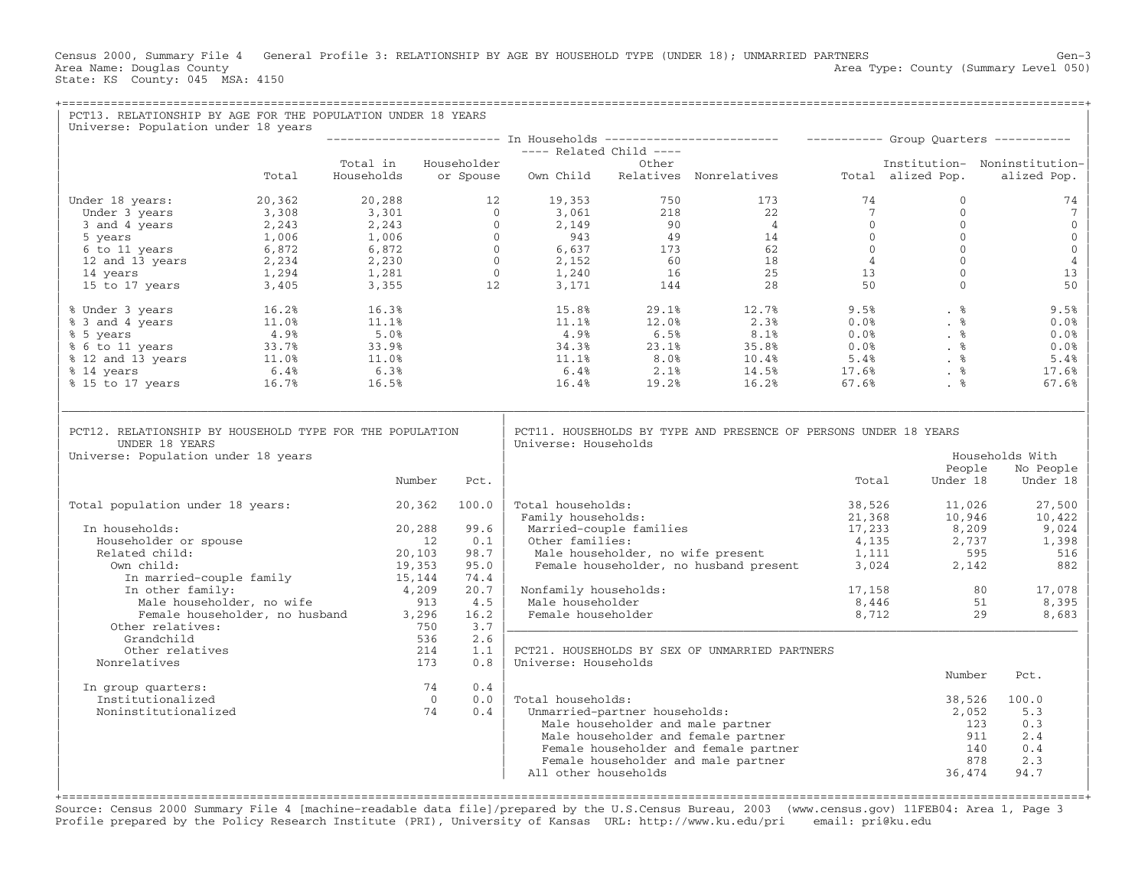Census 2000, Summary File 4 General Profile 3: RELATIONSHIP BY AGE BY HOUSEHOLD TYPE (UNDER 18); UNMARRIED PARTNERS Gen−3 Area Type: County (Summary Level 050) Area Name: Douglas County<br>State: KS County: 045 MSA: 4150

| PCT13. RELATIONSHIP BY AGE FOR THE POPULATION UNDER 18 YEARS<br>Universe: Population under 18 years                                                                                                                                                 |       |                                                                                                                                                                |                         |                                                     |                               |                                                                                                                                                                                                                                                                                                              |       |                                                                                |                                          |
|-----------------------------------------------------------------------------------------------------------------------------------------------------------------------------------------------------------------------------------------------------|-------|----------------------------------------------------------------------------------------------------------------------------------------------------------------|-------------------------|-----------------------------------------------------|-------------------------------|--------------------------------------------------------------------------------------------------------------------------------------------------------------------------------------------------------------------------------------------------------------------------------------------------------------|-------|--------------------------------------------------------------------------------|------------------------------------------|
|                                                                                                                                                                                                                                                     |       |                                                                                                                                                                |                         |                                                     |                               |                                                                                                                                                                                                                                                                                                              |       |                                                                                |                                          |
|                                                                                                                                                                                                                                                     |       |                                                                                                                                                                |                         | ----- Related Child ----<br>---- Related Child ---- |                               |                                                                                                                                                                                                                                                                                                              |       |                                                                                |                                          |
|                                                                                                                                                                                                                                                     |       |                                                                                                                                                                |                         |                                                     |                               |                                                                                                                                                                                                                                                                                                              |       |                                                                                | Institution- Noninstitution-             |
|                                                                                                                                                                                                                                                     | Total |                                                                                                                                                                |                         |                                                     |                               |                                                                                                                                                                                                                                                                                                              |       |                                                                                | alized Pop.                              |
| Under 18 years: 20,362                                                                                                                                                                                                                              |       |                                                                                                                                                                |                         |                                                     |                               |                                                                                                                                                                                                                                                                                                              |       |                                                                                | 74                                       |
|                                                                                                                                                                                                                                                     |       |                                                                                                                                                                |                         |                                                     |                               |                                                                                                                                                                                                                                                                                                              |       |                                                                                | $7\phantom{.0}$                          |
|                                                                                                                                                                                                                                                     |       |                                                                                                                                                                |                         |                                                     |                               |                                                                                                                                                                                                                                                                                                              |       |                                                                                | $\mathbf{0}$                             |
|                                                                                                                                                                                                                                                     |       |                                                                                                                                                                |                         |                                                     |                               |                                                                                                                                                                                                                                                                                                              |       |                                                                                | $\mathbb O$                              |
|                                                                                                                                                                                                                                                     |       |                                                                                                                                                                |                         |                                                     |                               |                                                                                                                                                                                                                                                                                                              |       |                                                                                | $\mathsf{O}\xspace$                      |
|                                                                                                                                                                                                                                                     |       |                                                                                                                                                                |                         |                                                     |                               |                                                                                                                                                                                                                                                                                                              |       |                                                                                | $\sqrt{4}$                               |
|                                                                                                                                                                                                                                                     |       |                                                                                                                                                                |                         |                                                     |                               |                                                                                                                                                                                                                                                                                                              |       |                                                                                | 13                                       |
|                                                                                                                                                                                                                                                     |       |                                                                                                                                                                |                         |                                                     |                               |                                                                                                                                                                                                                                                                                                              |       |                                                                                | 50                                       |
| % Under 3 years<br>% 3 and 4 years<br>% 5 years<br>% 6 to 11 years<br>% 11.0%<br>% 5.0%<br>% 5.0%<br>% 5.0%<br>% 5.0%<br>% 5.0%<br>% 33.7%<br>% 33.9%<br>% 33.9%<br>% 33.9%<br>% 11.0%<br>% 11.0%<br>11.0%<br>11.0%<br>11.0%<br>11.0%<br>11.0%<br>5 |       |                                                                                                                                                                |                         |                                                     |                               | $\begin{array}{cccccccc} 15.8\% & & & 29.1\% & & & 12.7\% & & & 9.5\% & & & & 8 \\ 11.1\% & & 12.0\% & & & 2.3\% & & 0.0\% & & & 8 \\ 4.9\% & & 6.5\% & & 8.1\% & & 0.0\% & & & 8 \\ 34.3\% & & 23.1\% & & 35.8\% & & 0.0\% & & & 8 \\ 11.1\% & & 8.0\% & & 10.4\% & & 5.4\% & & 8 \\ 6.4\% & & 2.1\% & & 1$ |       |                                                                                | 9.5%                                     |
|                                                                                                                                                                                                                                                     |       |                                                                                                                                                                |                         |                                                     |                               |                                                                                                                                                                                                                                                                                                              |       |                                                                                | 0.0%                                     |
|                                                                                                                                                                                                                                                     |       |                                                                                                                                                                |                         |                                                     |                               |                                                                                                                                                                                                                                                                                                              |       |                                                                                | 0.0%                                     |
|                                                                                                                                                                                                                                                     |       |                                                                                                                                                                |                         |                                                     |                               |                                                                                                                                                                                                                                                                                                              |       |                                                                                | 0.0%                                     |
|                                                                                                                                                                                                                                                     |       |                                                                                                                                                                |                         |                                                     |                               |                                                                                                                                                                                                                                                                                                              |       |                                                                                | 5.4%                                     |
|                                                                                                                                                                                                                                                     |       |                                                                                                                                                                |                         |                                                     |                               |                                                                                                                                                                                                                                                                                                              |       |                                                                                | 17.6%                                    |
|                                                                                                                                                                                                                                                     |       |                                                                                                                                                                |                         |                                                     |                               |                                                                                                                                                                                                                                                                                                              |       |                                                                                | 67.6%                                    |
| PCT12. RELATIONSHIP BY HOUSEHOLD TYPE FOR THE POPULATION<br>UNDER 18 YEARS<br>Universe: Population under 18 years                                                                                                                                   |       | Number                                                                                                                                                         | Pct.                    | Universe: Households                                |                               | PCT11. HOUSEHOLDS BY TYPE AND PRESENCE OF PERSONS UNDER 18 YEARS                                                                                                                                                                                                                                             | Total | People<br>Under 18                                                             | Households With<br>No People<br>Under 18 |
| Total population under 18 years: 20,362 100.0                                                                                                                                                                                                       |       |                                                                                                                                                                |                         | Total households:<br>Family households:             |                               | % and households:<br>Yamily households:<br>Yamily households:<br>Married-couple families<br>Other families:<br>Yale householder, no wife present<br>The section of the section of the section of the section of the section of the section                                                                   |       |                                                                                | 27,500<br>10,422                         |
| In households:                                                                                                                                                                                                                                      |       | 20,288                                                                                                                                                         | 99.6                    |                                                     |                               | x (21,368)<br>Married-couple families<br>Other families:<br>(21,368)<br>Other families:                                                                                                                                                                                                                      |       |                                                                                |                                          |
| Householder or spouse                                                                                                                                                                                                                               |       |                                                                                                                                                                | 0.1                     |                                                     |                               |                                                                                                                                                                                                                                                                                                              |       |                                                                                | $9,024$<br>1 398<br>1,398                |
| Related child:                                                                                                                                                                                                                                      |       | 20, 103                                                                                                                                                        | 98.7                    |                                                     |                               |                                                                                                                                                                                                                                                                                                              |       |                                                                                | 516                                      |
| Own child:                                                                                                                                                                                                                                          |       | www.cn11d:<br>In married-couple family<br>19,353<br>In other family:<br>Male householder, no wife<br>Female householder, no husband<br>3,296<br>her relatives: | 95.0                    |                                                     |                               |                                                                                                                                                                                                                                                                                                              |       |                                                                                | 882                                      |
|                                                                                                                                                                                                                                                     |       |                                                                                                                                                                | 74.4                    |                                                     |                               |                                                                                                                                                                                                                                                                                                              |       |                                                                                |                                          |
|                                                                                                                                                                                                                                                     |       |                                                                                                                                                                | 20.7                    | Nonfamily households:                               |                               |                                                                                                                                                                                                                                                                                                              |       | $\begin{array}{ccc} 17,158 & & 80 \\ 8,446 & & 51 \\ 8,712 & & 29 \end{array}$ | 17,078                                   |
|                                                                                                                                                                                                                                                     |       |                                                                                                                                                                | 4.5                     | Male householder                                    |                               |                                                                                                                                                                                                                                                                                                              |       |                                                                                | 8,395                                    |
|                                                                                                                                                                                                                                                     |       |                                                                                                                                                                | 16.2                    | Female householder                                  |                               |                                                                                                                                                                                                                                                                                                              |       |                                                                                | 8,683                                    |
| Other relatives:                                                                                                                                                                                                                                    |       |                                                                                                                                                                | 3.7                     |                                                     |                               |                                                                                                                                                                                                                                                                                                              |       |                                                                                |                                          |
| Grandchild                                                                                                                                                                                                                                          |       | 536                                                                                                                                                            | 2.6                     |                                                     |                               |                                                                                                                                                                                                                                                                                                              |       |                                                                                |                                          |
| Other relatives                                                                                                                                                                                                                                     |       | 214                                                                                                                                                            | 1.1                     |                                                     |                               | PCT21. HOUSEHOLDS BY SEX OF UNMARRIED PARTNERS                                                                                                                                                                                                                                                               |       |                                                                                |                                          |
| Nonrelatives                                                                                                                                                                                                                                        |       | 173                                                                                                                                                            | 0.8                     | Universe: Households                                |                               |                                                                                                                                                                                                                                                                                                              |       | Number                                                                         | Pct.                                     |
| In group quarters:                                                                                                                                                                                                                                  |       | 74                                                                                                                                                             | 0.4                     |                                                     |                               |                                                                                                                                                                                                                                                                                                              |       |                                                                                |                                          |
| Institutionalized                                                                                                                                                                                                                                   |       |                                                                                                                                                                | $\overline{0}$<br>$0.0$ | Total households:                                   |                               |                                                                                                                                                                                                                                                                                                              |       | 38,526                                                                         | 100.0                                    |
| Noninstitutionalized                                                                                                                                                                                                                                |       | 74                                                                                                                                                             | 0.4                     |                                                     | Unmarried-partner households: |                                                                                                                                                                                                                                                                                                              |       | 2,052                                                                          | 5.3                                      |
|                                                                                                                                                                                                                                                     |       |                                                                                                                                                                |                         |                                                     |                               | Male householder and male partner                                                                                                                                                                                                                                                                            |       | 123                                                                            | 0.3                                      |
|                                                                                                                                                                                                                                                     |       |                                                                                                                                                                |                         |                                                     |                               | Male householder and female partner                                                                                                                                                                                                                                                                          |       | 911                                                                            | 2.4                                      |
|                                                                                                                                                                                                                                                     |       |                                                                                                                                                                |                         |                                                     |                               | Female householder and female partner                                                                                                                                                                                                                                                                        |       | 140                                                                            | 0.4                                      |
|                                                                                                                                                                                                                                                     |       |                                                                                                                                                                |                         |                                                     |                               | Female householder and male partner                                                                                                                                                                                                                                                                          |       | 878                                                                            | 2.3                                      |
|                                                                                                                                                                                                                                                     |       |                                                                                                                                                                |                         | All other households                                |                               |                                                                                                                                                                                                                                                                                                              |       | 36,474                                                                         | 94.7                                     |
|                                                                                                                                                                                                                                                     |       |                                                                                                                                                                |                         |                                                     |                               |                                                                                                                                                                                                                                                                                                              |       |                                                                                |                                          |

+===================================================================================================================================================+Source: Census 2000 Summary File 4 [machine−readable data file]/prepared by the U.S.Census Bureau, 2003 (www.census.gov) 11FEB04: Area 1, Page 3 Profile prepared by the Policy Research Institute (PRI), University of Kansas URL: http://www.ku.edu/pri email: pri@ku.edu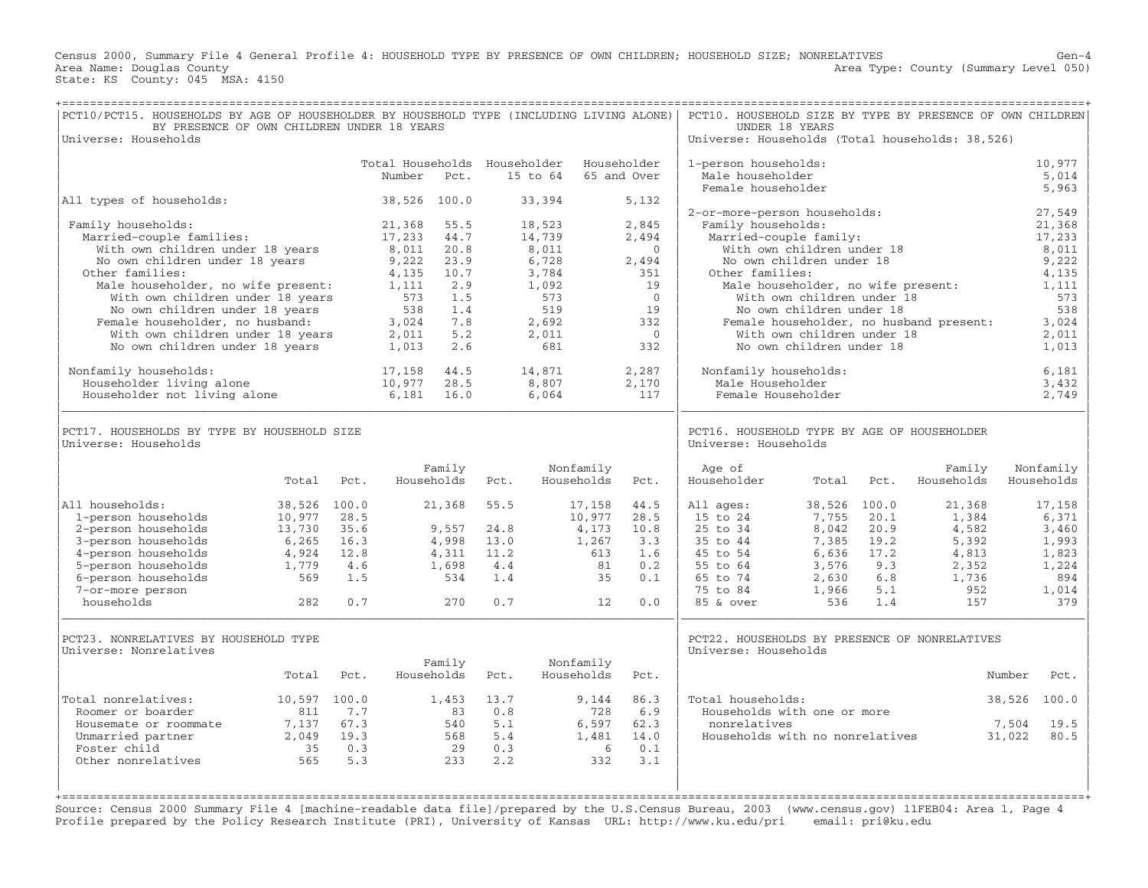Census 2000, Summary File 4 General Profile 4: HOUSEHOLD TYPE BY PRESENCE OF OWN CHILDREN; HOUSEHOLD SIZE; NONRELATIVES Gen−4 Area Type: County (Summary Level 050) Area Name: Douglas County<br>State: KS County: 045 MSA: 4150

| PCT10/PCT15. HOUSEHOLDS BY AGE OF HOUSEHOLDER BY HOUSEHOLD TYPE (INCLUDING LIVING ALONE)<br>BY PRESENCE OF OWN CHILDREN UNDER 18 YEARS<br>Universe: Households                                                                                                                                                                                                                                                                                    |                                                                           |                                                   |                                                                                                                            |                                                                                                        |                                                   |                                                                                                                         |                                                             |                                                                                                                                 | PCT10. HOUSEHOLD SIZE BY TYPE BY PRESENCE OF OWN CHILDREN<br>Universe: Households (Total households: 38,526)                             | UNDER 18 YEARS                                                                                                                                                                                                                             |                                                          |                                                                            |                                                                                                                                    |
|---------------------------------------------------------------------------------------------------------------------------------------------------------------------------------------------------------------------------------------------------------------------------------------------------------------------------------------------------------------------------------------------------------------------------------------------------|---------------------------------------------------------------------------|---------------------------------------------------|----------------------------------------------------------------------------------------------------------------------------|--------------------------------------------------------------------------------------------------------|---------------------------------------------------|-------------------------------------------------------------------------------------------------------------------------|-------------------------------------------------------------|---------------------------------------------------------------------------------------------------------------------------------|------------------------------------------------------------------------------------------------------------------------------------------|--------------------------------------------------------------------------------------------------------------------------------------------------------------------------------------------------------------------------------------------|----------------------------------------------------------|----------------------------------------------------------------------------|------------------------------------------------------------------------------------------------------------------------------------|
|                                                                                                                                                                                                                                                                                                                                                                                                                                                   |                                                                           |                                                   | Total Households Householder<br>Number                                                                                     | Pct.                                                                                                   |                                                   | 15 to 64                                                                                                                |                                                             | Householder<br>65 and Over                                                                                                      | 1-person households:<br>Male householder<br>Female householder                                                                           |                                                                                                                                                                                                                                            |                                                          |                                                                            | 10,977<br>5,014<br>5,963                                                                                                           |
| All types of households:                                                                                                                                                                                                                                                                                                                                                                                                                          |                                                                           |                                                   | 38,526 100.0                                                                                                               |                                                                                                        |                                                   | 33,394                                                                                                                  |                                                             | 5,132                                                                                                                           |                                                                                                                                          |                                                                                                                                                                                                                                            |                                                          |                                                                            |                                                                                                                                    |
| Family households:<br>Married-couple families:<br>With own children under 18 years<br>No own children under 18 years<br>Other families:<br>Male householder, no wife present:<br>With own children under 18 years<br>No own children under 18 years<br>Female householder, no husband:<br>With own children under 18 years<br>No own children under 18 years<br>Nonfamily households:<br>Householder living alone<br>Householder not living alone |                                                                           |                                                   | 21,368<br>17,233<br>8,011<br>9,222<br>4,135<br>1,111<br>573<br>538<br>3,024<br>2,011<br>1,013<br>17,158<br>10,977<br>6,181 | 55.5<br>44.7<br>20.8<br>23.9<br>10.7<br>2.9<br>1.5<br>1.4<br>7.8<br>5.2<br>2.6<br>44.5<br>28.5<br>16.0 |                                                   | 18,523<br>14,739<br>8,011<br>6,728<br>3,784<br>1,092<br>573<br>519<br>2,692<br>2,011<br>681<br>14,871<br>8,807<br>6,064 |                                                             | 2,845<br>2,494<br>$\mathbf{0}$<br>2,494<br>351<br>19<br>$\Omega$<br>19<br>332<br>$\overline{0}$<br>332<br>2,287<br>2,170<br>117 | 2-or-more-person households:<br>Family households:<br>Other families:<br>Nonfamily households:<br>Male Householder<br>Female Householder | Married-couple family:<br>With own children under 18<br>No own children under 18<br>Male householder, no wife present:<br>With own children under 18<br>No own children under 18<br>With own children under 18<br>No own children under 18 |                                                          | Female householder, no husband present:                                    | 27,549<br>21,368<br>17,233<br>8,011<br>9,222<br>4,135<br>1,111<br>573<br>538<br>3,024<br>2,011<br>1,013<br>6,181<br>3,432<br>2,749 |
| PCT17. HOUSEHOLDS BY TYPE BY HOUSEHOLD SIZE<br>Universe: Households                                                                                                                                                                                                                                                                                                                                                                               |                                                                           |                                                   |                                                                                                                            |                                                                                                        |                                                   |                                                                                                                         |                                                             |                                                                                                                                 | PCT16. HOUSEHOLD TYPE BY AGE OF HOUSEHOLDER<br>Universe: Households                                                                      |                                                                                                                                                                                                                                            |                                                          |                                                                            |                                                                                                                                    |
|                                                                                                                                                                                                                                                                                                                                                                                                                                                   | Total                                                                     | Pct.                                              |                                                                                                                            | Family<br>Households                                                                                   | Pct.                                              | Households                                                                                                              | Nonfamily                                                   | Pct.                                                                                                                            | Age of<br>Householder                                                                                                                    | Total                                                                                                                                                                                                                                      | Pct.                                                     | Family<br>Households                                                       | Nonfamily<br>Households                                                                                                            |
| All households:<br>1-person households<br>2-person households<br>3-person households<br>4-person households<br>5-person households<br>6-person households<br>7-or-more person<br>households                                                                                                                                                                                                                                                       | 38,526 100.0<br>10,977<br>13,730<br>6,265<br>4,924<br>1,779<br>569<br>282 | 28.5<br>35.6<br>16.3<br>12.8<br>4.6<br>1.5<br>0.7 |                                                                                                                            | 21,368<br>9,557<br>4,998<br>4,311<br>1,698<br>534<br>270                                               | 55.5<br>24.8<br>13.0<br>11.2<br>4.4<br>1.4<br>0.7 |                                                                                                                         | 17,158<br>10,977<br>4,173<br>1,267<br>613<br>81<br>35<br>12 | 44.5<br>28.5<br>10.8<br>3.3<br>1.6<br>0.2<br>0.1<br>0.0                                                                         | All ages:<br>15 to 24<br>25 to 34<br>35 to 44<br>45 to 54<br>55 to 64<br>65 to 74<br>75 to 84<br>85 & over                               | 38,526 100.0<br>7,755<br>8,042<br>7,385<br>6,636<br>3,576<br>2,630<br>1,966<br>536                                                                                                                                                         | 20.1<br>20.9<br>19.2<br>17.2<br>9.3<br>6.8<br>5.1<br>1.4 | 21,368<br>1,384<br>4,582<br>5,392<br>4,813<br>2,352<br>1,736<br>952<br>157 | 17,158<br>6,371<br>3,460<br>1,993<br>1,823<br>1,224<br>894<br>1,014<br>379                                                         |
| PCT23. NONRELATIVES BY HOUSEHOLD TYPE<br>Universe: Nonrelatives                                                                                                                                                                                                                                                                                                                                                                                   | Total                                                                     | Pct.                                              |                                                                                                                            | Family<br>Households                                                                                   | Pct.                                              | Households                                                                                                              | Nonfamily                                                   | Pct.                                                                                                                            | PCT22. HOUSEHOLDS BY PRESENCE OF NONRELATIVES<br>Universe: Households                                                                    |                                                                                                                                                                                                                                            |                                                          |                                                                            | Number<br>Pct.                                                                                                                     |
| Total nonrelatives:<br>Roomer or boarder<br>Housemate or roommate<br>Unmarried partner<br>Foster child<br>Other nonrelatives                                                                                                                                                                                                                                                                                                                      | 10,597 100.0<br>811<br>7,137<br>2,049<br>35<br>565                        | 7.7<br>67.3<br>19.3<br>0.3<br>5.3                 |                                                                                                                            | 1,453<br>83<br>540<br>568<br>29<br>233                                                                 | 13.7<br>0.8<br>5.1<br>5.4<br>0.3<br>2.2           |                                                                                                                         | 9,144<br>728<br>6,597<br>1,481<br>- 6<br>332                | 86.3<br>6.9<br>62.3<br>14.0<br>0.1<br>3.1                                                                                       | Total households:<br>Households with one or more<br>nonrelatives<br>Households with no nonrelatives                                      |                                                                                                                                                                                                                                            |                                                          |                                                                            | 100.0<br>38,526<br>19.5<br>7,504<br>31,022<br>80.5                                                                                 |

Source: Census 2000 Summary File 4 [machine−readable data file]/prepared by the U.S.Census Bureau, 2003 (www.census.gov) 11FEB04: Area 1, Page 4 Profile prepared by the Policy Research Institute (PRI), University of Kansas URL: http://www.ku.edu/pri email: pri@ku.edu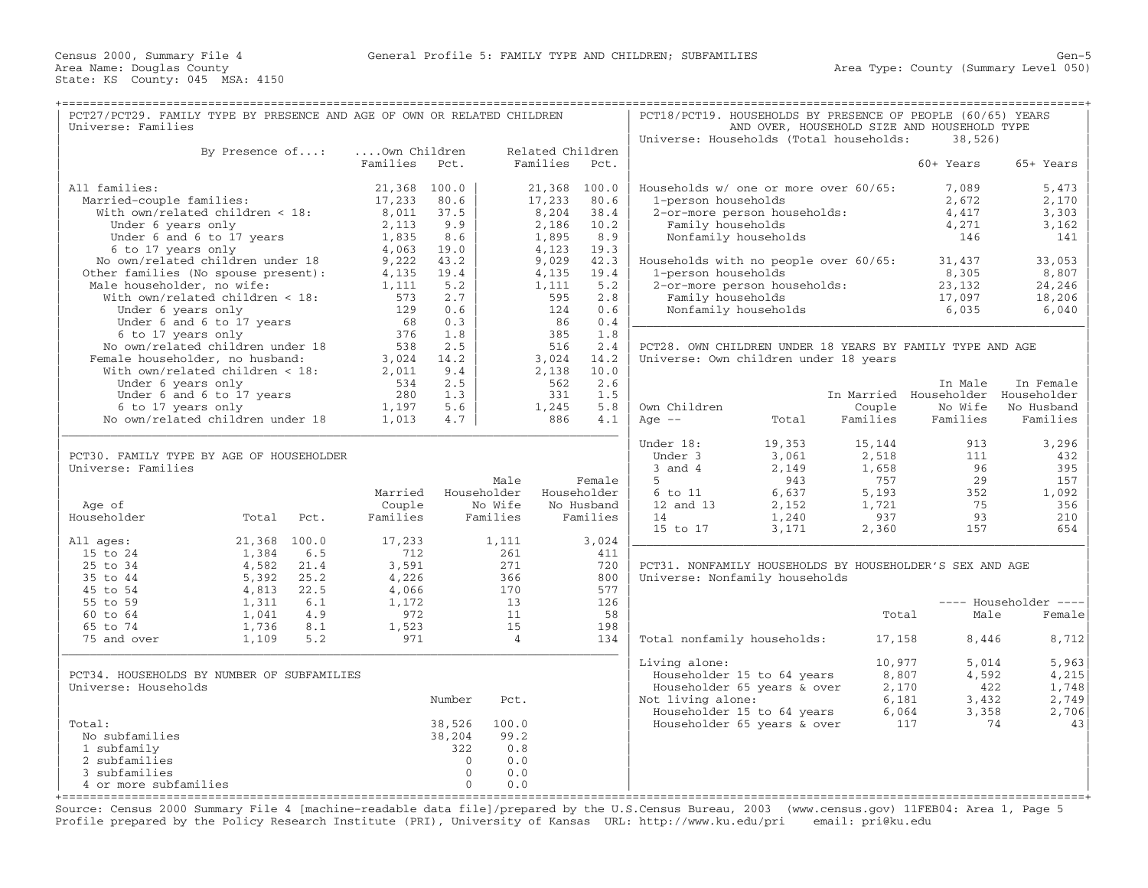| AND OVER, HOUSEHOLD SIZE AND HOUSEHOLD TYPE<br>Universe: Households (Total households:<br>38,526<br>Own Children<br>Related Children<br>By Presence of:<br>Families<br>Pct.<br>Families<br>Pct.<br>60+ Years<br>65+ Years<br>All families:<br>21,368 100.0<br>21,368 100.0<br>Households w/ one or more over 60/65:<br>7,089<br>5,473<br>Married-couple families:<br>80.6<br>80.6<br>17,233<br>17,233<br>1-person households<br>2,672<br>2,170<br>With own/related children < 18:<br>8,011<br>37.5<br>8,204<br>38.4<br>2-or-more person households:<br>4,417<br>3,303<br>9.9<br>Under 6 years only<br>2,113<br>2,186<br>10.2<br>Family households<br>4,271<br>3,162<br>8.6<br>Nonfamily households<br>Under 6 and 6 to 17 years<br>1,835<br>1,895<br>8.9<br>146<br>141<br>6 to 17 years only<br>4,063<br>19.0<br>4,123<br>19.3<br>No own/related children under 18<br>9,222<br>43.2<br>33,053<br>9,029<br>42.3<br>Households with no people over 60/65:<br>31,437<br>Other families (No spouse present):<br>4,135<br>19.4<br>4,135<br>19.4<br>1-person households<br>8,305<br>8,807<br>Male householder, no wife:<br>1,111<br>5.2<br>1,111<br>5.2<br>2-or-more person households:<br>23,132<br>24,246<br>With own/related children < 18:<br>573<br>2.7<br>2.8<br>Family households<br>595<br>17,097<br>18,206<br>0.6<br>0.6<br>Under 6 years only<br>129<br>124<br>Nonfamily households<br>6,035<br>6,040<br>68<br>0.3<br>0.4<br>Under 6 and 6 to 17 years<br>86<br>6 to 17 years only<br>376<br>1.8<br>385<br>1.8<br>2.5<br>No own/related children under 18<br>538<br>516<br>2.4<br>PCT28. OWN CHILDREN UNDER 18 YEARS BY FAMILY TYPE AND AGE<br>3,024<br>Female householder, no husband:<br>3,024<br>14.2<br>14.2<br>Universe: Own children under 18 years<br>With own/related children < 18:<br>9.4<br>2,138<br>10.0<br>2,011<br>2.5<br>2.6<br>Under 6 years only<br>534<br>562<br>In Male<br>In Female<br>1.3<br>Under 6 and 6 to 17 years<br>280<br>331<br>1.5<br>In Married Householder Householder<br>6 to 17 years only<br>1,197<br>5.6<br>1,245<br>5.8<br>Own Children<br>Couple<br>No Wife<br>No Husband<br>No own/related children under 18<br>1,013<br>4.1<br>Families<br>Families<br>4.7<br>886<br>Age $--$<br>Families<br>Total<br>Under 18:<br>19,353<br>15,144<br>913<br>3,296<br>PCT30. FAMILY TYPE BY AGE OF HOUSEHOLDER<br>Under 3<br>3,061<br>2,518<br>111<br>432<br>Universe: Families<br>$3$ and $4$<br>2,149<br>1,658<br>96<br>395<br>29<br>Male<br>5<br>943<br>757<br>157<br>Female<br>Householder<br>Married<br>Householder<br>6 to 11<br>6,637<br>5,193<br>352<br>1,092<br>Age of<br>Couple<br>No Wife<br>No Husband<br>12 and 13<br>2,152<br>1,721<br>75<br>356<br>Householder<br>Total<br>Families<br>Families<br>Families<br>14<br>1,240<br>937<br>93<br>210<br>Pct.<br>15 to 17<br>3,171<br>2,360<br>157<br>654<br>21,368 100.0<br>17,233<br>3,024<br>All ages:<br>1,111<br>15 to 24<br>6.5<br>1,384<br>712<br>261<br>411<br>25 to 34<br>3,591<br>720<br>4,582<br>21.4<br>271<br>PCT31. NONFAMILY HOUSEHOLDS BY HOUSEHOLDER'S SEX AND AGE<br>35 to 44<br>5,392<br>25.2<br>4,226<br>366<br>800<br>Universe: Nonfamily households<br>577<br>45 to 54<br>4,813<br>22.5<br>4,066<br>170<br>55 to 59<br>13<br>126<br>1,311<br>6.1<br>1,172<br>---- Householder ----<br>60 to 64<br>11<br>4.9<br>972<br>58<br>Male<br>1,041<br>Total<br>Female<br>65 to 74<br>15<br>198<br>1,736<br>8.1<br>1,523<br>5.2<br>75 and over<br>1,109<br>971<br>$\overline{4}$<br>134<br>Total nonfamily households:<br>17,158<br>8,446<br>8,712<br>5,963<br>Living alone:<br>10,977<br>5,014<br>8,807<br>4,592<br>4,215<br>PCT34. HOUSEHOLDS BY NUMBER OF SUBFAMILIES<br>Householder 15 to 64 years<br>Universe: Households<br>Householder 65 years & over<br>2,170<br>422<br>1,748<br>Number<br>Not living alone:<br>6,181<br>3,432<br>2,749<br>Pct.<br>Householder 15 to 64 years<br>6,064<br>3,358<br>2,706<br>100.0<br>Total:<br>38,526<br>Householder 65 years & over<br>117<br>74<br>43<br>99.2<br>No subfamilies<br>38,204<br>1 subfamily<br>322<br>0.8<br>2 subfamilies<br>$\Omega$<br>0.0<br>3 subfamilies<br>$\Omega$<br>0.0<br>4 or more subfamilies<br>$\Omega$<br>0.0 | PCT27/PCT29. FAMILY TYPE BY PRESENCE AND AGE OF OWN OR RELATED CHILDREN |  |  |  | PCT18/PCT19. HOUSEHOLDS BY PRESENCE OF PEOPLE (60/65) YEARS |  |  |
|----------------------------------------------------------------------------------------------------------------------------------------------------------------------------------------------------------------------------------------------------------------------------------------------------------------------------------------------------------------------------------------------------------------------------------------------------------------------------------------------------------------------------------------------------------------------------------------------------------------------------------------------------------------------------------------------------------------------------------------------------------------------------------------------------------------------------------------------------------------------------------------------------------------------------------------------------------------------------------------------------------------------------------------------------------------------------------------------------------------------------------------------------------------------------------------------------------------------------------------------------------------------------------------------------------------------------------------------------------------------------------------------------------------------------------------------------------------------------------------------------------------------------------------------------------------------------------------------------------------------------------------------------------------------------------------------------------------------------------------------------------------------------------------------------------------------------------------------------------------------------------------------------------------------------------------------------------------------------------------------------------------------------------------------------------------------------------------------------------------------------------------------------------------------------------------------------------------------------------------------------------------------------------------------------------------------------------------------------------------------------------------------------------------------------------------------------------------------------------------------------------------------------------------------------------------------------------------------------------------------------------------------------------------------------------------------------------------------------------------------------------------------------------------------------------------------------------------------------------------------------------------------------------------------------------------------------------------------------------------------------------------------------------------------------------------------------------------------------------------------------------------------------------------------------------------------------------------------------------------------------------------------------------------------------------------------------------------------------------------------------------------------------------------------------------------------------------------------------------------------------------------------------------------------------------------------------------------------------------------------------------------------------------------------------------------------------------------------------------------------------------------------------------------------------------------------------------------------------------------------------------------------------------------------------------------------------------------------------------------------------------------------------------------------------------------------------------------------------------------------------------------------------------------------------------------|-------------------------------------------------------------------------|--|--|--|-------------------------------------------------------------|--|--|
|                                                                                                                                                                                                                                                                                                                                                                                                                                                                                                                                                                                                                                                                                                                                                                                                                                                                                                                                                                                                                                                                                                                                                                                                                                                                                                                                                                                                                                                                                                                                                                                                                                                                                                                                                                                                                                                                                                                                                                                                                                                                                                                                                                                                                                                                                                                                                                                                                                                                                                                                                                                                                                                                                                                                                                                                                                                                                                                                                                                                                                                                                                                                                                                                                                                                                                                                                                                                                                                                                                                                                                                                                                                                                                                                                                                                                                                                                                                                                                                                                                                                                                                                                                                        | Universe: Families                                                      |  |  |  |                                                             |  |  |
|                                                                                                                                                                                                                                                                                                                                                                                                                                                                                                                                                                                                                                                                                                                                                                                                                                                                                                                                                                                                                                                                                                                                                                                                                                                                                                                                                                                                                                                                                                                                                                                                                                                                                                                                                                                                                                                                                                                                                                                                                                                                                                                                                                                                                                                                                                                                                                                                                                                                                                                                                                                                                                                                                                                                                                                                                                                                                                                                                                                                                                                                                                                                                                                                                                                                                                                                                                                                                                                                                                                                                                                                                                                                                                                                                                                                                                                                                                                                                                                                                                                                                                                                                                                        |                                                                         |  |  |  |                                                             |  |  |
|                                                                                                                                                                                                                                                                                                                                                                                                                                                                                                                                                                                                                                                                                                                                                                                                                                                                                                                                                                                                                                                                                                                                                                                                                                                                                                                                                                                                                                                                                                                                                                                                                                                                                                                                                                                                                                                                                                                                                                                                                                                                                                                                                                                                                                                                                                                                                                                                                                                                                                                                                                                                                                                                                                                                                                                                                                                                                                                                                                                                                                                                                                                                                                                                                                                                                                                                                                                                                                                                                                                                                                                                                                                                                                                                                                                                                                                                                                                                                                                                                                                                                                                                                                                        |                                                                         |  |  |  |                                                             |  |  |
|                                                                                                                                                                                                                                                                                                                                                                                                                                                                                                                                                                                                                                                                                                                                                                                                                                                                                                                                                                                                                                                                                                                                                                                                                                                                                                                                                                                                                                                                                                                                                                                                                                                                                                                                                                                                                                                                                                                                                                                                                                                                                                                                                                                                                                                                                                                                                                                                                                                                                                                                                                                                                                                                                                                                                                                                                                                                                                                                                                                                                                                                                                                                                                                                                                                                                                                                                                                                                                                                                                                                                                                                                                                                                                                                                                                                                                                                                                                                                                                                                                                                                                                                                                                        |                                                                         |  |  |  |                                                             |  |  |
|                                                                                                                                                                                                                                                                                                                                                                                                                                                                                                                                                                                                                                                                                                                                                                                                                                                                                                                                                                                                                                                                                                                                                                                                                                                                                                                                                                                                                                                                                                                                                                                                                                                                                                                                                                                                                                                                                                                                                                                                                                                                                                                                                                                                                                                                                                                                                                                                                                                                                                                                                                                                                                                                                                                                                                                                                                                                                                                                                                                                                                                                                                                                                                                                                                                                                                                                                                                                                                                                                                                                                                                                                                                                                                                                                                                                                                                                                                                                                                                                                                                                                                                                                                                        |                                                                         |  |  |  |                                                             |  |  |
|                                                                                                                                                                                                                                                                                                                                                                                                                                                                                                                                                                                                                                                                                                                                                                                                                                                                                                                                                                                                                                                                                                                                                                                                                                                                                                                                                                                                                                                                                                                                                                                                                                                                                                                                                                                                                                                                                                                                                                                                                                                                                                                                                                                                                                                                                                                                                                                                                                                                                                                                                                                                                                                                                                                                                                                                                                                                                                                                                                                                                                                                                                                                                                                                                                                                                                                                                                                                                                                                                                                                                                                                                                                                                                                                                                                                                                                                                                                                                                                                                                                                                                                                                                                        |                                                                         |  |  |  |                                                             |  |  |
|                                                                                                                                                                                                                                                                                                                                                                                                                                                                                                                                                                                                                                                                                                                                                                                                                                                                                                                                                                                                                                                                                                                                                                                                                                                                                                                                                                                                                                                                                                                                                                                                                                                                                                                                                                                                                                                                                                                                                                                                                                                                                                                                                                                                                                                                                                                                                                                                                                                                                                                                                                                                                                                                                                                                                                                                                                                                                                                                                                                                                                                                                                                                                                                                                                                                                                                                                                                                                                                                                                                                                                                                                                                                                                                                                                                                                                                                                                                                                                                                                                                                                                                                                                                        |                                                                         |  |  |  |                                                             |  |  |
|                                                                                                                                                                                                                                                                                                                                                                                                                                                                                                                                                                                                                                                                                                                                                                                                                                                                                                                                                                                                                                                                                                                                                                                                                                                                                                                                                                                                                                                                                                                                                                                                                                                                                                                                                                                                                                                                                                                                                                                                                                                                                                                                                                                                                                                                                                                                                                                                                                                                                                                                                                                                                                                                                                                                                                                                                                                                                                                                                                                                                                                                                                                                                                                                                                                                                                                                                                                                                                                                                                                                                                                                                                                                                                                                                                                                                                                                                                                                                                                                                                                                                                                                                                                        |                                                                         |  |  |  |                                                             |  |  |
|                                                                                                                                                                                                                                                                                                                                                                                                                                                                                                                                                                                                                                                                                                                                                                                                                                                                                                                                                                                                                                                                                                                                                                                                                                                                                                                                                                                                                                                                                                                                                                                                                                                                                                                                                                                                                                                                                                                                                                                                                                                                                                                                                                                                                                                                                                                                                                                                                                                                                                                                                                                                                                                                                                                                                                                                                                                                                                                                                                                                                                                                                                                                                                                                                                                                                                                                                                                                                                                                                                                                                                                                                                                                                                                                                                                                                                                                                                                                                                                                                                                                                                                                                                                        |                                                                         |  |  |  |                                                             |  |  |
|                                                                                                                                                                                                                                                                                                                                                                                                                                                                                                                                                                                                                                                                                                                                                                                                                                                                                                                                                                                                                                                                                                                                                                                                                                                                                                                                                                                                                                                                                                                                                                                                                                                                                                                                                                                                                                                                                                                                                                                                                                                                                                                                                                                                                                                                                                                                                                                                                                                                                                                                                                                                                                                                                                                                                                                                                                                                                                                                                                                                                                                                                                                                                                                                                                                                                                                                                                                                                                                                                                                                                                                                                                                                                                                                                                                                                                                                                                                                                                                                                                                                                                                                                                                        |                                                                         |  |  |  |                                                             |  |  |
|                                                                                                                                                                                                                                                                                                                                                                                                                                                                                                                                                                                                                                                                                                                                                                                                                                                                                                                                                                                                                                                                                                                                                                                                                                                                                                                                                                                                                                                                                                                                                                                                                                                                                                                                                                                                                                                                                                                                                                                                                                                                                                                                                                                                                                                                                                                                                                                                                                                                                                                                                                                                                                                                                                                                                                                                                                                                                                                                                                                                                                                                                                                                                                                                                                                                                                                                                                                                                                                                                                                                                                                                                                                                                                                                                                                                                                                                                                                                                                                                                                                                                                                                                                                        |                                                                         |  |  |  |                                                             |  |  |
|                                                                                                                                                                                                                                                                                                                                                                                                                                                                                                                                                                                                                                                                                                                                                                                                                                                                                                                                                                                                                                                                                                                                                                                                                                                                                                                                                                                                                                                                                                                                                                                                                                                                                                                                                                                                                                                                                                                                                                                                                                                                                                                                                                                                                                                                                                                                                                                                                                                                                                                                                                                                                                                                                                                                                                                                                                                                                                                                                                                                                                                                                                                                                                                                                                                                                                                                                                                                                                                                                                                                                                                                                                                                                                                                                                                                                                                                                                                                                                                                                                                                                                                                                                                        |                                                                         |  |  |  |                                                             |  |  |
|                                                                                                                                                                                                                                                                                                                                                                                                                                                                                                                                                                                                                                                                                                                                                                                                                                                                                                                                                                                                                                                                                                                                                                                                                                                                                                                                                                                                                                                                                                                                                                                                                                                                                                                                                                                                                                                                                                                                                                                                                                                                                                                                                                                                                                                                                                                                                                                                                                                                                                                                                                                                                                                                                                                                                                                                                                                                                                                                                                                                                                                                                                                                                                                                                                                                                                                                                                                                                                                                                                                                                                                                                                                                                                                                                                                                                                                                                                                                                                                                                                                                                                                                                                                        |                                                                         |  |  |  |                                                             |  |  |
|                                                                                                                                                                                                                                                                                                                                                                                                                                                                                                                                                                                                                                                                                                                                                                                                                                                                                                                                                                                                                                                                                                                                                                                                                                                                                                                                                                                                                                                                                                                                                                                                                                                                                                                                                                                                                                                                                                                                                                                                                                                                                                                                                                                                                                                                                                                                                                                                                                                                                                                                                                                                                                                                                                                                                                                                                                                                                                                                                                                                                                                                                                                                                                                                                                                                                                                                                                                                                                                                                                                                                                                                                                                                                                                                                                                                                                                                                                                                                                                                                                                                                                                                                                                        |                                                                         |  |  |  |                                                             |  |  |
|                                                                                                                                                                                                                                                                                                                                                                                                                                                                                                                                                                                                                                                                                                                                                                                                                                                                                                                                                                                                                                                                                                                                                                                                                                                                                                                                                                                                                                                                                                                                                                                                                                                                                                                                                                                                                                                                                                                                                                                                                                                                                                                                                                                                                                                                                                                                                                                                                                                                                                                                                                                                                                                                                                                                                                                                                                                                                                                                                                                                                                                                                                                                                                                                                                                                                                                                                                                                                                                                                                                                                                                                                                                                                                                                                                                                                                                                                                                                                                                                                                                                                                                                                                                        |                                                                         |  |  |  |                                                             |  |  |
|                                                                                                                                                                                                                                                                                                                                                                                                                                                                                                                                                                                                                                                                                                                                                                                                                                                                                                                                                                                                                                                                                                                                                                                                                                                                                                                                                                                                                                                                                                                                                                                                                                                                                                                                                                                                                                                                                                                                                                                                                                                                                                                                                                                                                                                                                                                                                                                                                                                                                                                                                                                                                                                                                                                                                                                                                                                                                                                                                                                                                                                                                                                                                                                                                                                                                                                                                                                                                                                                                                                                                                                                                                                                                                                                                                                                                                                                                                                                                                                                                                                                                                                                                                                        |                                                                         |  |  |  |                                                             |  |  |
|                                                                                                                                                                                                                                                                                                                                                                                                                                                                                                                                                                                                                                                                                                                                                                                                                                                                                                                                                                                                                                                                                                                                                                                                                                                                                                                                                                                                                                                                                                                                                                                                                                                                                                                                                                                                                                                                                                                                                                                                                                                                                                                                                                                                                                                                                                                                                                                                                                                                                                                                                                                                                                                                                                                                                                                                                                                                                                                                                                                                                                                                                                                                                                                                                                                                                                                                                                                                                                                                                                                                                                                                                                                                                                                                                                                                                                                                                                                                                                                                                                                                                                                                                                                        |                                                                         |  |  |  |                                                             |  |  |
|                                                                                                                                                                                                                                                                                                                                                                                                                                                                                                                                                                                                                                                                                                                                                                                                                                                                                                                                                                                                                                                                                                                                                                                                                                                                                                                                                                                                                                                                                                                                                                                                                                                                                                                                                                                                                                                                                                                                                                                                                                                                                                                                                                                                                                                                                                                                                                                                                                                                                                                                                                                                                                                                                                                                                                                                                                                                                                                                                                                                                                                                                                                                                                                                                                                                                                                                                                                                                                                                                                                                                                                                                                                                                                                                                                                                                                                                                                                                                                                                                                                                                                                                                                                        |                                                                         |  |  |  |                                                             |  |  |
|                                                                                                                                                                                                                                                                                                                                                                                                                                                                                                                                                                                                                                                                                                                                                                                                                                                                                                                                                                                                                                                                                                                                                                                                                                                                                                                                                                                                                                                                                                                                                                                                                                                                                                                                                                                                                                                                                                                                                                                                                                                                                                                                                                                                                                                                                                                                                                                                                                                                                                                                                                                                                                                                                                                                                                                                                                                                                                                                                                                                                                                                                                                                                                                                                                                                                                                                                                                                                                                                                                                                                                                                                                                                                                                                                                                                                                                                                                                                                                                                                                                                                                                                                                                        |                                                                         |  |  |  |                                                             |  |  |
|                                                                                                                                                                                                                                                                                                                                                                                                                                                                                                                                                                                                                                                                                                                                                                                                                                                                                                                                                                                                                                                                                                                                                                                                                                                                                                                                                                                                                                                                                                                                                                                                                                                                                                                                                                                                                                                                                                                                                                                                                                                                                                                                                                                                                                                                                                                                                                                                                                                                                                                                                                                                                                                                                                                                                                                                                                                                                                                                                                                                                                                                                                                                                                                                                                                                                                                                                                                                                                                                                                                                                                                                                                                                                                                                                                                                                                                                                                                                                                                                                                                                                                                                                                                        |                                                                         |  |  |  |                                                             |  |  |
|                                                                                                                                                                                                                                                                                                                                                                                                                                                                                                                                                                                                                                                                                                                                                                                                                                                                                                                                                                                                                                                                                                                                                                                                                                                                                                                                                                                                                                                                                                                                                                                                                                                                                                                                                                                                                                                                                                                                                                                                                                                                                                                                                                                                                                                                                                                                                                                                                                                                                                                                                                                                                                                                                                                                                                                                                                                                                                                                                                                                                                                                                                                                                                                                                                                                                                                                                                                                                                                                                                                                                                                                                                                                                                                                                                                                                                                                                                                                                                                                                                                                                                                                                                                        |                                                                         |  |  |  |                                                             |  |  |
|                                                                                                                                                                                                                                                                                                                                                                                                                                                                                                                                                                                                                                                                                                                                                                                                                                                                                                                                                                                                                                                                                                                                                                                                                                                                                                                                                                                                                                                                                                                                                                                                                                                                                                                                                                                                                                                                                                                                                                                                                                                                                                                                                                                                                                                                                                                                                                                                                                                                                                                                                                                                                                                                                                                                                                                                                                                                                                                                                                                                                                                                                                                                                                                                                                                                                                                                                                                                                                                                                                                                                                                                                                                                                                                                                                                                                                                                                                                                                                                                                                                                                                                                                                                        |                                                                         |  |  |  |                                                             |  |  |
|                                                                                                                                                                                                                                                                                                                                                                                                                                                                                                                                                                                                                                                                                                                                                                                                                                                                                                                                                                                                                                                                                                                                                                                                                                                                                                                                                                                                                                                                                                                                                                                                                                                                                                                                                                                                                                                                                                                                                                                                                                                                                                                                                                                                                                                                                                                                                                                                                                                                                                                                                                                                                                                                                                                                                                                                                                                                                                                                                                                                                                                                                                                                                                                                                                                                                                                                                                                                                                                                                                                                                                                                                                                                                                                                                                                                                                                                                                                                                                                                                                                                                                                                                                                        |                                                                         |  |  |  |                                                             |  |  |
|                                                                                                                                                                                                                                                                                                                                                                                                                                                                                                                                                                                                                                                                                                                                                                                                                                                                                                                                                                                                                                                                                                                                                                                                                                                                                                                                                                                                                                                                                                                                                                                                                                                                                                                                                                                                                                                                                                                                                                                                                                                                                                                                                                                                                                                                                                                                                                                                                                                                                                                                                                                                                                                                                                                                                                                                                                                                                                                                                                                                                                                                                                                                                                                                                                                                                                                                                                                                                                                                                                                                                                                                                                                                                                                                                                                                                                                                                                                                                                                                                                                                                                                                                                                        |                                                                         |  |  |  |                                                             |  |  |
|                                                                                                                                                                                                                                                                                                                                                                                                                                                                                                                                                                                                                                                                                                                                                                                                                                                                                                                                                                                                                                                                                                                                                                                                                                                                                                                                                                                                                                                                                                                                                                                                                                                                                                                                                                                                                                                                                                                                                                                                                                                                                                                                                                                                                                                                                                                                                                                                                                                                                                                                                                                                                                                                                                                                                                                                                                                                                                                                                                                                                                                                                                                                                                                                                                                                                                                                                                                                                                                                                                                                                                                                                                                                                                                                                                                                                                                                                                                                                                                                                                                                                                                                                                                        |                                                                         |  |  |  |                                                             |  |  |
|                                                                                                                                                                                                                                                                                                                                                                                                                                                                                                                                                                                                                                                                                                                                                                                                                                                                                                                                                                                                                                                                                                                                                                                                                                                                                                                                                                                                                                                                                                                                                                                                                                                                                                                                                                                                                                                                                                                                                                                                                                                                                                                                                                                                                                                                                                                                                                                                                                                                                                                                                                                                                                                                                                                                                                                                                                                                                                                                                                                                                                                                                                                                                                                                                                                                                                                                                                                                                                                                                                                                                                                                                                                                                                                                                                                                                                                                                                                                                                                                                                                                                                                                                                                        |                                                                         |  |  |  |                                                             |  |  |
|                                                                                                                                                                                                                                                                                                                                                                                                                                                                                                                                                                                                                                                                                                                                                                                                                                                                                                                                                                                                                                                                                                                                                                                                                                                                                                                                                                                                                                                                                                                                                                                                                                                                                                                                                                                                                                                                                                                                                                                                                                                                                                                                                                                                                                                                                                                                                                                                                                                                                                                                                                                                                                                                                                                                                                                                                                                                                                                                                                                                                                                                                                                                                                                                                                                                                                                                                                                                                                                                                                                                                                                                                                                                                                                                                                                                                                                                                                                                                                                                                                                                                                                                                                                        |                                                                         |  |  |  |                                                             |  |  |
|                                                                                                                                                                                                                                                                                                                                                                                                                                                                                                                                                                                                                                                                                                                                                                                                                                                                                                                                                                                                                                                                                                                                                                                                                                                                                                                                                                                                                                                                                                                                                                                                                                                                                                                                                                                                                                                                                                                                                                                                                                                                                                                                                                                                                                                                                                                                                                                                                                                                                                                                                                                                                                                                                                                                                                                                                                                                                                                                                                                                                                                                                                                                                                                                                                                                                                                                                                                                                                                                                                                                                                                                                                                                                                                                                                                                                                                                                                                                                                                                                                                                                                                                                                                        |                                                                         |  |  |  |                                                             |  |  |
|                                                                                                                                                                                                                                                                                                                                                                                                                                                                                                                                                                                                                                                                                                                                                                                                                                                                                                                                                                                                                                                                                                                                                                                                                                                                                                                                                                                                                                                                                                                                                                                                                                                                                                                                                                                                                                                                                                                                                                                                                                                                                                                                                                                                                                                                                                                                                                                                                                                                                                                                                                                                                                                                                                                                                                                                                                                                                                                                                                                                                                                                                                                                                                                                                                                                                                                                                                                                                                                                                                                                                                                                                                                                                                                                                                                                                                                                                                                                                                                                                                                                                                                                                                                        |                                                                         |  |  |  |                                                             |  |  |
|                                                                                                                                                                                                                                                                                                                                                                                                                                                                                                                                                                                                                                                                                                                                                                                                                                                                                                                                                                                                                                                                                                                                                                                                                                                                                                                                                                                                                                                                                                                                                                                                                                                                                                                                                                                                                                                                                                                                                                                                                                                                                                                                                                                                                                                                                                                                                                                                                                                                                                                                                                                                                                                                                                                                                                                                                                                                                                                                                                                                                                                                                                                                                                                                                                                                                                                                                                                                                                                                                                                                                                                                                                                                                                                                                                                                                                                                                                                                                                                                                                                                                                                                                                                        |                                                                         |  |  |  |                                                             |  |  |
|                                                                                                                                                                                                                                                                                                                                                                                                                                                                                                                                                                                                                                                                                                                                                                                                                                                                                                                                                                                                                                                                                                                                                                                                                                                                                                                                                                                                                                                                                                                                                                                                                                                                                                                                                                                                                                                                                                                                                                                                                                                                                                                                                                                                                                                                                                                                                                                                                                                                                                                                                                                                                                                                                                                                                                                                                                                                                                                                                                                                                                                                                                                                                                                                                                                                                                                                                                                                                                                                                                                                                                                                                                                                                                                                                                                                                                                                                                                                                                                                                                                                                                                                                                                        |                                                                         |  |  |  |                                                             |  |  |
|                                                                                                                                                                                                                                                                                                                                                                                                                                                                                                                                                                                                                                                                                                                                                                                                                                                                                                                                                                                                                                                                                                                                                                                                                                                                                                                                                                                                                                                                                                                                                                                                                                                                                                                                                                                                                                                                                                                                                                                                                                                                                                                                                                                                                                                                                                                                                                                                                                                                                                                                                                                                                                                                                                                                                                                                                                                                                                                                                                                                                                                                                                                                                                                                                                                                                                                                                                                                                                                                                                                                                                                                                                                                                                                                                                                                                                                                                                                                                                                                                                                                                                                                                                                        |                                                                         |  |  |  |                                                             |  |  |
|                                                                                                                                                                                                                                                                                                                                                                                                                                                                                                                                                                                                                                                                                                                                                                                                                                                                                                                                                                                                                                                                                                                                                                                                                                                                                                                                                                                                                                                                                                                                                                                                                                                                                                                                                                                                                                                                                                                                                                                                                                                                                                                                                                                                                                                                                                                                                                                                                                                                                                                                                                                                                                                                                                                                                                                                                                                                                                                                                                                                                                                                                                                                                                                                                                                                                                                                                                                                                                                                                                                                                                                                                                                                                                                                                                                                                                                                                                                                                                                                                                                                                                                                                                                        |                                                                         |  |  |  |                                                             |  |  |
|                                                                                                                                                                                                                                                                                                                                                                                                                                                                                                                                                                                                                                                                                                                                                                                                                                                                                                                                                                                                                                                                                                                                                                                                                                                                                                                                                                                                                                                                                                                                                                                                                                                                                                                                                                                                                                                                                                                                                                                                                                                                                                                                                                                                                                                                                                                                                                                                                                                                                                                                                                                                                                                                                                                                                                                                                                                                                                                                                                                                                                                                                                                                                                                                                                                                                                                                                                                                                                                                                                                                                                                                                                                                                                                                                                                                                                                                                                                                                                                                                                                                                                                                                                                        |                                                                         |  |  |  |                                                             |  |  |
|                                                                                                                                                                                                                                                                                                                                                                                                                                                                                                                                                                                                                                                                                                                                                                                                                                                                                                                                                                                                                                                                                                                                                                                                                                                                                                                                                                                                                                                                                                                                                                                                                                                                                                                                                                                                                                                                                                                                                                                                                                                                                                                                                                                                                                                                                                                                                                                                                                                                                                                                                                                                                                                                                                                                                                                                                                                                                                                                                                                                                                                                                                                                                                                                                                                                                                                                                                                                                                                                                                                                                                                                                                                                                                                                                                                                                                                                                                                                                                                                                                                                                                                                                                                        |                                                                         |  |  |  |                                                             |  |  |
|                                                                                                                                                                                                                                                                                                                                                                                                                                                                                                                                                                                                                                                                                                                                                                                                                                                                                                                                                                                                                                                                                                                                                                                                                                                                                                                                                                                                                                                                                                                                                                                                                                                                                                                                                                                                                                                                                                                                                                                                                                                                                                                                                                                                                                                                                                                                                                                                                                                                                                                                                                                                                                                                                                                                                                                                                                                                                                                                                                                                                                                                                                                                                                                                                                                                                                                                                                                                                                                                                                                                                                                                                                                                                                                                                                                                                                                                                                                                                                                                                                                                                                                                                                                        |                                                                         |  |  |  |                                                             |  |  |
|                                                                                                                                                                                                                                                                                                                                                                                                                                                                                                                                                                                                                                                                                                                                                                                                                                                                                                                                                                                                                                                                                                                                                                                                                                                                                                                                                                                                                                                                                                                                                                                                                                                                                                                                                                                                                                                                                                                                                                                                                                                                                                                                                                                                                                                                                                                                                                                                                                                                                                                                                                                                                                                                                                                                                                                                                                                                                                                                                                                                                                                                                                                                                                                                                                                                                                                                                                                                                                                                                                                                                                                                                                                                                                                                                                                                                                                                                                                                                                                                                                                                                                                                                                                        |                                                                         |  |  |  |                                                             |  |  |
|                                                                                                                                                                                                                                                                                                                                                                                                                                                                                                                                                                                                                                                                                                                                                                                                                                                                                                                                                                                                                                                                                                                                                                                                                                                                                                                                                                                                                                                                                                                                                                                                                                                                                                                                                                                                                                                                                                                                                                                                                                                                                                                                                                                                                                                                                                                                                                                                                                                                                                                                                                                                                                                                                                                                                                                                                                                                                                                                                                                                                                                                                                                                                                                                                                                                                                                                                                                                                                                                                                                                                                                                                                                                                                                                                                                                                                                                                                                                                                                                                                                                                                                                                                                        |                                                                         |  |  |  |                                                             |  |  |
|                                                                                                                                                                                                                                                                                                                                                                                                                                                                                                                                                                                                                                                                                                                                                                                                                                                                                                                                                                                                                                                                                                                                                                                                                                                                                                                                                                                                                                                                                                                                                                                                                                                                                                                                                                                                                                                                                                                                                                                                                                                                                                                                                                                                                                                                                                                                                                                                                                                                                                                                                                                                                                                                                                                                                                                                                                                                                                                                                                                                                                                                                                                                                                                                                                                                                                                                                                                                                                                                                                                                                                                                                                                                                                                                                                                                                                                                                                                                                                                                                                                                                                                                                                                        |                                                                         |  |  |  |                                                             |  |  |
|                                                                                                                                                                                                                                                                                                                                                                                                                                                                                                                                                                                                                                                                                                                                                                                                                                                                                                                                                                                                                                                                                                                                                                                                                                                                                                                                                                                                                                                                                                                                                                                                                                                                                                                                                                                                                                                                                                                                                                                                                                                                                                                                                                                                                                                                                                                                                                                                                                                                                                                                                                                                                                                                                                                                                                                                                                                                                                                                                                                                                                                                                                                                                                                                                                                                                                                                                                                                                                                                                                                                                                                                                                                                                                                                                                                                                                                                                                                                                                                                                                                                                                                                                                                        |                                                                         |  |  |  |                                                             |  |  |
|                                                                                                                                                                                                                                                                                                                                                                                                                                                                                                                                                                                                                                                                                                                                                                                                                                                                                                                                                                                                                                                                                                                                                                                                                                                                                                                                                                                                                                                                                                                                                                                                                                                                                                                                                                                                                                                                                                                                                                                                                                                                                                                                                                                                                                                                                                                                                                                                                                                                                                                                                                                                                                                                                                                                                                                                                                                                                                                                                                                                                                                                                                                                                                                                                                                                                                                                                                                                                                                                                                                                                                                                                                                                                                                                                                                                                                                                                                                                                                                                                                                                                                                                                                                        |                                                                         |  |  |  |                                                             |  |  |
|                                                                                                                                                                                                                                                                                                                                                                                                                                                                                                                                                                                                                                                                                                                                                                                                                                                                                                                                                                                                                                                                                                                                                                                                                                                                                                                                                                                                                                                                                                                                                                                                                                                                                                                                                                                                                                                                                                                                                                                                                                                                                                                                                                                                                                                                                                                                                                                                                                                                                                                                                                                                                                                                                                                                                                                                                                                                                                                                                                                                                                                                                                                                                                                                                                                                                                                                                                                                                                                                                                                                                                                                                                                                                                                                                                                                                                                                                                                                                                                                                                                                                                                                                                                        |                                                                         |  |  |  |                                                             |  |  |
|                                                                                                                                                                                                                                                                                                                                                                                                                                                                                                                                                                                                                                                                                                                                                                                                                                                                                                                                                                                                                                                                                                                                                                                                                                                                                                                                                                                                                                                                                                                                                                                                                                                                                                                                                                                                                                                                                                                                                                                                                                                                                                                                                                                                                                                                                                                                                                                                                                                                                                                                                                                                                                                                                                                                                                                                                                                                                                                                                                                                                                                                                                                                                                                                                                                                                                                                                                                                                                                                                                                                                                                                                                                                                                                                                                                                                                                                                                                                                                                                                                                                                                                                                                                        |                                                                         |  |  |  |                                                             |  |  |
|                                                                                                                                                                                                                                                                                                                                                                                                                                                                                                                                                                                                                                                                                                                                                                                                                                                                                                                                                                                                                                                                                                                                                                                                                                                                                                                                                                                                                                                                                                                                                                                                                                                                                                                                                                                                                                                                                                                                                                                                                                                                                                                                                                                                                                                                                                                                                                                                                                                                                                                                                                                                                                                                                                                                                                                                                                                                                                                                                                                                                                                                                                                                                                                                                                                                                                                                                                                                                                                                                                                                                                                                                                                                                                                                                                                                                                                                                                                                                                                                                                                                                                                                                                                        |                                                                         |  |  |  |                                                             |  |  |
|                                                                                                                                                                                                                                                                                                                                                                                                                                                                                                                                                                                                                                                                                                                                                                                                                                                                                                                                                                                                                                                                                                                                                                                                                                                                                                                                                                                                                                                                                                                                                                                                                                                                                                                                                                                                                                                                                                                                                                                                                                                                                                                                                                                                                                                                                                                                                                                                                                                                                                                                                                                                                                                                                                                                                                                                                                                                                                                                                                                                                                                                                                                                                                                                                                                                                                                                                                                                                                                                                                                                                                                                                                                                                                                                                                                                                                                                                                                                                                                                                                                                                                                                                                                        |                                                                         |  |  |  |                                                             |  |  |
|                                                                                                                                                                                                                                                                                                                                                                                                                                                                                                                                                                                                                                                                                                                                                                                                                                                                                                                                                                                                                                                                                                                                                                                                                                                                                                                                                                                                                                                                                                                                                                                                                                                                                                                                                                                                                                                                                                                                                                                                                                                                                                                                                                                                                                                                                                                                                                                                                                                                                                                                                                                                                                                                                                                                                                                                                                                                                                                                                                                                                                                                                                                                                                                                                                                                                                                                                                                                                                                                                                                                                                                                                                                                                                                                                                                                                                                                                                                                                                                                                                                                                                                                                                                        |                                                                         |  |  |  |                                                             |  |  |
|                                                                                                                                                                                                                                                                                                                                                                                                                                                                                                                                                                                                                                                                                                                                                                                                                                                                                                                                                                                                                                                                                                                                                                                                                                                                                                                                                                                                                                                                                                                                                                                                                                                                                                                                                                                                                                                                                                                                                                                                                                                                                                                                                                                                                                                                                                                                                                                                                                                                                                                                                                                                                                                                                                                                                                                                                                                                                                                                                                                                                                                                                                                                                                                                                                                                                                                                                                                                                                                                                                                                                                                                                                                                                                                                                                                                                                                                                                                                                                                                                                                                                                                                                                                        |                                                                         |  |  |  |                                                             |  |  |
|                                                                                                                                                                                                                                                                                                                                                                                                                                                                                                                                                                                                                                                                                                                                                                                                                                                                                                                                                                                                                                                                                                                                                                                                                                                                                                                                                                                                                                                                                                                                                                                                                                                                                                                                                                                                                                                                                                                                                                                                                                                                                                                                                                                                                                                                                                                                                                                                                                                                                                                                                                                                                                                                                                                                                                                                                                                                                                                                                                                                                                                                                                                                                                                                                                                                                                                                                                                                                                                                                                                                                                                                                                                                                                                                                                                                                                                                                                                                                                                                                                                                                                                                                                                        |                                                                         |  |  |  |                                                             |  |  |
|                                                                                                                                                                                                                                                                                                                                                                                                                                                                                                                                                                                                                                                                                                                                                                                                                                                                                                                                                                                                                                                                                                                                                                                                                                                                                                                                                                                                                                                                                                                                                                                                                                                                                                                                                                                                                                                                                                                                                                                                                                                                                                                                                                                                                                                                                                                                                                                                                                                                                                                                                                                                                                                                                                                                                                                                                                                                                                                                                                                                                                                                                                                                                                                                                                                                                                                                                                                                                                                                                                                                                                                                                                                                                                                                                                                                                                                                                                                                                                                                                                                                                                                                                                                        |                                                                         |  |  |  |                                                             |  |  |
|                                                                                                                                                                                                                                                                                                                                                                                                                                                                                                                                                                                                                                                                                                                                                                                                                                                                                                                                                                                                                                                                                                                                                                                                                                                                                                                                                                                                                                                                                                                                                                                                                                                                                                                                                                                                                                                                                                                                                                                                                                                                                                                                                                                                                                                                                                                                                                                                                                                                                                                                                                                                                                                                                                                                                                                                                                                                                                                                                                                                                                                                                                                                                                                                                                                                                                                                                                                                                                                                                                                                                                                                                                                                                                                                                                                                                                                                                                                                                                                                                                                                                                                                                                                        |                                                                         |  |  |  |                                                             |  |  |
|                                                                                                                                                                                                                                                                                                                                                                                                                                                                                                                                                                                                                                                                                                                                                                                                                                                                                                                                                                                                                                                                                                                                                                                                                                                                                                                                                                                                                                                                                                                                                                                                                                                                                                                                                                                                                                                                                                                                                                                                                                                                                                                                                                                                                                                                                                                                                                                                                                                                                                                                                                                                                                                                                                                                                                                                                                                                                                                                                                                                                                                                                                                                                                                                                                                                                                                                                                                                                                                                                                                                                                                                                                                                                                                                                                                                                                                                                                                                                                                                                                                                                                                                                                                        |                                                                         |  |  |  |                                                             |  |  |

Source: Census 2000 Summary File 4 [machine−readable data file]/prepared by the U.S.Census Bureau, 2003 (www.census.gov) 11FEB04: Area 1, Page 5 Profile prepared by the Policy Research Institute (PRI), University of Kansas URL: http://www.ku.edu/pri email: pri@ku.edu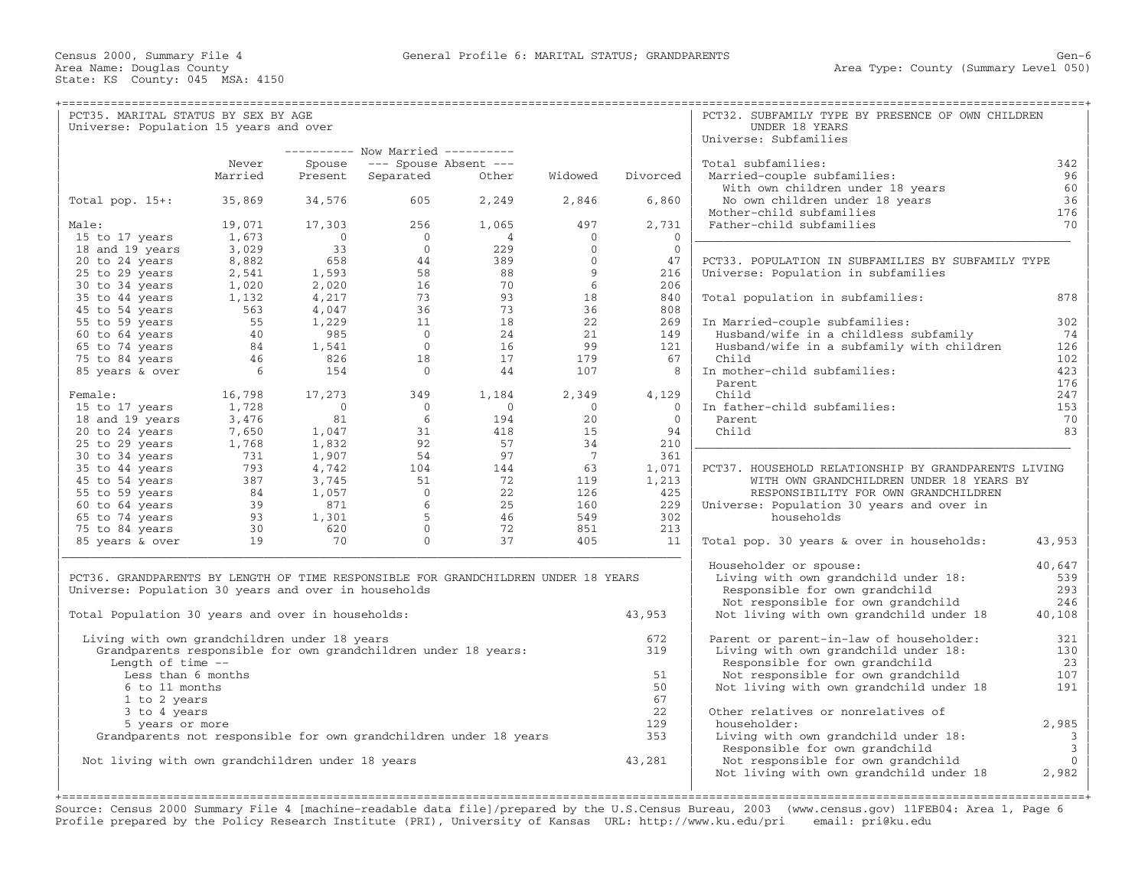| Area Name: Douglas County<br>State: KS County: 045 MSA: 4150                       |         |             |                                                                   |                |                 |                | Area Type: County (Summary Level 050)                |        |
|------------------------------------------------------------------------------------|---------|-------------|-------------------------------------------------------------------|----------------|-----------------|----------------|------------------------------------------------------|--------|
|                                                                                    |         |             |                                                                   |                |                 |                |                                                      |        |
| PCT35. MARITAL STATUS BY SEX BY AGE                                                |         |             |                                                                   |                |                 |                | PCT32. SUBFAMILY TYPE BY PRESENCE OF OWN CHILDREN    |        |
| Universe: Population 15 years and over                                             |         |             |                                                                   |                |                 |                | UNDER 18 YEARS                                       |        |
|                                                                                    |         |             |                                                                   |                |                 |                | Universe: Subfamilies                                |        |
|                                                                                    |         |             | ---------- Now Married ----------                                 |                |                 |                |                                                      |        |
|                                                                                    | Never   | Spouse      | $---$ Spouse Absent $---$                                         |                |                 |                | Total subfamilies:                                   | 342    |
|                                                                                    | Married | Present     | Separated                                                         | Other          | Widowed         | Divorced       | Married-couple subfamilies:                          | 96     |
|                                                                                    |         |             |                                                                   |                |                 |                | With own children under 18 years                     | 60     |
| Total pop. $15+:$                                                                  | 35,869  | 34,576      | 605                                                               | 2,249          | 2,846           | 6,860          | No own children under 18 years                       | 36     |
|                                                                                    |         |             |                                                                   |                |                 |                | Mother-child subfamilies                             | 176    |
| Male:                                                                              | 19,071  | 17,303      | 256                                                               | 1,065          | 497             | 2,731          | Father-child subfamilies                             | 70     |
| 15 to 17 years                                                                     | 1,673   | $\mathbf 0$ | $\overline{0}$                                                    | 4              | $\mathbf{0}$    | $\overline{0}$ |                                                      |        |
| 18 and 19 years                                                                    | 3,029   | 33          | $\mathbf{0}$                                                      | 229            | $\Omega$        | $\mathbf{0}$   |                                                      |        |
| 20 to 24 years                                                                     | 8,882   | 658         | 44                                                                | 389            | $\mathbf{0}$    | 47             | PCT33. POPULATION IN SUBFAMILIES BY SUBFAMILY TYPE   |        |
| 25 to 29 years                                                                     | 2,541   | 1,593       | 58                                                                | 88             | 9               | 216            | Universe: Population in subfamilies                  |        |
| 30 to 34 years                                                                     | 1,020   | 2,020       | 16                                                                | 70             | 6               | 206            |                                                      |        |
| 35 to 44 years                                                                     | 1,132   | 4,217       | 73                                                                | 93             | 18              | 840            | Total population in subfamilies:                     | 878    |
| 45 to 54 years                                                                     | 563     | 4,047       | 36                                                                | 73             | 36              | 808            |                                                      |        |
| 55 to 59 years                                                                     | 55      | 1,229       | 11                                                                | 18             | 22              | 269            | In Married-couple subfamilies:                       | 302    |
|                                                                                    | 40      |             | $\overline{0}$                                                    | 24             | 21              | 149            |                                                      | 74     |
| 60 to 64 years                                                                     |         | 985         |                                                                   |                |                 |                | Husband/wife in a childless subfamily                |        |
| 65 to 74 years                                                                     | 84      | 1,541       | $\overline{0}$                                                    | 16             | 99              | 121            | Husband/wife in a subfamily with children            | 126    |
| 75 to 84 years                                                                     | 46      | 826         | 18                                                                | 17             | 179             | 67             | Child                                                | 102.   |
| 85 years & over                                                                    | 6       | 154         | $\Omega$                                                          | 44             | 107             | 8              | In mother-child subfamilies:                         | 423    |
|                                                                                    |         |             |                                                                   |                |                 |                | Parent                                               | 176    |
| Female:                                                                            | 16,798  | 17,273      | 349                                                               | 1,184          | 2,349           | 4,129          | Child                                                | 247    |
| 15 to 17 years                                                                     | 1,728   | $\circ$     | $\overline{0}$                                                    | $\overline{0}$ | $\mathbf{0}$    | $\overline{0}$ | In father-child subfamilies:                         | 153    |
| 18 and 19 years                                                                    | 3,476   | 81          | 6                                                                 | 194            | 20              | $\overline{0}$ | Parent                                               | 70     |
| 20 to 24 years                                                                     | 7,650   | 1,047       | 31                                                                | 418            | 15              | 94             | Child                                                | 83     |
| 25 to 29 years                                                                     | 1,768   | 1,832       | 92                                                                | 57             | 34              | 210            |                                                      |        |
| 30 to 34 years                                                                     | 731     | 1,907       | 54                                                                | 97             | $7\phantom{.0}$ | 361            |                                                      |        |
| 35 to 44 years                                                                     | 793     | 4,742       | 104                                                               | 144            | 63              | 1,071          | PCT37. HOUSEHOLD RELATIONSHIP BY GRANDPARENTS LIVING |        |
| 45 to 54 years                                                                     | 387     | 3,745       | 51                                                                | 72             | 119             | 1,213          | WITH OWN GRANDCHILDREN UNDER 18 YEARS BY             |        |
| 55 to 59 years                                                                     | - 84    | 1,057       | $\Omega$                                                          | 22             | 126             | 425            | RESPONSIBILITY FOR OWN GRANDCHILDREN                 |        |
| 60 to 64 years                                                                     | 39      | 871         | 6                                                                 | 25             | 160             | 229            | Universe: Population 30 years and over in            |        |
|                                                                                    | 93      |             | 5                                                                 | 46             | 549             | 302            | households                                           |        |
| 65 to 74 years                                                                     |         | 1,301       |                                                                   |                |                 |                |                                                      |        |
| 75 to 84 years                                                                     | 30      | 620         | $\Omega$                                                          | 72             | 851             | 213            |                                                      |        |
| 85 years & over                                                                    | 19      | 70          | $\Omega$                                                          | 37             | 405             | 11             | Total pop. 30 years & over in households:            | 43,953 |
|                                                                                    |         |             |                                                                   |                |                 |                |                                                      |        |
|                                                                                    |         |             |                                                                   |                |                 |                | Householder or spouse:                               | 40,647 |
| PCT36. GRANDPARENTS BY LENGTH OF TIME RESPONSIBLE FOR GRANDCHILDREN UNDER 18 YEARS |         |             |                                                                   |                |                 |                | Living with own grandchild under 18:                 | 539    |
| Universe: Population 30 years and over in households                               |         |             |                                                                   |                |                 |                | Responsible for own grandchild                       | 293    |
|                                                                                    |         |             |                                                                   |                |                 |                | Not responsible for own grandchild                   | 246    |
| Total Population 30 years and over in households:                                  |         |             |                                                                   |                |                 | 43,953         | Not living with own grandchild under 18              | 40,108 |
| Living with own grandchildren under 18 years                                       |         |             |                                                                   |                |                 | 672            | Parent or parent-in-law of householder:              | 321    |
| Grandparents responsible for own grandchildren under 18 years:                     |         |             |                                                                   |                |                 | 319            | Living with own grandchild under 18:                 | 130    |
| Length of time $-$ -                                                               |         |             |                                                                   |                |                 |                | Responsible for own grandchild                       | 23     |
| Less than 6 months                                                                 |         |             |                                                                   |                |                 | 51             | Not responsible for own grandchild                   | 107    |
| 6 to 11 months                                                                     |         |             |                                                                   |                |                 | 50             | Not living with own grandchild under 18              | 191    |
| 1 to 2 years                                                                       |         |             |                                                                   |                |                 | 67             |                                                      |        |
|                                                                                    |         |             |                                                                   |                |                 | 22             | Other relatives or nonrelatives of                   |        |
| 3 to 4 years                                                                       |         |             |                                                                   |                |                 | 129            |                                                      |        |
| 5 years or more                                                                    |         |             |                                                                   |                |                 |                | householder:                                         | 2,985  |
|                                                                                    |         |             | Grandparents not responsible for own grandchildren under 18 years |                |                 | 353            | Living with own grandchild under 18:                 | 3      |

Responsible for own grandchild 3,281 <br>Not responsible for own grandchild 0 | Not living with own grandchildren under 18 years 43,281 | Not responsible for own grandchild 0 | Not living with own grandchild under 18 | | | +===================================================================================================================================================+

Source: Census 2000 Summary File 4 [machine−readable data file]/prepared by the U.S.Census Bureau, 2003 (www.census.gov) 11FEB04: Area 1, Page 6 Profile prepared by the Policy Research Institute (PRI), University of Kansas URL: http://www.ku.edu/pri email: pri@ku.edu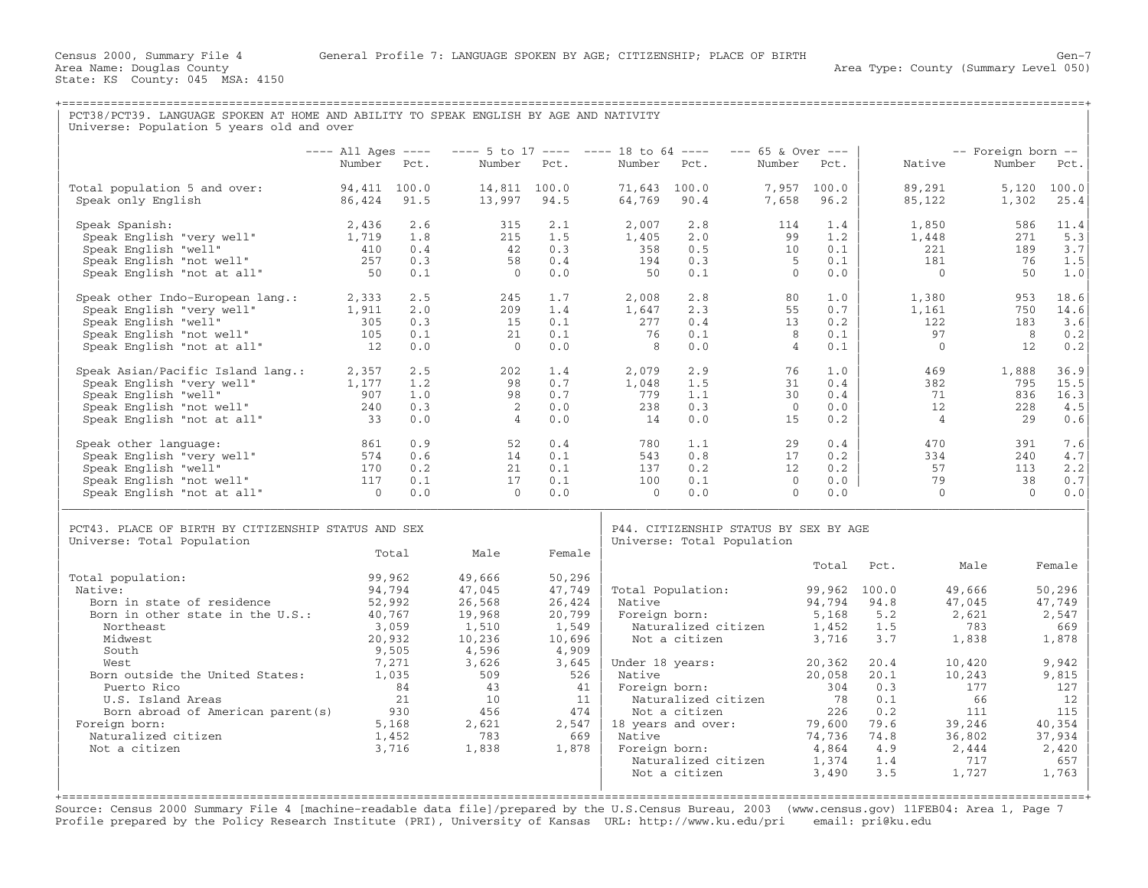+===================================================================================================================================================+

Area Type: County (Summary Level 050)

|                                                                                                                  |                |                                         |                 |                 |                | ---- All Ages ---- ---- 5 to 17 ---- ---- 18 to 64 ---- --- 65 & Over --- |                |                |            |                | -- Foreign born -- |                                  |
|------------------------------------------------------------------------------------------------------------------|----------------|-----------------------------------------|-----------------|-----------------|----------------|---------------------------------------------------------------------------|----------------|----------------|------------|----------------|--------------------|----------------------------------|
|                                                                                                                  | Number Pct.    |                                         | Number Pct.     |                 | Number Pct.    |                                                                           | Number Pct.    |                |            | Native         | Number             | Pct.                             |
| Total population 5 and over: 94,411 100.0                                                                        |                |                                         | 14,811 100.0    |                 | 71,643 100.0   |                                                                           |                | 7,957 100.0    |            | 89,291         | 5,120              | 100.0                            |
| Speak only English                                                                                               | 86,424 91.5    |                                         | 13,997 94.5     |                 | 64,769 90.4    |                                                                           |                | 7,658 96.2     |            | 85,122         | 1,302              | 25.4                             |
| Speak Spanish:                                                                                                   | 2,436          | 2.6                                     | 315             | 2.1             | 2,007          | 2.8                                                                       | 114            | 1.4            |            | 1,850          | 586                | 11.4                             |
| Speak English "very well"                                                                                        | 1,719          | 1.8                                     | 215             | 1.5             | 1,405          | 2.0                                                                       | 99             | 1.2            |            | 1,448          | 271                | 5.3                              |
| Speak English "well"                                                                                             | 410            | 0.4                                     | 42              | 0.3             | 358            | 0.5                                                                       | 10             | 0.1            |            | 221            | 189                | 3.7                              |
| Speak English "not well"<br>Speak English "not at all"                                                           | 257            | 0.3                                     | 58              | 0.4             | 194            | 0.3                                                                       | $5^{\circ}$    | 0.1            |            | 181            | 76                 | 1.5                              |
| Speak English "not at all"                                                                                       | 50             | 0.1                                     | $\overline{0}$  | 0.0             | 50             | 0.1                                                                       | $\bigcirc$     | 0.0            |            | $\overline{0}$ | 50                 | 1.0                              |
| Speak other Indo-European lang.: 2,333                                                                           |                | 2.5                                     | 245             | 1.7             | 2,008          | 2.8                                                                       | 80             | 1.0            |            | 1,380          | 953                | 18.6                             |
| Speak English "very well"                                                                                        | 1,911          | 2.0                                     | 209             | 1.4             | 1,647          | 2.3                                                                       | 55             | 0.7            |            | 1,161          | 750                | 14.6                             |
| Speak English "well"                                                                                             | 305            | 0.3                                     | 15              | 0.1             | 277            | 0.4                                                                       | 13             | 0.2            |            | 122            | 183                | 3.6                              |
| Speak English "not well"<br>Speak English "not well"<br>Speak English "not at all"                               | 105            | 0.1                                     | 21              | 0.1             | 76             | 0.1                                                                       | 8              | 0.1            |            | 97             | 8                  | 0.2                              |
|                                                                                                                  | 12             | 0.0                                     | $\overline{0}$  | 0.0             | 8 <sup>8</sup> | 0.0                                                                       | $\overline{4}$ | 0.1            |            | $\bigcap$      | 12                 | 0.2                              |
| Speak Asian/Pacific Island lang.: 2,357<br>Speak English "very well" 1,177                                       |                | 2.5                                     | 202             | 1.4             | 2,079          | 2.9                                                                       | 76             | 1.0            |            | 469            | 1,888              | 36.9                             |
|                                                                                                                  |                | 1.2                                     | 98              | 0.7             | 1,048          | 1.5                                                                       | 31             | 0.4            |            | 382            | 795                | 15.5                             |
| Speak English "well"                                                                                             | 907            | 1.0                                     | 98              | 0.7             | 779            | 1.1                                                                       | 30             | 0.4            |            | 71             | 836                | 16.3                             |
|                                                                                                                  |                | 0.3                                     | 2               | 0.0             | 238            | $0.3$<br>$0.0$                                                            | $\Omega$       | 0.0            |            | 12             | 228                | 4.5                              |
| Speak English "well"<br>Speak English "not well" 240<br>Crosk English "not at all" 33                            |                | 0.0                                     | $\overline{4}$  | 0.0             | 14             |                                                                           | 15             | 0.2            |            | $\overline{4}$ | 29                 | 0.6                              |
| Speak other language:                                                                                            | 861            | 0.9                                     | 52              | 0.4             | 780            | 1.1                                                                       | 29             | 0.4            |            | 470            | 391                | 7.6                              |
| Speak English "very well"                                                                                        | 574            | 0.6                                     | 14              | 0.1             | 543            | 0.8                                                                       | 17             | 0.2            |            | 334            | 240                | 4.7                              |
| Speak English "well"                                                                                             | 170            | 0.2                                     | 21              | 0.1             | 137            |                                                                           | 12             | 0.2            |            | 57             | 113                | 2.2                              |
|                                                                                                                  | 117            | 0.1                                     | 17              | 0.1             | 100            | $\begin{array}{c} 0.2 \\ 0.1 \\ 0.0 \end{array}$                          | $\overline{0}$ | $0.0$          |            | 79             | 38                 | 0.7                              |
| speak English "not well"<br>Speak English "not well"<br>Speak English "not at all"<br>Speak English "not at all" | $\overline{0}$ | 0.0                                     | $\overline{0}$  | 0.0             | $\overline{0}$ | 0.0                                                                       | $\Omega$       | 0.0            |            | $\bigcirc$     | $\bigcirc$         | 0.0                              |
|                                                                                                                  |                |                                         |                 |                 |                |                                                                           |                |                |            |                |                    |                                  |
| PCT43. PLACE OF BIRTH BY CITIZENSHIP STATUS AND SEX                                                              |                |                                         |                 |                 |                | P44. CITIZENSHIP STATUS BY SEX BY AGE                                     |                |                |            |                |                    |                                  |
|                                                                                                                  |                |                                         |                 |                 |                |                                                                           |                |                |            |                |                    |                                  |
| Universe: Total Population                                                                                       |                | Total                                   | Male            | Female          |                | Universe: Total Population                                                |                |                |            |                |                    |                                  |
|                                                                                                                  |                |                                         |                 |                 |                |                                                                           |                | Total          | Pct.       | Male           |                    |                                  |
| Total population:                                                                                                |                | 99,962                                  | 49,666          | 50,296          |                |                                                                           |                |                |            |                |                    |                                  |
| Native:                                                                                                          |                | 94,794                                  | 47,045          | 47,749          |                | Total Population:                                                         |                | 99,962 100.0   |            | 49,666         |                    |                                  |
| Born in state of residence                                                                                       | 52,992         |                                         | 26,568          | 26,424          | Native         |                                                                           |                | 94,794 94.8    |            | 47,045         |                    | 50,296<br>47,749                 |
| Born in other state in the U.S.:<br>Northeast                                                                    | 40,767         |                                         | 19,968          | 20,799          |                | Native 94,794<br>Foreign born: 5,168                                      |                |                | 5.2<br>1.5 | 2.621<br>783   |                    | 2,547<br>669                     |
| Midwest                                                                                                          |                | 3,059<br>20,932                         | 1,510<br>10,236 | 1,549<br>10,696 |                | Naturalized citizen<br>Not a citizen                                      |                | 1,452<br>3,716 | 3.7        | 1,838          |                    | 1,878                            |
| South                                                                                                            |                | 9,505                                   | 4,596           | 4,909           |                |                                                                           |                |                |            |                |                    | Female                           |
| West.                                                                                                            |                | 7,271                                   | 3,626           | 3,645           |                | Under 18 years:                                                           |                | 20,362         | 20.4       | 10,420         |                    | 9,942                            |
| Born outside the United States: 1,035                                                                            |                |                                         | 509             | 526             |                |                                                                           |                | 20,058         | 20.1       | 10,243         |                    | 9,815                            |
| Puerto Rico                                                                                                      |                |                                         | 43              | 41              |                | Native<br>Foreign born:                                                   |                |                | 0.3        | 177            |                    | 127                              |
| U.S. Island Areas                                                                                                |                | $\begin{array}{c} 84 \\ 21 \end{array}$ | 10              |                 |                | 11   Naturalized citizen                                                  |                | 304<br>78      | 0.1        | 66             |                    | 12                               |
| Born abroad of American parent (s)                                                                               |                | 930                                     | 456             | 474             |                | Not a citizen                                                             |                | 226            | 0.2        | 111            |                    |                                  |
| Foreign born:                                                                                                    |                | 5,168                                   | 2,621           | 2,547           |                | 18 years and over:                                                        |                | 79,600         | 79.6       | 39,246         |                    |                                  |
| Naturalized citizen                                                                                              |                | 1,452                                   | 783             | 669             | Native         |                                                                           |                | 74,736         | 74.8       | 36,802         |                    |                                  |
| Not a citizen                                                                                                    |                | 3,716                                   | 1,838           | 1,878           |                | Foreign born:                                                             |                | 4,864          | 4.9        | 2,444          |                    | 115<br>40,354<br>37,934<br>2,420 |
|                                                                                                                  |                |                                         |                 |                 |                | Naturalized citizen<br>Not a citizen                                      |                | 1,374<br>3,490 | 1.4<br>3.5 | 717<br>1,727   |                    | 657<br>1,763                     |

Source: Census 2000 Summary File 4 [machine−readable data file]/prepared by the U.S.Census Bureau, 2003 (www.census.gov) 11FEB04: Area 1, Page 7 Profile prepared by the Policy Research Institute (PRI), University of Kansas URL: http://www.ku.edu/pri email: pri@ku.edu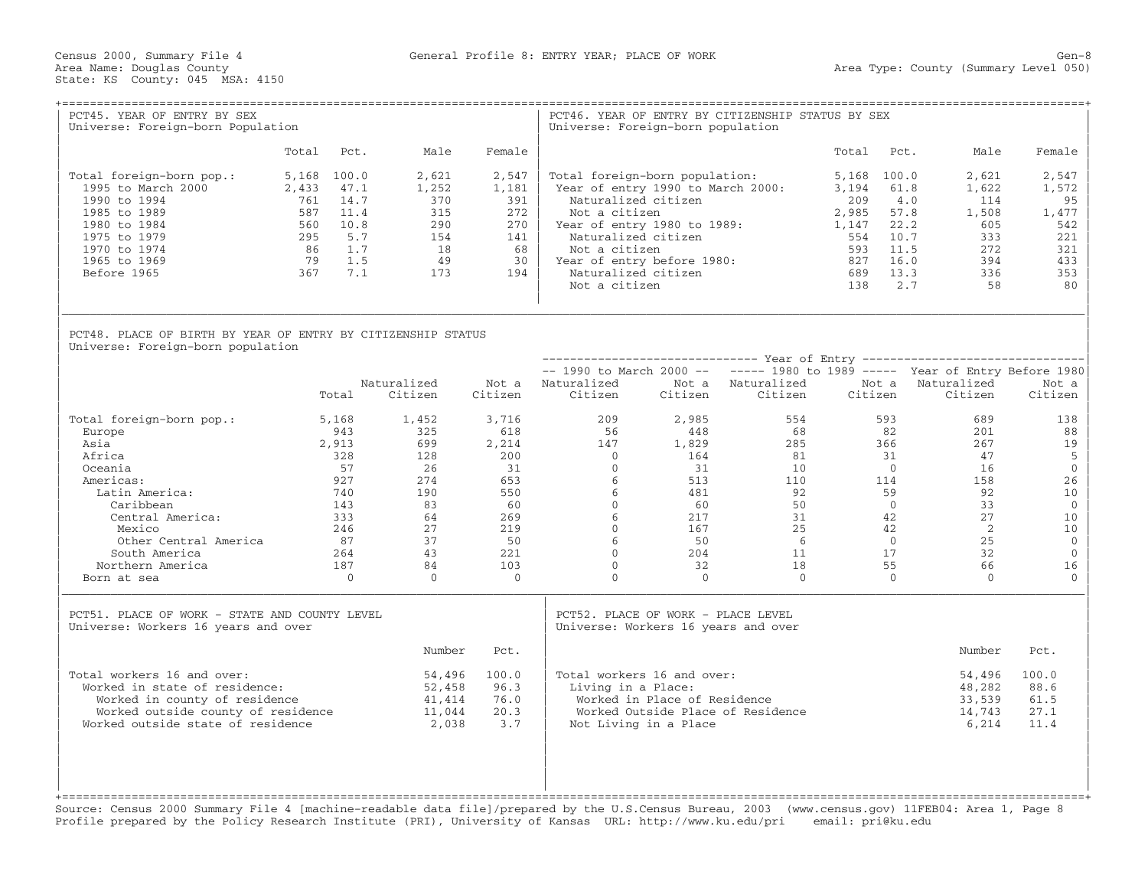| PCT45. YEAR OF ENTRY BY SEX<br>Universe: Foreign-born Population                                                                                                        |                                               |                                                                             |                                                               |                                                               | Universe: Foreign-born population                                                                                                                                                                                                                        |                                                       | PCT46. YEAR OF ENTRY BY CITIZENSHIP STATUS BY SEX |                                                                                  |                                                                                                                                               |                                                                        |
|-------------------------------------------------------------------------------------------------------------------------------------------------------------------------|-----------------------------------------------|-----------------------------------------------------------------------------|---------------------------------------------------------------|---------------------------------------------------------------|----------------------------------------------------------------------------------------------------------------------------------------------------------------------------------------------------------------------------------------------------------|-------------------------------------------------------|---------------------------------------------------|----------------------------------------------------------------------------------|-----------------------------------------------------------------------------------------------------------------------------------------------|------------------------------------------------------------------------|
|                                                                                                                                                                         |                                               | Total Pct.                                                                  | Male                                                          | Female                                                        |                                                                                                                                                                                                                                                          |                                                       |                                                   | Total                                                                            | Pct.<br>Male                                                                                                                                  | Female                                                                 |
| Total foreign-born pop.:<br>1995 to March 2000<br>1990 to 1994<br>1985 to 1989<br>1980 to 1984<br>1975 to 1979<br>1970 to 1974<br>1965 to 1969<br>Before 1965           | 2,433<br>761<br>560<br>295<br>86<br>79<br>367 | 5,168 100.0<br>47.1<br>14.7<br>587 11.4<br>10.8<br>5.7<br>1.7<br>1.5<br>7.1 | 2,621<br>1,252<br>370<br>315<br>290<br>154<br>18<br>49<br>173 | 2,547<br>1,181<br>391<br>272<br>270<br>141<br>68<br>30<br>194 | Total foreign-born population:<br>Year of entry 1990 to March 2000:<br>Naturalized citizen<br>Not a citizen<br>Year of entry 1980 to 1989:<br>Naturalized citizen<br>Not a citizen<br>Year of entry before 1980:<br>Naturalized citizen<br>Not a citizen |                                                       |                                                   | 5,168 100.0<br>3,194<br>209<br>2,985<br>1,147<br>554<br>593<br>827<br>689<br>138 | 2,621<br>61.8<br>1,622<br>4.0<br>114<br>57.8<br>1,508<br>22.2<br>605<br>10.7<br>333<br>11.5<br>272<br>16.0<br>394<br>13.3<br>336<br>2.7<br>58 | 2,547<br>1,572<br>95<br>1,477<br>542<br>221<br>321<br>433<br>353<br>80 |
| PCT48. PLACE OF BIRTH BY YEAR OF ENTRY BY CITIZENSHIP STATUS<br>Universe: Foreign-born population                                                                       |                                               |                                                                             |                                                               |                                                               |                                                                                                                                                                                                                                                          |                                                       |                                                   |                                                                                  |                                                                                                                                               |                                                                        |
|                                                                                                                                                                         |                                               |                                                                             |                                                               |                                                               |                                                                                                                                                                                                                                                          |                                                       |                                                   |                                                                                  |                                                                                                                                               |                                                                        |
|                                                                                                                                                                         |                                               | Total                                                                       | Naturalized<br>Citizen                                        | Citizen                                                       | Not a Naturalized<br>Citizen                                                                                                                                                                                                                             | Citizen                                               | Not a Naturalized<br>Citizen                      | Citizen                                                                          | $--$ 1990 to March 2000 -- $---$ 1980 to 1989 ----- Year of Entry Before 1980<br>Not a Naturalized<br>Citizen                                 | Not a<br>Citizen                                                       |
| Total foreign-born pop.:<br>Europe<br>Asia<br>Africa                                                                                                                    |                                               | 5,168<br>943<br>2,913<br>328                                                | 1,452<br>325<br>699<br>128                                    | 3,716<br>618<br>2,214<br>200                                  | 209<br>56<br>147<br>$\overline{0}$                                                                                                                                                                                                                       | 2,985<br>448<br>1,829<br>164                          | 554<br>68<br>285<br>81                            | 593<br>82<br>366<br>31                                                           | 689<br>201<br>267<br>47                                                                                                                       | 138<br>88<br>19<br>5                                                   |
| Oceania<br>Americas:<br>Latin America:<br>Caribbean                                                                                                                     |                                               | 57<br>927<br>740<br>143                                                     | 26<br>274<br>190<br>83                                        | 31<br>653<br>550<br>60                                        | $\Omega$<br>6<br>6<br>$\mathbf{0}$                                                                                                                                                                                                                       | 31<br>513<br>481<br>60                                | 10<br>110<br>92<br>50                             | $\bigcirc$<br>114<br>59                                                          | 16<br>158<br>92<br>$\overline{0}$<br>33                                                                                                       | $\mathbf{0}$<br>26<br>10<br>$\mathbf 0$                                |
| Central America:<br>Mexico<br>Other Central America                                                                                                                     |                                               | 333<br>246<br>87<br>264                                                     | 64<br>27<br>37<br>43                                          | 269<br>219<br>50<br>221                                       | 6<br>$\Omega$<br>6<br>$\Omega$                                                                                                                                                                                                                           | 217<br>167<br>50<br>204                               | 31<br>25<br>6<br>11                               | 42<br>42<br>17                                                                   | 27<br>2<br>25<br>$\overline{0}$<br>32                                                                                                         | 10<br>10<br>$\mathbb O$<br>$\mathbf{0}$                                |
| South America<br>Northern America<br>Born at sea                                                                                                                        |                                               | 187<br>$\overline{0}$                                                       | 84<br>$\Omega$                                                | 103<br>$\overline{0}$                                         | $\mathbf{0}$<br>$\mathbf{0}$                                                                                                                                                                                                                             | 32<br>$\bigcap$                                       | 18<br>$\Omega$                                    | 55                                                                               | 66<br>$\Omega$<br>$\Omega$                                                                                                                    | 16<br>$\mathbf{0}$                                                     |
| PCT51. PLACE OF WORK - STATE AND COUNTY LEVEL<br>Universe: Workers 16 years and over                                                                                    |                                               |                                                                             |                                                               |                                                               | PCT52. PLACE OF WORK - PLACE LEVEL<br>Universe: Workers 16 years and over                                                                                                                                                                                |                                                       |                                                   |                                                                                  |                                                                                                                                               |                                                                        |
|                                                                                                                                                                         |                                               |                                                                             | Number                                                        | Pct.                                                          |                                                                                                                                                                                                                                                          |                                                       |                                                   |                                                                                  | Number                                                                                                                                        | Pct.                                                                   |
| Total workers 16 and over:<br>Worked in state of residence:<br>Worked in county of residence<br>Worked outside county of residence<br>Worked outside state of residence |                                               |                                                                             | 54,496<br>52,458<br>41,414<br>11,044<br>2,038                 | 100.0<br>96.3<br>76.0<br>20.3<br>3.7                          | Total workers 16 and over:<br>Living in a Place:                                                                                                                                                                                                         | Worked in Place of Residence<br>Not Living in a Place | Worked Outside Place of Residence                 |                                                                                  | 54,496<br>48,282<br>33,539<br>14,743<br>6,214                                                                                                 | 100.0<br>88.6<br>61.5<br>27.1<br>11.4                                  |
|                                                                                                                                                                         |                                               |                                                                             |                                                               |                                                               |                                                                                                                                                                                                                                                          |                                                       |                                                   |                                                                                  |                                                                                                                                               |                                                                        |

Source: Census 2000 Summary File 4 [machine−readable data file]/prepared by the U.S.Census Bureau, 2003 (www.census.gov) 11FEB04: Area 1, Page 8 Profile prepared by the Policy Research Institute (PRI), University of Kansas URL: http://www.ku.edu/pri email: pri@ku.edu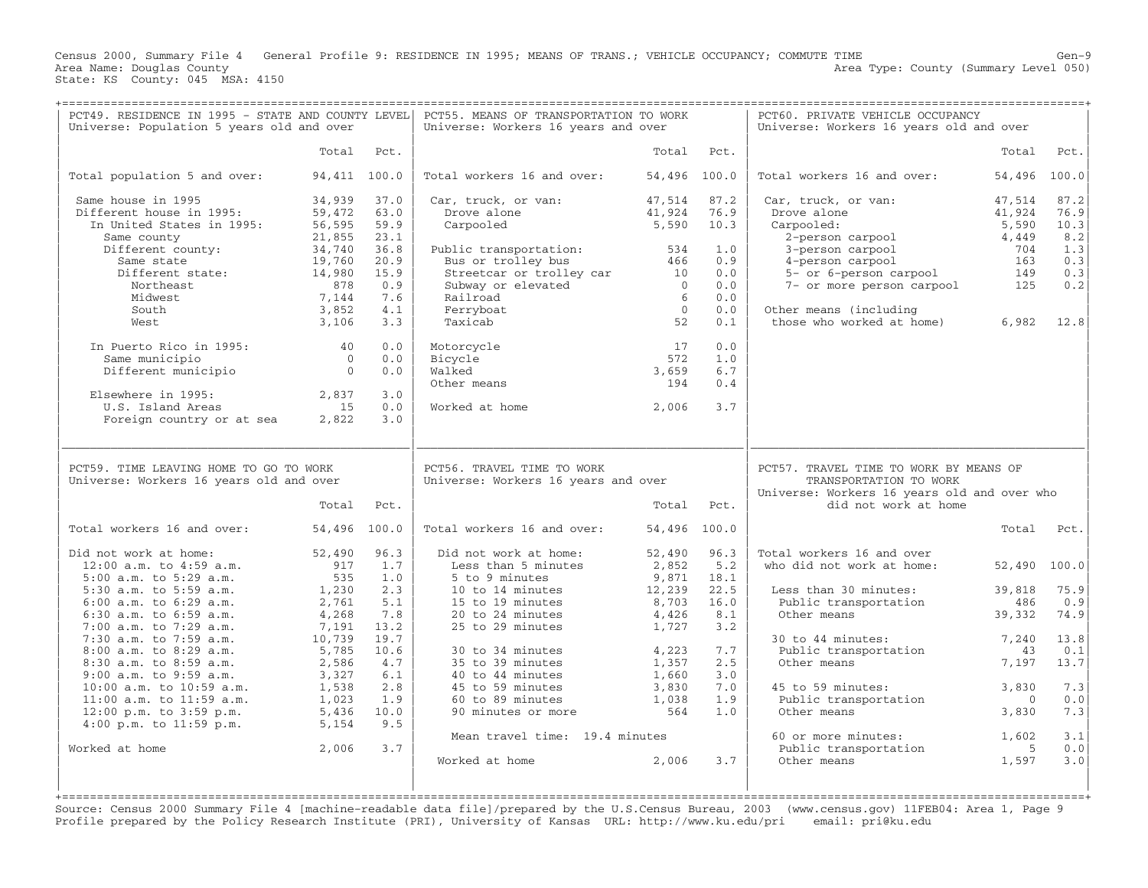Census 2000, Summary File 4 General Profile 9: RESIDENCE IN 1995; MEANS OF TRANS.; VEHICLE OCCUPANCY; COMMUTE TIME Gen−9 Area Type: County (Summary Level 050) Area Name: Douglas County<br>State: KS County: 045 MSA: 4150

+===================================================================================================================================================+

| PCT49. RESIDENCE IN 1995 - STATE AND COUNTY LEVEL<br>Universe: Population 5 years old and over |                  |              | PCT55. MEANS OF TRANSPORTATION TO WORK<br>Universe: Workers 16 years and over |                  |              | PCT60. PRIVATE VEHICLE OCCUPANCY<br>Universe: Workers 16 years old and over                                                             |                  |              |
|------------------------------------------------------------------------------------------------|------------------|--------------|-------------------------------------------------------------------------------|------------------|--------------|-----------------------------------------------------------------------------------------------------------------------------------------|------------------|--------------|
|                                                                                                | Total            | Pct.         |                                                                               | Total            | Pct.         |                                                                                                                                         | Total            | Pct.         |
| Total population 5 and over:                                                                   | 94,411 100.0     |              | Total workers 16 and over:                                                    | 54,496 100.0     |              | Total workers 16 and over:                                                                                                              | 54,496           | 100.0        |
| Same house in 1995<br>Different house in 1995:                                                 | 34,939<br>59,472 | 37.0<br>63.0 | Car, truck, or van:<br>Drove alone                                            | 47,514<br>41,924 | 87.2<br>76.9 | Car, truck, or van:<br>Drove alone                                                                                                      | 47,514<br>41,924 | 87.2<br>76.9 |
| In United States in 1995:                                                                      | 56,595           | 59.9         | Carpooled                                                                     | 5,590            | 10.3         | Carpooled:                                                                                                                              | 5,590            | 10.3         |
| Same county                                                                                    | 21,855           | 23.1         |                                                                               |                  |              | 2-person carpool                                                                                                                        | 4,449            | 8.2          |
| Different county:                                                                              | 34,740           | 36.8         | Public transportation:                                                        | 534              | 1.0          | 3-person carpool                                                                                                                        | 704              | 1.3          |
| Same state                                                                                     | 19,760           | 20.9         | Bus or trolley bus                                                            | 466              | 0.9          | 4-person carpool                                                                                                                        | 163              | 0.3          |
| Different state:                                                                               | 14,980           | 15.9         | Streetcar or trolley car                                                      | 10               | 0.0          | 5- or 6-person carpool                                                                                                                  | 149              | 0.3          |
| Northeast                                                                                      | 878              | 0.9          | Subway or elevated                                                            | $\Omega$         | 0.0          | 7- or more person carpool                                                                                                               | 125              | 0.2          |
| Midwest                                                                                        | 7,144            | 7.6          | Railroad                                                                      | 6                | 0.0          |                                                                                                                                         |                  |              |
| South<br>West                                                                                  | 3,852            | 4.1<br>3.3   | Ferryboat<br>Taxicab                                                          | $\Omega$<br>52   | 0.0<br>0.1   | Other means (including<br>those who worked at home)                                                                                     | 6,982            | 12.8         |
|                                                                                                | 3,106            |              |                                                                               |                  |              |                                                                                                                                         |                  |              |
| In Puerto Rico in 1995:                                                                        | 40               | 0.0          | Motorcycle                                                                    | 17               | 0.0          |                                                                                                                                         |                  |              |
| Same municipio                                                                                 | $\overline{0}$   | 0.0          | Bicycle                                                                       | 572              | 1.0          |                                                                                                                                         |                  |              |
| Different municipio                                                                            | $\Omega$         | 0.0          | Walked                                                                        | 3,659            | 6.7          |                                                                                                                                         |                  |              |
|                                                                                                |                  |              | Other means                                                                   | 194              | 0.4          |                                                                                                                                         |                  |              |
| Elsewhere in 1995:                                                                             | 2,837            | 3.0          |                                                                               |                  |              |                                                                                                                                         |                  |              |
| U.S. Island Areas<br>Foreign country or at sea                                                 | 15<br>2,822      | 0.0<br>3.0   | Worked at home                                                                | 2,006            | 3.7          |                                                                                                                                         |                  |              |
|                                                                                                |                  |              |                                                                               |                  |              |                                                                                                                                         |                  |              |
| PCT59. TIME LEAVING HOME TO GO TO WORK<br>Universe: Workers 16 years old and over              | Total            | Pct.         | PCT56. TRAVEL TIME TO WORK<br>Universe: Workers 16 years and over             | Total            | Pct.         | PCT57. TRAVEL TIME TO WORK BY MEANS OF<br>TRANSPORTATION TO WORK<br>Universe: Workers 16 years old and over who<br>did not work at home |                  |              |
| Total workers 16 and over:                                                                     | 54,496 100.0     |              | Total workers 16 and over:                                                    | 54,496 100.0     |              |                                                                                                                                         | Total            | Pct.         |
| Did not work at home:                                                                          | 52,490           | 96.3         | Did not work at home:                                                         | 52,490           | 96.3         | Total workers 16 and over                                                                                                               |                  |              |
| $12:00$ a.m. to $4:59$ a.m.                                                                    | 917              | 1.7          | Less than 5 minutes                                                           | 2,852            | 5.2          | who did not work at home:                                                                                                               | 52,490           | 100.0        |
| 5:00 a.m. to 5:29 a.m.                                                                         | 535              | 1.0          | 5 to 9 minutes                                                                | 9,871            | 18.1         |                                                                                                                                         |                  |              |
| 5:30 a.m. to 5:59 a.m.                                                                         | 1,230            | 2.3          | 10 to 14 minutes                                                              | 12,239           | 22.5         | Less than 30 minutes:                                                                                                                   | 39,818           | 75.9         |
| $6:00$ a.m. to $6:29$ a.m.                                                                     | 2,761            | 5.1          | 15 to 19 minutes                                                              | 8,703            | 16.0         | Public transportation                                                                                                                   | 486              | 0.9          |
| $6:30$ a.m. to $6:59$ a.m.                                                                     | 4,268            | 7.8          | 20 to 24 minutes                                                              | 4,426            | 8.1          | Other means                                                                                                                             | 39,332           | 74.9         |
| 7:00 a.m. to 7:29 a.m.                                                                         | 7,191            | 13.2<br>19.7 | 25 to 29 minutes                                                              | 1,727            | 3.2          |                                                                                                                                         |                  |              |
| 7:30 a.m. to 7:59 a.m.<br>8:00 a.m. to 8:29 a.m.                                               | 10,739           |              |                                                                               | 4,223            | 7.7          | 30 to 44 minutes:                                                                                                                       | 7,240<br>43      | 13.8         |
| 8:30 a.m. to 8:59 a.m.                                                                         | 5,785<br>2,586   | 10.6<br>4.7  | 30 to 34 minutes<br>35 to 39 minutes                                          | 1,357            | 2.5          | Public transportation<br>Other means                                                                                                    | 7,197            | 0.1<br>13.7  |
| 9:00 a.m. to 9:59 a.m.                                                                         | 3,327            | 6.1          | 40 to 44 minutes                                                              | 1,660            | 3.0          |                                                                                                                                         |                  |              |
| 10:00 a.m. to 10:59 a.m.                                                                       | 1,538            | 2.8          | 45 to 59 minutes                                                              | 3,830            | 7.0          | 45 to 59 minutes:                                                                                                                       | 3,830            | 7.3          |
| 11:00 a.m. to 11:59 a.m.                                                                       | 1,023            | 1.9          | 60 to 89 minutes                                                              | 1,038            | 1.9          | Public transportation                                                                                                                   | $\Omega$         | 0.0          |
| 12:00 p.m. to 3:59 p.m.                                                                        | 5,436            | 10.0         | 90 minutes or more                                                            | 564              | 1.0          | Other means                                                                                                                             | 3,830            | 7.3          |
| $4:00$ p.m. to $11:59$ p.m.                                                                    | 5,154            | 9.5          |                                                                               |                  |              |                                                                                                                                         |                  |              |
|                                                                                                |                  |              | Mean travel time: 19.4 minutes                                                |                  |              | 60 or more minutes:                                                                                                                     | 1,602            | 3.1          |
| Worked at home                                                                                 | 2,006            | 3.7          |                                                                               |                  |              | Public transportation                                                                                                                   | - 5              | 0.0          |
|                                                                                                |                  |              | Worked at home                                                                | 2,006            | 3.7          | Other means                                                                                                                             | 1,597            | 3.0          |
|                                                                                                |                  |              |                                                                               |                  |              |                                                                                                                                         |                  |              |
|                                                                                                |                  |              |                                                                               |                  |              |                                                                                                                                         |                  |              |

Source: Census 2000 Summary File 4 [machine−readable data file]/prepared by the U.S.Census Bureau, 2003 (www.census.gov) 11FEB04: Area 1, Page 9 Profile prepared by the Policy Research Institute (PRI), University of Kansas URL: http://www.ku.edu/pri email: pri@ku.edu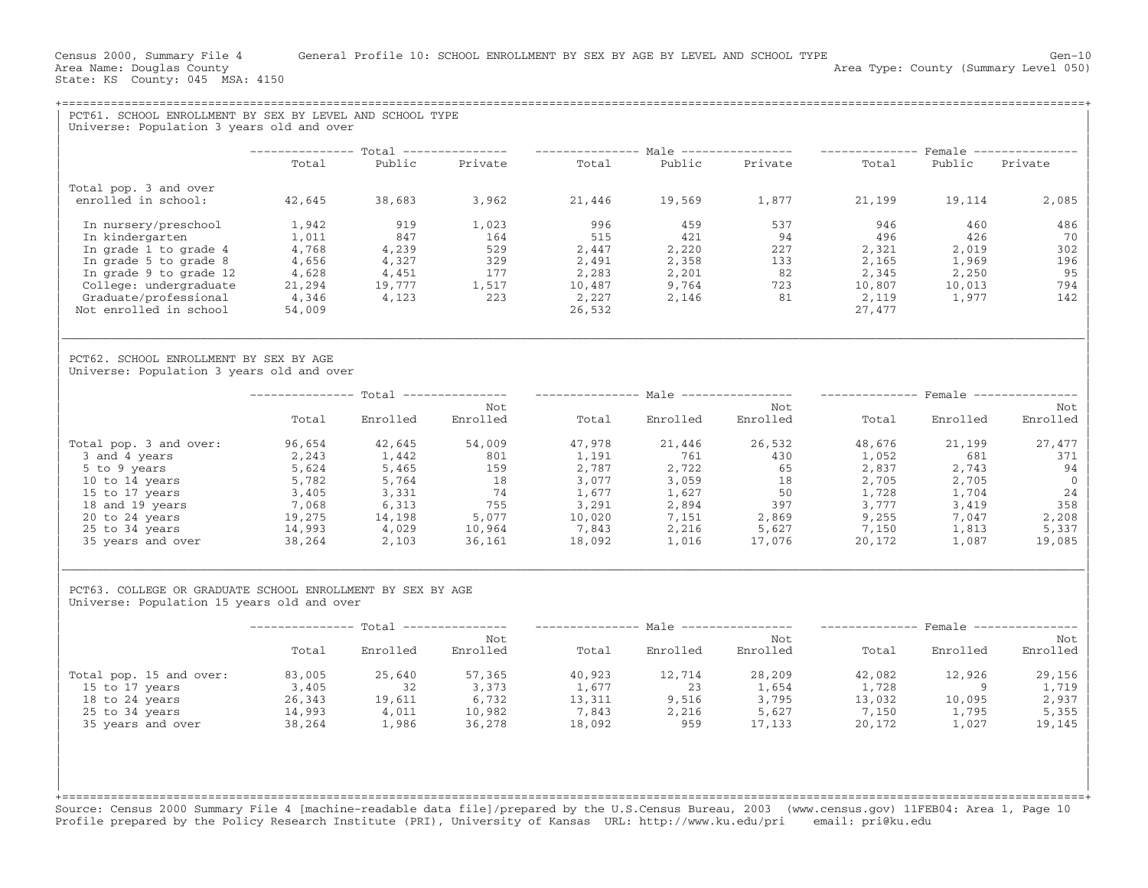Area Type: County (Summary Level 050)

|                                                                                                          |        |                     |                                                                                                                  |        |          | -------------- Male ---------------  | ------------- Female --------------  |          |                 |
|----------------------------------------------------------------------------------------------------------|--------|---------------------|------------------------------------------------------------------------------------------------------------------|--------|----------|--------------------------------------|--------------------------------------|----------|-----------------|
|                                                                                                          | Total  | Public              | Private                                                                                                          | Total  | Public   | Private                              | Total                                | Public   | Private         |
| Total pop. 3 and over                                                                                    |        |                     |                                                                                                                  |        |          |                                      |                                      |          |                 |
| enrolled in school:                                                                                      | 42,645 | 38,683              | 3,962                                                                                                            | 21,446 | 19,569   | 1,877                                | 21,199                               | 19,114   | 2,085           |
| In nursery/preschool                                                                                     | 1,942  | 919                 | 1,023                                                                                                            | 996    | 459      | 537                                  | 946                                  | 460      | 486             |
| In kindergarten                                                                                          | 1,011  | 847                 | 164                                                                                                              | 515    | 421      | 94                                   | 496                                  | 426      | 70              |
| In grade 1 to grade 4                                                                                    | 4,768  | 4,239               | 529                                                                                                              | 2,447  | 2,220    | 227                                  | 2,321                                | 2,019    | 302             |
| In grade 5 to grade 8                                                                                    | 4,656  | 4,327               | 329                                                                                                              | 2,491  | 2,358    | 133                                  | 2,165                                | 1,969    | 196             |
| In grade 9 to grade 12                                                                                   | 4,628  | 4,451               | 177                                                                                                              | 2,283  | 2,201    | 82                                   | 2,345                                | 2,250    | 95              |
| College: undergraduate                                                                                   | 21,294 | 19,777              | 1,517                                                                                                            | 10,487 | 9,764    | 723                                  | 10,807                               | 10,013   | 794             |
| Graduate/professional                                                                                    | 4,346  | 4,123               | 223                                                                                                              | 2,227  | 2,146    | 81                                   | 2,119                                | 1,977    | 142             |
| Not enrolled in school                                                                                   | 54,009 |                     |                                                                                                                  | 26,532 |          |                                      | 27,477                               |          |                 |
| PCT62. SCHOOL ENROLLMENT BY SEX BY AGE<br>Universe: Population 3 years old and over                      |        |                     |                                                                                                                  |        |          |                                      |                                      |          |                 |
|                                                                                                          |        |                     | -------------- Total --------------- --------------- Male ---------------- -------------- Female --------------- |        |          |                                      |                                      |          |                 |
|                                                                                                          |        |                     | Not                                                                                                              |        |          | Not                                  |                                      |          | Not             |
|                                                                                                          | Total  | Enrolled            | Enrolled                                                                                                         | Total  | Enrolled | Enrolled                             | Total                                | Enrolled | Enrolled        |
| Total pop. 3 and over:                                                                                   | 96,654 | 42,645              | 54,009                                                                                                           | 47,978 | 21,446   | 26,532                               | 48,676                               | 21,199   | 27,477          |
| 3 and 4 years                                                                                            | 2,243  | 1,442               | 801                                                                                                              | 1,191  | 761      | 430                                  | 1,052                                | 681      | 371             |
| 5 to 9 years                                                                                             | 5,624  | 5,465               | 159                                                                                                              | 2,787  | 2,722    | 65                                   | 2,837                                | 2,743    | 94              |
| 10 to 14 years                                                                                           | 5,782  | 5,764               | 18                                                                                                               | 3,077  | 3,059    | 18                                   | 2,705                                | 2,705    |                 |
| 15 to 17 years                                                                                           | 3,405  | 3,331               | 74                                                                                                               | 1,677  | 1,627    | 50                                   | 1,728                                | 1,704    | 24              |
| 18 and 19 years                                                                                          | 7,068  | 6,313               | 755                                                                                                              | 3,291  | 2,894    | 397                                  | 3,777                                | 3,419    | 358             |
| 20 to 24 years                                                                                           | 19,275 | 14,198              | 5,077                                                                                                            | 10,020 | 7,151    | 2,869                                | 9,255                                | 7,047    | 2,208           |
| 25 to 34 years                                                                                           | 14,993 | 4,029               | 10,964                                                                                                           | 7,843  | 2,216    | 5,627                                | 7,150                                | 1,813    | 5,337           |
| 35 years and over                                                                                        | 38,264 | 2,103               | 36,161                                                                                                           | 18,092 | 1,016    | 17,076                               | 20,172                               | 1,087    | 19,085          |
| PCT63. COLLEGE OR GRADUATE SCHOOL ENROLLMENT BY SEX BY AGE<br>Universe: Population 15 years old and over |        |                     |                                                                                                                  |        |          |                                      |                                      |          |                 |
|                                                                                                          |        |                     |                                                                                                                  |        |          | -------------- Male ---------------- | ------------- Female --------------- |          |                 |
|                                                                                                          | Total  | Enrolled            | Not<br>Enrolled                                                                                                  | Total  | Enrolled | Not<br>Enrolled                      | Total                                | Enrolled | Not<br>Enrolled |
| Total pop. 15 and over:                                                                                  | 83,005 | 25,640              | 57,365                                                                                                           | 40,923 | 12,714   | 28,209                               | 42,082                               | 12,926   | 29,156          |
| 15 to 17 years                                                                                           | 3,405  | 32                  | 3,373                                                                                                            | 1,677  | 23       | 1,654                                | 1,728                                | $\sim$ 9 | 1,719           |
| 18 to 24 years                                                                                           | 26,343 | $19,611$<br>$4,011$ |                                                                                                                  | 13,311 | 9,516    | 3,795                                | 13,032                               | 10,095   | 2,937           |
| 25 to 34 years                                                                                           | 14,993 |                     | $\begin{array}{r} .373 \\ 6,732 \\ 10,982 \\ 36 \end{array}$                                                     | 7,843  | 2,216    | 5,627                                | 7,150                                | 1,795    | 5,355           |
| 35 years and over                                                                                        | 38,264 | 1,986               |                                                                                                                  | 18,092 | 959      | 17,133                               | 20,172                               | 1,027    | 19,145          |
|                                                                                                          |        |                     |                                                                                                                  |        |          |                                      |                                      |          |                 |

Profile prepared by the Policy Research Institute (PRI), University of Kansas URL: http://www.ku.edu/pri email: pri@ku.edu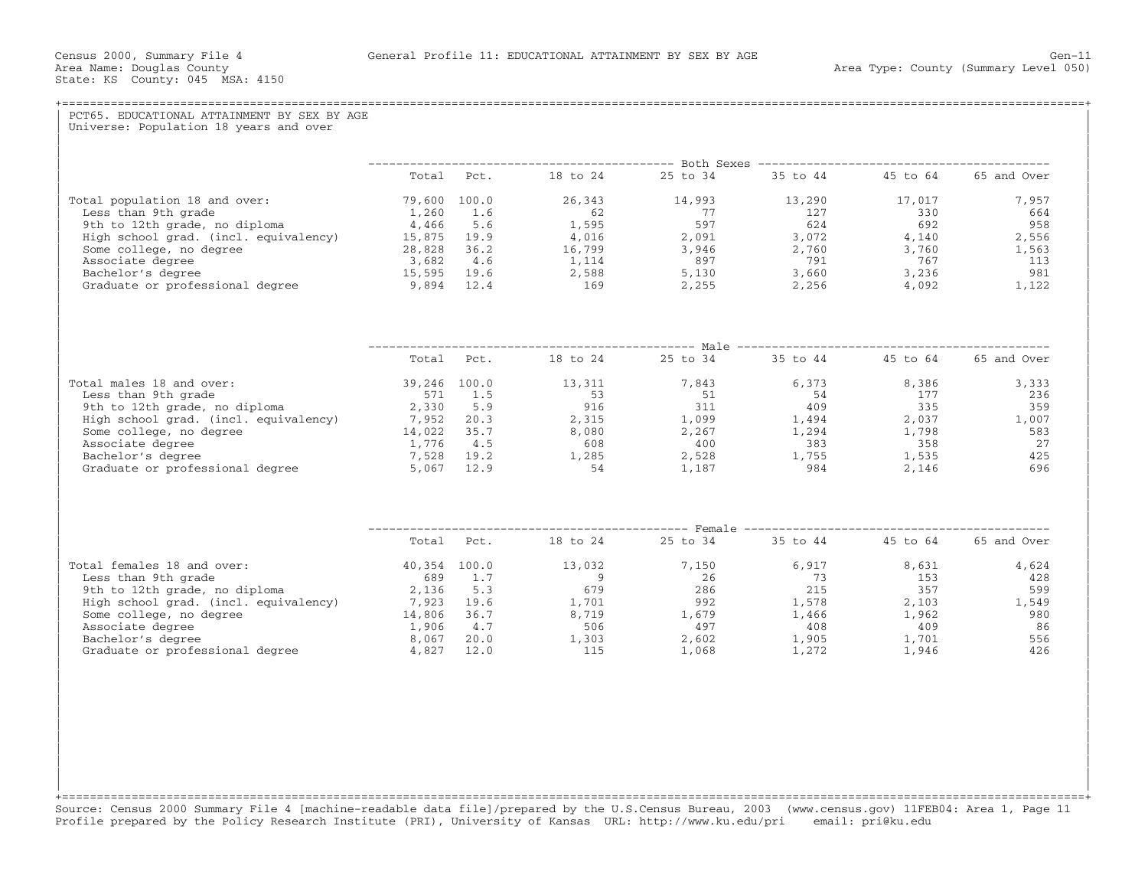| Universe: Population 18 years and over |  |                                                            |  |  |
|----------------------------------------|--|------------------------------------------------------------|--|--|
|                                        |  |                                                            |  |  |
|                                        |  | Total Pct. 18 to 24 25 to 34 35 to 44 45 to 64 65 and Over |  |  |
|                                        |  |                                                            |  |  |
|                                        |  |                                                            |  |  |
|                                        |  |                                                            |  |  |
|                                        |  |                                                            |  |  |
|                                        |  |                                                            |  |  |
|                                        |  |                                                            |  |  |
|                                        |  |                                                            |  |  |
|                                        |  |                                                            |  |  |
|                                        |  |                                                            |  |  |
|                                        |  | Total Pct. 18 to 24 25 to 34 35 to 44 45 to 64 65 and Over |  |  |
| Total males 18 and over:               |  |                                                            |  |  |
|                                        |  |                                                            |  |  |
|                                        |  |                                                            |  |  |
|                                        |  |                                                            |  |  |
|                                        |  |                                                            |  |  |
|                                        |  |                                                            |  |  |
|                                        |  |                                                            |  |  |
|                                        |  |                                                            |  |  |
|                                        |  |                                                            |  |  |
|                                        |  | Total Pct. 18 to 24 25 to 34 35 to 44 45 to 64 65 and Over |  |  |
| Total females 18 and over:             |  |                                                            |  |  |
|                                        |  |                                                            |  |  |
|                                        |  |                                                            |  |  |
|                                        |  |                                                            |  |  |
|                                        |  |                                                            |  |  |
|                                        |  |                                                            |  |  |
|                                        |  |                                                            |  |  |
|                                        |  |                                                            |  |  |

+===================================================================================================================================================+Source: Census 2000 Summary File 4 [machine−readable data file]/prepared by the U.S.Census Bureau, 2003 (www.census.gov) 11FEB04: Area 1, Page 11 Profile prepared by the Policy Research Institute (PRI), University of Kansas URL: http://www.ku.edu/pri email: pri@ku.edu

| | | | | | | | | | | |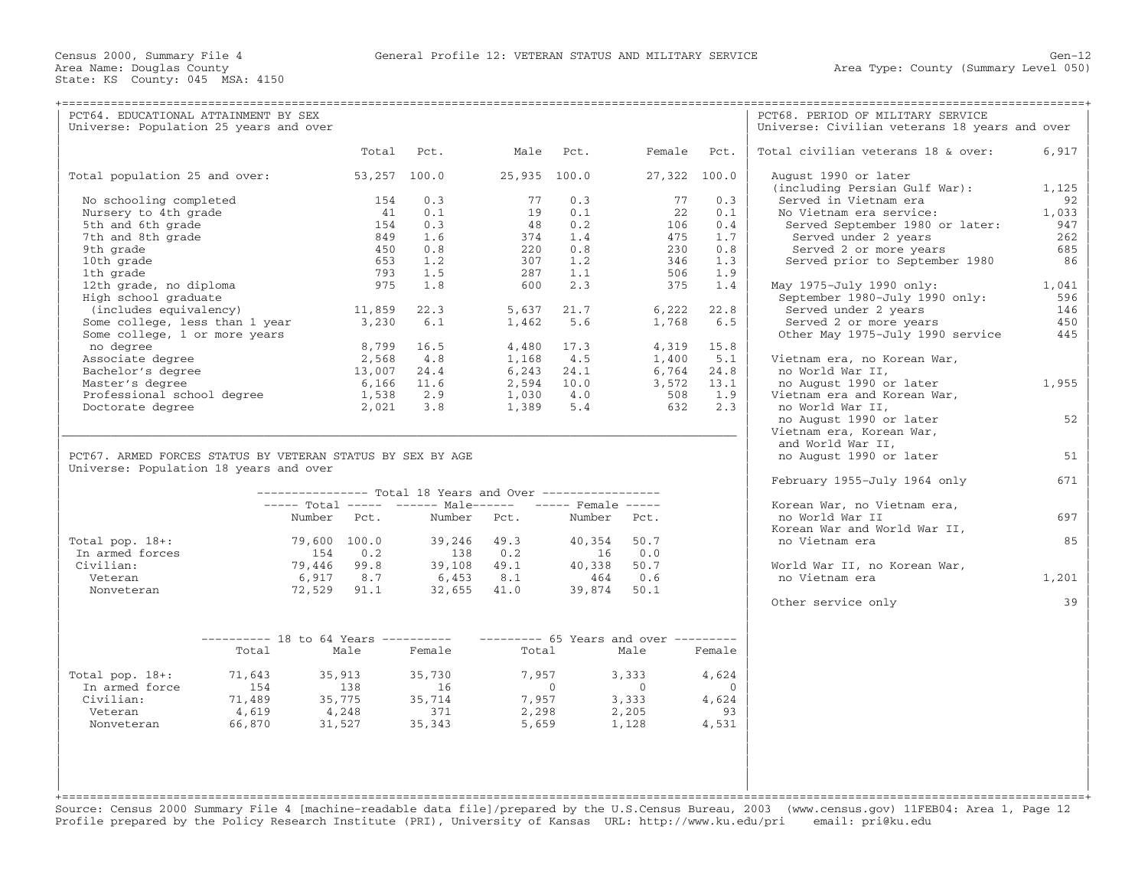| Universe: Population 25 years and over<br>Universe: Civilian veterans 18 years and over<br>Pct.<br>Male Pct.<br>Female Pct.<br>Total civilian veterans 18 & over:<br>6,917<br>Total<br>Total population 25 and over:<br>53,257 100.0<br>25,935 100.0<br>27,322 100.0<br>August 1990 or later<br>(including Persian Gulf War):<br>1,125<br>77<br>0.3<br>77<br>0.3<br>Served in Vietnam era<br>No schooling completed<br>154<br>0.3<br>92<br>Nursery to 4th grade<br>19<br>0.1<br>22<br>1,033<br>41<br>0.1<br>0.1<br>No Vietnam era service:<br>0.3<br>0.2<br>5th and 6th grade<br>154<br>48<br>106<br>0.4<br>Served September 1980 or later:<br>947<br>7th and 8th grade<br>1.6<br>1.4<br>475<br>Served under 2 years<br>262<br>849<br>374<br>1.7<br>9th grade<br>450<br>0.8<br>220<br>0.8<br>230<br>0.8<br>Served 2 or more years<br>685<br>10th grade<br>653<br>1.2<br>307<br>1.2<br>346<br>1.3<br>Served prior to September 1980<br>86<br>1th grade<br>793<br>1.5<br>1.1<br>287<br>506<br>1.9<br>12th grade, no diploma<br>975<br>1.8<br>2.3<br>375<br>May 1975-July 1990 only:<br>1,041<br>600<br>1.4<br>High school graduate<br>September 1980-July 1990 only:<br>596<br>11,859<br>(includes equivalency)<br>22.3<br>5,637<br>21.7<br>6,222<br>22.8<br>Served under 2 years<br>146<br>Some college, less than 1 year<br>3,230<br>6.1<br>5.6<br>6.5<br>Served 2 or more years<br>450<br>1,462<br>1,768<br>445<br>Some college, 1 or more years<br>Other May 1975-July 1990 service<br>16.5<br>no degree<br>8,799<br>4,480 17.3<br>4,319<br>15.8<br>Associate degree<br>2,568<br>4.8<br>4.5<br>1,168<br>1,400<br>5.1<br>Vietnam era, no Korean War,<br>Bachelor's degree<br>24.4<br>24.1<br>13,007<br>6,243<br>6,764<br>24.8<br>no World War II,<br>1,955<br>Master's degree<br>6,166<br>11.6<br>2,594 10.0<br>3,572<br>13.1<br>no August 1990 or later<br>Professional school degree<br>1,538<br>2.9<br>$1,030$ $4.0$<br>508<br>1.9<br>Vietnam era and Korean War,<br>3.8<br>$1,389$ 5.4<br>632<br>2.3<br>Doctorate degree<br>2,021<br>no World War II,<br>52<br>no August 1990 or later<br>Vietnam era, Korean War,<br>and World War II,<br>PCT67. ARMED FORCES STATUS BY VETERAN STATUS BY SEX BY AGE<br>no August 1990 or later<br>51<br>Universe: Population 18 years and over<br>February 1955-July 1964 only<br>671<br>--------------- Total 18 Years and Over -----------------<br>----- Total ----- ------ Male------ ----- Female -----<br>Korean War, no Vietnam era,<br>Number Pct.<br>Number Pct.<br>Number Pct.<br>697<br>no World War II<br>Korean War and World War II,<br>85<br>Total pop. $18+:$<br>79,600 100.0<br>39,246 49.3<br>40,354<br>50.7<br>no Vietnam era<br>In armed forces<br>154<br>0.2<br>138 0.2<br>0.0<br>16<br>39,108 49.1<br>79,446 99.8<br>40,338<br>50.7<br>Civilian:<br>World War II, no Korean War,<br>6,917 8.7<br>464 0.6<br>no Vietnam era<br>1,201<br>Veteran<br>6,453 8.1<br>39,874<br>$32,655$ 41.0<br>Nonveteran<br>72,529 91.1<br>50.1<br>39<br>Other service only<br>--------- 18 to 64 Years ---------- --------- 65 Years and over ---------<br>Male<br>Total<br>Female<br>Total<br>Male<br>Female<br>Total pop. $18+:$<br>71,643<br>35,913<br>35,730<br>7,957<br>3,333<br>4,624<br>In armed force<br>154<br>138<br>$\overline{0}$<br>$\overline{0}$<br>$\overline{0}$<br>16<br>$35,775$<br>$4,248$<br>$35,714$<br>$371$<br>7,957<br>3,333<br>Civilian:<br>71,489<br>4,624<br>4,619<br>4,248<br>2,298<br>2,205<br>93<br>Veteran<br>4,531<br>66,870<br>35,343<br>1,128<br>Nonveteran<br>31,527<br>5,659 | PCT64. EDUCATIONAL ATTAINMENT BY SEX |  |  |  | PCT68. PERIOD OF MILITARY SERVICE |  |
|-------------------------------------------------------------------------------------------------------------------------------------------------------------------------------------------------------------------------------------------------------------------------------------------------------------------------------------------------------------------------------------------------------------------------------------------------------------------------------------------------------------------------------------------------------------------------------------------------------------------------------------------------------------------------------------------------------------------------------------------------------------------------------------------------------------------------------------------------------------------------------------------------------------------------------------------------------------------------------------------------------------------------------------------------------------------------------------------------------------------------------------------------------------------------------------------------------------------------------------------------------------------------------------------------------------------------------------------------------------------------------------------------------------------------------------------------------------------------------------------------------------------------------------------------------------------------------------------------------------------------------------------------------------------------------------------------------------------------------------------------------------------------------------------------------------------------------------------------------------------------------------------------------------------------------------------------------------------------------------------------------------------------------------------------------------------------------------------------------------------------------------------------------------------------------------------------------------------------------------------------------------------------------------------------------------------------------------------------------------------------------------------------------------------------------------------------------------------------------------------------------------------------------------------------------------------------------------------------------------------------------------------------------------------------------------------------------------------------------------------------------------------------------------------------------------------------------------------------------------------------------------------------------------------------------------------------------------------------------------------------------------------------------------------------------------------------------------------------------------------------------------------------------------------------------------------------------------------------------------------------------------------------------------------------------------------------------------------------------------------------------------------------------------------------------------------------------------------------------------------------------------------------------------------------------------|--------------------------------------|--|--|--|-----------------------------------|--|
|                                                                                                                                                                                                                                                                                                                                                                                                                                                                                                                                                                                                                                                                                                                                                                                                                                                                                                                                                                                                                                                                                                                                                                                                                                                                                                                                                                                                                                                                                                                                                                                                                                                                                                                                                                                                                                                                                                                                                                                                                                                                                                                                                                                                                                                                                                                                                                                                                                                                                                                                                                                                                                                                                                                                                                                                                                                                                                                                                                                                                                                                                                                                                                                                                                                                                                                                                                                                                                                                                                                                                             |                                      |  |  |  |                                   |  |
|                                                                                                                                                                                                                                                                                                                                                                                                                                                                                                                                                                                                                                                                                                                                                                                                                                                                                                                                                                                                                                                                                                                                                                                                                                                                                                                                                                                                                                                                                                                                                                                                                                                                                                                                                                                                                                                                                                                                                                                                                                                                                                                                                                                                                                                                                                                                                                                                                                                                                                                                                                                                                                                                                                                                                                                                                                                                                                                                                                                                                                                                                                                                                                                                                                                                                                                                                                                                                                                                                                                                                             |                                      |  |  |  |                                   |  |
|                                                                                                                                                                                                                                                                                                                                                                                                                                                                                                                                                                                                                                                                                                                                                                                                                                                                                                                                                                                                                                                                                                                                                                                                                                                                                                                                                                                                                                                                                                                                                                                                                                                                                                                                                                                                                                                                                                                                                                                                                                                                                                                                                                                                                                                                                                                                                                                                                                                                                                                                                                                                                                                                                                                                                                                                                                                                                                                                                                                                                                                                                                                                                                                                                                                                                                                                                                                                                                                                                                                                                             |                                      |  |  |  |                                   |  |
|                                                                                                                                                                                                                                                                                                                                                                                                                                                                                                                                                                                                                                                                                                                                                                                                                                                                                                                                                                                                                                                                                                                                                                                                                                                                                                                                                                                                                                                                                                                                                                                                                                                                                                                                                                                                                                                                                                                                                                                                                                                                                                                                                                                                                                                                                                                                                                                                                                                                                                                                                                                                                                                                                                                                                                                                                                                                                                                                                                                                                                                                                                                                                                                                                                                                                                                                                                                                                                                                                                                                                             |                                      |  |  |  |                                   |  |
|                                                                                                                                                                                                                                                                                                                                                                                                                                                                                                                                                                                                                                                                                                                                                                                                                                                                                                                                                                                                                                                                                                                                                                                                                                                                                                                                                                                                                                                                                                                                                                                                                                                                                                                                                                                                                                                                                                                                                                                                                                                                                                                                                                                                                                                                                                                                                                                                                                                                                                                                                                                                                                                                                                                                                                                                                                                                                                                                                                                                                                                                                                                                                                                                                                                                                                                                                                                                                                                                                                                                                             |                                      |  |  |  |                                   |  |
|                                                                                                                                                                                                                                                                                                                                                                                                                                                                                                                                                                                                                                                                                                                                                                                                                                                                                                                                                                                                                                                                                                                                                                                                                                                                                                                                                                                                                                                                                                                                                                                                                                                                                                                                                                                                                                                                                                                                                                                                                                                                                                                                                                                                                                                                                                                                                                                                                                                                                                                                                                                                                                                                                                                                                                                                                                                                                                                                                                                                                                                                                                                                                                                                                                                                                                                                                                                                                                                                                                                                                             |                                      |  |  |  |                                   |  |
|                                                                                                                                                                                                                                                                                                                                                                                                                                                                                                                                                                                                                                                                                                                                                                                                                                                                                                                                                                                                                                                                                                                                                                                                                                                                                                                                                                                                                                                                                                                                                                                                                                                                                                                                                                                                                                                                                                                                                                                                                                                                                                                                                                                                                                                                                                                                                                                                                                                                                                                                                                                                                                                                                                                                                                                                                                                                                                                                                                                                                                                                                                                                                                                                                                                                                                                                                                                                                                                                                                                                                             |                                      |  |  |  |                                   |  |
|                                                                                                                                                                                                                                                                                                                                                                                                                                                                                                                                                                                                                                                                                                                                                                                                                                                                                                                                                                                                                                                                                                                                                                                                                                                                                                                                                                                                                                                                                                                                                                                                                                                                                                                                                                                                                                                                                                                                                                                                                                                                                                                                                                                                                                                                                                                                                                                                                                                                                                                                                                                                                                                                                                                                                                                                                                                                                                                                                                                                                                                                                                                                                                                                                                                                                                                                                                                                                                                                                                                                                             |                                      |  |  |  |                                   |  |
|                                                                                                                                                                                                                                                                                                                                                                                                                                                                                                                                                                                                                                                                                                                                                                                                                                                                                                                                                                                                                                                                                                                                                                                                                                                                                                                                                                                                                                                                                                                                                                                                                                                                                                                                                                                                                                                                                                                                                                                                                                                                                                                                                                                                                                                                                                                                                                                                                                                                                                                                                                                                                                                                                                                                                                                                                                                                                                                                                                                                                                                                                                                                                                                                                                                                                                                                                                                                                                                                                                                                                             |                                      |  |  |  |                                   |  |
|                                                                                                                                                                                                                                                                                                                                                                                                                                                                                                                                                                                                                                                                                                                                                                                                                                                                                                                                                                                                                                                                                                                                                                                                                                                                                                                                                                                                                                                                                                                                                                                                                                                                                                                                                                                                                                                                                                                                                                                                                                                                                                                                                                                                                                                                                                                                                                                                                                                                                                                                                                                                                                                                                                                                                                                                                                                                                                                                                                                                                                                                                                                                                                                                                                                                                                                                                                                                                                                                                                                                                             |                                      |  |  |  |                                   |  |
|                                                                                                                                                                                                                                                                                                                                                                                                                                                                                                                                                                                                                                                                                                                                                                                                                                                                                                                                                                                                                                                                                                                                                                                                                                                                                                                                                                                                                                                                                                                                                                                                                                                                                                                                                                                                                                                                                                                                                                                                                                                                                                                                                                                                                                                                                                                                                                                                                                                                                                                                                                                                                                                                                                                                                                                                                                                                                                                                                                                                                                                                                                                                                                                                                                                                                                                                                                                                                                                                                                                                                             |                                      |  |  |  |                                   |  |
|                                                                                                                                                                                                                                                                                                                                                                                                                                                                                                                                                                                                                                                                                                                                                                                                                                                                                                                                                                                                                                                                                                                                                                                                                                                                                                                                                                                                                                                                                                                                                                                                                                                                                                                                                                                                                                                                                                                                                                                                                                                                                                                                                                                                                                                                                                                                                                                                                                                                                                                                                                                                                                                                                                                                                                                                                                                                                                                                                                                                                                                                                                                                                                                                                                                                                                                                                                                                                                                                                                                                                             |                                      |  |  |  |                                   |  |
|                                                                                                                                                                                                                                                                                                                                                                                                                                                                                                                                                                                                                                                                                                                                                                                                                                                                                                                                                                                                                                                                                                                                                                                                                                                                                                                                                                                                                                                                                                                                                                                                                                                                                                                                                                                                                                                                                                                                                                                                                                                                                                                                                                                                                                                                                                                                                                                                                                                                                                                                                                                                                                                                                                                                                                                                                                                                                                                                                                                                                                                                                                                                                                                                                                                                                                                                                                                                                                                                                                                                                             |                                      |  |  |  |                                   |  |
|                                                                                                                                                                                                                                                                                                                                                                                                                                                                                                                                                                                                                                                                                                                                                                                                                                                                                                                                                                                                                                                                                                                                                                                                                                                                                                                                                                                                                                                                                                                                                                                                                                                                                                                                                                                                                                                                                                                                                                                                                                                                                                                                                                                                                                                                                                                                                                                                                                                                                                                                                                                                                                                                                                                                                                                                                                                                                                                                                                                                                                                                                                                                                                                                                                                                                                                                                                                                                                                                                                                                                             |                                      |  |  |  |                                   |  |
|                                                                                                                                                                                                                                                                                                                                                                                                                                                                                                                                                                                                                                                                                                                                                                                                                                                                                                                                                                                                                                                                                                                                                                                                                                                                                                                                                                                                                                                                                                                                                                                                                                                                                                                                                                                                                                                                                                                                                                                                                                                                                                                                                                                                                                                                                                                                                                                                                                                                                                                                                                                                                                                                                                                                                                                                                                                                                                                                                                                                                                                                                                                                                                                                                                                                                                                                                                                                                                                                                                                                                             |                                      |  |  |  |                                   |  |
|                                                                                                                                                                                                                                                                                                                                                                                                                                                                                                                                                                                                                                                                                                                                                                                                                                                                                                                                                                                                                                                                                                                                                                                                                                                                                                                                                                                                                                                                                                                                                                                                                                                                                                                                                                                                                                                                                                                                                                                                                                                                                                                                                                                                                                                                                                                                                                                                                                                                                                                                                                                                                                                                                                                                                                                                                                                                                                                                                                                                                                                                                                                                                                                                                                                                                                                                                                                                                                                                                                                                                             |                                      |  |  |  |                                   |  |
|                                                                                                                                                                                                                                                                                                                                                                                                                                                                                                                                                                                                                                                                                                                                                                                                                                                                                                                                                                                                                                                                                                                                                                                                                                                                                                                                                                                                                                                                                                                                                                                                                                                                                                                                                                                                                                                                                                                                                                                                                                                                                                                                                                                                                                                                                                                                                                                                                                                                                                                                                                                                                                                                                                                                                                                                                                                                                                                                                                                                                                                                                                                                                                                                                                                                                                                                                                                                                                                                                                                                                             |                                      |  |  |  |                                   |  |
|                                                                                                                                                                                                                                                                                                                                                                                                                                                                                                                                                                                                                                                                                                                                                                                                                                                                                                                                                                                                                                                                                                                                                                                                                                                                                                                                                                                                                                                                                                                                                                                                                                                                                                                                                                                                                                                                                                                                                                                                                                                                                                                                                                                                                                                                                                                                                                                                                                                                                                                                                                                                                                                                                                                                                                                                                                                                                                                                                                                                                                                                                                                                                                                                                                                                                                                                                                                                                                                                                                                                                             |                                      |  |  |  |                                   |  |
|                                                                                                                                                                                                                                                                                                                                                                                                                                                                                                                                                                                                                                                                                                                                                                                                                                                                                                                                                                                                                                                                                                                                                                                                                                                                                                                                                                                                                                                                                                                                                                                                                                                                                                                                                                                                                                                                                                                                                                                                                                                                                                                                                                                                                                                                                                                                                                                                                                                                                                                                                                                                                                                                                                                                                                                                                                                                                                                                                                                                                                                                                                                                                                                                                                                                                                                                                                                                                                                                                                                                                             |                                      |  |  |  |                                   |  |
|                                                                                                                                                                                                                                                                                                                                                                                                                                                                                                                                                                                                                                                                                                                                                                                                                                                                                                                                                                                                                                                                                                                                                                                                                                                                                                                                                                                                                                                                                                                                                                                                                                                                                                                                                                                                                                                                                                                                                                                                                                                                                                                                                                                                                                                                                                                                                                                                                                                                                                                                                                                                                                                                                                                                                                                                                                                                                                                                                                                                                                                                                                                                                                                                                                                                                                                                                                                                                                                                                                                                                             |                                      |  |  |  |                                   |  |
|                                                                                                                                                                                                                                                                                                                                                                                                                                                                                                                                                                                                                                                                                                                                                                                                                                                                                                                                                                                                                                                                                                                                                                                                                                                                                                                                                                                                                                                                                                                                                                                                                                                                                                                                                                                                                                                                                                                                                                                                                                                                                                                                                                                                                                                                                                                                                                                                                                                                                                                                                                                                                                                                                                                                                                                                                                                                                                                                                                                                                                                                                                                                                                                                                                                                                                                                                                                                                                                                                                                                                             |                                      |  |  |  |                                   |  |
|                                                                                                                                                                                                                                                                                                                                                                                                                                                                                                                                                                                                                                                                                                                                                                                                                                                                                                                                                                                                                                                                                                                                                                                                                                                                                                                                                                                                                                                                                                                                                                                                                                                                                                                                                                                                                                                                                                                                                                                                                                                                                                                                                                                                                                                                                                                                                                                                                                                                                                                                                                                                                                                                                                                                                                                                                                                                                                                                                                                                                                                                                                                                                                                                                                                                                                                                                                                                                                                                                                                                                             |                                      |  |  |  |                                   |  |
|                                                                                                                                                                                                                                                                                                                                                                                                                                                                                                                                                                                                                                                                                                                                                                                                                                                                                                                                                                                                                                                                                                                                                                                                                                                                                                                                                                                                                                                                                                                                                                                                                                                                                                                                                                                                                                                                                                                                                                                                                                                                                                                                                                                                                                                                                                                                                                                                                                                                                                                                                                                                                                                                                                                                                                                                                                                                                                                                                                                                                                                                                                                                                                                                                                                                                                                                                                                                                                                                                                                                                             |                                      |  |  |  |                                   |  |
|                                                                                                                                                                                                                                                                                                                                                                                                                                                                                                                                                                                                                                                                                                                                                                                                                                                                                                                                                                                                                                                                                                                                                                                                                                                                                                                                                                                                                                                                                                                                                                                                                                                                                                                                                                                                                                                                                                                                                                                                                                                                                                                                                                                                                                                                                                                                                                                                                                                                                                                                                                                                                                                                                                                                                                                                                                                                                                                                                                                                                                                                                                                                                                                                                                                                                                                                                                                                                                                                                                                                                             |                                      |  |  |  |                                   |  |
|                                                                                                                                                                                                                                                                                                                                                                                                                                                                                                                                                                                                                                                                                                                                                                                                                                                                                                                                                                                                                                                                                                                                                                                                                                                                                                                                                                                                                                                                                                                                                                                                                                                                                                                                                                                                                                                                                                                                                                                                                                                                                                                                                                                                                                                                                                                                                                                                                                                                                                                                                                                                                                                                                                                                                                                                                                                                                                                                                                                                                                                                                                                                                                                                                                                                                                                                                                                                                                                                                                                                                             |                                      |  |  |  |                                   |  |
|                                                                                                                                                                                                                                                                                                                                                                                                                                                                                                                                                                                                                                                                                                                                                                                                                                                                                                                                                                                                                                                                                                                                                                                                                                                                                                                                                                                                                                                                                                                                                                                                                                                                                                                                                                                                                                                                                                                                                                                                                                                                                                                                                                                                                                                                                                                                                                                                                                                                                                                                                                                                                                                                                                                                                                                                                                                                                                                                                                                                                                                                                                                                                                                                                                                                                                                                                                                                                                                                                                                                                             |                                      |  |  |  |                                   |  |
|                                                                                                                                                                                                                                                                                                                                                                                                                                                                                                                                                                                                                                                                                                                                                                                                                                                                                                                                                                                                                                                                                                                                                                                                                                                                                                                                                                                                                                                                                                                                                                                                                                                                                                                                                                                                                                                                                                                                                                                                                                                                                                                                                                                                                                                                                                                                                                                                                                                                                                                                                                                                                                                                                                                                                                                                                                                                                                                                                                                                                                                                                                                                                                                                                                                                                                                                                                                                                                                                                                                                                             |                                      |  |  |  |                                   |  |
|                                                                                                                                                                                                                                                                                                                                                                                                                                                                                                                                                                                                                                                                                                                                                                                                                                                                                                                                                                                                                                                                                                                                                                                                                                                                                                                                                                                                                                                                                                                                                                                                                                                                                                                                                                                                                                                                                                                                                                                                                                                                                                                                                                                                                                                                                                                                                                                                                                                                                                                                                                                                                                                                                                                                                                                                                                                                                                                                                                                                                                                                                                                                                                                                                                                                                                                                                                                                                                                                                                                                                             |                                      |  |  |  |                                   |  |
|                                                                                                                                                                                                                                                                                                                                                                                                                                                                                                                                                                                                                                                                                                                                                                                                                                                                                                                                                                                                                                                                                                                                                                                                                                                                                                                                                                                                                                                                                                                                                                                                                                                                                                                                                                                                                                                                                                                                                                                                                                                                                                                                                                                                                                                                                                                                                                                                                                                                                                                                                                                                                                                                                                                                                                                                                                                                                                                                                                                                                                                                                                                                                                                                                                                                                                                                                                                                                                                                                                                                                             |                                      |  |  |  |                                   |  |
|                                                                                                                                                                                                                                                                                                                                                                                                                                                                                                                                                                                                                                                                                                                                                                                                                                                                                                                                                                                                                                                                                                                                                                                                                                                                                                                                                                                                                                                                                                                                                                                                                                                                                                                                                                                                                                                                                                                                                                                                                                                                                                                                                                                                                                                                                                                                                                                                                                                                                                                                                                                                                                                                                                                                                                                                                                                                                                                                                                                                                                                                                                                                                                                                                                                                                                                                                                                                                                                                                                                                                             |                                      |  |  |  |                                   |  |
|                                                                                                                                                                                                                                                                                                                                                                                                                                                                                                                                                                                                                                                                                                                                                                                                                                                                                                                                                                                                                                                                                                                                                                                                                                                                                                                                                                                                                                                                                                                                                                                                                                                                                                                                                                                                                                                                                                                                                                                                                                                                                                                                                                                                                                                                                                                                                                                                                                                                                                                                                                                                                                                                                                                                                                                                                                                                                                                                                                                                                                                                                                                                                                                                                                                                                                                                                                                                                                                                                                                                                             |                                      |  |  |  |                                   |  |
|                                                                                                                                                                                                                                                                                                                                                                                                                                                                                                                                                                                                                                                                                                                                                                                                                                                                                                                                                                                                                                                                                                                                                                                                                                                                                                                                                                                                                                                                                                                                                                                                                                                                                                                                                                                                                                                                                                                                                                                                                                                                                                                                                                                                                                                                                                                                                                                                                                                                                                                                                                                                                                                                                                                                                                                                                                                                                                                                                                                                                                                                                                                                                                                                                                                                                                                                                                                                                                                                                                                                                             |                                      |  |  |  |                                   |  |
|                                                                                                                                                                                                                                                                                                                                                                                                                                                                                                                                                                                                                                                                                                                                                                                                                                                                                                                                                                                                                                                                                                                                                                                                                                                                                                                                                                                                                                                                                                                                                                                                                                                                                                                                                                                                                                                                                                                                                                                                                                                                                                                                                                                                                                                                                                                                                                                                                                                                                                                                                                                                                                                                                                                                                                                                                                                                                                                                                                                                                                                                                                                                                                                                                                                                                                                                                                                                                                                                                                                                                             |                                      |  |  |  |                                   |  |
|                                                                                                                                                                                                                                                                                                                                                                                                                                                                                                                                                                                                                                                                                                                                                                                                                                                                                                                                                                                                                                                                                                                                                                                                                                                                                                                                                                                                                                                                                                                                                                                                                                                                                                                                                                                                                                                                                                                                                                                                                                                                                                                                                                                                                                                                                                                                                                                                                                                                                                                                                                                                                                                                                                                                                                                                                                                                                                                                                                                                                                                                                                                                                                                                                                                                                                                                                                                                                                                                                                                                                             |                                      |  |  |  |                                   |  |
|                                                                                                                                                                                                                                                                                                                                                                                                                                                                                                                                                                                                                                                                                                                                                                                                                                                                                                                                                                                                                                                                                                                                                                                                                                                                                                                                                                                                                                                                                                                                                                                                                                                                                                                                                                                                                                                                                                                                                                                                                                                                                                                                                                                                                                                                                                                                                                                                                                                                                                                                                                                                                                                                                                                                                                                                                                                                                                                                                                                                                                                                                                                                                                                                                                                                                                                                                                                                                                                                                                                                                             |                                      |  |  |  |                                   |  |
|                                                                                                                                                                                                                                                                                                                                                                                                                                                                                                                                                                                                                                                                                                                                                                                                                                                                                                                                                                                                                                                                                                                                                                                                                                                                                                                                                                                                                                                                                                                                                                                                                                                                                                                                                                                                                                                                                                                                                                                                                                                                                                                                                                                                                                                                                                                                                                                                                                                                                                                                                                                                                                                                                                                                                                                                                                                                                                                                                                                                                                                                                                                                                                                                                                                                                                                                                                                                                                                                                                                                                             |                                      |  |  |  |                                   |  |
|                                                                                                                                                                                                                                                                                                                                                                                                                                                                                                                                                                                                                                                                                                                                                                                                                                                                                                                                                                                                                                                                                                                                                                                                                                                                                                                                                                                                                                                                                                                                                                                                                                                                                                                                                                                                                                                                                                                                                                                                                                                                                                                                                                                                                                                                                                                                                                                                                                                                                                                                                                                                                                                                                                                                                                                                                                                                                                                                                                                                                                                                                                                                                                                                                                                                                                                                                                                                                                                                                                                                                             |                                      |  |  |  |                                   |  |
|                                                                                                                                                                                                                                                                                                                                                                                                                                                                                                                                                                                                                                                                                                                                                                                                                                                                                                                                                                                                                                                                                                                                                                                                                                                                                                                                                                                                                                                                                                                                                                                                                                                                                                                                                                                                                                                                                                                                                                                                                                                                                                                                                                                                                                                                                                                                                                                                                                                                                                                                                                                                                                                                                                                                                                                                                                                                                                                                                                                                                                                                                                                                                                                                                                                                                                                                                                                                                                                                                                                                                             |                                      |  |  |  |                                   |  |
|                                                                                                                                                                                                                                                                                                                                                                                                                                                                                                                                                                                                                                                                                                                                                                                                                                                                                                                                                                                                                                                                                                                                                                                                                                                                                                                                                                                                                                                                                                                                                                                                                                                                                                                                                                                                                                                                                                                                                                                                                                                                                                                                                                                                                                                                                                                                                                                                                                                                                                                                                                                                                                                                                                                                                                                                                                                                                                                                                                                                                                                                                                                                                                                                                                                                                                                                                                                                                                                                                                                                                             |                                      |  |  |  |                                   |  |
|                                                                                                                                                                                                                                                                                                                                                                                                                                                                                                                                                                                                                                                                                                                                                                                                                                                                                                                                                                                                                                                                                                                                                                                                                                                                                                                                                                                                                                                                                                                                                                                                                                                                                                                                                                                                                                                                                                                                                                                                                                                                                                                                                                                                                                                                                                                                                                                                                                                                                                                                                                                                                                                                                                                                                                                                                                                                                                                                                                                                                                                                                                                                                                                                                                                                                                                                                                                                                                                                                                                                                             |                                      |  |  |  |                                   |  |
|                                                                                                                                                                                                                                                                                                                                                                                                                                                                                                                                                                                                                                                                                                                                                                                                                                                                                                                                                                                                                                                                                                                                                                                                                                                                                                                                                                                                                                                                                                                                                                                                                                                                                                                                                                                                                                                                                                                                                                                                                                                                                                                                                                                                                                                                                                                                                                                                                                                                                                                                                                                                                                                                                                                                                                                                                                                                                                                                                                                                                                                                                                                                                                                                                                                                                                                                                                                                                                                                                                                                                             |                                      |  |  |  |                                   |  |
|                                                                                                                                                                                                                                                                                                                                                                                                                                                                                                                                                                                                                                                                                                                                                                                                                                                                                                                                                                                                                                                                                                                                                                                                                                                                                                                                                                                                                                                                                                                                                                                                                                                                                                                                                                                                                                                                                                                                                                                                                                                                                                                                                                                                                                                                                                                                                                                                                                                                                                                                                                                                                                                                                                                                                                                                                                                                                                                                                                                                                                                                                                                                                                                                                                                                                                                                                                                                                                                                                                                                                             |                                      |  |  |  |                                   |  |
|                                                                                                                                                                                                                                                                                                                                                                                                                                                                                                                                                                                                                                                                                                                                                                                                                                                                                                                                                                                                                                                                                                                                                                                                                                                                                                                                                                                                                                                                                                                                                                                                                                                                                                                                                                                                                                                                                                                                                                                                                                                                                                                                                                                                                                                                                                                                                                                                                                                                                                                                                                                                                                                                                                                                                                                                                                                                                                                                                                                                                                                                                                                                                                                                                                                                                                                                                                                                                                                                                                                                                             |                                      |  |  |  |                                   |  |
|                                                                                                                                                                                                                                                                                                                                                                                                                                                                                                                                                                                                                                                                                                                                                                                                                                                                                                                                                                                                                                                                                                                                                                                                                                                                                                                                                                                                                                                                                                                                                                                                                                                                                                                                                                                                                                                                                                                                                                                                                                                                                                                                                                                                                                                                                                                                                                                                                                                                                                                                                                                                                                                                                                                                                                                                                                                                                                                                                                                                                                                                                                                                                                                                                                                                                                                                                                                                                                                                                                                                                             |                                      |  |  |  |                                   |  |
|                                                                                                                                                                                                                                                                                                                                                                                                                                                                                                                                                                                                                                                                                                                                                                                                                                                                                                                                                                                                                                                                                                                                                                                                                                                                                                                                                                                                                                                                                                                                                                                                                                                                                                                                                                                                                                                                                                                                                                                                                                                                                                                                                                                                                                                                                                                                                                                                                                                                                                                                                                                                                                                                                                                                                                                                                                                                                                                                                                                                                                                                                                                                                                                                                                                                                                                                                                                                                                                                                                                                                             |                                      |  |  |  |                                   |  |
|                                                                                                                                                                                                                                                                                                                                                                                                                                                                                                                                                                                                                                                                                                                                                                                                                                                                                                                                                                                                                                                                                                                                                                                                                                                                                                                                                                                                                                                                                                                                                                                                                                                                                                                                                                                                                                                                                                                                                                                                                                                                                                                                                                                                                                                                                                                                                                                                                                                                                                                                                                                                                                                                                                                                                                                                                                                                                                                                                                                                                                                                                                                                                                                                                                                                                                                                                                                                                                                                                                                                                             |                                      |  |  |  |                                   |  |
|                                                                                                                                                                                                                                                                                                                                                                                                                                                                                                                                                                                                                                                                                                                                                                                                                                                                                                                                                                                                                                                                                                                                                                                                                                                                                                                                                                                                                                                                                                                                                                                                                                                                                                                                                                                                                                                                                                                                                                                                                                                                                                                                                                                                                                                                                                                                                                                                                                                                                                                                                                                                                                                                                                                                                                                                                                                                                                                                                                                                                                                                                                                                                                                                                                                                                                                                                                                                                                                                                                                                                             |                                      |  |  |  |                                   |  |
|                                                                                                                                                                                                                                                                                                                                                                                                                                                                                                                                                                                                                                                                                                                                                                                                                                                                                                                                                                                                                                                                                                                                                                                                                                                                                                                                                                                                                                                                                                                                                                                                                                                                                                                                                                                                                                                                                                                                                                                                                                                                                                                                                                                                                                                                                                                                                                                                                                                                                                                                                                                                                                                                                                                                                                                                                                                                                                                                                                                                                                                                                                                                                                                                                                                                                                                                                                                                                                                                                                                                                             |                                      |  |  |  |                                   |  |
|                                                                                                                                                                                                                                                                                                                                                                                                                                                                                                                                                                                                                                                                                                                                                                                                                                                                                                                                                                                                                                                                                                                                                                                                                                                                                                                                                                                                                                                                                                                                                                                                                                                                                                                                                                                                                                                                                                                                                                                                                                                                                                                                                                                                                                                                                                                                                                                                                                                                                                                                                                                                                                                                                                                                                                                                                                                                                                                                                                                                                                                                                                                                                                                                                                                                                                                                                                                                                                                                                                                                                             |                                      |  |  |  |                                   |  |

+===================================================================================================================================================+ Source: Census 2000 Summary File 4 [machine−readable data file]/prepared by the U.S.Census Bureau, 2003 (www.census.gov) 11FEB04: Area 1, Page 12 Profile prepared by the Policy Research Institute (PRI), University of Kansas URL: http://www.ku.edu/pri email: pri@ku.edu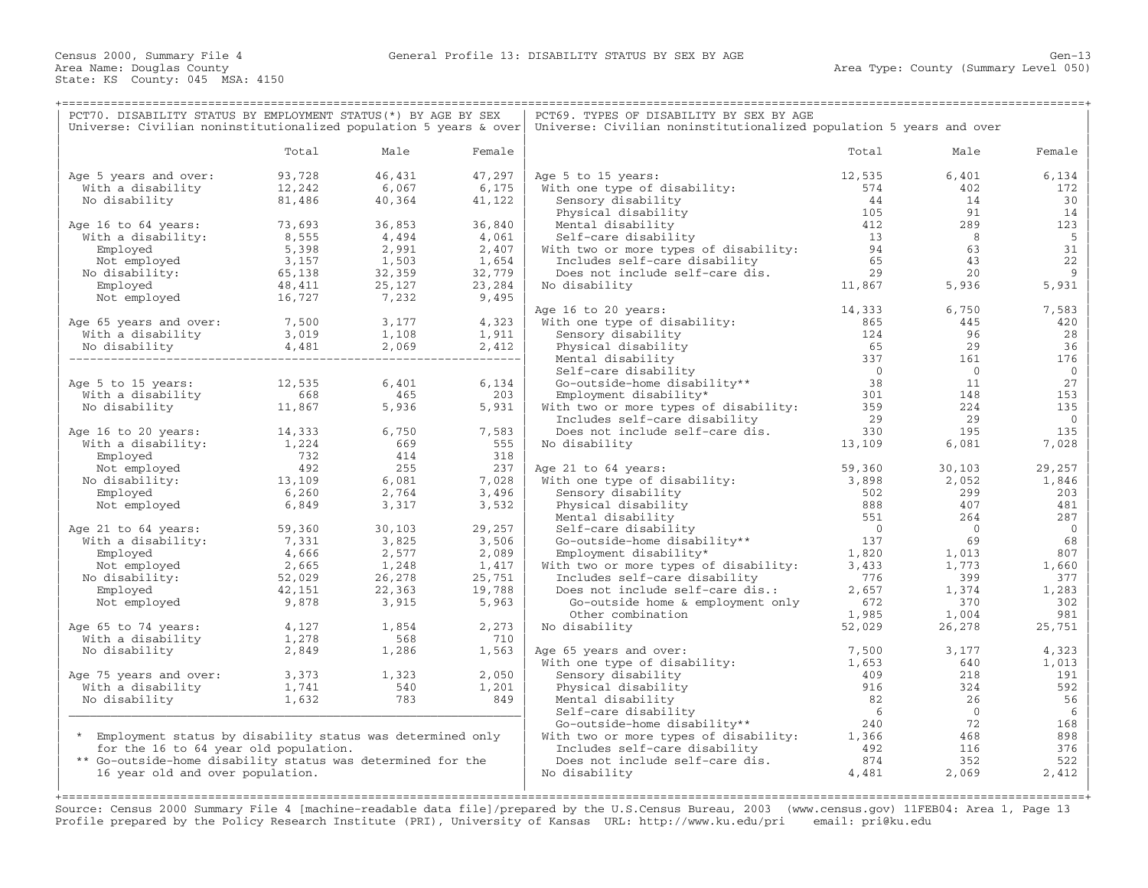| PCT70. DISABILITY STATUS BY EMPLOYMENT STATUS (*) BY AGE BY SEX   |                                           |                               |                                                                                       | PCT69. TYPES OF DISABILITY BY SEX BY AGE                                                                                                |                                             |                |                |  |  |
|-------------------------------------------------------------------|-------------------------------------------|-------------------------------|---------------------------------------------------------------------------------------|-----------------------------------------------------------------------------------------------------------------------------------------|---------------------------------------------|----------------|----------------|--|--|
| Universe: Civilian noninstitutionalized population 5 years & over |                                           |                               |                                                                                       | Universe: Civilian noninstitutionalized population 5 years and over                                                                     |                                             |                |                |  |  |
|                                                                   | Total                                     | Male                          | Female                                                                                |                                                                                                                                         | Total                                       | Male           | Female         |  |  |
|                                                                   |                                           |                               |                                                                                       |                                                                                                                                         |                                             |                |                |  |  |
| Age 5 years and over:                                             | 93,728                                    | 46,431                        | 47,297                                                                                | Age 5 to 15 years:                                                                                                                      | 12,535                                      | 6,401          | 6,134          |  |  |
| With a disability                                                 | 12,242                                    | 6,067                         | 6,175                                                                                 | With one type of disability:                                                                                                            | 574                                         | 402            | 172            |  |  |
| No disability                                                     | 81,486                                    | 40,364                        | 41,122                                                                                | Sensory disability                                                                                                                      | 44                                          | 14             | 30             |  |  |
|                                                                   |                                           |                               |                                                                                       | Physical disability                                                                                                                     | 105                                         | 91             | 14             |  |  |
| Age 16 to 64 years:                                               | 73,693                                    | 36,853                        | 36,840                                                                                | Mental disability                                                                                                                       | 412                                         | 289            | 123            |  |  |
| With a disability:                                                | 73,693<br>8,555                           | 4,494                         | 4,061                                                                                 | Self-care disability                                                                                                                    | $\begin{array}{c} 13 \\ 94 \end{array}$     | 8              | - 5            |  |  |
| Employed                                                          | 5,398                                     | 2,991                         | 2,407                                                                                 | With two or more types of disability:                                                                                                   |                                             | 63             | 31             |  |  |
| Not employed                                                      | 3,157                                     | 1,503                         | 1,654                                                                                 | Includes self-care disability                                                                                                           | 65                                          | 43             | 22             |  |  |
| No disability:                                                    | 65,138                                    | 32,359                        | 32,779                                                                                | Does not include self-care dis.                                                                                                         | $\begin{array}{c} 29 \\ 11,867 \end{array}$ | 20             | 9              |  |  |
| Employed                                                          | 48,411                                    | 25,127                        | 23,284                                                                                | No disability                                                                                                                           |                                             | 5,936          | 5,931          |  |  |
| Not employed                                                      | 16,727                                    | 7,232                         | 9,495                                                                                 |                                                                                                                                         |                                             |                |                |  |  |
|                                                                   |                                           |                               |                                                                                       | Age 16 to 20 years:                                                                                                                     | 14,333                                      | 6,750          | 7,583          |  |  |
| Age 65 years and over: 7,500                                      |                                           |                               |                                                                                       | With one type of disability:                                                                                                            | 865                                         | 445            | 420            |  |  |
| With a disability                                                 | 3,019                                     | $3,177$<br>$1,108$<br>$1,911$ |                                                                                       | Sensory disability                                                                                                                      | 124                                         | 96             | 28             |  |  |
| No disability                                                     | 4,481                                     | 2,069                         | $\left  \begin{array}{cc} 9 & 2,412 \\ - - - - - - - - - - - - - \end{array} \right $ | Physical disability                                                                                                                     | 65                                          | 29             | 36             |  |  |
|                                                                   |                                           |                               |                                                                                       | Mental disability                                                                                                                       | 337                                         | 161            | 176            |  |  |
|                                                                   |                                           |                               |                                                                                       | Self-care disability                                                                                                                    | $\overline{0}$                              | $\overline{0}$ | $\mathbf{0}$   |  |  |
| Age 5 to 15 years:                                                | 12,535                                    | 6,401                         | 6,134                                                                                 | Go-outside-home disability**                                                                                                            | 38                                          | 11             | 27             |  |  |
| With a disability                                                 | $668$<br>11 867                           | 465                           | 203                                                                                   | Employment disability*                                                                                                                  | 301                                         | 148            | 153            |  |  |
| No disability                                                     |                                           | 5,936                         | 5,931                                                                                 | With two or more types of disability: 359                                                                                               |                                             | 224            | 135            |  |  |
|                                                                   |                                           |                               |                                                                                       | Includes self-care disability                                                                                                           | 29                                          | 29             | $\mathbf{0}$   |  |  |
| Age 16 to 20 years:                                               |                                           | 6,750                         | 7,583                                                                                 | Does not include self-care dis.                                                                                                         | 330                                         | 195            | 135            |  |  |
| With a disability:                                                | 14,333<br>1,224                           | 669                           | 555                                                                                   | No disability                                                                                                                           | 13,109                                      | 6,081          | 7,028          |  |  |
| Employed                                                          |                                           | 414                           | 318                                                                                   |                                                                                                                                         |                                             |                |                |  |  |
| Not employed                                                      | $\begin{array}{c} 732 \\ 492 \end{array}$ | 255                           | 237                                                                                   | Age 21 to 64 years:                                                                                                                     | 59,360                                      | 30,103         | 29,257         |  |  |
| No disability:                                                    | 13,109                                    | 6,081                         | 7,028                                                                                 | With one type of disability:                                                                                                            | 3,898                                       | 2,052          | 1,846          |  |  |
| Employed                                                          | 6,260                                     | 2,764                         | 3,496                                                                                 | Sensory disability                                                                                                                      | 502                                         | 299            | 203            |  |  |
| Not employed                                                      | 6,849                                     | 3,317                         | 3,532                                                                                 | Physical disability                                                                                                                     | 888                                         | 407            | 481            |  |  |
|                                                                   |                                           |                               |                                                                                       | Mental disability                                                                                                                       | 551                                         | 264            | 287            |  |  |
| Age 21 to 64 years:                                               | 59,360                                    | 30,103                        | 29,257                                                                                | Self-care disability<br>Go-outside-home disability**<br>Employment disability*<br>Employment disability*                                | $\overline{0}$                              | $\bigcirc$     | $\overline{0}$ |  |  |
| With a disability:                                                | 7,331                                     | 3,825                         | 3,506                                                                                 |                                                                                                                                         | 137                                         | 69             | 68             |  |  |
| Employed                                                          | 4,666                                     | 2,577                         | 2,089                                                                                 |                                                                                                                                         | 1,820                                       | 1,013          | 807            |  |  |
| Not employed                                                      | 2,665                                     | 1,248                         | 1,417                                                                                 | With two or more types of disability:                                                                                                   | $\frac{1}{3}$ , 433                         | 1,773          | 1,660          |  |  |
|                                                                   | 52,029                                    | 26,278                        | 25,751                                                                                | Includes self-care disability                                                                                                           | 776                                         | 399            | 377            |  |  |
| No disability:                                                    |                                           |                               |                                                                                       |                                                                                                                                         | 2,657                                       | 1,374          |                |  |  |
| Employed                                                          | 42,151                                    | 22,363                        | 19,788                                                                                | Does not include self-care dis.:                                                                                                        |                                             |                | 1,283          |  |  |
| Not employed                                                      | 9,878                                     | 3,915                         | 5,963                                                                                 | Go-outside home & employment only                                                                                                       | 672                                         | 370            | 302            |  |  |
|                                                                   |                                           | 1,854                         |                                                                                       | Other combination                                                                                                                       | 1,985<br>52,029                             | 1,004          | 981            |  |  |
| Age 65 to 74 years:                                               | 4,127                                     | 568                           | 2,273<br>710                                                                          | No disability                                                                                                                           |                                             | 26,278         | 25,751         |  |  |
| With a disability                                                 | $\frac{4}{1}$ , 127<br>1, 278<br>2, 849   |                               |                                                                                       |                                                                                                                                         |                                             |                |                |  |  |
| No disability                                                     | 2,849                                     | 1,286                         | 1,563                                                                                 | Age 65 years and over:                                                                                                                  | 7,500                                       | 3,177          | 4,323          |  |  |
|                                                                   |                                           |                               |                                                                                       | With one type of disability:                                                                                                            | 1,653                                       | 640            | 1,013          |  |  |
| Age 75 years and over:                                            | $3,373$<br>$1,741$                        | $1,323$<br>540                | 2,050                                                                                 | Sensory disability                                                                                                                      | 409                                         | 218            | 191            |  |  |
| With a disability                                                 |                                           | 783                           | 1,201                                                                                 | Physical disability                                                                                                                     | 916                                         | 324            | 592            |  |  |
| No disability                                                     | 1,632                                     |                               | 849                                                                                   | Mental disability                                                                                                                       | 82                                          | 26             | 56             |  |  |
|                                                                   |                                           |                               |                                                                                       | Self-care disability                                                                                                                    | 6                                           | $\overline{0}$ | 6              |  |  |
|                                                                   |                                           |                               |                                                                                       | % Seri-care disability<br>Go-outside-home disability** 240<br>With two or more types of disability: 1,366                               |                                             | 72             | 168            |  |  |
| * Employment status by disability status was determined only      |                                           |                               |                                                                                       |                                                                                                                                         |                                             | 468            | 898            |  |  |
| for the 16 to 64 year old population.                             |                                           |                               |                                                                                       |                                                                                                                                         |                                             | 116            | 376            |  |  |
| ** Go-outside-home disability status was determined for the       |                                           |                               |                                                                                       | The two or more types of areas.<br>Includes self-care disability and the self-care distance of the self-care distance of $874$<br>4,481 |                                             | 352            | 522            |  |  |
| 16 year old and over population.                                  |                                           |                               |                                                                                       | No disability                                                                                                                           |                                             | 2,069          | 2,412          |  |  |
|                                                                   |                                           |                               |                                                                                       |                                                                                                                                         |                                             |                |                |  |  |
|                                                                   |                                           |                               |                                                                                       |                                                                                                                                         |                                             |                |                |  |  |

Source: Census 2000 Summary File 4 [machine−readable data file]/prepared by the U.S.Census Bureau, 2003 (www.census.gov) 11FEB04: Area 1, Page 13 Profile prepared by the Policy Research Institute (PRI), University of Kansas URL: http://www.ku.edu/pri email: pri@ku.edu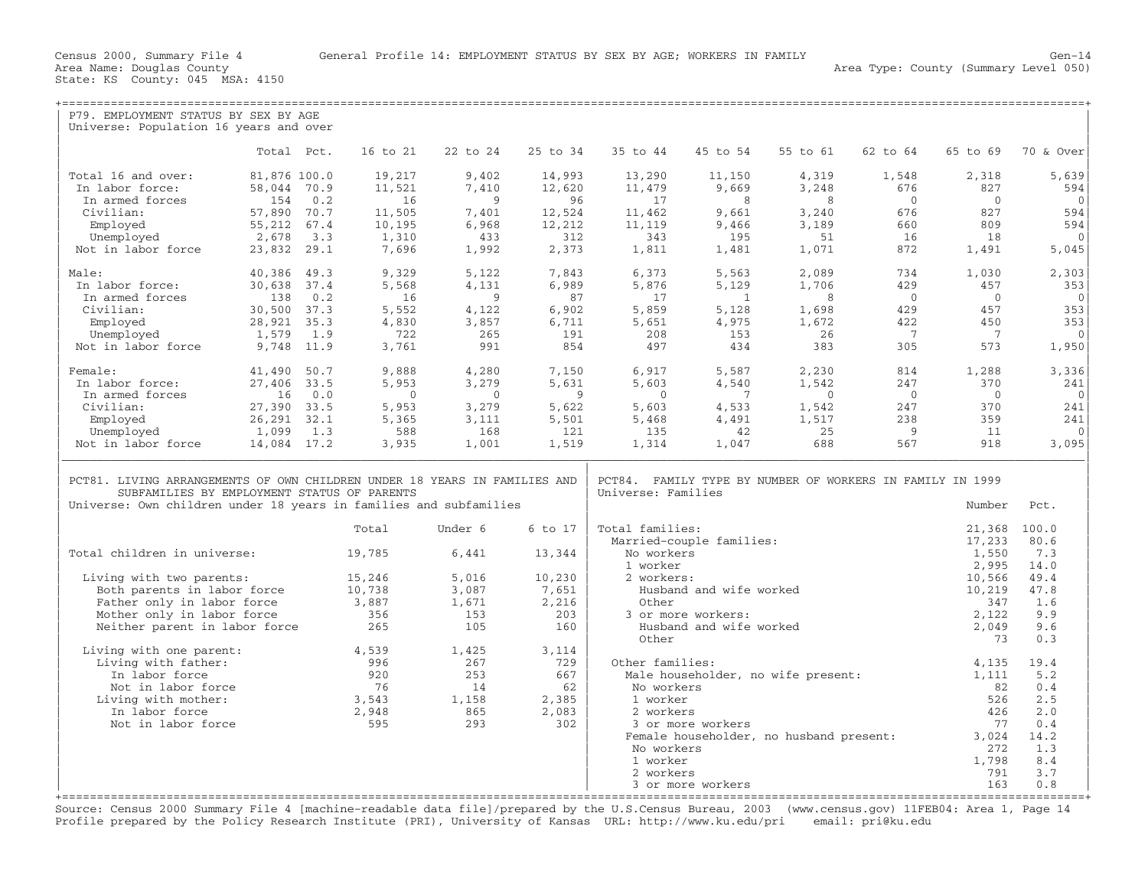| P79. EMPLOYMENT STATUS BY SEX BY AGE                                                                                                                                                          |                 |              |                  |                |                |                        |                          |                                                           |                |                |                 |
|-----------------------------------------------------------------------------------------------------------------------------------------------------------------------------------------------|-----------------|--------------|------------------|----------------|----------------|------------------------|--------------------------|-----------------------------------------------------------|----------------|----------------|-----------------|
| Universe: Population 16 years and over                                                                                                                                                        |                 |              |                  |                |                |                        |                          |                                                           |                |                |                 |
|                                                                                                                                                                                               |                 |              |                  |                |                |                        |                          |                                                           |                |                |                 |
|                                                                                                                                                                                               | Total Pct.      |              | 16 to 21         | 22 to 24       | 25 to 34       | 35 to 44               | 45 to 54                 | 55 to 61                                                  | 62 to 64       | 65 to 69       | 70 & Over       |
|                                                                                                                                                                                               |                 |              |                  |                |                |                        |                          |                                                           |                |                |                 |
| Total 16 and over:                                                                                                                                                                            | 81,876 100.0    |              | 19,217           | 9,402          | 14,993         | 13,290                 | 11,150                   | 4,319                                                     | 1,548          | 2,318          | 5,639           |
| In labor force:                                                                                                                                                                               | 58,044 70.9     |              | 11,521           | 7,410          | 12,620         | 11,479                 | 9,669                    | 3,248                                                     | 676            | 827            | 594             |
| In armed forces                                                                                                                                                                               | 154             | 0.2          | 16               | 9              | 96             | 17                     | 8                        | 8                                                         | $\overline{0}$ | $\Omega$       | $\Omega$        |
| Civilian:                                                                                                                                                                                     | 57,890          | 70.7<br>67.4 | 11,505<br>10,195 | 7,401          | 12,524         | 11,462<br>11,119       | 9,661                    | 3,240                                                     | 676<br>660     | 827<br>809     | 594             |
| Employed                                                                                                                                                                                      | 55,212<br>2,678 | 3.3          | 1,310            | 6,968<br>433   | 12,212<br>312  | 343                    | 9,466<br>195             | 3,189<br>51                                               | 16             | 18             | 594<br>$\Omega$ |
| Unemployed                                                                                                                                                                                    |                 |              |                  |                |                |                        |                          |                                                           |                |                |                 |
| Not in labor force                                                                                                                                                                            | 23,832          | 29.1         | 7,696            | 1,992          | 2,373          | 1,811                  | 1,481                    | 1,071                                                     | 872            | 1,491          | 5,045           |
| Male:                                                                                                                                                                                         | 40,386          | 49.3         | 9,329            | 5,122          | 7,843          | 6,373                  | 5,563                    | 2,089                                                     | 734            | 1,030          | 2,303           |
| In labor force:                                                                                                                                                                               | 30,638          | 37.4         | 5,568            | 4,131          | 6,989          | 5,876                  | 5,129                    | 1,706                                                     | 429            | 457            | 353             |
| In armed forces                                                                                                                                                                               | 138             | 0.2          | 16               | 9              | 87             | 17                     | $\mathbf{1}$             | 8                                                         | $\overline{0}$ | $\mathbf{0}$   | $\mathbf{0}$    |
| Civilian:                                                                                                                                                                                     | 30,500 37.3     |              | 5,552            | 4,122          | 6,902          | 5,859                  | 5,128                    | 1,698                                                     | 429            | 457            | 353             |
| Employed                                                                                                                                                                                      | 28,921          | 35.3         | 4,830            | 3,857          | 6,711          | 5,651                  | 4,975                    | 1,672                                                     | 422            | 450            | 353             |
| Unemployed                                                                                                                                                                                    | 1,579           | 1.9          | 722              | 265            | 191            | 208                    | 153                      | 26                                                        | $\overline{7}$ | $\overline{7}$ | $\mathbf{0}$    |
| Not in labor force                                                                                                                                                                            | 9,748 11.9      |              | 3,761            | 991            | 854            | 497                    | 434                      | 383                                                       | 305            | 573            | 1,950           |
|                                                                                                                                                                                               |                 |              |                  |                |                |                        |                          |                                                           |                |                |                 |
| Female:                                                                                                                                                                                       | 41,490          | 50.7         | 9,888            | 4,280          | 7,150          | 6,917                  | 5,587                    | 2,230                                                     | 814            | 1,288          | 3,336           |
| In labor force:                                                                                                                                                                               | 27,406 33.5     |              | 5,953            | 3,279          | 5,631          | 5,603                  | 4,540                    | 1,542                                                     | 247            | 370            | 241             |
| In armed forces                                                                                                                                                                               | 16              | 0.0          | $\overline{0}$   | $\overline{0}$ | 9              | $\overline{0}$         | 7                        | $\overline{0}$                                            | $\overline{0}$ | $\overline{0}$ | $\mathbf{0}$    |
| Civilian:                                                                                                                                                                                     | 27,390 33.5     |              | 5,953            | 3,279          | 5,622          | 5,603                  | 4,533                    | 1,542                                                     | 247            | 370            | 241             |
| Employed                                                                                                                                                                                      | 26, 291 32.1    |              | 5,365            | 3,111          | 5,501          | 5,468                  | 4,491                    | 1,517                                                     | 238            | 359            | 241             |
| Unemployed                                                                                                                                                                                    | 1,099           | 1.3          | 588              | 168            | 121            | 135                    | 42                       | 25                                                        | 9              | 11             | $\Omega$        |
| Not in labor force                                                                                                                                                                            | 14,084 17.2     |              | 3,935            | 1,001          | 1,519          | 1,314                  | 1,047                    | 688                                                       | 567            | 918            | 3,095           |
| PCT81. LIVING ARRANGEMENTS OF OWN CHILDREN UNDER 18 YEARS IN FAMILIES AND<br>SUBFAMILIES BY EMPLOYMENT STATUS OF PARENTS<br>Universe: Own children under 18 years in families and subfamilies |                 |              |                  |                |                | Universe: Families     |                          | PCT84. FAMILY TYPE BY NUMBER OF WORKERS IN FAMILY IN 1999 |                | Number         | Pct.            |
|                                                                                                                                                                                               |                 |              |                  |                |                |                        |                          |                                                           |                |                |                 |
|                                                                                                                                                                                               |                 |              | Total            | Under 6        | 6 to 17        | Total families:        |                          |                                                           |                | 21,368         | 100.0           |
|                                                                                                                                                                                               |                 |              |                  |                |                |                        | Married-couple families: |                                                           |                | 17,233         | 80.6            |
| Total children in universe:                                                                                                                                                                   |                 |              | 19,785           | 6,441          | 13,344         | No workers             |                          |                                                           |                | 1,550          | 7.3             |
|                                                                                                                                                                                               |                 |              |                  |                |                | 1 worker<br>2 workers: |                          |                                                           |                | 2,995          | 14.0<br>49.4    |
| Living with two parents:                                                                                                                                                                      |                 |              | 15,246           | 5,016          | 10,230         |                        |                          |                                                           |                | 10,566         |                 |
| Both parents in labor force<br>Father only in labor force                                                                                                                                     |                 |              | 10,738<br>3,887  | 3,087<br>1,671 | 7,651<br>2,216 | Other                  | Husband and wife worked  |                                                           |                | 10,219<br>347  | 47.8<br>1.6     |
|                                                                                                                                                                                               |                 |              | 356              | 153            | 203            |                        | 3 or more workers:       |                                                           |                | 2,122          | 9.9             |
| Mother only in labor force                                                                                                                                                                    |                 |              | 265              | 105            | 160            |                        | Husband and wife worked  |                                                           |                |                | 9.6             |
| Neither parent in labor force                                                                                                                                                                 |                 |              |                  |                |                | Other                  |                          |                                                           |                | 2,049<br>73    | 0.3             |
| Living with one parent:                                                                                                                                                                       |                 |              | 4,539            | 1,425          | 3,114          |                        |                          |                                                           |                |                |                 |
| Living with father:                                                                                                                                                                           |                 |              | 996              | 267            | 729            | Other families:        |                          |                                                           |                | 4,135          | 19.4            |
| In labor force                                                                                                                                                                                |                 |              | 920              | 253            | 667            |                        |                          | Male householder, no wife present:                        |                | 1,111          | 5.2             |
| Not in labor force                                                                                                                                                                            |                 |              | 76               | 14             | 62             | No workers             |                          |                                                           |                | 82             | 0.4             |
| Living with mother:                                                                                                                                                                           |                 |              | 3,543            | 1,158          | 2,385          | 1 worker               |                          |                                                           |                | 526            | 2.5             |
| In labor force                                                                                                                                                                                |                 |              | 2,948            | 865            | 2,083          | 2 workers              |                          |                                                           |                | 426            | 2.0             |
| Not in labor force                                                                                                                                                                            |                 |              | 595              | 293            | 302            |                        | 3 or more workers        |                                                           |                | 77             | 0.4             |
|                                                                                                                                                                                               |                 |              |                  |                |                |                        |                          | Female householder, no husband present:                   |                | 3.024          | 14.2            |
|                                                                                                                                                                                               |                 |              |                  |                |                | No workers             |                          |                                                           |                | 272            | 1.3             |
|                                                                                                                                                                                               |                 |              |                  |                |                |                        |                          |                                                           |                |                |                 |
|                                                                                                                                                                                               |                 |              |                  |                |                |                        |                          |                                                           |                |                |                 |
|                                                                                                                                                                                               |                 |              |                  |                |                | 1 worker<br>2 workers  |                          |                                                           |                | 1,798<br>791   | 8.4<br>3.7      |

+===================================================================================================================================================+ Source: Census 2000 Summary File 4 [machine−readable data file]/prepared by the U.S.Census Bureau, 2003 (www.census.gov) 11FEB04: Area 1, Page 14 Profile prepared by the Policy Research Institute (PRI), University of Kansas URL: http://www.ku.edu/pri email: pri@ku.edu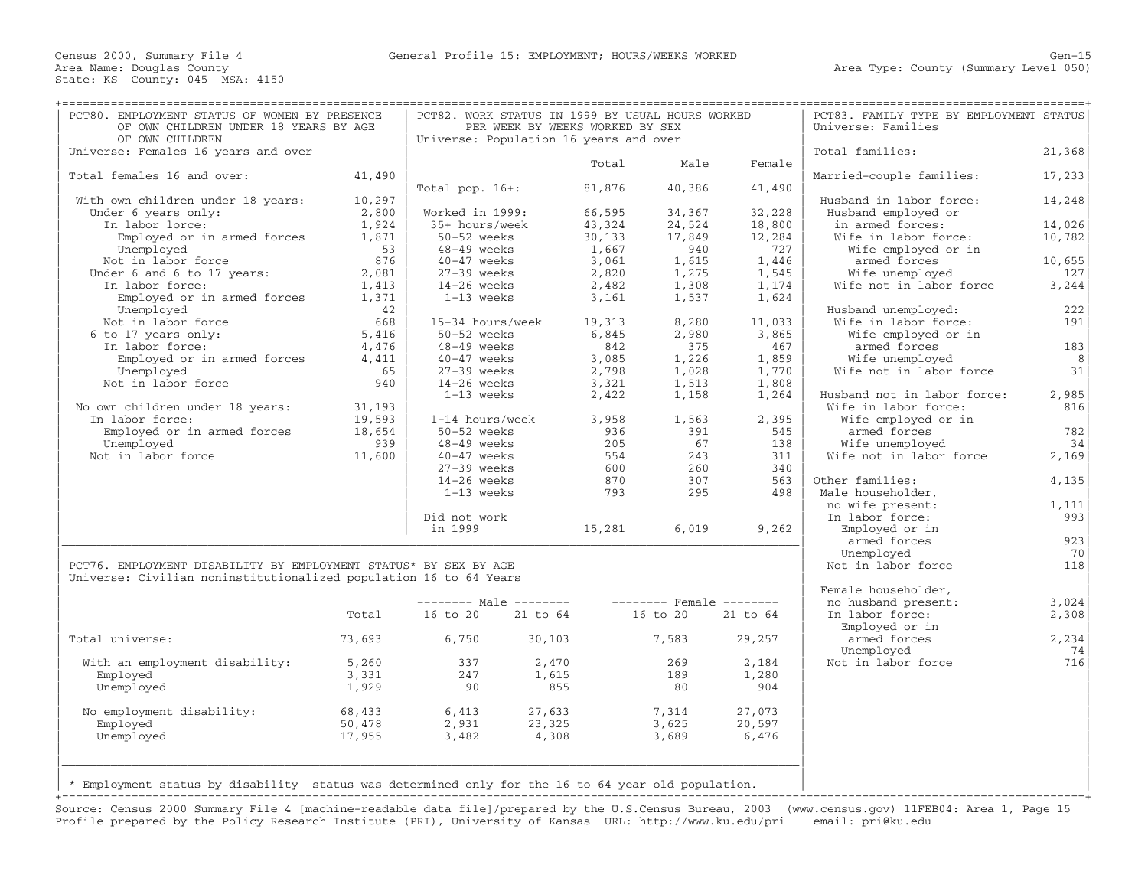| OF OWN CHILDREN<br>Universe: Females 16 years and over<br>Total females 16 and over:<br>41,490<br>10,297<br>With own children under 18 years:<br>Under 6 years only:<br>2,800<br>In labor lorce:<br>1,924<br>Employed or in armed forces<br>1,871<br>Unemployed<br>53<br>Not in labor force<br>876<br>Under 6 and 6 to 17 years:<br>2,081<br>In labor force:<br>1,413<br>Employed or in armed forces<br>1,371<br>Unemployed<br>42<br>Not in labor force<br>668<br>6 to 17 years only:<br>5,416<br>In labor force:<br>4,476<br>Employed or in armed forces<br>4,411<br>65<br>Unemployed<br>Not in labor force<br>940<br>No own children under 18 years:<br>31,193<br>In labor force:<br>19,593<br>Employed or in armed forces<br>18,654<br>Unemployed<br>939<br>Not in labor force<br>11,600<br>Did not work<br>in 1999<br>PCT76. EMPLOYMENT DISABILITY BY EMPLOYMENT STATUS* BY SEX BY AGE<br>Universe: Civilian noninstitutionalized population 16 to 64 Years<br>Total | Total pop. $16+:$<br>Worked in 1999:<br>35+ hours/week<br>50-52 weeks<br>48-49 weeks<br>40-47 weeks<br>$27-39$ weeks<br>14-26 weeks<br>1-13 weeks<br>50-52 weeks<br>48-49 weeks<br>$40-47$ weeks<br>$27-39$ weeks<br>$14-26$ weeks<br>1-13 weeks<br>50-52 weeks<br>48-49 weeks<br>40-47 weeks<br>$27-39$ weeks<br>$14-26$ weeks<br>$1-13$ weeks | Universe: Population 16 years and over<br>15-34 hours/week<br>1-14 hours/week | Total<br>81,876<br>66,595<br>43,324<br>30,133<br>1,667<br>3,061<br>2,820<br>2,482<br>3,161<br>19,313<br>6,845<br>842<br>3,085<br>2,798<br>3,321<br>2,422<br>3,958<br>936<br>205<br>554<br>600<br>870 | Male<br>40,386<br>34,367<br>24,524<br>17,849<br>940<br>1,615<br>1,275<br>1,308<br>1,537<br>8,280<br>2,980<br>375<br>1,226<br>1,028<br>1,513<br>1,158<br>1,563<br>391<br>- 67<br>243<br>260 | Female<br>41,490<br>32,228<br>18,800<br>12,284<br>727<br>1,446<br>1,545<br>1,174<br>1,624<br>11,033<br>3,865<br>467<br>1,859<br>1,770<br>1,808<br>1,264<br>2,395<br>545<br>138<br>311 | Total families:<br>Married-couple families:<br>Husband in labor force:<br>Husband employed or<br>in armed forces:<br>Wife in labor force:<br>Wife employed or in<br>armed forces<br>Wife unemployed<br>Wife not in labor force<br>Husband unemployed:<br>Wife in labor force:<br>Wife employed or in<br>armed forces<br>Wife unemployed<br>Wife not in labor force<br>Husband not in labor force:<br>Wife in labor force:<br>Wife employed or in<br>armed forces<br>Wife unemployed<br>Wife not in labor force | 21, 368<br>17, 233<br>14,248<br>14,026<br>10,782<br>10,655<br>127<br>3, 244<br>222<br>191<br>183<br>8<br>31<br>2,985<br>816<br>782<br>34 |
|--------------------------------------------------------------------------------------------------------------------------------------------------------------------------------------------------------------------------------------------------------------------------------------------------------------------------------------------------------------------------------------------------------------------------------------------------------------------------------------------------------------------------------------------------------------------------------------------------------------------------------------------------------------------------------------------------------------------------------------------------------------------------------------------------------------------------------------------------------------------------------------------------------------------------------------------------------------------------|-------------------------------------------------------------------------------------------------------------------------------------------------------------------------------------------------------------------------------------------------------------------------------------------------------------------------------------------------|-------------------------------------------------------------------------------|------------------------------------------------------------------------------------------------------------------------------------------------------------------------------------------------------|--------------------------------------------------------------------------------------------------------------------------------------------------------------------------------------------|---------------------------------------------------------------------------------------------------------------------------------------------------------------------------------------|----------------------------------------------------------------------------------------------------------------------------------------------------------------------------------------------------------------------------------------------------------------------------------------------------------------------------------------------------------------------------------------------------------------------------------------------------------------------------------------------------------------|------------------------------------------------------------------------------------------------------------------------------------------|
|                                                                                                                                                                                                                                                                                                                                                                                                                                                                                                                                                                                                                                                                                                                                                                                                                                                                                                                                                                          |                                                                                                                                                                                                                                                                                                                                                 |                                                                               |                                                                                                                                                                                                      |                                                                                                                                                                                            |                                                                                                                                                                                       |                                                                                                                                                                                                                                                                                                                                                                                                                                                                                                                |                                                                                                                                          |
|                                                                                                                                                                                                                                                                                                                                                                                                                                                                                                                                                                                                                                                                                                                                                                                                                                                                                                                                                                          |                                                                                                                                                                                                                                                                                                                                                 |                                                                               |                                                                                                                                                                                                      |                                                                                                                                                                                            |                                                                                                                                                                                       |                                                                                                                                                                                                                                                                                                                                                                                                                                                                                                                |                                                                                                                                          |
|                                                                                                                                                                                                                                                                                                                                                                                                                                                                                                                                                                                                                                                                                                                                                                                                                                                                                                                                                                          |                                                                                                                                                                                                                                                                                                                                                 |                                                                               |                                                                                                                                                                                                      |                                                                                                                                                                                            |                                                                                                                                                                                       |                                                                                                                                                                                                                                                                                                                                                                                                                                                                                                                |                                                                                                                                          |
|                                                                                                                                                                                                                                                                                                                                                                                                                                                                                                                                                                                                                                                                                                                                                                                                                                                                                                                                                                          |                                                                                                                                                                                                                                                                                                                                                 |                                                                               |                                                                                                                                                                                                      |                                                                                                                                                                                            |                                                                                                                                                                                       |                                                                                                                                                                                                                                                                                                                                                                                                                                                                                                                |                                                                                                                                          |
|                                                                                                                                                                                                                                                                                                                                                                                                                                                                                                                                                                                                                                                                                                                                                                                                                                                                                                                                                                          |                                                                                                                                                                                                                                                                                                                                                 |                                                                               |                                                                                                                                                                                                      |                                                                                                                                                                                            |                                                                                                                                                                                       |                                                                                                                                                                                                                                                                                                                                                                                                                                                                                                                |                                                                                                                                          |
|                                                                                                                                                                                                                                                                                                                                                                                                                                                                                                                                                                                                                                                                                                                                                                                                                                                                                                                                                                          |                                                                                                                                                                                                                                                                                                                                                 |                                                                               |                                                                                                                                                                                                      |                                                                                                                                                                                            |                                                                                                                                                                                       |                                                                                                                                                                                                                                                                                                                                                                                                                                                                                                                |                                                                                                                                          |
|                                                                                                                                                                                                                                                                                                                                                                                                                                                                                                                                                                                                                                                                                                                                                                                                                                                                                                                                                                          |                                                                                                                                                                                                                                                                                                                                                 |                                                                               |                                                                                                                                                                                                      |                                                                                                                                                                                            |                                                                                                                                                                                       |                                                                                                                                                                                                                                                                                                                                                                                                                                                                                                                |                                                                                                                                          |
|                                                                                                                                                                                                                                                                                                                                                                                                                                                                                                                                                                                                                                                                                                                                                                                                                                                                                                                                                                          |                                                                                                                                                                                                                                                                                                                                                 |                                                                               |                                                                                                                                                                                                      |                                                                                                                                                                                            |                                                                                                                                                                                       |                                                                                                                                                                                                                                                                                                                                                                                                                                                                                                                |                                                                                                                                          |
|                                                                                                                                                                                                                                                                                                                                                                                                                                                                                                                                                                                                                                                                                                                                                                                                                                                                                                                                                                          |                                                                                                                                                                                                                                                                                                                                                 |                                                                               |                                                                                                                                                                                                      |                                                                                                                                                                                            |                                                                                                                                                                                       |                                                                                                                                                                                                                                                                                                                                                                                                                                                                                                                |                                                                                                                                          |
|                                                                                                                                                                                                                                                                                                                                                                                                                                                                                                                                                                                                                                                                                                                                                                                                                                                                                                                                                                          |                                                                                                                                                                                                                                                                                                                                                 |                                                                               |                                                                                                                                                                                                      |                                                                                                                                                                                            |                                                                                                                                                                                       |                                                                                                                                                                                                                                                                                                                                                                                                                                                                                                                |                                                                                                                                          |
|                                                                                                                                                                                                                                                                                                                                                                                                                                                                                                                                                                                                                                                                                                                                                                                                                                                                                                                                                                          |                                                                                                                                                                                                                                                                                                                                                 |                                                                               |                                                                                                                                                                                                      |                                                                                                                                                                                            |                                                                                                                                                                                       |                                                                                                                                                                                                                                                                                                                                                                                                                                                                                                                |                                                                                                                                          |
|                                                                                                                                                                                                                                                                                                                                                                                                                                                                                                                                                                                                                                                                                                                                                                                                                                                                                                                                                                          |                                                                                                                                                                                                                                                                                                                                                 |                                                                               |                                                                                                                                                                                                      |                                                                                                                                                                                            |                                                                                                                                                                                       |                                                                                                                                                                                                                                                                                                                                                                                                                                                                                                                |                                                                                                                                          |
|                                                                                                                                                                                                                                                                                                                                                                                                                                                                                                                                                                                                                                                                                                                                                                                                                                                                                                                                                                          |                                                                                                                                                                                                                                                                                                                                                 |                                                                               |                                                                                                                                                                                                      |                                                                                                                                                                                            |                                                                                                                                                                                       |                                                                                                                                                                                                                                                                                                                                                                                                                                                                                                                |                                                                                                                                          |
|                                                                                                                                                                                                                                                                                                                                                                                                                                                                                                                                                                                                                                                                                                                                                                                                                                                                                                                                                                          |                                                                                                                                                                                                                                                                                                                                                 |                                                                               |                                                                                                                                                                                                      |                                                                                                                                                                                            |                                                                                                                                                                                       |                                                                                                                                                                                                                                                                                                                                                                                                                                                                                                                |                                                                                                                                          |
|                                                                                                                                                                                                                                                                                                                                                                                                                                                                                                                                                                                                                                                                                                                                                                                                                                                                                                                                                                          |                                                                                                                                                                                                                                                                                                                                                 |                                                                               |                                                                                                                                                                                                      |                                                                                                                                                                                            |                                                                                                                                                                                       |                                                                                                                                                                                                                                                                                                                                                                                                                                                                                                                |                                                                                                                                          |
|                                                                                                                                                                                                                                                                                                                                                                                                                                                                                                                                                                                                                                                                                                                                                                                                                                                                                                                                                                          |                                                                                                                                                                                                                                                                                                                                                 |                                                                               |                                                                                                                                                                                                      |                                                                                                                                                                                            |                                                                                                                                                                                       |                                                                                                                                                                                                                                                                                                                                                                                                                                                                                                                |                                                                                                                                          |
|                                                                                                                                                                                                                                                                                                                                                                                                                                                                                                                                                                                                                                                                                                                                                                                                                                                                                                                                                                          |                                                                                                                                                                                                                                                                                                                                                 |                                                                               |                                                                                                                                                                                                      |                                                                                                                                                                                            |                                                                                                                                                                                       |                                                                                                                                                                                                                                                                                                                                                                                                                                                                                                                |                                                                                                                                          |
|                                                                                                                                                                                                                                                                                                                                                                                                                                                                                                                                                                                                                                                                                                                                                                                                                                                                                                                                                                          |                                                                                                                                                                                                                                                                                                                                                 |                                                                               |                                                                                                                                                                                                      |                                                                                                                                                                                            |                                                                                                                                                                                       |                                                                                                                                                                                                                                                                                                                                                                                                                                                                                                                |                                                                                                                                          |
|                                                                                                                                                                                                                                                                                                                                                                                                                                                                                                                                                                                                                                                                                                                                                                                                                                                                                                                                                                          |                                                                                                                                                                                                                                                                                                                                                 |                                                                               |                                                                                                                                                                                                      |                                                                                                                                                                                            |                                                                                                                                                                                       |                                                                                                                                                                                                                                                                                                                                                                                                                                                                                                                |                                                                                                                                          |
|                                                                                                                                                                                                                                                                                                                                                                                                                                                                                                                                                                                                                                                                                                                                                                                                                                                                                                                                                                          |                                                                                                                                                                                                                                                                                                                                                 |                                                                               |                                                                                                                                                                                                      |                                                                                                                                                                                            |                                                                                                                                                                                       |                                                                                                                                                                                                                                                                                                                                                                                                                                                                                                                |                                                                                                                                          |
|                                                                                                                                                                                                                                                                                                                                                                                                                                                                                                                                                                                                                                                                                                                                                                                                                                                                                                                                                                          |                                                                                                                                                                                                                                                                                                                                                 |                                                                               |                                                                                                                                                                                                      |                                                                                                                                                                                            |                                                                                                                                                                                       |                                                                                                                                                                                                                                                                                                                                                                                                                                                                                                                |                                                                                                                                          |
|                                                                                                                                                                                                                                                                                                                                                                                                                                                                                                                                                                                                                                                                                                                                                                                                                                                                                                                                                                          |                                                                                                                                                                                                                                                                                                                                                 |                                                                               |                                                                                                                                                                                                      |                                                                                                                                                                                            |                                                                                                                                                                                       |                                                                                                                                                                                                                                                                                                                                                                                                                                                                                                                |                                                                                                                                          |
|                                                                                                                                                                                                                                                                                                                                                                                                                                                                                                                                                                                                                                                                                                                                                                                                                                                                                                                                                                          |                                                                                                                                                                                                                                                                                                                                                 |                                                                               |                                                                                                                                                                                                      |                                                                                                                                                                                            |                                                                                                                                                                                       |                                                                                                                                                                                                                                                                                                                                                                                                                                                                                                                |                                                                                                                                          |
|                                                                                                                                                                                                                                                                                                                                                                                                                                                                                                                                                                                                                                                                                                                                                                                                                                                                                                                                                                          |                                                                                                                                                                                                                                                                                                                                                 |                                                                               |                                                                                                                                                                                                      |                                                                                                                                                                                            |                                                                                                                                                                                       |                                                                                                                                                                                                                                                                                                                                                                                                                                                                                                                |                                                                                                                                          |
|                                                                                                                                                                                                                                                                                                                                                                                                                                                                                                                                                                                                                                                                                                                                                                                                                                                                                                                                                                          |                                                                                                                                                                                                                                                                                                                                                 |                                                                               |                                                                                                                                                                                                      |                                                                                                                                                                                            |                                                                                                                                                                                       |                                                                                                                                                                                                                                                                                                                                                                                                                                                                                                                | 2,169                                                                                                                                    |
|                                                                                                                                                                                                                                                                                                                                                                                                                                                                                                                                                                                                                                                                                                                                                                                                                                                                                                                                                                          |                                                                                                                                                                                                                                                                                                                                                 |                                                                               |                                                                                                                                                                                                      |                                                                                                                                                                                            | 340                                                                                                                                                                                   |                                                                                                                                                                                                                                                                                                                                                                                                                                                                                                                |                                                                                                                                          |
|                                                                                                                                                                                                                                                                                                                                                                                                                                                                                                                                                                                                                                                                                                                                                                                                                                                                                                                                                                          |                                                                                                                                                                                                                                                                                                                                                 |                                                                               |                                                                                                                                                                                                      | 307                                                                                                                                                                                        | 563                                                                                                                                                                                   | Other families:                                                                                                                                                                                                                                                                                                                                                                                                                                                                                                | 4,135                                                                                                                                    |
|                                                                                                                                                                                                                                                                                                                                                                                                                                                                                                                                                                                                                                                                                                                                                                                                                                                                                                                                                                          |                                                                                                                                                                                                                                                                                                                                                 |                                                                               | 793                                                                                                                                                                                                  | 295                                                                                                                                                                                        | 498                                                                                                                                                                                   | Male householder,                                                                                                                                                                                                                                                                                                                                                                                                                                                                                              |                                                                                                                                          |
|                                                                                                                                                                                                                                                                                                                                                                                                                                                                                                                                                                                                                                                                                                                                                                                                                                                                                                                                                                          |                                                                                                                                                                                                                                                                                                                                                 |                                                                               |                                                                                                                                                                                                      |                                                                                                                                                                                            |                                                                                                                                                                                       | no wife present:                                                                                                                                                                                                                                                                                                                                                                                                                                                                                               | 1,111                                                                                                                                    |
|                                                                                                                                                                                                                                                                                                                                                                                                                                                                                                                                                                                                                                                                                                                                                                                                                                                                                                                                                                          |                                                                                                                                                                                                                                                                                                                                                 |                                                                               |                                                                                                                                                                                                      |                                                                                                                                                                                            |                                                                                                                                                                                       | In labor force:                                                                                                                                                                                                                                                                                                                                                                                                                                                                                                | 993                                                                                                                                      |
|                                                                                                                                                                                                                                                                                                                                                                                                                                                                                                                                                                                                                                                                                                                                                                                                                                                                                                                                                                          |                                                                                                                                                                                                                                                                                                                                                 |                                                                               | 15,281                                                                                                                                                                                               | 6,019                                                                                                                                                                                      | 9,262                                                                                                                                                                                 | Employed or in                                                                                                                                                                                                                                                                                                                                                                                                                                                                                                 |                                                                                                                                          |
|                                                                                                                                                                                                                                                                                                                                                                                                                                                                                                                                                                                                                                                                                                                                                                                                                                                                                                                                                                          |                                                                                                                                                                                                                                                                                                                                                 |                                                                               |                                                                                                                                                                                                      |                                                                                                                                                                                            |                                                                                                                                                                                       | armed forces                                                                                                                                                                                                                                                                                                                                                                                                                                                                                                   | 923                                                                                                                                      |
|                                                                                                                                                                                                                                                                                                                                                                                                                                                                                                                                                                                                                                                                                                                                                                                                                                                                                                                                                                          |                                                                                                                                                                                                                                                                                                                                                 |                                                                               |                                                                                                                                                                                                      |                                                                                                                                                                                            |                                                                                                                                                                                       | Unemployed                                                                                                                                                                                                                                                                                                                                                                                                                                                                                                     | 70                                                                                                                                       |
|                                                                                                                                                                                                                                                                                                                                                                                                                                                                                                                                                                                                                                                                                                                                                                                                                                                                                                                                                                          |                                                                                                                                                                                                                                                                                                                                                 |                                                                               |                                                                                                                                                                                                      |                                                                                                                                                                                            |                                                                                                                                                                                       | Not in labor force<br>Female householder,                                                                                                                                                                                                                                                                                                                                                                                                                                                                      | 118                                                                                                                                      |
|                                                                                                                                                                                                                                                                                                                                                                                                                                                                                                                                                                                                                                                                                                                                                                                                                                                                                                                                                                          |                                                                                                                                                                                                                                                                                                                                                 |                                                                               |                                                                                                                                                                                                      | -------- Male -------- -------- Female --------                                                                                                                                            |                                                                                                                                                                                       | no husband present:                                                                                                                                                                                                                                                                                                                                                                                                                                                                                            | 3,024                                                                                                                                    |
|                                                                                                                                                                                                                                                                                                                                                                                                                                                                                                                                                                                                                                                                                                                                                                                                                                                                                                                                                                          |                                                                                                                                                                                                                                                                                                                                                 | 16 to 20 21 to 64                                                             |                                                                                                                                                                                                      | 16 to 20                                                                                                                                                                                   | 21 to 64                                                                                                                                                                              | In labor force:<br>Employed or in                                                                                                                                                                                                                                                                                                                                                                                                                                                                              | 2,308                                                                                                                                    |
| 73,693<br>Total universe:                                                                                                                                                                                                                                                                                                                                                                                                                                                                                                                                                                                                                                                                                                                                                                                                                                                                                                                                                | 6,750                                                                                                                                                                                                                                                                                                                                           | 30,103                                                                        |                                                                                                                                                                                                      | 7,583                                                                                                                                                                                      | 29,257                                                                                                                                                                                | armed forces<br>Unemployed                                                                                                                                                                                                                                                                                                                                                                                                                                                                                     | 2,234<br>74                                                                                                                              |
| 5,260<br>With an employment disability:                                                                                                                                                                                                                                                                                                                                                                                                                                                                                                                                                                                                                                                                                                                                                                                                                                                                                                                                  | 337                                                                                                                                                                                                                                                                                                                                             | 2,470                                                                         |                                                                                                                                                                                                      | 269                                                                                                                                                                                        | 2,184                                                                                                                                                                                 | Not in labor force                                                                                                                                                                                                                                                                                                                                                                                                                                                                                             | 716                                                                                                                                      |
| Employed<br>3,331                                                                                                                                                                                                                                                                                                                                                                                                                                                                                                                                                                                                                                                                                                                                                                                                                                                                                                                                                        | 247                                                                                                                                                                                                                                                                                                                                             | 1,615                                                                         |                                                                                                                                                                                                      | 189                                                                                                                                                                                        | 1,280                                                                                                                                                                                 |                                                                                                                                                                                                                                                                                                                                                                                                                                                                                                                |                                                                                                                                          |
| 1,929<br>Unemployed                                                                                                                                                                                                                                                                                                                                                                                                                                                                                                                                                                                                                                                                                                                                                                                                                                                                                                                                                      | 90                                                                                                                                                                                                                                                                                                                                              | 855                                                                           |                                                                                                                                                                                                      | 80                                                                                                                                                                                         | 904                                                                                                                                                                                   |                                                                                                                                                                                                                                                                                                                                                                                                                                                                                                                |                                                                                                                                          |
| 68,433<br>No employment disability:                                                                                                                                                                                                                                                                                                                                                                                                                                                                                                                                                                                                                                                                                                                                                                                                                                                                                                                                      | 6,413                                                                                                                                                                                                                                                                                                                                           | 27,633                                                                        |                                                                                                                                                                                                      | 7,314                                                                                                                                                                                      | 27,073                                                                                                                                                                                |                                                                                                                                                                                                                                                                                                                                                                                                                                                                                                                |                                                                                                                                          |
| 50,478<br>Employed                                                                                                                                                                                                                                                                                                                                                                                                                                                                                                                                                                                                                                                                                                                                                                                                                                                                                                                                                       | 2,931                                                                                                                                                                                                                                                                                                                                           | 23,325                                                                        |                                                                                                                                                                                                      | 3,625                                                                                                                                                                                      | 20,597                                                                                                                                                                                |                                                                                                                                                                                                                                                                                                                                                                                                                                                                                                                |                                                                                                                                          |
| 17,955<br>Unemployed                                                                                                                                                                                                                                                                                                                                                                                                                                                                                                                                                                                                                                                                                                                                                                                                                                                                                                                                                     | 3,482                                                                                                                                                                                                                                                                                                                                           | 4,308                                                                         |                                                                                                                                                                                                      |                                                                                                                                                                                            | 6,476                                                                                                                                                                                 |                                                                                                                                                                                                                                                                                                                                                                                                                                                                                                                |                                                                                                                                          |
|                                                                                                                                                                                                                                                                                                                                                                                                                                                                                                                                                                                                                                                                                                                                                                                                                                                                                                                                                                          |                                                                                                                                                                                                                                                                                                                                                 |                                                                               |                                                                                                                                                                                                      |                                                                                                                                                                                            |                                                                                                                                                                                       |                                                                                                                                                                                                                                                                                                                                                                                                                                                                                                                |                                                                                                                                          |
| * Employment status by disability status was determined only for the 16 to 64 year old population.                                                                                                                                                                                                                                                                                                                                                                                                                                                                                                                                                                                                                                                                                                                                                                                                                                                                       |                                                                                                                                                                                                                                                                                                                                                 |                                                                               |                                                                                                                                                                                                      | 3,689                                                                                                                                                                                      |                                                                                                                                                                                       |                                                                                                                                                                                                                                                                                                                                                                                                                                                                                                                |                                                                                                                                          |

Source: Census 2000 Summary File 4 [machine−readable data file]/prepared by the U.S.Census Bureau, 2003 (www.census.gov) 11FEB04: Area 1, Page 15 Profile prepared by the Policy Research Institute (PRI), University of Kansas URL: http://www.ku.edu/pri email: pri@ku.edu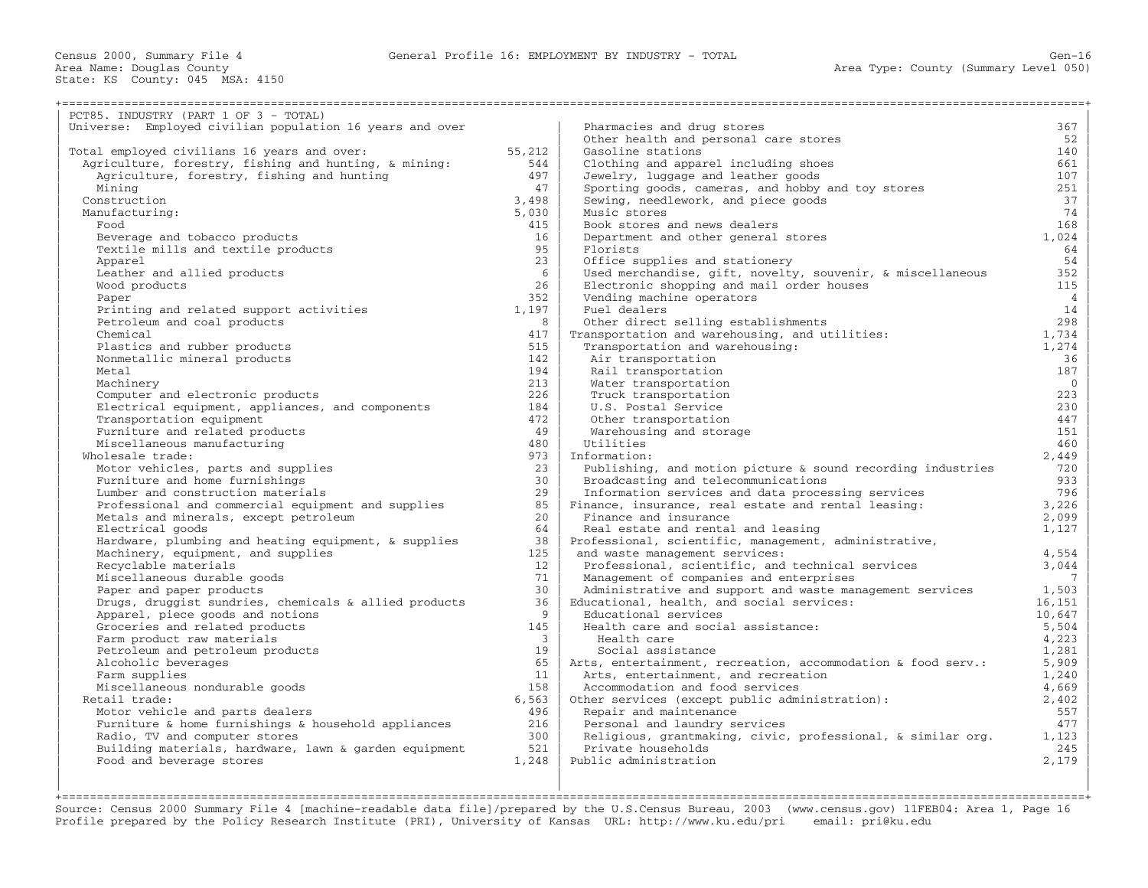| PCT85. INDUSTRY (PART 1 OF 3 - TOTAL)                    |                       |                                                                   |                |
|----------------------------------------------------------|-----------------------|-------------------------------------------------------------------|----------------|
| Universe: Employed civilian population 16 years and over |                       | Pharmacies and drug stores                                        | 367            |
|                                                          |                       | Other health and personal care stores                             | 52             |
| Total employed civilians 16 years and over:              | 55,212                | Gasoline stations                                                 | 140            |
| Agriculture, forestry, fishing and hunting, & mining:    | 544                   | Clothing and apparel including shoes                              | 661            |
| Agriculture, forestry, fishing and hunting               | 497                   | Jewelry, luggage and leather goods                                | 107            |
| Mining                                                   | 47                    | Sporting goods, cameras, and hobby and toy stores                 | 251            |
| Construction                                             | 3,498                 | Sewing, needlework, and piece goods                               | 37             |
| Manufacturing:                                           | 5,030                 | Music stores                                                      | 74             |
| Food                                                     | 415                   | Book stores and news dealers                                      | 168            |
| Beverage and tobacco products                            | 16                    | Department and other general stores                               | 1,024          |
| Textile mills and textile products                       | 95                    | Florists                                                          | 64             |
| Apparel                                                  | 23                    | Office supplies and stationery                                    | 54             |
| Leather and allied products                              | -6                    | Used merchandise, gift, novelty, souvenir, & miscellaneous        | 352            |
| Wood products                                            | 26                    | Electronic shopping and mail order houses                         | 115            |
| Paper                                                    | 352                   | Vending machine operators                                         | $\overline{4}$ |
| Printing and related support activities                  | 1,197                 | Fuel dealers                                                      | 14             |
| Petroleum and coal products                              | 8                     | Other direct selling establishments                               | 298            |
| Chemical                                                 | 417                   | Transportation and warehousing, and utilities:                    | 1,734          |
| Plastics and rubber products                             | 515                   | Transportation and warehousing:                                   | 1,274          |
| Nonmetallic mineral products                             | 142                   | Air transportation                                                | 36             |
| Metal                                                    | 194                   | Rail transportation                                               | 187            |
| Machinery                                                | 213                   | Water transportation                                              | $\overline{0}$ |
| Computer and electronic products                         | 226                   | Truck transportation                                              | 223            |
| Electrical equipment, appliances, and components         | 184                   | U.S. Postal Service                                               | 230            |
| Transportation equipment                                 | 472                   | Other transportation                                              | 447            |
| Furniture and related products                           | 49                    | Warehousing and storage                                           | 151            |
| Miscellaneous manufacturing                              | 480                   | Utilities                                                         | 460            |
| Wholesale trade:                                         | 973                   | Information:                                                      | 2,449          |
| Motor vehicles, parts and supplies                       | 23                    | Publishing, and motion picture & sound recording industries       | 720            |
| Furniture and home furnishings                           | 30                    | Broadcasting and telecommunications                               | 933            |
| Lumber and construction materials                        | 29                    | Information services and data processing services                 | 796            |
| Professional and commercial equipment and supplies       | 85                    | Finance, insurance, real estate and rental leasing:               | 3,226          |
| Metals and minerals, except petroleum                    | 20                    | Finance and insurance                                             | 2,099          |
| Electrical goods                                         | 64                    | Real estate and rental and leasing                                | 1,127          |
| Hardware, plumbing and heating equipment, & supplies     | 38                    | Professional, scientific, management, administrative,             |                |
| Machinery, equipment, and supplies                       | 125                   | and waste management services:                                    | 4,554          |
| Recyclable materials                                     | 12                    | Professional, scientific, and technical services                  | 3,044          |
| Miscellaneous durable goods                              | 71                    |                                                                   | 7              |
|                                                          | 30                    | Management of companies and enterprises                           |                |
| Paper and paper products                                 | 36                    | Administrative and support and waste management services          | 1,503          |
| Drugs, druggist sundries, chemicals & allied products    | 9                     | Educational, health, and social services:<br>Educational services | 16,151         |
| Apparel, piece goods and notions                         |                       |                                                                   | 10,647         |
| Groceries and related products                           | 145<br>$\overline{3}$ | Health care and social assistance:                                | 5,504          |
| Farm product raw materials                               |                       | Health care                                                       | 4,223          |
| Petroleum and petroleum products                         | 19                    | Social assistance                                                 | 1,281          |
| Alcoholic beverages                                      | 65                    | Arts, entertainment, recreation, accommodation & food serv.:      | 5,909          |
| Farm supplies                                            | 11                    | Arts, entertainment, and recreation                               | 1,240          |
| Miscellaneous nondurable goods                           | 158                   | Accommodation and food services                                   | 4,669          |
| Retail trade:                                            | 6,563                 | Other services (except public administration):                    | 2,402          |
| Motor vehicle and parts dealers                          | 496                   | Repair and maintenance                                            | 557            |
| Furniture & home furnishings & household appliances      | 216                   | Personal and laundry services                                     | 477            |
| Radio, TV and computer stores                            | 300                   | Religious, grantmaking, civic, professional, & similar org.       | 1,123          |
| Building materials, hardware, lawn & garden equipment    | 521                   | Private households                                                | 245            |
| Food and beverage stores                                 | 1,248                 | Public administration                                             | 2,179          |
|                                                          |                       |                                                                   |                |

| | | +===================================================================================================================================================+ Source: Census 2000 Summary File 4 [machine−readable data file]/prepared by the U.S.Census Bureau, 2003 (www.census.gov) 11FEB04: Area 1, Page 16 Profile prepared by the Policy Research Institute (PRI), University of Kansas URL: http://www.ku.edu/pri email: pri@ku.edu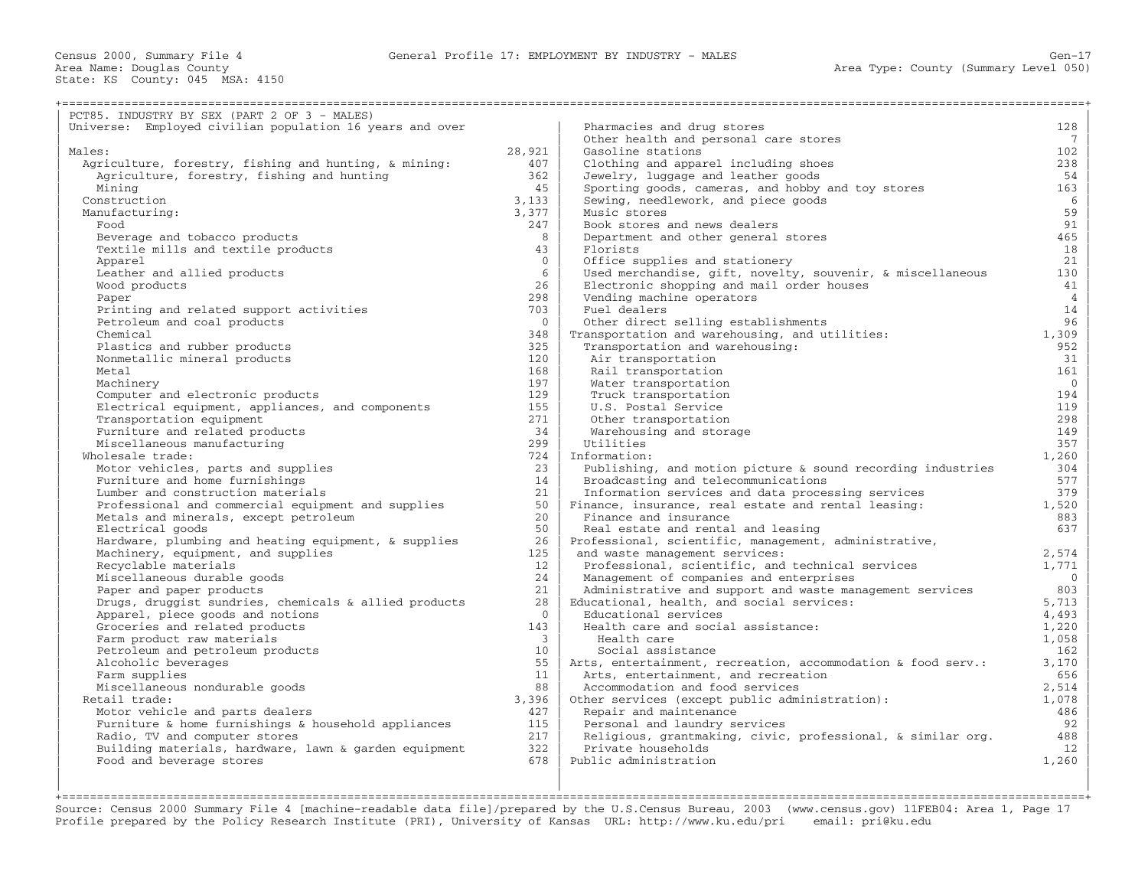| PCT85. INDUSTRY BY SEX (PART 2 OF 3 - MALES)             |                 |                                                              |                       |
|----------------------------------------------------------|-----------------|--------------------------------------------------------------|-----------------------|
| Universe: Employed civilian population 16 years and over |                 | Pharmacies and drug stores                                   | 128                   |
|                                                          |                 | Other health and personal care stores                        | $7\phantom{.0}$       |
| Males:                                                   | 28,921          | Gasoline stations                                            | 102                   |
| Agriculture, forestry, fishing and hunting, & mining:    | 407             | Clothing and apparel including shoes                         | 238                   |
| Agriculture, forestry, fishing and hunting               | 362             | Jewelry, luggage and leather goods                           | 54                    |
| Mining                                                   | 45              | Sporting goods, cameras, and hobby and toy stores            | 163                   |
| Construction                                             | 3,133           | Sewing, needlework, and piece goods                          | 6                     |
| Manufacturing:                                           | 3,377           | Music stores                                                 | 59                    |
| Food                                                     | 247             | Book stores and news dealers                                 | 91                    |
| Beverage and tobacco products                            | 8               | Department and other general stores                          | 465                   |
| Textile mills and textile products                       | 43              | Florists                                                     | 18                    |
| Apparel                                                  | $\Omega$        | Office supplies and stationery                               | 21                    |
| Leather and allied products                              | 6               | Used merchandise, gift, novelty, souvenir, & miscellaneous   | 130                   |
| Wood products                                            | 26              | Electronic shopping and mail order houses                    | 41                    |
| Paper                                                    | 298             | Vending machine operators                                    | $\overline{4}$        |
| Printing and related support activities                  | 703             | Fuel dealers                                                 | 14                    |
| Petroleum and coal products                              | $\Omega$        | Other direct selling establishments                          | 96                    |
| Chemical                                                 | 348             | Transportation and warehousing, and utilities:               | 1,309                 |
| Plastics and rubber products                             | 325<br>120      | Transportation and warehousing:                              | 952<br>31             |
| Nonmetallic mineral products                             | 168             | Air transportation                                           |                       |
| Metal<br>Machinery                                       | 197             | Rail transportation<br>Water transportation                  | 161<br>$\overline{0}$ |
| Computer and electronic products                         | 129             | Truck transportation                                         | 194                   |
| Electrical equipment, appliances, and components         | 155             | U.S. Postal Service                                          | 119                   |
| Transportation equipment                                 | 271             | Other transportation                                         | 298                   |
| Furniture and related products                           | 34              | Warehousing and storage                                      | 149                   |
| Miscellaneous manufacturing                              | 299             | Utilities                                                    | 357                   |
| Wholesale trade:                                         | 724             | Information:                                                 | 1,260                 |
| Motor vehicles, parts and supplies                       | 23              | Publishing, and motion picture & sound recording industries  | 304                   |
| Furniture and home furnishings                           | 14              | Broadcasting and telecommunications                          | 577                   |
| Lumber and construction materials                        | 21              | Information services and data processing services            | 379                   |
| Professional and commercial equipment and supplies       | 50              | Finance, insurance, real estate and rental leasing:          | 1,520                 |
| Metals and minerals, except petroleum                    | 20 <sub>o</sub> | Finance and insurance                                        | 883                   |
| Electrical goods                                         | 50              | Real estate and rental and leasing                           | 637                   |
| Hardware, plumbing and heating equipment, & supplies     | 26              | Professional, scientific, management, administrative,        |                       |
| Machinery, equipment, and supplies                       | 125             | and waste management services:                               | 2,574                 |
| Recyclable materials                                     | 12              | Professional, scientific, and technical services             | 1,771                 |
| Miscellaneous durable goods                              | 24              | Management of companies and enterprises                      | $\overline{0}$        |
| Paper and paper products                                 | 2.1             | Administrative and support and waste management services     | 803                   |
| Drugs, druggist sundries, chemicals & allied products    | 28              | Educational, health, and social services:                    | 5,713                 |
| Apparel, piece goods and notions                         | $\overline{0}$  | Educational services                                         | 4,493                 |
| Groceries and related products                           | 143             | Health care and social assistance:                           | 1,220                 |
| Farm product raw materials                               | $\overline{3}$  | Health care                                                  | 1,058                 |
| Petroleum and petroleum products                         | 10              | Social assistance                                            | 162                   |
| Alcoholic beverages                                      | 55              | Arts, entertainment, recreation, accommodation & food serv.: | 3,170                 |
| Farm supplies                                            | 11              | Arts, entertainment, and recreation                          | 656                   |
| Miscellaneous nondurable goods                           | 88              | Accommodation and food services                              | 2,514                 |
| Retail trade:                                            | 3,396           | Other services (except public administration):               | 1,078                 |
| Motor vehicle and parts dealers                          | 427             | Repair and maintenance                                       | 486                   |
| Furniture & home furnishings & household appliances      | 115             | Personal and laundry services                                | 92                    |
| Radio, TV and computer stores                            | 217             | Religious, grantmaking, civic, professional, & similar org.  | 488                   |
| Building materials, hardware, lawn & garden equipment    | 322<br>678      | Private households<br>Public administration                  | 12                    |
| Food and beverage stores                                 |                 |                                                              | 1,260                 |
|                                                          |                 |                                                              |                       |
|                                                          |                 |                                                              |                       |

Source: Census 2000 Summary File 4 [machine−readable data file]/prepared by the U.S.Census Bureau, 2003 (www.census.gov) 11FEB04: Area 1, Page 17 Profile prepared by the Policy Research Institute (PRI), University of Kansas URL: http://www.ku.edu/pri email: pri@ku.edu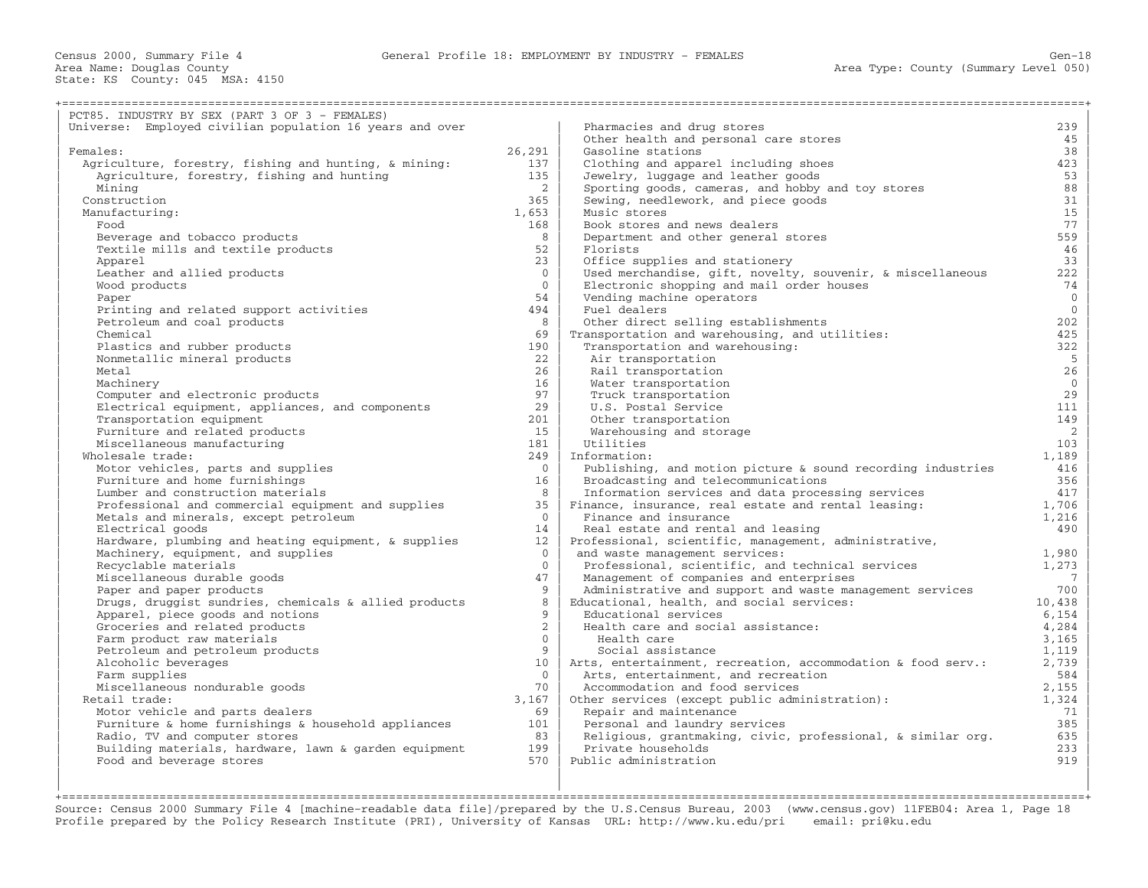+===================================================================================================================================================+

| PCT85. INDUSTRY BY SEX (PART 3 OF 3 - FEMALES)                     |                 |                                                                   |                |
|--------------------------------------------------------------------|-----------------|-------------------------------------------------------------------|----------------|
| Universe: Employed civilian population 16 years and over           |                 | Pharmacies and drug stores                                        | 239            |
|                                                                    |                 | Other health and personal care stores                             | 45             |
| Females:                                                           | 26,291          | Gasoline stations                                                 | 38             |
| Agriculture, forestry, fishing and hunting, & mining:              | 137             | Clothing and apparel including shoes                              | 423            |
| Agriculture, forestry, fishing and hunting                         | 135             | Jewelry, luggage and leather goods                                | 53             |
| Mining                                                             | 2               | Sporting goods, cameras, and hobby and toy stores                 | 88             |
| Construction                                                       | 365             | Sewing, needlework, and piece goods                               | 31             |
| Manufacturing:                                                     | 1,653           | Music stores                                                      | 15             |
| Food                                                               | 168             | Book stores and news dealers                                      | 77             |
| Beverage and tobacco products                                      | 8               | Department and other general stores                               | 559            |
| Textile mills and textile products                                 | 52              | Florists                                                          | 46             |
| Apparel                                                            | 23              | Office supplies and stationery                                    | 33             |
| Leather and allied products                                        | $\Omega$        | Used merchandise, gift, novelty, souvenir, & miscellaneous        | 222            |
| Wood products                                                      | $\Omega$        | Electronic shopping and mail order houses                         | 74             |
| Paper                                                              | 54              | Vending machine operators                                         | $\overline{0}$ |
| Printing and related support activities                            | 494             | Fuel dealers                                                      | $\Omega$       |
| Petroleum and coal products                                        | 8               | Other direct selling establishments                               | 202            |
| Chemical                                                           | 69              | Transportation and warehousing, and utilities:                    | 425            |
| Plastics and rubber products                                       | 190             | Transportation and warehousing:                                   | 322            |
| Nonmetallic mineral products                                       | 22              | Air transportation                                                | 5              |
| Metal                                                              | 2.6             | Rail transportation                                               | 26             |
| Machinery                                                          | 16              | Water transportation                                              | $\overline{0}$ |
| Computer and electronic products                                   | 97              | Truck transportation                                              | 29             |
| Electrical equipment, appliances, and components                   | 29              | U.S. Postal Service                                               | 111            |
| Transportation equipment                                           | 201             | Other transportation                                              | 149            |
| Furniture and related products                                     | 15              | Warehousing and storage                                           | $\overline{2}$ |
| Miscellaneous manufacturing                                        | 181             | Utilities                                                         | 103            |
| Wholesale trade:                                                   | 249             | Information:                                                      | 1,189          |
| Motor vehicles, parts and supplies                                 | $\Omega$        | Publishing, and motion picture $\&$ sound recording industries    | 416            |
| Furniture and home furnishings                                     | 16              | Broadcasting and telecommunications                               | 356            |
| Lumber and construction materials                                  | 8               | Information services and data processing services                 | 417            |
| Professional and commercial equipment and supplies                 | 35              | Finance, insurance, real estate and rental leasing:               | 1,706          |
| Metals and minerals, except petroleum                              | $\Omega$        | Finance and insurance                                             | 1,216          |
| Electrical goods                                                   | 14              | Real estate and rental and leasing                                | 490            |
| Hardware, plumbing and heating equipment, & supplies               | 12              | Professional, scientific, management, administrative,             |                |
| Machinery, equipment, and supplies                                 | $\Omega$        | and waste management services:                                    | 1,980          |
| Recyclable materials                                               | $\Omega$        | Professional, scientific, and technical services                  | 1,273          |
| Miscellaneous durable goods                                        | 47<br>9         | Management of companies and enterprises                           | 7              |
| Paper and paper products                                           | 8               | Administrative and support and waste management services          | 700<br>10,438  |
| Drugs, druggist sundries, chemicals & allied products              | 9               | Educational, health, and social services:<br>Educational services | 6,154          |
| Apparel, piece goods and notions<br>Groceries and related products | $\overline{2}$  | Health care and social assistance:                                | 4,284          |
| Farm product raw materials                                         | $\Omega$        | Health care                                                       | 3,165          |
| Petroleum and petroleum products                                   | 9               | Social assistance                                                 | 1,119          |
| Alcoholic beverages                                                | 10 <sup>°</sup> | Arts, entertainment, recreation, accommodation & food serv.:      | 2,739          |
| Farm supplies                                                      | $\Omega$        | Arts, entertainment, and recreation                               | 584            |
| Miscellaneous nondurable goods                                     | 70              | Accommodation and food services                                   | 2,155          |
| Retail trade:                                                      | 3,167           | Other services (except public administration):                    | 1,324          |
| Motor vehicle and parts dealers                                    | 69              | Repair and maintenance                                            | 71             |
| Furniture & home furnishings & household appliances                | 101             | Personal and laundry services                                     | 385            |
| Radio, TV and computer stores                                      | 83              | Religious, grantmaking, civic, professional, & similar org.       | 635            |
| Building materials, hardware, lawn & garden equipment              | 199             | Private households                                                | 233            |
| Food and beverage stores                                           | 570             | Public administration                                             | 919            |
|                                                                    |                 |                                                                   |                |
|                                                                    |                 |                                                                   |                |

| | | +===================================================================================================================================================+ Source: Census 2000 Summary File 4 [machine−readable data file]/prepared by the U.S.Census Bureau, 2003 (www.census.gov) 11FEB04: Area 1, Page 18 Profile prepared by the Policy Research Institute (PRI), University of Kansas URL: http://www.ku.edu/pri email: pri@ku.edu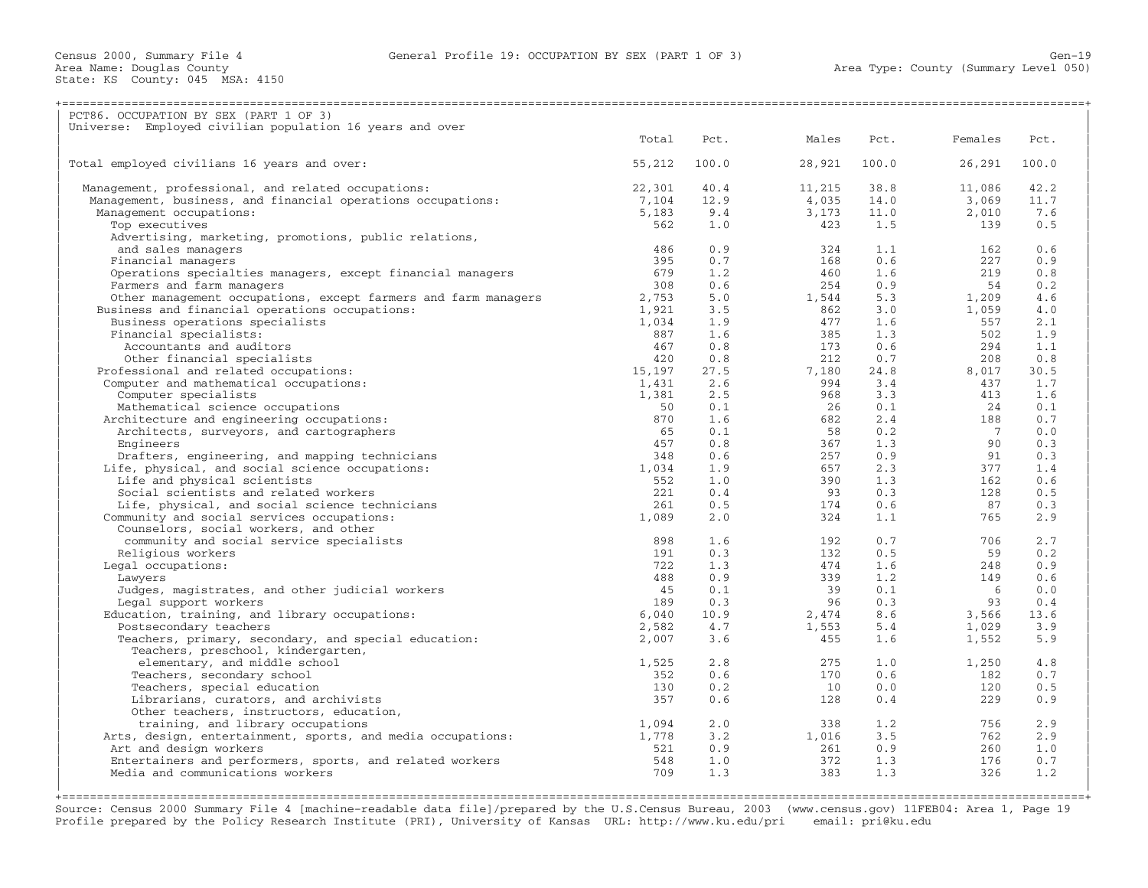| PCT86. OCCUPATION BY SEX (PART 1 OF 3)                                          |           |            |           |             |                       |            |
|---------------------------------------------------------------------------------|-----------|------------|-----------|-------------|-----------------------|------------|
| Universe: Employed civilian population 16 years and over                        | Total     | Pct.       | Males     | Pct.        | Females               | Pct.       |
|                                                                                 |           |            |           |             |                       |            |
| Total employed civilians 16 years and over:                                     | 55,212    | 100.0      | 28,921    | 100.0       | 26,291                | 100.0      |
| Management, professional, and related occupations:                              | 22,301    | 40.4       | 11,215    | 38.8        | 11,086                | 42.2       |
| Management, business, and financial operations occupations:                     | 7,104     | 12.9       | 4,035     | 14.0        | 3,069                 | 11.7       |
| Management occupations:                                                         | 5,183     | 9.4        | 3,173     | 11.0        | 2,010                 | 7.6        |
| Top executives                                                                  | 562       | 1.0        | 423       | 1.5         | 139                   | 0.5        |
| Advertising, marketing, promotions, public relations,                           |           |            |           |             |                       |            |
| and sales managers                                                              | 486       | 0.9        | 324       | 1.1         | 162                   | 0.6        |
| Financial managers                                                              | 395       | 0.7        | 168       | 0.6         | 227                   | 0.9        |
| Operations specialties managers, except financial managers                      | 679       | 1.2        | 460       | 1.6         | 219                   | 0.8        |
| Farmers and farm managers                                                       | 308       | 0.6        | 254       | 0.9         | 54                    | 0.2        |
| Other management occupations, except farmers and farm managers                  | 2,753     | 5.0        | 1,544     | 5.3         | 1,209                 | 4.6        |
| Business and financial operations occupations:                                  | 1,921     | 3.5        | 862       | 3.0         | 1,059                 | 4.0        |
| Business operations specialists                                                 | 1,034     | 1.9        | 477       | 1.6         | 557                   | 2.1        |
| Financial specialists:                                                          | 887       | 1.6        | 385       | 1.3         | 502                   | 1.9        |
| Accountants and auditors                                                        | 467       | 0.8        | 173       | 0.6         | 294                   | 1.1        |
| Other financial specialists                                                     | 420       | 0.8        | 212       | 0.7         | 208                   | 0.8        |
| Professional and related occupations:                                           | 15,197    | 27.5       | 7,180     | 24.8        | 8,017                 | 30.5       |
| Computer and mathematical occupations:                                          | 1,431     | 2.6        | 994       | $3 \cdot 4$ | 437                   | 1.7        |
| Computer specialists                                                            | 1,381     | 2.5        | 968       | 3.3         | 413                   | 1.6        |
| Mathematical science occupations                                                | 50<br>870 | 0.1        | 26        | 0.1         | 24                    | 0.1        |
| Architecture and engineering occupations:                                       |           | 1.6        | 682       | 2.4         | 188<br>$\overline{7}$ | 0.7        |
| Architects, surveyors, and cartographers                                        | 65<br>457 | 0.1        | 58<br>367 | 0.2         | 90                    | 0.0        |
| Engineers                                                                       | 348       | 0.8<br>0.6 | 257       | 1.3<br>0.9  | 91                    | 0.3<br>0.3 |
| Drafters, engineering, and mapping technicians                                  | 1,034     | 1.9        | 657       | 2.3         | 377                   | 1.4        |
| Life, physical, and social science occupations:<br>Life and physical scientists | 552       | 1.0        | 390       | 1.3         | 162                   | 0.6        |
| Social scientists and related workers                                           | 221       | 0.4        | 93        | 0.3         | 128                   | 0.5        |
| Life, physical, and social science technicians                                  | 261       | 0.5        | 174       | 0.6         | 87                    | 0.3        |
| Community and social services occupations:                                      | 1,089     | 2.0        | 324       | 1.1         | 765                   | 2.9        |
| Counselors, social workers, and other                                           |           |            |           |             |                       |            |
| community and social service specialists                                        | 898       | 1.6        | 192       | 0.7         | 706                   | 2.7        |
| Religious workers                                                               | 191       | 0.3        | 132       | 0.5         | 59                    | 0.2        |
| Legal occupations:                                                              | 722       | 1.3        | 474       | 1.6         | 248                   | 0.9        |
| Lawyers                                                                         | 488       | 0.9        | 339       | 1.2         | 149                   | 0.6        |
| Judges, magistrates, and other judicial workers                                 | 45        | 0.1        | 39        | 0.1         | - 6                   | 0.0        |
| Legal support workers                                                           | 189       | 0.3        | 96        | 0.3         | 93                    | 0.4        |
| Education, training, and library occupations:                                   | 6,040     | 10.9       | 2,474     | 8.6         | 3,566                 | 13.6       |
| Postsecondary teachers                                                          | 2,582     | 4.7        | 1,553     | 5.4         | 1,029                 | 3.9        |
| Teachers, primary, secondary, and special education:                            | 2,007     | 3.6        | 455       | 1.6         | 1,552                 | 5.9        |
| Teachers, preschool, kindergarten,                                              |           |            |           |             |                       |            |
| elementary, and middle school                                                   | 1,525     | 2.8        | 275       | 1.0         | 1,250                 | 4.8        |
| Teachers, secondary school                                                      | 352       | 0.6        | 170       | 0.6         | 182                   | 0.7        |
| Teachers, special education                                                     | 130       | 0.2        | 10        | 0.0         | 120                   | 0.5        |
| Librarians, curators, and archivists                                            | 357       | 0.6        | 128       | 0.4         | 229                   | 0.9        |
| Other teachers, instructors, education,                                         |           |            |           |             |                       |            |
| training, and library occupations                                               | 1,094     | 2.0        | 338       | 1.2         | 756                   | 2.9        |
| Arts, design, entertainment, sports, and media occupations:                     | 1,778     | 3.2        | 1,016     | 3.5         | 762                   | 2.9        |
| Art and design workers                                                          | 521       | 0.9        | 261       | 0.9         | 260                   | 1.0        |
| Entertainers and performers, sports, and related workers                        | 548       | 1.0        | 372       | 1.3         | 176                   | 0.7        |
| Media and communications workers                                                | 709       | 1.3        | 383       | 1.3         | 326                   | 1.2        |
|                                                                                 |           |            |           |             |                       |            |
|                                                                                 |           |            |           |             |                       |            |

Source: Census 2000 Summary File 4 [machine−readable data file]/prepared by the U.S.Census Bureau, 2003 (www.census.gov) 11FEB04: Area 1, Page 19 Profile prepared by the Policy Research Institute (PRI), University of Kansas URL: http://www.ku.edu/pri email: pri@ku.edu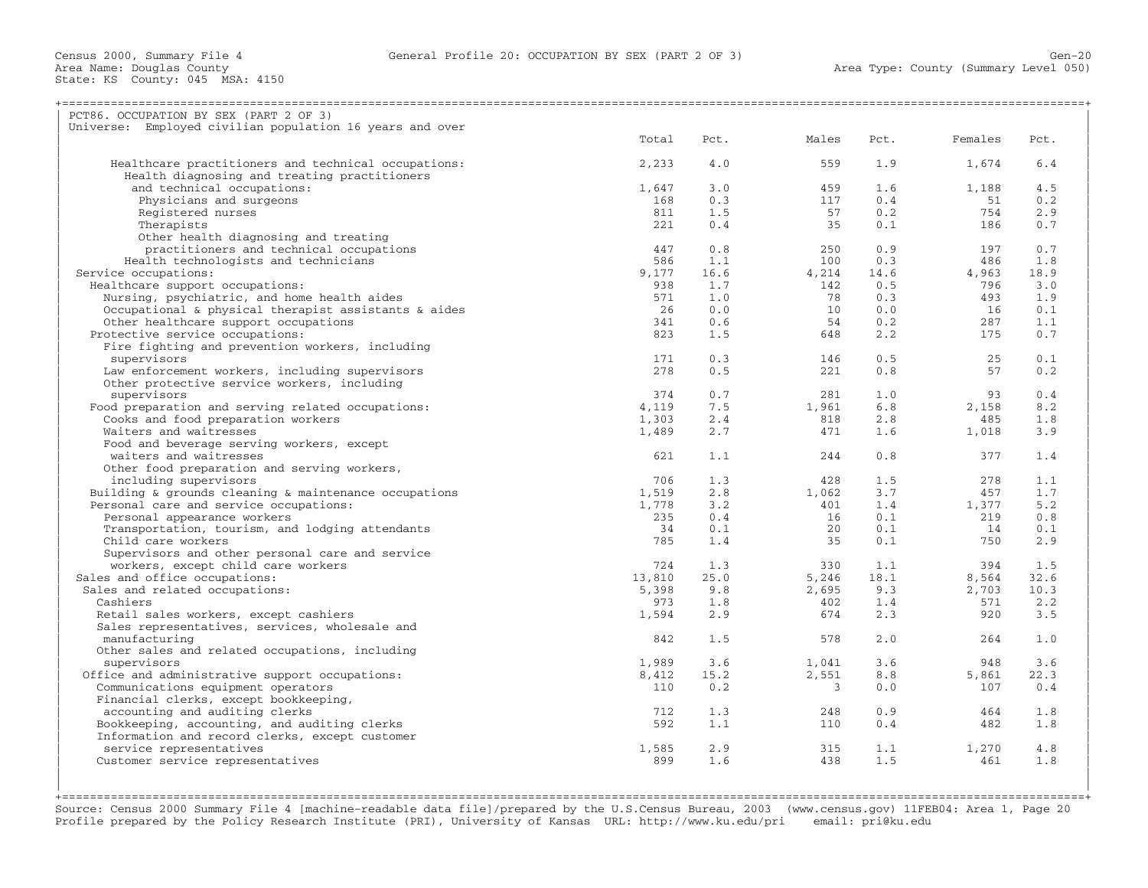| PCT86. OCCUPATION BY SEX (PART 2 OF 3)                   |        |      |       |      |         |      |
|----------------------------------------------------------|--------|------|-------|------|---------|------|
| Universe: Employed civilian population 16 years and over |        |      |       |      |         |      |
|                                                          | Total  | Pct. | Males | Pct. | Females | Pct. |
| Healthcare practitioners and technical occupations:      | 2,233  | 4.0  | 559   | 1.9  | 1,674   | 6.4  |
| Health diagnosing and treating practitioners             |        |      |       |      |         |      |
| and technical occupations:                               | 1,647  | 3.0  | 459   | 1.6  | 1,188   | 4.5  |
| Physicians and surgeons                                  | 168    | 0.3  | 117   | 0.4  | 51      | 0.2  |
| Registered nurses                                        | 811    | 1.5  | 57    | 0.2  | 754     | 2.9  |
| Therapists                                               | 221    | 0.4  | 35    | 0.1  | 186     | 0.7  |
|                                                          |        |      |       |      |         |      |
| Other health diagnosing and treating                     |        |      |       |      |         |      |
| practitioners and technical occupations                  | 447    | 0.8  | 250   | 0.9  | 197     | 0.7  |
| Health technologists and technicians                     | 586    | 1.1  | 100   | 0.3  | 486     | 1.8  |
| Service occupations:                                     | 9,177  | 16.6 | 4,214 | 14.6 | 4,963   | 18.9 |
| Healthcare support occupations:                          | 938    | 1.7  | 142   | 0.5  | 796     | 3.0  |
| Nursing, psychiatric, and home health aides              | 571    | 1.0  | 78    | 0.3  | 493     | 1.9  |
| Occupational & physical therapist assistants & aides     | 26     | 0.0  | 10    | 0.0  | 16      | 0.1  |
| Other healthcare support occupations                     | 341    | 0.6  | 54    | 0.2  | 287     | 1.1  |
| Protective service occupations:                          | 823    | 1.5  | 648   | 2.2  | 175     | 0.7  |
| Fire fighting and prevention workers, including          |        |      |       |      |         |      |
| supervisors                                              | 171    | 0.3  | 146   | 0.5  | 25      | 0.1  |
| Law enforcement workers, including supervisors           | 278    | 0.5  | 221   | 0.8  | 57      | 0.2  |
| Other protective service workers, including              |        |      |       |      |         |      |
| supervisors                                              | 374    | 0.7  | 281   | 1.0  | 93      | 0.4  |
| Food preparation and serving related occupations:        | 4,119  | 7.5  | 1,961 | 6.8  | 2,158   | 8.2  |
| Cooks and food preparation workers                       | 1,303  | 2.4  | 818   | 2.8  | 485     | 1.8  |
| Waiters and waitresses                                   |        |      | 471   | 1.6  |         |      |
|                                                          | 1,489  | 2.7  |       |      | 1,018   | 3.9  |
| Food and beverage serving workers, except                |        |      |       |      |         |      |
| waiters and waitresses                                   | 621    | 1.1  | 244   | 0.8  | 377     | 1.4  |
| Other food preparation and serving workers,              |        |      |       |      |         |      |
| including supervisors                                    | 706    | 1.3  | 428   | 1.5  | 278     | 1.1  |
| Building & grounds cleaning & maintenance occupations    | 1,519  | 2.8  | 1,062 | 3.7  | 457     | 1.7  |
| Personal care and service occupations:                   | 1,778  | 3.2  | 401   | 1.4  | 1,377   | 5.2  |
| Personal appearance workers                              | 235    | 0.4  | 16    | 0.1  | 219     | 0.8  |
| Transportation, tourism, and lodging attendants          | 34     | 0.1  | 20    | 0.1  | 14      | 0.1  |
| Child care workers                                       | 785    | 1.4  | 35    | 0.1  | 750     | 2.9  |
| Supervisors and other personal care and service          |        |      |       |      |         |      |
| workers, except child care workers                       | 724    | 1.3  | 330   | 1.1  | 394     | 1.5  |
| Sales and office occupations:                            | 13,810 | 25.0 | 5,246 | 18.1 | 8,564   | 32.6 |
| Sales and related occupations:                           | 5,398  | 9.8  | 2,695 | 9.3  | 2,703   | 10.3 |
| Cashiers                                                 | 973    | 1.8  | 402   | 1.4  | 571     | 2.2  |
| Retail sales workers, except cashiers                    | 1,594  | 2.9  | 674   | 2.3  | 920     | 3.5  |
| Sales representatives, services, wholesale and           |        |      |       |      |         |      |
| manufacturing                                            | 842    | 1.5  | 578   | 2.0  | 264     | 1.0  |
| Other sales and related occupations, including           |        |      |       |      |         |      |
|                                                          |        |      |       |      |         |      |
| supervisors                                              | 1,989  | 3.6  | 1,041 | 3.6  | 948     | 3.6  |
| Office and administrative support occupations:           | 8,412  | 15.2 | 2,551 | 8.8  | 5,861   | 22.3 |
| Communications equipment operators                       | 110    | 0.2  | 3     | 0.0  | 107     | 0.4  |
| Financial clerks, except bookkeeping,                    |        |      |       |      |         |      |
| accounting and auditing clerks                           | 712    | 1.3  | 248   | 0.9  | 464     | 1.8  |
| Bookkeeping, accounting, and auditing clerks             | 592    | 1.1  | 110   | 0.4  | 482     | 1.8  |
| Information and record clerks, except customer           |        |      |       |      |         |      |
| service representatives                                  | 1,585  | 2.9  | 315   | 1.1  | 1,270   | 4.8  |
| Customer service representatives                         | 899    | 1.6  | 438   | 1.5  | 461     | 1.8  |
|                                                          |        |      |       |      |         |      |
|                                                          |        |      |       |      |         |      |

+===================================================================================================================================================+ Source: Census 2000 Summary File 4 [machine−readable data file]/prepared by the U.S.Census Bureau, 2003 (www.census.gov) 11FEB04: Area 1, Page 20 Profile prepared by the Policy Research Institute (PRI), University of Kansas URL: http://www.ku.edu/pri email: pri@ku.edu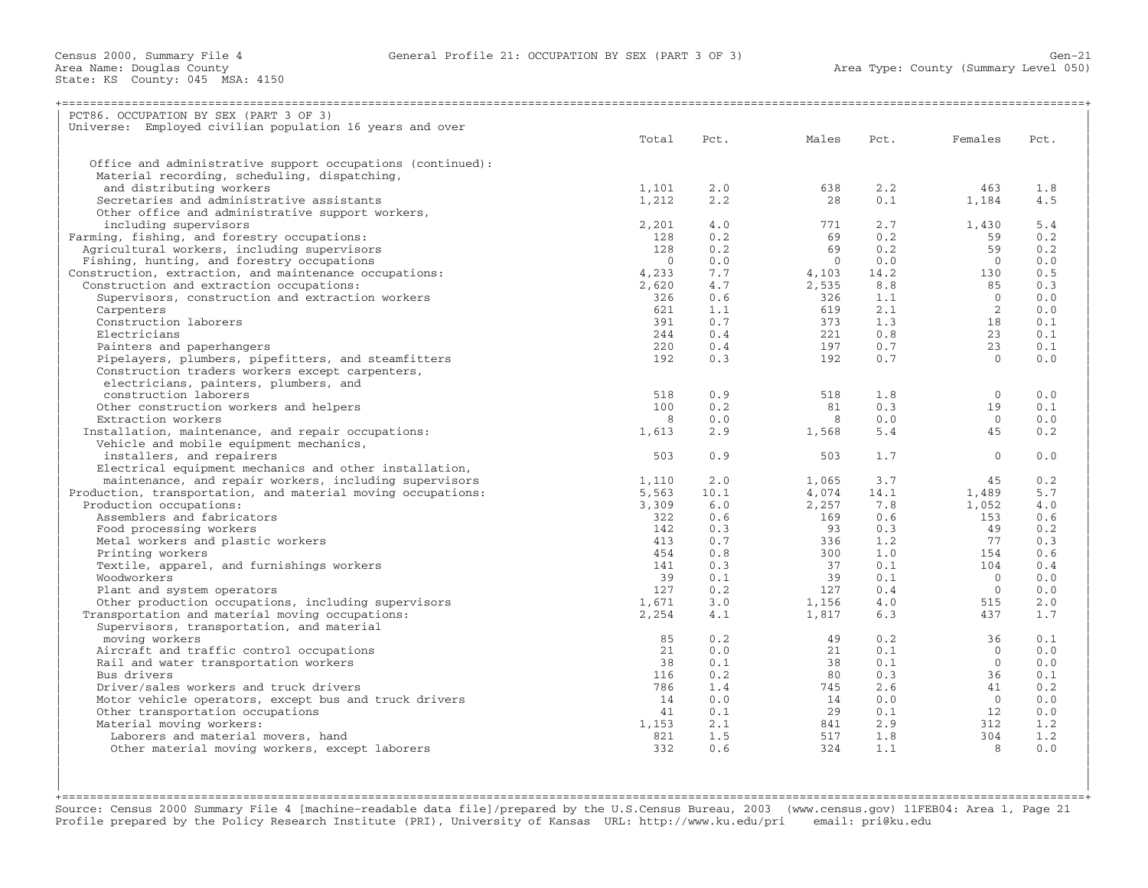| PCT86. OCCUPATION BY SEX (PART 3 OF 3)                                            |           |      |            |      |                |      |
|-----------------------------------------------------------------------------------|-----------|------|------------|------|----------------|------|
| Universe: Employed civilian population 16 years and over                          |           |      |            |      |                |      |
|                                                                                   | Total     | Pct. | Males      | Pct. | Females        | Pct. |
|                                                                                   |           |      |            |      |                |      |
| Office and administrative support occupations (continued):                        |           |      |            |      |                |      |
| Material recording, scheduling, dispatching,                                      |           |      |            |      |                |      |
| and distributing workers                                                          | 1,101     | 2.0  | 638        | 2.2  | 463            | 1.8  |
| Secretaries and administrative assistants                                         | 1,212     | 2.2  | 28         | 0.1  | 1,184          | 4.5  |
| Other office and administrative support workers,                                  |           |      |            |      |                |      |
| including supervisors                                                             | 2,201     | 4.0  | 771        | 2.7  | 1,430          | 5.4  |
| Farming, fishing, and forestry occupations:                                       | 128       | 0.2  | 69         | 0.2  | 59             | 0.2  |
| Agricultural workers, including supervisors                                       | 128       | 0.2  | 69         | 0.2  | 59             | 0.2  |
| Fishing, hunting, and forestry occupations                                        | $\bigcap$ | 0.0  | $\bigcirc$ | 0.0  | $\bigcap$      | 0.0  |
| Construction, extraction, and maintenance occupations:                            | 4,233     | 7.7  | 4,103      | 14.2 | 130            | 0.5  |
| Construction and extraction occupations:                                          | 2,620     | 4.7  | 2,535      | 8.8  | 85             | 0.3  |
| Supervisors, construction and extraction workers                                  | 326       | 0.6  | 326        | 1.1  | $\Omega$       | 0.0  |
| Carpenters                                                                        | 621       | 1.1  | 619        | 2.1  | 2              | 0.0  |
| Construction laborers                                                             | 391       | 0.7  | 373        | 1.3  | 18             | 0.1  |
| Electricians                                                                      | 244       | 0.4  | 221        | 0.8  | 23             | 0.1  |
| Painters and paperhangers                                                         | 220       | 0.4  | 197        | 0.7  | 23             | 0.1  |
| Pipelayers, plumbers, pipefitters, and steamfitters                               | 192       | 0.3  | 192        | 0.7  | $\Omega$       | 0.0  |
| Construction traders workers except carpenters,                                   |           |      |            |      |                |      |
| electricians, painters, plumbers, and                                             |           |      |            |      |                |      |
| construction laborers                                                             | 518       | 0.9  | 518        | 1.8  | $\mathbf{0}$   | 0.0  |
| Other construction workers and helpers                                            | 100       | 0.2  | 81         | 0.3  | 19             | 0.1  |
| Extraction workers                                                                | 8         | 0.0  | 8          | 0.0  | $\Omega$       | 0.0  |
| Installation, maintenance, and repair occupations:                                | 1,613     | 2.9  | 1,568      | 5.4  | 45             | 0.2  |
| Vehicle and mobile equipment mechanics,                                           |           |      |            |      |                |      |
| installers, and repairers                                                         | 503       | 0.9  | 503        | 1.7  | $\Omega$       | 0.0  |
| Electrical equipment mechanics and other installation,                            |           |      |            |      |                |      |
| maintenance, and repair workers, including supervisors                            | 1,110     | 2.0  | 1,065      | 3.7  | 45             | 0.2  |
| Production, transportation, and material moving occupations:                      | 5,563     | 10.1 | 4,074      | 14.1 | 1,489          | 5.7  |
| Production occupations:                                                           | 3,309     | 6.0  | 2,257      | 7.8  | 1,052          | 4.0  |
| Assemblers and fabricators                                                        | 322       | 0.6  | 169        | 0.6  | 153            | 0.6  |
| Food processing workers                                                           | 142       | 0.3  | 93         | 0.3  | 49             | 0.2  |
| Metal workers and plastic workers                                                 | 413       | 0.7  | 336        | 1.2  | 77             | 0.3  |
| Printing workers                                                                  | 454       | 0.8  | 300        | 1.0  | 154            | 0.6  |
| Textile, apparel, and furnishings workers                                         | 141       | 0.3  | 37         | 0.1  | 104            | 0.4  |
| Woodworkers                                                                       | 39        | 0.1  | 39         | 0.1  | $\bigcirc$     | 0.0  |
|                                                                                   | 127       | 0.2  | 127        | 0.4  | $\overline{0}$ | 0.0  |
| Plant and system operators<br>Other production occupations, including supervisors | 1,671     | 3.0  | 1,156      | 4.0  | 515            | 2.0  |
|                                                                                   |           |      |            |      |                |      |
| Transportation and material moving occupations:                                   | 2,254     | 4.1  | 1,817      | 6.3  | 437            | 1.7  |
| Supervisors, transportation, and material                                         |           |      |            |      |                | 0.1  |
| moving workers                                                                    | 85        | 0.2  | 49         | 0.2  | 36             |      |
| Aircraft and traffic control occupations                                          | 21        | 0.0  | 21         | 0.1  | $\Omega$       | 0.0  |
| Rail and water transportation workers                                             | 38        | 0.1  | 38         | 0.1  | $\Omega$       | 0.0  |
| Bus drivers                                                                       | 116       | 0.2  | 80         | 0.3  | 36             | 0.1  |
| Driver/sales workers and truck drivers                                            | 786       | 1.4  | 745        | 2.6  | 41             | 0.2  |
| Motor vehicle operators, except bus and truck drivers                             | 14        | 0.0  | 14         | 0.0  | $\overline{0}$ | 0.0  |
| Other transportation occupations                                                  | 41        | 0.1  | 29         | 0.1  | 12             | 0.0  |
| Material moving workers:                                                          | 1,153     | 2.1  | 841        | 2.9  | 312            | 1.2  |
| Laborers and material movers, hand                                                | 821       | 1.5  | 517        | 1.8  | 304            | 1.2  |
| Other material moving workers, except laborers                                    | 332       | 0.6  | 324        | 1.1  | $\mathsf{R}$   | 0.0  |
|                                                                                   |           |      |            |      |                |      |
|                                                                                   |           |      |            |      |                |      |

+===================================================================================================================================================+Source: Census 2000 Summary File 4 [machine−readable data file]/prepared by the U.S.Census Bureau, 2003 (www.census.gov) 11FEB04: Area 1, Page 21 Profile prepared by the Policy Research Institute (PRI), University of Kansas URL: http://www.ku.edu/pri email: pri@ku.edu

| |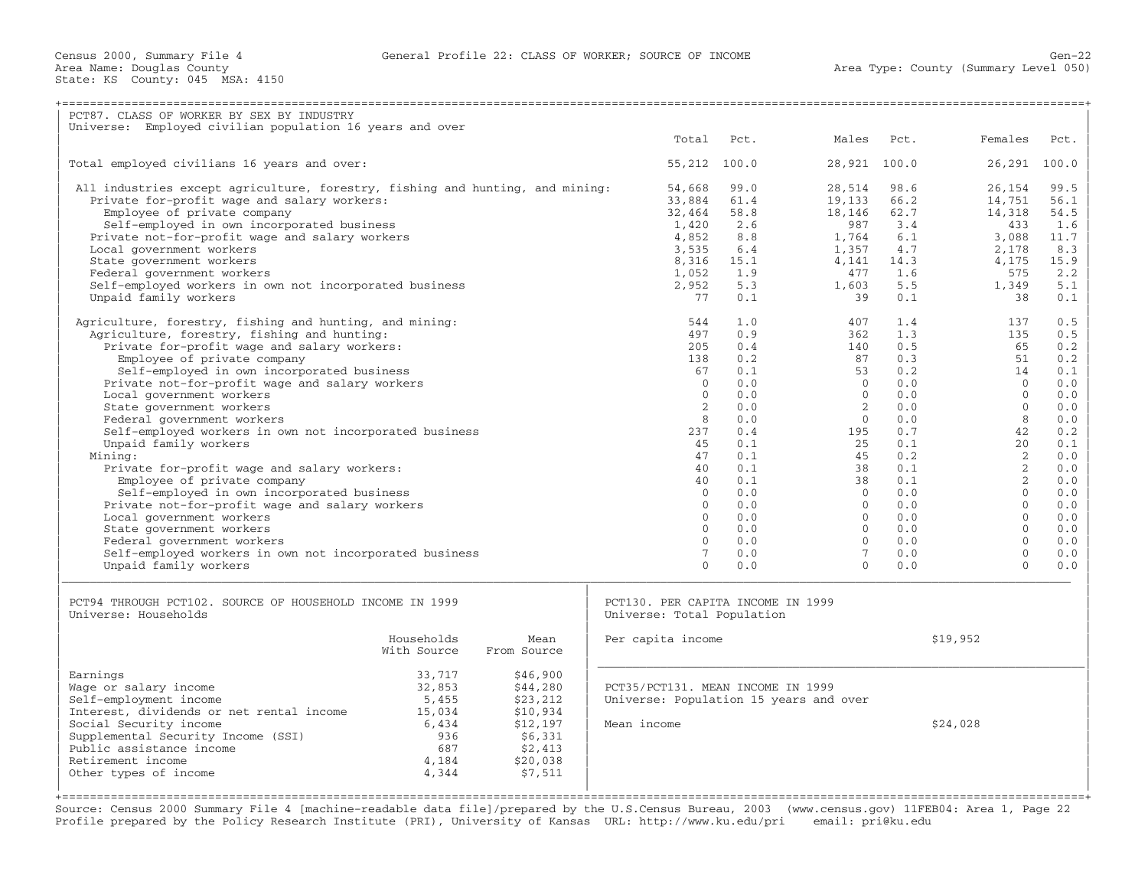| PCT87. CLASS OF WORKER BY SEX BY INDUSTRY                                                                                                                                                                                                                                                                                                                                                                                                                                                                                                                                                                                                                                                                                                                                                                                       |                                                                                                       |                                                                                                                                                                                                        |                                                                                                                                                 |                                                                                                                                                                                                          |                                                                                                                                                 |                                                                                                                                                                                                    |                                                                                                                                                 |
|---------------------------------------------------------------------------------------------------------------------------------------------------------------------------------------------------------------------------------------------------------------------------------------------------------------------------------------------------------------------------------------------------------------------------------------------------------------------------------------------------------------------------------------------------------------------------------------------------------------------------------------------------------------------------------------------------------------------------------------------------------------------------------------------------------------------------------|-------------------------------------------------------------------------------------------------------|--------------------------------------------------------------------------------------------------------------------------------------------------------------------------------------------------------|-------------------------------------------------------------------------------------------------------------------------------------------------|----------------------------------------------------------------------------------------------------------------------------------------------------------------------------------------------------------|-------------------------------------------------------------------------------------------------------------------------------------------------|----------------------------------------------------------------------------------------------------------------------------------------------------------------------------------------------------|-------------------------------------------------------------------------------------------------------------------------------------------------|
| Universe: Employed civilian population 16 years and over                                                                                                                                                                                                                                                                                                                                                                                                                                                                                                                                                                                                                                                                                                                                                                        |                                                                                                       |                                                                                                                                                                                                        |                                                                                                                                                 |                                                                                                                                                                                                          |                                                                                                                                                 |                                                                                                                                                                                                    |                                                                                                                                                 |
|                                                                                                                                                                                                                                                                                                                                                                                                                                                                                                                                                                                                                                                                                                                                                                                                                                 |                                                                                                       | Total                                                                                                                                                                                                  | Pct.                                                                                                                                            | Males                                                                                                                                                                                                    | Pct.                                                                                                                                            | Females                                                                                                                                                                                            | Pct.                                                                                                                                            |
| Total employed civilians 16 years and over:                                                                                                                                                                                                                                                                                                                                                                                                                                                                                                                                                                                                                                                                                                                                                                                     |                                                                                                       | 55,212 100.0                                                                                                                                                                                           |                                                                                                                                                 | 28,921 100.0                                                                                                                                                                                             |                                                                                                                                                 | 26,291 100.0                                                                                                                                                                                       |                                                                                                                                                 |
| All industries except agriculture, forestry, fishing and hunting, and mining:<br>Private for-profit wage and salary workers:<br>Employee of private company<br>Self-employed in own incorporated business<br>Private not-for-profit wage and salary workers<br>Local government workers<br>State government workers<br>Federal government workers<br>Self-employed workers in own not incorporated business<br>Unpaid family workers                                                                                                                                                                                                                                                                                                                                                                                            |                                                                                                       | 54,668<br>33,884<br>32,464<br>1,420<br>4,852<br>3,535<br>8,316<br>1,052<br>2,952<br>77                                                                                                                 | 99.0<br>61.4<br>58.8<br>2.6<br>8.8<br>6.4<br>15.1<br>1.9<br>5.3<br>0.1                                                                          | 28,514<br>19,133<br>18,146<br>987<br>1,764<br>1,357<br>4,141<br>477<br>1,603<br>39                                                                                                                       | 98.6<br>66.2<br>62.7<br>3.4<br>6.1<br>4.7<br>14.3<br>1.6<br>5.5<br>0.1                                                                          | 26,154<br>14,751<br>14,318<br>433<br>3,088<br>2,178<br>4,175<br>575<br>1,349<br>38                                                                                                                 | 99.5<br>56.1<br>54.5<br>1.6<br>11.7<br>8.3<br>15.9<br>2.2<br>5.1<br>0.1                                                                         |
| Agriculture, forestry, fishing and hunting, and mining:<br>Agriculture, forestry, fishing and hunting:<br>Private for-profit wage and salary workers:<br>Employee of private company<br>Self-employed in own incorporated business<br>Private not-for-profit wage and salary workers<br>Local government workers<br>State government workers<br>Federal government workers<br>Self-employed workers in own not incorporated business<br>Unpaid family workers<br>Mining:<br>Private for-profit wage and salary workers:<br>Employee of private company<br>Self-employed in own incorporated business<br>Private not-for-profit wage and salary workers<br>Local government workers<br>State government workers<br>Federal government workers<br>Self-employed workers in own not incorporated business<br>Unpaid family workers |                                                                                                       | 544<br>497<br>205<br>138<br>67<br>$\Omega$<br>$\Omega$<br>$\mathcal{L}$<br>8<br>237<br>45<br>47<br>40<br>40<br>$\Omega$<br>$\Omega$<br>$\Omega$<br>$\Omega$<br>$\Omega$<br>$7\phantom{.0}$<br>$\Omega$ | 1.0<br>0.9<br>0.4<br>0.2<br>0.1<br>0.0<br>0.0<br>0.0<br>0.0<br>0.4<br>0.1<br>0.1<br>0.1<br>0.1<br>0.0<br>0.0<br>0.0<br>0.0<br>0.0<br>0.0<br>0.0 | 407<br>362<br>140<br>87<br>53<br>$\Omega$<br>$\Omega$<br>$\overline{2}$<br>$\circ$<br>195<br>25<br>45<br>38<br>38<br>$\Omega$<br>$\Omega$<br>$\Omega$<br>$\Omega$<br>$\Omega$<br>$7^{\circ}$<br>$\Omega$ | 1.4<br>1.3<br>0.5<br>0.3<br>0.2<br>0.0<br>0.0<br>0.0<br>0.0<br>0.7<br>0.1<br>0.2<br>0.1<br>0.1<br>0.0<br>0.0<br>0.0<br>0.0<br>0.0<br>0.0<br>0.0 | 137<br>135<br>65<br>51<br>14<br>$\Omega$<br>$\Omega$<br>$\Omega$<br>8<br>42<br>2.0<br>2<br>$\overline{2}$<br>2<br>$\Omega$<br>$\Omega$<br>$\Omega$<br>$\Omega$<br>$\Omega$<br>$\Omega$<br>$\Omega$ | 0.5<br>0.5<br>0.2<br>0.2<br>0.1<br>0.0<br>0.0<br>0.0<br>0.0<br>0.2<br>0.1<br>0.0<br>0.0<br>0.0<br>0.0<br>0.0<br>0.0<br>0.0<br>0.0<br>0.0<br>0.0 |
| PCT94 THROUGH PCT102. SOURCE OF HOUSEHOLD INCOME IN 1999<br>Universe: Households                                                                                                                                                                                                                                                                                                                                                                                                                                                                                                                                                                                                                                                                                                                                                |                                                                                                       | PCT130. PER CAPITA INCOME IN 1999<br>Universe: Total Population                                                                                                                                        |                                                                                                                                                 |                                                                                                                                                                                                          |                                                                                                                                                 |                                                                                                                                                                                                    |                                                                                                                                                 |
| Households<br>With Source                                                                                                                                                                                                                                                                                                                                                                                                                                                                                                                                                                                                                                                                                                                                                                                                       | Mean<br>From Source                                                                                   | Per capita income                                                                                                                                                                                      |                                                                                                                                                 |                                                                                                                                                                                                          |                                                                                                                                                 | \$19,952                                                                                                                                                                                           |                                                                                                                                                 |
| Earnings<br>33,717<br>Wage or salary income<br>32,853<br>Self-employment income<br>5,455<br>Interest, dividends or net rental income<br>15,034<br>Social Security income<br>6,434<br>Supplemental Security Income (SSI)<br>936<br>Public assistance income<br>687<br>Retirement income<br>4,184<br>Other types of income<br>4,344                                                                                                                                                                                                                                                                                                                                                                                                                                                                                               | \$46,900<br>\$44,280<br>\$23,212<br>\$10,934<br>\$12,197<br>\$6,331<br>\$2,413<br>\$20,038<br>\$7,511 | PCT35/PCT131. MEAN INCOME IN 1999<br>Universe: Population 15 years and over<br>Mean income                                                                                                             |                                                                                                                                                 |                                                                                                                                                                                                          |                                                                                                                                                 | \$24,028                                                                                                                                                                                           |                                                                                                                                                 |

Source: Census 2000 Summary File 4 [machine−readable data file]/prepared by the U.S.Census Bureau, 2003 (www.census.gov) 11FEB04: Area 1, Page 22 Profile prepared by the Policy Research Institute (PRI), University of Kansas URL: http://www.ku.edu/pri email: pri@ku.edu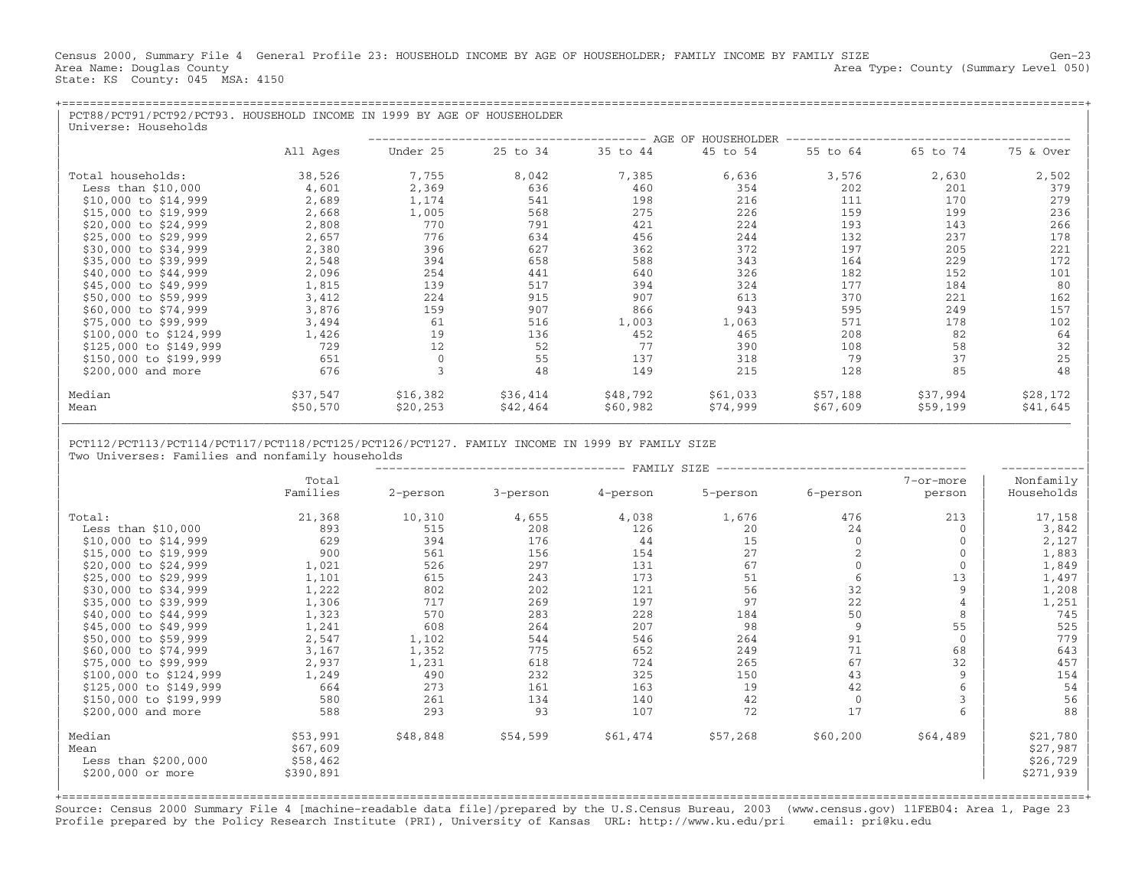Census 2000, Summary File 4 General Profile 23: HOUSEHOLD INCOME BY AGE OF HOUSEHOLDER; FAMILY INCOME BY FAMILY SIZE Gen−23 Area Type: County (Summary Level 050) Area Name: Douglas County<br>State: KS County: 045 MSA: 4150

| PCT88/PCT91/PCT92/PCT93. HOUSEHOLD INCOME IN 1999 BY AGE OF HOUSEHOLDER<br>Universe: Households |          |          |          |          |          |                                |          |           |
|-------------------------------------------------------------------------------------------------|----------|----------|----------|----------|----------|--------------------------------|----------|-----------|
|                                                                                                 |          |          |          |          |          | ______________________________ |          |           |
|                                                                                                 | All Ages | Under 25 | 25 to 34 | 35 to 44 | 45 to 54 | 55 to 64                       | 65 to 74 | 75 & Over |
| Total households:                                                                               | 38,526   | 7,755    | 8,042    | 7,385    | 6,636    | 3,576                          | 2,630    | 2,502     |
| Less than $$10,000$                                                                             | 4,601    | 2,369    | 636      | 460      | 354      | 202                            | 201      | 379       |
| \$10,000 to \$14,999                                                                            | 2,689    | 1,174    | 541      | 198      | 216      | 111                            | 170      | 279       |
| $$15,000$ to $$19,999$                                                                          | 2,668    | 1,005    | 568      | 275      | 226      | 159                            | 199      | 236       |
| \$20,000 to \$24,999                                                                            | 2,808    | 770      | 791      | 421      | 224      | 193                            | 143      | 266       |
| \$25,000 to \$29,999                                                                            | 2,657    | 776      | 634      | 456      | 244      | 132                            | 237      | 178       |
| \$30,000 to \$34,999                                                                            | 2,380    | 396      | 627      | 362      | 372      | 197                            | 205      | 221       |
| \$35,000 to \$39,999                                                                            | 2,548    | 394      | 658      | 588      | 343      | 164                            | 229      | 172       |
| \$40,000 to \$44,999                                                                            | 2,096    | 254      | 441      | 640      | 326      | 182                            | 152      | 101       |
| \$45,000 to \$49,999                                                                            | 1,815    | 139      | 517      | 394      | 324      | 177                            | 184      | 80        |
| \$50,000 to \$59,999                                                                            | 3,412    | 224      | 915      | 907      | 613      | 370                            | 221      | 162       |
| \$60,000 to \$74,999                                                                            | 3,876    | 159      | 907      | 866      | 943      | 595                            | 249      | 157       |
| \$75,000 to \$99,999                                                                            | 3,494    | 61       | 516      | 1,003    | 1,063    | 571                            | 178      | 102       |
| \$100,000 to \$124,999                                                                          | 1,426    | 19       | 136      | 452      | 465      | 208                            | 82       | 64        |
| \$125,000 to \$149,999                                                                          | 729      | 12       | 52       | 77       | 390      | 108                            | 58       | 32        |
| \$150,000 to \$199,999                                                                          | 651      |          | 55       | 137      | 318      | 79                             | 37       | 25        |
| \$200,000 and more                                                                              | 676      |          | 48       | 149      | 215      | 128                            | 85       | 48        |
| Median                                                                                          | \$37,547 | \$16,382 | \$36,414 | \$48,792 | \$61,033 | \$57,188                       | \$37,994 | \$28,172  |
| Mean                                                                                            | \$50,570 | \$20,253 | \$42,464 | \$60,982 | \$74,999 | \$67,609                       | \$59,199 | \$41,645  |

| | | PCT112/PCT113/PCT114/PCT117/PCT118/PCT125/PCT126/PCT127. FAMILY INCOME IN 1999 BY FAMILY SIZE | Two Universes: Families and nonfamily households

|                                                             |                                               |          |          | FAMILY SIZE |          |              |              |                                               |
|-------------------------------------------------------------|-----------------------------------------------|----------|----------|-------------|----------|--------------|--------------|-----------------------------------------------|
|                                                             | Total                                         |          |          |             |          |              | 7-or-more    | Nonfamily                                     |
|                                                             | Families                                      | 2-person | 3-person | 4-person    | 5-person | 6-person     | person       | Households                                    |
| Total:                                                      | 21,368                                        | 10,310   | 4,655    | 4,038       | 1,676    | 476          | 213          | 17,158                                        |
| Less than $$10,000$                                         | 893                                           | 515      | 208      | 126         | 20       | 24           | $\Omega$     | 3,842                                         |
| \$10,000 to \$14,999                                        | 629                                           | 394      | 176      | 44          | 15       |              |              | 2,127                                         |
| \$15,000 to \$19,999                                        | 900                                           | 561      | 156      | 154         | 27       |              | $\mathbf 0$  | 1,883                                         |
| \$20,000 to \$24,999                                        | 1,021                                         | 526      | 297      | 131         | 67       |              | $\Omega$     | 1,849                                         |
| \$25,000 to \$29,999                                        | 1,101                                         | 615      | 243      | 173         | 51       |              | 13           | 1,497                                         |
| \$30,000 to \$34,999                                        | 1,222                                         | 802      | 202      | 121         | 56       | 32           | 9            | 1,208                                         |
| \$35,000 to \$39,999                                        | 1,306                                         | 717      | 269      | 197         | 97       | 22           |              | 1,251                                         |
| \$40,000 to \$44,999                                        | 1,323                                         | 570      | 283      | 228         | 184      | 50           | 8            | 745                                           |
| \$45,000 to \$49,999                                        | 1,241                                         | 608      | 264      | 207         | 98       | 9            | 55           | 525                                           |
| \$50,000 to \$59,999                                        | 2,547                                         | 1,102    | 544      | 546         | 264      | 91           | $\Omega$     | 779                                           |
| \$60,000 to \$74,999                                        | 3,167                                         | 1,352    | 775      | 652         | 249      | 71           | 68           | 643                                           |
| \$75,000 to \$99,999                                        | 2,937                                         | 1,231    | 618      | 724         | 265      | 67           | 32           | 457                                           |
| \$100,000 to \$124,999                                      | 1,249                                         | 490      | 232      | 325         | 150      | 43           | $\mathsf{Q}$ | 154                                           |
| \$125,000 to \$149,999                                      | 664                                           | 273      | 161      | 163         | 19       | 42           | 6            | 54                                            |
| \$150,000 to \$199,999                                      | 580                                           | 261      | 134      | 140         | 42       | $\mathbf{0}$ |              | 56                                            |
| $$200,000$ and more                                         | 588                                           | 293      | 93       | 107         | 72       | 17           | 6            | 88                                            |
| Median<br>Mean<br>Less than $$200,000$<br>\$200,000 or more | \$53,991<br>\$67,609<br>\$58,462<br>\$390,891 | \$48,848 | \$54,599 | \$61,474    | \$57,268 | \$60, 200    | \$64,489     | \$21,780<br>\$27,987<br>\$26,729<br>\$271,939 |
|                                                             |                                               |          |          |             |          |              |              |                                               |

+===================================================================================================================================================+Source: Census 2000 Summary File 4 [machine−readable data file]/prepared by the U.S.Census Bureau, 2003 (www.census.gov) 11FEB04: Area 1, Page 23 Profile prepared by the Policy Research Institute (PRI), University of Kansas URL: http://www.ku.edu/pri email: pri@ku.edu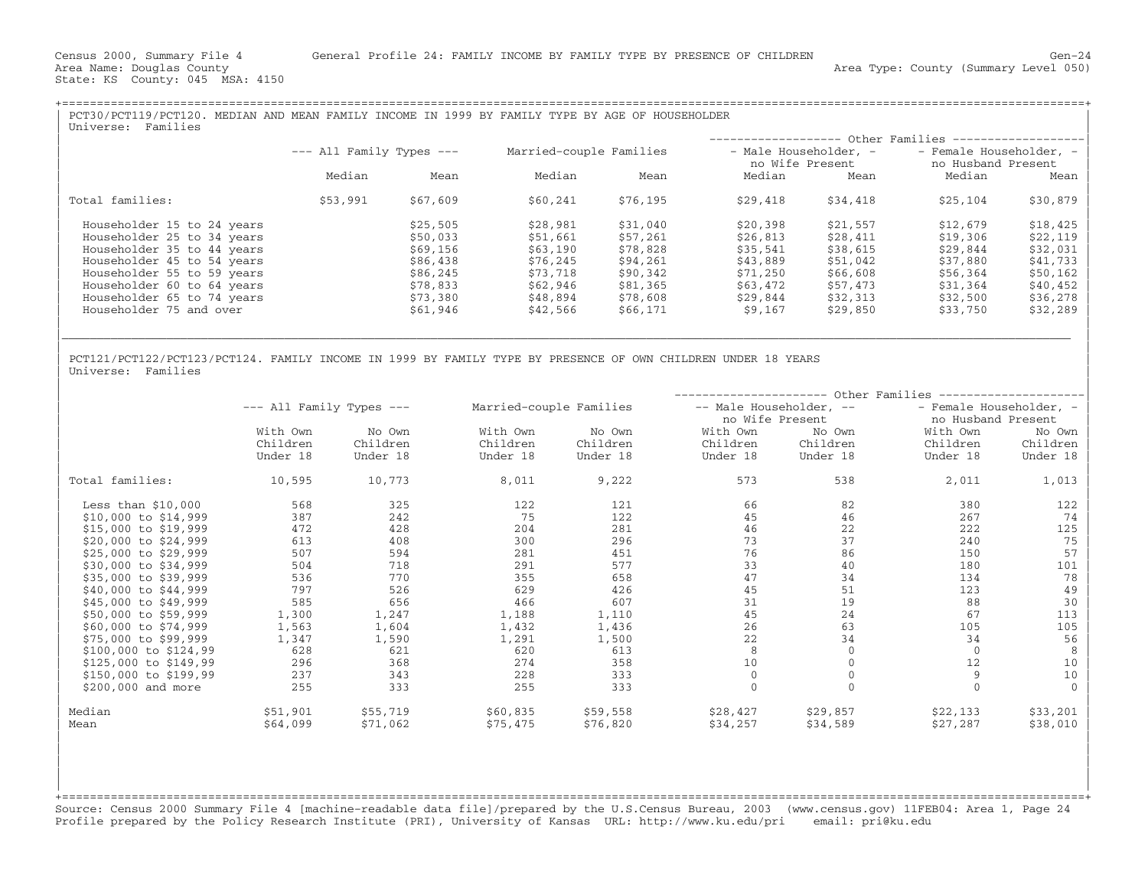+===================================================================================================================================================+

| PCT30/PCT119/PCT120. MEDIAN AND MEAN FAMILY INCOME IN 1999 BY FAMILY TYPE BY AGE OF HOUSEHOLDER<br>Universe: Families                                                                                                                     |                              |                                                                                              |                                                                                              |                                                                                              |                                                                                             |                                                                                              |                                                                                              |                                                                                              |
|-------------------------------------------------------------------------------------------------------------------------------------------------------------------------------------------------------------------------------------------|------------------------------|----------------------------------------------------------------------------------------------|----------------------------------------------------------------------------------------------|----------------------------------------------------------------------------------------------|---------------------------------------------------------------------------------------------|----------------------------------------------------------------------------------------------|----------------------------------------------------------------------------------------------|----------------------------------------------------------------------------------------------|
|                                                                                                                                                                                                                                           |                              |                                                                                              |                                                                                              |                                                                                              |                                                                                             |                                                                                              |                                                                                              |                                                                                              |
|                                                                                                                                                                                                                                           | $---$ All Family Types $---$ |                                                                                              | Married-couple Families                                                                      |                                                                                              | - Male Householder, -<br>no Wife Present                                                    |                                                                                              | - Female Householder, -<br>no Husband Present                                                |                                                                                              |
|                                                                                                                                                                                                                                           | Median                       | Mean                                                                                         | Median                                                                                       | Mean                                                                                         | Median                                                                                      | Mean                                                                                         | Median                                                                                       | Mean                                                                                         |
| Total families:                                                                                                                                                                                                                           | \$53,991                     | \$67,609                                                                                     | \$60,241                                                                                     | \$76,195                                                                                     | \$29,418                                                                                    | \$34,418                                                                                     | \$25,104                                                                                     | \$30,879                                                                                     |
| Householder 15 to 24 years<br>Householder 25 to 34 years<br>Householder 35 to 44 years<br>Householder 45 to 54 years<br>Householder 55 to 59 years<br>Householder 60 to 64 years<br>Householder 65 to 74 years<br>Householder 75 and over |                              | \$25,505<br>\$50,033<br>\$69,156<br>\$86,438<br>\$86,245<br>\$78,833<br>\$73,380<br>\$61,946 | \$28,981<br>\$51,661<br>\$63,190<br>\$76,245<br>\$73,718<br>\$62,946<br>\$48,894<br>\$42,566 | \$31,040<br>\$57,261<br>\$78,828<br>\$94,261<br>\$90,342<br>\$81,365<br>\$78,608<br>\$66,171 | \$20,398<br>\$26,813<br>\$35.541<br>\$43,889<br>\$71,250<br>\$63,472<br>\$29,844<br>\$9,167 | \$21,557<br>\$28,411<br>\$38,615<br>\$51,042<br>\$66,608<br>\$57,473<br>\$32,313<br>\$29,850 | \$12,679<br>\$19,306<br>\$29,844<br>\$37,880<br>\$56,364<br>\$31,364<br>\$32,500<br>\$33,750 | \$18,425<br>\$22,119<br>\$32,031<br>\$41,733<br>\$50,162<br>\$40,452<br>\$36,278<br>\$32,289 |
|                                                                                                                                                                                                                                           |                              |                                                                                              |                                                                                              |                                                                                              |                                                                                             |                                                                                              |                                                                                              |                                                                                              |

|\_\_\_\_\_\_\_\_\_\_\_\_\_\_\_\_\_\_\_\_\_\_\_\_\_\_\_\_\_\_\_\_\_\_\_\_\_\_\_\_\_\_\_\_\_\_\_\_\_\_\_\_\_\_\_\_\_\_\_\_\_\_\_\_\_\_\_\_\_\_\_\_\_\_\_\_\_\_\_\_\_\_\_\_\_\_\_\_\_\_\_\_\_\_\_\_\_\_\_\_\_\_\_\_\_\_\_\_\_\_\_\_\_\_\_\_\_\_\_\_\_\_\_\_\_\_\_\_\_\_\_\_\_\_\_\_\_\_\_\_\_\_\_\_\_ | | |

| |

PCT121/PCT122/PCT123/PCT124. FAMILY INCOME IN 1999 BY FAMILY TYPE BY PRESENCE OF OWN CHILDREN UNDER 18 YEARS<br>Universe: Families | Universe: Families | Northern Communication | Northern Communication | Northern Communication | Northern Communication | Northern Communication | Northern Communication | Northern Communication | Northern Communication |

|                        |                              |          |                         | ----------------- Other Families |                         |          |                         |          |  |  |  |
|------------------------|------------------------------|----------|-------------------------|----------------------------------|-------------------------|----------|-------------------------|----------|--|--|--|
|                        | $---$ All Family Types $---$ |          | Married-couple Families |                                  | -- Male Householder, -- |          | - Female Householder, - |          |  |  |  |
|                        |                              |          |                         |                                  | no Wife Present         |          | no Husband Present      |          |  |  |  |
|                        | With Own                     | No Own   | With Own                | No Own                           | With Own                | No Own   | With Own                | No Own   |  |  |  |
|                        | Children                     | Children | Children                | Children                         | Children                | Children | Children                | Children |  |  |  |
|                        | Under 18                     | Under 18 | Under 18                | Under 18                         | Under 18                | Under 18 | Under 18                | Under 18 |  |  |  |
| Total families:        | 10,595                       | 10,773   | 8,011                   | 9,222                            | 573                     | 538      | 2,011                   | 1,013    |  |  |  |
| Less than $$10,000$    | 568                          | 325      | 122                     | 121                              | 66                      | 82       | 380                     | 122      |  |  |  |
| $$10,000$ to $$14,999$ | 387                          | 242      | 75                      | 122                              | 45                      | 46       | 267                     | 74       |  |  |  |
| \$15,000 to \$19,999   | 472                          | 428      | 204                     | 281                              | 46                      | 22       | 222                     | 125      |  |  |  |
| \$20,000 to \$24,999   | 613                          | 408      | 300                     | 296                              | 73                      | 37       | 240                     | 75       |  |  |  |
| \$25,000 to \$29,999   | 507                          | 594      | 281                     | 451                              | 76                      | 86       | 150                     | 57       |  |  |  |
| \$30,000 to \$34,999   | 504                          | 718      | 291                     | 577                              | 33                      | 40       | 180                     | 101      |  |  |  |
| \$35,000 to \$39,999   | 536                          | 770      | 355                     | 658                              | 47                      | 34       | 134                     | 78       |  |  |  |
| \$40,000 to \$44,999   | 797                          | 526      | 629                     | 426                              | 45                      | 51       | 123                     | 49       |  |  |  |
| \$45,000 to \$49,999   | 585                          | 656      | 466                     | 607                              | 31                      | 19       | 88                      | 30       |  |  |  |
| \$50,000 to \$59,999   | 1,300                        | 1,247    | 1,188                   | 1,110                            | 45                      | 24       | 67                      | 113      |  |  |  |
| \$60,000 to \$74,999   | 1,563                        | 1,604    | 1,432                   | 1,436                            | 26                      | 63       | 105                     | 105      |  |  |  |
| \$75,000 to \$99,999   | 1,347                        | 1,590    | 1,291                   | 1,500                            | 22                      | 34       | 34                      | 56       |  |  |  |
| \$100,000 to \$124,99  | 628                          | 621      | 620                     | 613                              | 8                       | $\Omega$ | $\Omega$                | 8        |  |  |  |
| \$125,000 to \$149,99  | 296                          | 368      | 274                     | 358                              | 10                      |          | 12                      | 10       |  |  |  |
| \$150,000 to \$199,99  | 237                          | 343      | 228                     | 333                              | $\mathbf{0}$            |          | $\overline{9}$          | 10       |  |  |  |
| \$200,000 and more     | 255                          | 333      | 255                     | 333                              | $\Omega$                |          | $\Omega$                | $\Omega$ |  |  |  |
| Median                 | \$51,901                     | \$55,719 | \$60,835                | \$59,558                         | \$28,427                | \$29,857 | \$22,133                | \$33,201 |  |  |  |
| Mean                   | \$64,099                     | \$71,062 | \$75,475                | \$76,820                         | \$34,257                | \$34,589 | \$27,287                | \$38,010 |  |  |  |

+===================================================================================================================================================+Source: Census 2000 Summary File 4 [machine−readable data file]/prepared by the U.S.Census Bureau, 2003 (www.census.gov) 11FEB04: Area 1, Page 24 Profile prepared by the Policy Research Institute (PRI), University of Kansas URL: http://www.ku.edu/pri email: pri@ku.edu

| | | | | | | |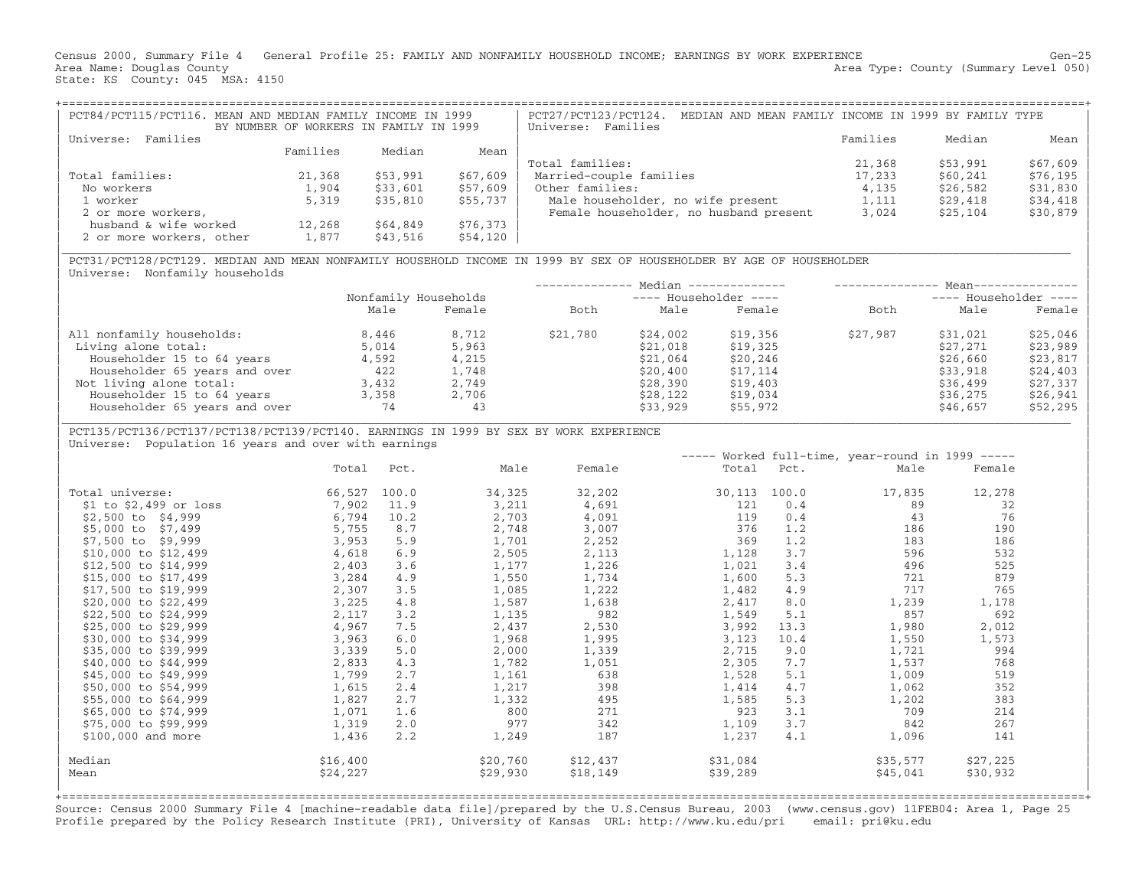Census 2000, Summary File 4 General Profile 25: FAMILY AND NONFAMILY HOUSEHOLD INCOME; EARNINGS BY WORK EXPERIENCE Gen−25 Area Name: Douglas County (Summary Level 050) (Area Type: County (Summary Level 050) State: KS County: 045 MSA: 4150

| PCT84/PCT115/PCT116. MEAN AND MEDIAN FAMILY INCOME IN 1999 | BY NUMBER OF WORKERS IN FAMILY IN 1999 |          |          | MEDIAN AND MEAN FAMILY INCOME IN 1999 BY FAMILY TYPE<br>PCT27/PCT123/PCT124.<br>Universe: Families |          |          |            |
|------------------------------------------------------------|----------------------------------------|----------|----------|----------------------------------------------------------------------------------------------------|----------|----------|------------|
| Families<br>Universe:                                      |                                        |          |          |                                                                                                    | Families | Median   | Mean       |
|                                                            | Families                               | Median   | Mean     |                                                                                                    |          |          |            |
|                                                            |                                        |          |          | Total families:                                                                                    | 21,368   | \$53,991 | $$67,609$  |
| Total families:                                            | 21,368                                 | \$53,991 | \$67,609 | Married-couple families                                                                            | 17,233   | \$60,241 | $$76, 195$ |
| No workers                                                 | 1,904                                  | \$33,601 | \$57,609 | Other families:                                                                                    | 4,135    | \$26,582 | \$31,830   |
| 1 worker                                                   | 5,319                                  | \$35,810 | \$55,737 | Male householder, no wife present                                                                  | 1,111    | \$29,418 | $$34,418$  |
| 2 or more workers,                                         |                                        |          |          | Female householder, no husband present                                                             | 3,024    | \$25,104 | $$30,879$  |
| husband & wife worked                                      | 12,268                                 | \$64,849 | \$76,373 |                                                                                                    |          |          |            |
| 2 or more workers, other                                   | 1,877                                  | \$43,516 | \$54,120 |                                                                                                    |          |          |            |

|\_\_\_\_\_\_\_\_\_\_\_\_\_\_\_\_\_\_\_\_\_\_\_\_\_\_\_\_\_\_\_\_\_\_\_\_\_\_\_\_\_\_\_\_\_\_\_\_\_\_\_\_\_\_\_\_\_\_\_\_\_\_\_\_\_\_\_\_\_\_\_\_\_\_\_\_\_\_\_\_\_\_\_\_\_\_\_\_\_\_\_\_\_\_\_\_\_\_\_\_\_\_\_\_\_\_\_\_\_\_\_\_\_\_\_\_\_\_\_\_\_\_\_\_\_\_\_\_\_\_\_\_\_\_\_\_\_\_\_\_\_\_\_\_\_ |

| PCT31/PCT128/PCT129. MEDIAN AND MEAN NONFAMILY HOUSEHOLD INCOME IN 1999 BY SEX OF HOUSEHOLDER BY AGE OF HOUSEHOLDER | Universe: Nonfamily households

|                               |                      |        |          |                         | Median -------------- |          | $Mean--$              |          |
|-------------------------------|----------------------|--------|----------|-------------------------|-----------------------|----------|-----------------------|----------|
|                               | Nonfamily Households |        |          | $---$ Householder $---$ |                       |          | ---- Householder ---- |          |
|                               | Male                 | Female | Both     | Male                    | Female                | Both     | Male                  | Female   |
| All nonfamily households:     | 8,446                | 8,712  | \$21,780 | \$24,002                | \$19,356              | \$27,987 | \$31,021              | \$25,046 |
| Living alone total:           | 5,014                | 5,963  |          | \$21,018                | \$19,325              |          | \$27,271              | \$23,989 |
| Householder 15 to 64 years    | 4,592                | 4,215  |          | \$21,064                | \$20,246              |          | \$26,660              | \$23,817 |
| Householder 65 years and over | 422                  | 1,748  |          | \$20,400                | \$17,114              |          | \$33,918              | \$24,403 |
| Not living alone total:       | 3,432                | 2,749  |          | \$28,390                | \$19,403              |          | \$36,499              | \$27,337 |
| Householder 15 to 64 years    | 3,358                | 2,706  |          | \$28,122                | \$19,034              |          | \$36,275              | \$26,941 |
| Householder 65 years and over | 74                   | 43     |          | \$33,929                | \$55,972              |          | \$46,657              | \$52,295 |

| PCT135/PCT136/PCT137/PCT138/PCT139/PCT140. EARNINGS IN 1999 BY SEX BY WORK EXPERIENCE |

Universe: Population 16 years and over with earnings

|                          |              |      |          |          |          |            | $---$ Worked full-time, year-round in 1999 ----- |          |  |
|--------------------------|--------------|------|----------|----------|----------|------------|--------------------------------------------------|----------|--|
|                          | Total        | Pct. | Male     | Female   |          | Total Pct. | Male                                             | Female   |  |
| Total universe:          | 66,527 100.0 |      | 34,325   | 32,202   | 30,113   | 100.0      | 17,835                                           | 12,278   |  |
| $$1$ to $$2,499$ or loss | 7,902        | 11.9 | 3,211    | 4,691    | 121      | 0.4        | 89                                               | 32       |  |
| $$2,500$ to $$4,999$     | 6,794        | 10.2 | 2,703    | 4,091    | 119      | 0.4        | 43                                               | 76       |  |
| \$5,000 to \$7,499       | 5,755        | 8.7  | 2,748    | 3,007    | 376      | 1.2        | 186                                              | 190      |  |
| \$7,500 to \$9,999       | 3,953        | 5.9  | 1,701    | 2,252    | 369      | 1.2        | 183                                              | 186      |  |
| \$10,000 to \$12,499     | 4,618        | 6.9  | 2,505    | 2,113    | 1,128    | 3.7        | 596                                              | 532      |  |
| \$12,500 to \$14,999     | 2,403        | 3.6  | 1,177    | 1,226    | 1,021    | 3.4        | 496                                              | 525      |  |
| \$15,000 to \$17,499     | 3,284        | 4.9  | 1,550    | 1,734    | 1,600    | 5.3        | 721                                              | 879      |  |
| \$17,500 to \$19,999     | 2,307        | 3.5  | 1,085    | 1,222    | 1,482    | 4.9        | 717                                              | 765      |  |
| \$20,000 to \$22,499     | 3,225        | 4.8  | 1,587    | 1,638    | 2,417    | 8.0        | 1,239                                            | 1,178    |  |
| \$22,500 to \$24,999     | 2,117        | 3.2  | 1,135    | 982      | 1,549    | 5.1        | 857                                              | 692      |  |
| \$25,000 to \$29,999     | 4,967        | 7.5  | 2,437    | 2,530    | 3,992    | 13.3       | 1,980                                            | 2,012    |  |
| \$30,000 to \$34,999     | 3,963        | 6.0  | 1,968    | 1,995    | 3,123    | 10.4       | 1,550                                            | 1,573    |  |
| \$35,000 to \$39,999     | 3,339        | 5.0  | 2,000    | 1,339    | 2,715    | 9.0        | 1,721                                            | 994      |  |
| \$40,000 to \$44,999     | 2,833        | 4.3  | 1,782    | 1,051    | 2,305    | 7.7        | 1,537                                            | 768      |  |
| \$45,000 to \$49,999     | 1,799        | 2.7  | 1,161    | 638      | 1,528    | 5.1        | 1,009                                            | 519      |  |
| \$50,000 to \$54,999     | 1,615        | 2.4  | 1,217    | 398      | 1,414    | 4.7        | 1,062                                            | 352      |  |
| \$55,000 to \$64,999     | 1,827        | 2.7  | 1,332    | 495      | 1,585    | 5.3        | 1,202                                            | 383      |  |
| \$65,000 to \$74,999     | 1,071        | 1.6  | 800      | 271      | 923      | 3.1        | 709                                              | 214      |  |
| \$75,000 to \$99,999     | 1,319        | 2.0  | 977      | 342      | 1,109    | 3.7        | 842                                              | 267      |  |
| $$100,000$ and more      | 1,436        | 2.2  | 1,249    | 187      | 1,237    | 4.1        | 1,096                                            | 141      |  |
| Median                   | \$16,400     |      | \$20,760 | \$12,437 | \$31,084 |            | \$35,577                                         | \$27,225 |  |
| Mean                     | \$24,227     |      | \$29,930 | \$18,149 | \$39,289 |            | \$45,041                                         | \$30,932 |  |
|                          |              |      |          |          |          |            |                                                  |          |  |

+===================================================================================================================================================+ Source: Census 2000 Summary File 4 [machine−readable data file]/prepared by the U.S.Census Bureau, 2003 (www.census.gov) 11FEB04: Area 1, Page 25 Profile prepared by the Policy Research Institute (PRI), University of Kansas URL: http://www.ku.edu/pri email: pri@ku.edu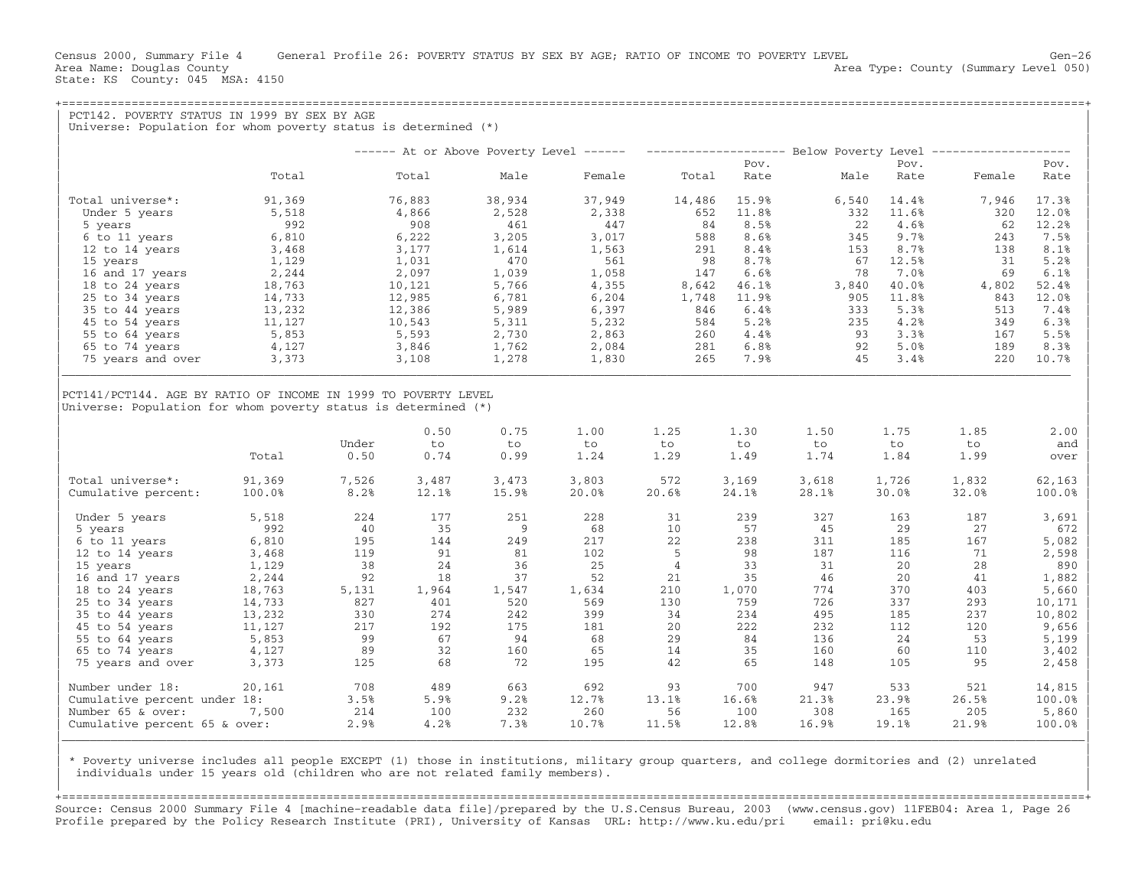Census 2000, Summary File 4 General Profile 26: POVERTY STATUS BY SEX BY AGE; RATIO OF INCOME TO POVERTY LEVEL Gen−26 Area Name: Douglas County  $\blacksquare$  Area Type: County (Summary Level 050) State: KS County: 045 MSA: 4150

+===================================================================================================================================================+PCT142. POVERTY STATUS IN 1999 BY SEX BY AGE Universe: Population for whom poverty status is determined  $(*)$ | | | −−−−−− At or Above Poverty Level −−−−−− −−−−−−−−−−−−−−−−−−−− Below Poverty Level −−−−−−−−−−−−−−−−−−−− | ergy of the state of the state of the state of the state of the state of the state of the state of the state of the state of the state of the state of the state of the state of the state of the state of the state of the st

|                   |        |        |        |        |        | FUV.  |       | $EUV$ . |        | $FUV$ . |
|-------------------|--------|--------|--------|--------|--------|-------|-------|---------|--------|---------|
|                   | Total  | Total  | Male   | Female | Total  | Rate  | Male  | Rate    | Female | Rate    |
| Total universe*:  | 91,369 | 76,883 | 38,934 | 37,949 | 14,486 | 15.9% | 6,540 | 14.4%   | 7,946  | 17.3%   |
| Under 5 years     | 5,518  | 4,866  | 2,528  | 2,338  | 652    | 11.8% | 332   | 11.6%   | 320    | 12.0%   |
| 5 years           | 992    | 908    | 461    | 447    | 84     | 8.5%  | 22    | 4.6%    | 62     | 12.2%   |
| 6 to 11 years     | 6,810  | 6,222  | 3,205  | 3,017  | 588    | 8.6%  | 345   | 9.7%    | 243    | 7.5%    |
| 12 to 14 years    | 3,468  | 3,177  | 1,614  | 1,563  | 291    | 8.4%  | 153   | 8.7%    | 138    | 8.1%    |
| 15 years          | 1,129  | 1,031  | 470    | 561    | 98     | 8.7%  | 67    | 12.5%   | 31     | 5.2%    |
| 16 and 17 years   | 2,244  | 2,097  | 1,039  | 1,058  | 147    | 6.6%  | 78    | 7.0%    | 69     | 6.1%    |
| 18 to 24 years    | 18,763 | 10,121 | 5,766  | 4,355  | 8,642  | 46.1% | 3,840 | 40.0%   | 4,802  | 52.4%   |
| 25 to 34 years    | 14,733 | 12,985 | 6,781  | 6,204  | 1,748  | 11.9% | 905   | 11.8%   | 843    | 12.0%   |
| 35 to 44 years    | 13,232 | 12,386 | 5,989  | 6,397  | 846    | 6.4%  | 333   | 5.3%    | 513    | 7.4%    |
| 45 to 54 years    | 11,127 | 10,543 | 5,311  | 5,232  | 584    | 5.2%  | 235   | 4.2%    | 349    | 6.3%    |
| 55 to 64 years    | 5,853  | 5,593  | 2,730  | 2,863  | 260    | 4.4%  | 93    | 3.3%    | 167    | 5.5%    |
| 65 to 74 years    | 4,127  | 3,846  | 1,762  | 2,084  | 281    | 6.8%  | 92    | 5.0%    | 189    | 8.3%    |
| 75 years and over | 3,373  | 3,108  | 1,278  | 1,830  | 265    | 7.9%  | 45    | 3.4%    | 220    | 10.7%   |
|                   |        |        |        |        |        |       |       |         |        |         |

| | PCT141/PCT144. AGE BY RATIO OF INCOME IN 1999 TO POVERTY LEVEL

|Universe: Population for whom poverty status is determined (\*) |

|                               | Total  | Under<br>0.50 | 0.50<br>to<br>0.74 | 0.75<br>to<br>0.99 | 1.00<br>to<br>1.24 | 1.25<br>to<br>1.29 | 1.30<br>to<br>1.49 | 1.50<br>to<br>1.74 | 1.75<br>to<br>1.84 | 1.85<br>to<br>1.99 | 2.00<br>and<br>over |
|-------------------------------|--------|---------------|--------------------|--------------------|--------------------|--------------------|--------------------|--------------------|--------------------|--------------------|---------------------|
| Total universe*:              | 91,369 | 7,526         | 3,487              | 3,473              | 3,803              | 572                | 3,169              | 3,618              | 1,726              | 1,832              | 62,163              |
| Cumulative percent:           | 100.0% | 8.2%          | 12.1%              | 15.9%              | 20.0%              | 20.6%              | 24.1%              | 28.1%              | 30.0%              | 32.0%              | 100.0%              |
| Under 5 years                 | 5,518  | 224           | 177                | 251                | 228                | 31                 | 239                | 327                | 163                | 187                | 3,691               |
| 5 years                       | 992    | 40            | 35                 | -9                 | 68                 | 10                 | 57                 | 45                 | 29                 | 27                 | 672                 |
| 6 to 11 years                 | 6,810  | 195           | 144                | 249                | 217                | 22                 | 238                | 311                | 185                | 167                | 5,082               |
| 12 to 14 years                | 3,468  | 119           | 91                 | 81                 | 102                |                    | 98                 | 187                | 116                | 71                 | 2,598               |
| 15 years                      | 1,129  | 38            | 24                 | 36                 | 25                 |                    | 33                 | 31                 | 20                 | 28                 | 890                 |
| 16 and 17 years               | 2,244  | 92            | 18                 | 37                 | 52                 | 21                 | 35                 | 46                 | 20                 | 41                 | 1,882               |
| 18 to 24 years                | 18,763 | 5,131         | 1,964              | 1,547              | 1,634              | 210                | 1,070              | 774                | 370                | 403                | 5,660               |
| 25 to 34 years                | 14,733 | 827           | 401                | 520                | 569                | 130                | 759                | 726                | 337                | 293                | 10,171              |
| 35 to 44 years                | 13,232 | 330           | 274                | 242                | 399                | 34                 | 234                | 495                | 185                | 237                | 10,802              |
| 45 to 54 years                | 11,127 | 217           | 192                | 175                | 181                | 20                 | 222                | 232                | 112                | 120                | 9,656               |
| 55 to 64 years                | 5,853  | 99            | 67                 | 94                 | 68                 | 29                 | 84                 | 136                | 24                 | 53                 | 5,199               |
| 65 to 74 years                | 4,127  | 89            | 32                 | 160                | 65                 | 14                 | 35                 | 160                | 60                 | 110                | 3,402               |
| 75 years and over             | 3,373  | 125           | 68                 | 72                 | 195                | 42                 | 65                 | 148                | 105                | 95                 | 2,458               |
| Number under 18:              | 20,161 | 708           | 489                | 663                | 692                | 93                 | 700                | 947                | 533                | 521                | 14,815              |
| Cumulative percent under 18:  |        | 3.5%          | 5.9%               | 9.2%               | 12.7%              | 13.1%              | 16.6%              | 21.3%              | 23.9%              | 26.5%              | 100.0%              |
| Number 65 & over:             | 7,500  | 214           | 100                | 232                | 260                | 56                 | 100                | 308                | 165                | 205                | 5,860               |
| Cumulative percent 65 & over: |        | 2.9%          | 4.2%               | 7.3%               | 10.7%              | 11.5%              | 12.8%              | 16.9%              | 19.1%              | 21.9%              | 100.0%              |

| | | \* Poverty universe includes all people EXCEPT (1) those in institutions, military group quarters, and college dormitories and (2) unrelated | individuals under 15 years old (children who are not related family members). | |

+===================================================================================================================================================+Source: Census 2000 Summary File 4 [machine−readable data file]/prepared by the U.S.Census Bureau, 2003 (www.census.gov) 11FEB04: Area 1, Page 26 Profile prepared by the Policy Research Institute (PRI), University of Kansas URL: http://www.ku.edu/pri email: pri@ku.edu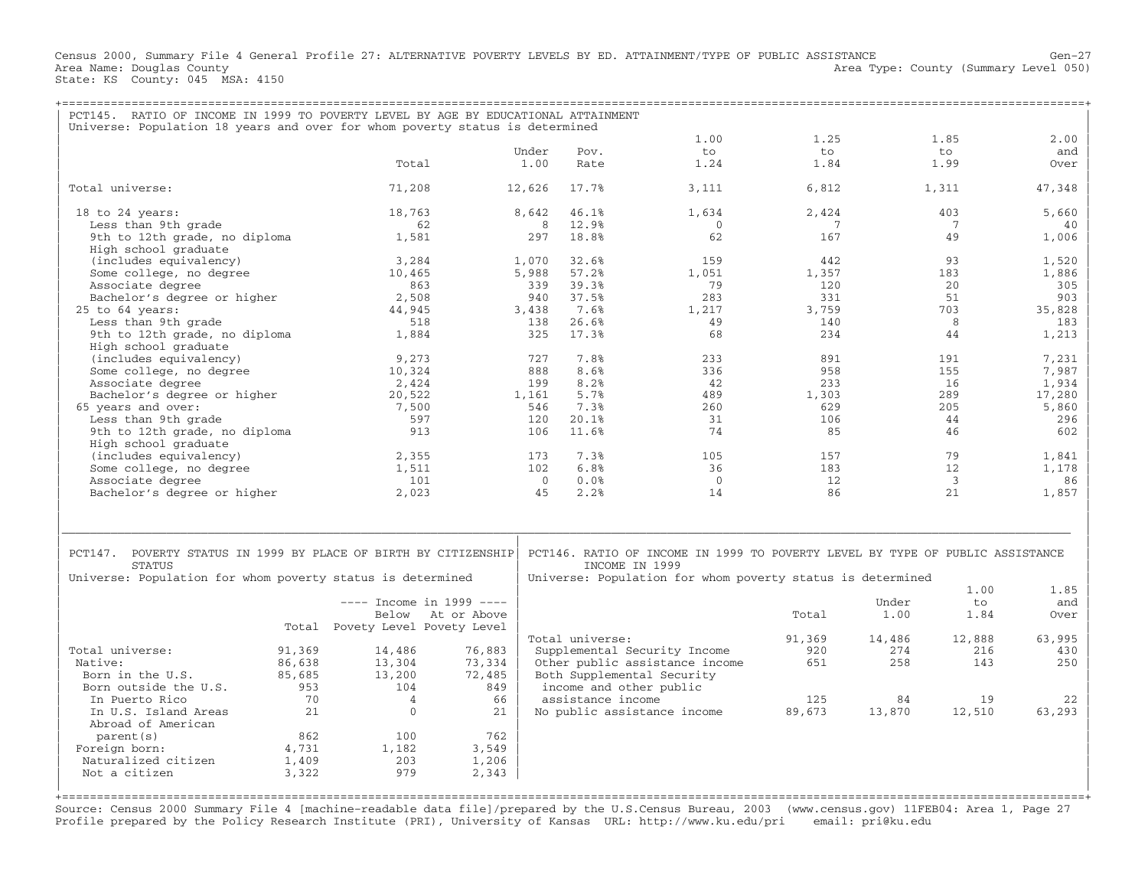Census 2000, Summary File 4 General Profile 27: ALTERNATIVE POVERTY LEVELS BY ED. ATTAINMENT/TYPE OF PUBLIC ASSISTANCE Gen−27 Area Type: County (Summary Level 050) Area Name: Douglas County<br>State: KS County: 045 MSA: 4150

| PCT145. RATIO OF INCOME IN 1999 TO POVERTY LEVEL BY AGE BY EDUCATIONAL ATTAINMENT                                                              |        |                                 |        |                   |                                                                                                                                                               |                 |        |                 |        |
|------------------------------------------------------------------------------------------------------------------------------------------------|--------|---------------------------------|--------|-------------------|---------------------------------------------------------------------------------------------------------------------------------------------------------------|-----------------|--------|-----------------|--------|
| Universe: Population 18 years and over for whom poverty status is determined                                                                   |        |                                 |        |                   | 1.00                                                                                                                                                          | 1.25            |        | 1.85            | 2.00   |
|                                                                                                                                                |        |                                 | Under  | Pov.              | to                                                                                                                                                            | to              |        | to              | and    |
|                                                                                                                                                |        | Total                           | 1.00   | Rate              | 1.24                                                                                                                                                          | 1.84            |        | 1.99            | Over   |
| Total universe:                                                                                                                                |        | 71,208                          | 12,626 | 17.7%             | 3,111                                                                                                                                                         | 6,812           |        | 1,311           | 47,348 |
| 18 to 24 years:                                                                                                                                |        | 18,763                          | 8,642  | 46.1%             | 1,634                                                                                                                                                         | 2,424           |        | 403             | 5,660  |
| Less than 9th grade                                                                                                                            |        | 62                              |        | 8<br>12.9%        | $\overline{0}$                                                                                                                                                | $7\phantom{.0}$ |        | $7\phantom{.0}$ | 40     |
| 9th to 12th grade, no diploma<br>High school graduate                                                                                          |        | 1,581                           | 297    | 18.8%             | 62                                                                                                                                                            | 167             |        | 49              | 1,006  |
| (includes equivalency)                                                                                                                         |        | 3,284                           | 1,070  | 32.6%             | 159                                                                                                                                                           | 442             |        | 93              | 1,520  |
| Some college, no degree                                                                                                                        |        | 10,465                          | 5,988  | 57.2%             | 1,051                                                                                                                                                         | 1,357           |        | 183             | 1,886  |
| Associate degree                                                                                                                               |        | 863                             | 339    | 39.3%             | 79                                                                                                                                                            | 120             |        | 2.0             | 305    |
| Bachelor's degree or higher                                                                                                                    |        | 2,508                           | 940    | 37.5%             | 283                                                                                                                                                           | 331             |        | 51              | 903    |
| $25$ to $64$ years:                                                                                                                            |        | 44,945                          | 3,438  | 7.6%              | 1,217                                                                                                                                                         | 3,759           |        | 703             | 35,828 |
| Less than 9th grade                                                                                                                            |        | 518                             | 138    | 26.6%             | 49                                                                                                                                                            | 140             |        | 8               | 183    |
|                                                                                                                                                |        |                                 | 325    | 17.3%             | 68                                                                                                                                                            | 234             |        | 44              |        |
| 9th to 12th grade, no diploma                                                                                                                  |        | 1,884                           |        |                   |                                                                                                                                                               |                 |        |                 | 1,213  |
| High school graduate                                                                                                                           |        |                                 |        |                   | 233                                                                                                                                                           |                 |        |                 |        |
| (includes equivalency)                                                                                                                         |        | 9,273                           | 727    | 7.8%              |                                                                                                                                                               | 891             |        | 191             | 7,231  |
| Some college, no degree                                                                                                                        |        | 10,324                          | 888    | 8.6%              | 336                                                                                                                                                           | 958             |        | 155             | 7,987  |
| Associate degree                                                                                                                               |        | 2,424                           | 199    | 8.2%              | 42                                                                                                                                                            | 233             |        | 16              | 1,934  |
| Bachelor's degree or higher                                                                                                                    |        | 20,522                          | 1,161  | 5.7%              | 489                                                                                                                                                           | 1,303           |        | 289             | 17,280 |
| 65 years and over:                                                                                                                             |        | 7,500                           | 546    | 7.3%              | 260                                                                                                                                                           | 629             |        | 205             | 5,860  |
| Less than 9th grade                                                                                                                            |        | 597                             | 120    | 20.1%             | 31                                                                                                                                                            | 106             |        | 44              | 296    |
| 9th to 12th grade, no diploma                                                                                                                  |        | 913                             | 106    | 11.6%             | 74                                                                                                                                                            | 85              |        | 46              | 602    |
| High school graduate                                                                                                                           |        |                                 |        |                   |                                                                                                                                                               |                 |        |                 |        |
| (includes equivalency)                                                                                                                         |        | 2,355                           | 173    | 7.3%              | 105                                                                                                                                                           | 157             |        | 79              | 1,841  |
| Some college, no degree                                                                                                                        |        | 1,511                           | 102    | 6.8%              | 36                                                                                                                                                            | 183             |        | 12              | 1,178  |
| Associate degree                                                                                                                               |        | 101                             |        | $\Omega$<br>0.0%  | $\Omega$                                                                                                                                                      | 12              |        | $\overline{3}$  | 86     |
| Bachelor's degree or higher                                                                                                                    |        | 2,023                           |        | 45<br>2.2%        | 14                                                                                                                                                            | 86              |        | 21              | 1,857  |
| PCT147. POVERTY STATUS IN 1999 BY PLACE OF BIRTH BY CITIZENSHIP<br><b>STATUS</b><br>Universe: Population for whom poverty status is determined |        |                                 |        |                   | PCT146. RATIO OF INCOME IN 1999 TO POVERTY LEVEL BY TYPE OF PUBLIC ASSISTANCE<br>INCOME IN 1999<br>Universe: Population for whom poverty status is determined |                 |        |                 |        |
|                                                                                                                                                |        |                                 |        |                   |                                                                                                                                                               |                 |        | 1.00            | 1.85   |
|                                                                                                                                                |        | $---$ Income in 1999 ----       |        |                   |                                                                                                                                                               |                 | Under  | $t \circ$       | and    |
|                                                                                                                                                |        | Below At or Above               |        |                   |                                                                                                                                                               | Total           | 1.00   | 1.84            | Over   |
|                                                                                                                                                |        | Total Povety Level Povety Level |        |                   |                                                                                                                                                               |                 |        |                 |        |
|                                                                                                                                                |        |                                 |        | Total universe:   |                                                                                                                                                               | 91,369          | 14,486 | 12,888          | 63,995 |
| Total universe:                                                                                                                                | 91,369 | 14,486                          | 76,883 |                   | Supplemental Security Income                                                                                                                                  | 920             | 274    | 216             | 430    |
| Native:                                                                                                                                        | 86,638 | 13,304                          | 73,334 |                   | Other public assistance income                                                                                                                                | 651             | 258    | 143             | 250    |
| Born in the U.S.                                                                                                                               | 85,685 | 13,200                          | 72,485 |                   | Both Supplemental Security                                                                                                                                    |                 |        |                 |        |
| Born outside the U.S.                                                                                                                          | 953    | 104                             | 849    |                   | income and other public                                                                                                                                       |                 |        |                 |        |
| In Puerto Rico                                                                                                                                 | 70     | $\overline{4}$                  | 66     | assistance income |                                                                                                                                                               | 125             | 84     | 19              | 22     |
| In U.S. Island Areas<br>Abroad of American                                                                                                     | 21     | $\Omega$                        | 21     |                   | No public assistance income                                                                                                                                   | 89,673          | 13,870 | 12,510          | 63,293 |
| parent (s)                                                                                                                                     | 862    | 100                             | 762    |                   |                                                                                                                                                               |                 |        |                 |        |
| Foreign born:                                                                                                                                  | 4,731  | 1,182                           | 3,549  |                   |                                                                                                                                                               |                 |        |                 |        |
| Naturalized citizen                                                                                                                            | 1,409  | 203                             | 1,206  |                   |                                                                                                                                                               |                 |        |                 |        |
| Not a citizen                                                                                                                                  | 3,322  | 979                             | 2,343  |                   |                                                                                                                                                               |                 |        |                 |        |
|                                                                                                                                                |        |                                 |        |                   |                                                                                                                                                               |                 |        |                 |        |

+===================================================================================================================================================+Source: Census 2000 Summary File 4 [machine−readable data file]/prepared by the U.S.Census Bureau, 2003 (www.census.gov) 11FEB04: Area 1, Page 27 Profile prepared by the Policy Research Institute (PRI), University of Kansas URL: http://www.ku.edu/pri email: pri@ku.edu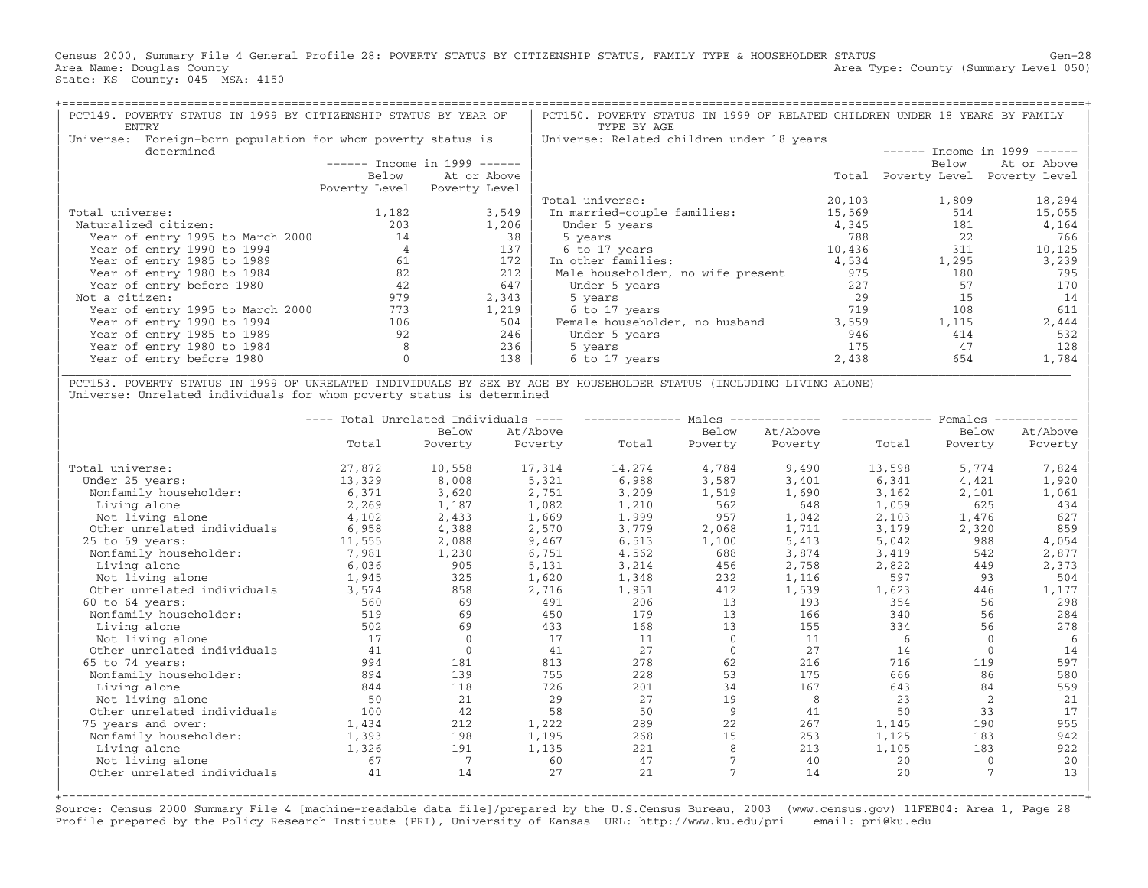Census 2000, Summary File 4 General Profile 28: POVERTY STATUS BY CITIZENSHIP STATUS, FAMILY TYPE & HOUSEHOLDER STATUS Gen−28 Area Name: Douglas County (Summary Level 050) (Area Type: County (Summary Level 050) State: KS County: 045 MSA: 4150

| Foreign-born population for whom poverty status is<br>Universe: Related children under 18 years<br>Universe:<br>determined<br>$-----$ Income in 1999 $----$<br>Below<br>At or Above<br>Below<br>Poverty Level<br>Total<br>Poverty Level Poverty Level | $-----$ Income in 1999 ------<br>At or Above<br>Poverty Level |
|-------------------------------------------------------------------------------------------------------------------------------------------------------------------------------------------------------------------------------------------------------|---------------------------------------------------------------|
|                                                                                                                                                                                                                                                       |                                                               |
|                                                                                                                                                                                                                                                       |                                                               |
|                                                                                                                                                                                                                                                       |                                                               |
|                                                                                                                                                                                                                                                       |                                                               |
|                                                                                                                                                                                                                                                       |                                                               |
| 20,103<br>1,809<br>Total universe:                                                                                                                                                                                                                    | 18,294                                                        |
| 1,182<br>3,549<br>15,569<br>Total universe:<br>In married-couple families:                                                                                                                                                                            | 514<br>15,055                                                 |
| 1,206<br>4,345<br>Naturalized citizen:<br>203<br>Under 5 years                                                                                                                                                                                        | 4,164<br>181                                                  |
| 38<br>788<br>Year of entry 1995 to March 2000<br>14<br>5 years                                                                                                                                                                                        | 22<br>766                                                     |
| Year of entry 1990 to 1994<br>137<br>10,436<br>6 to 17 years                                                                                                                                                                                          | 311<br>10,125                                                 |
| 172<br>Year of entry 1985 to 1989<br>61<br>In other families:<br>4,534<br>1,295                                                                                                                                                                       | 3,239                                                         |
| 82<br>212<br>975<br>Year of entry 1980 to 1984<br>Male householder, no wife present                                                                                                                                                                   | 180<br>795                                                    |
| 647<br>Year of entry before 1980<br>42<br>227<br>Under 5 years                                                                                                                                                                                        | 57<br>170                                                     |
| Not a citizen:<br>979<br>2,343<br>29<br>5 years                                                                                                                                                                                                       | 15<br>14                                                      |
| 1,219<br>719<br>Year of entry 1995 to March 2000<br>773<br>6 to 17 years                                                                                                                                                                              | 108<br>611                                                    |
| Year of entry 1990 to 1994<br>1,115<br>106<br>504<br>Female householder, no husband<br>3,559                                                                                                                                                          | 2,444                                                         |
| 92<br>246<br>946<br>Year of entry 1985 to 1989<br>Under 5 years                                                                                                                                                                                       | 414<br>532                                                    |
| 236<br>Year of entry 1980 to 1984<br>175<br>5 years                                                                                                                                                                                                   | 128<br>47                                                     |
| Year of entry before 1980<br>138<br>2,438<br>6 to 17 years                                                                                                                                                                                            | 654<br>1,784                                                  |

| PCT153. POVERTY STATUS IN 1999 OF UNRELATED INDIVIDUALS BY SEX BY AGE BY HOUSEHOLDER STATUS (INCLUDING LIVING ALONE) | Universe: Unrelated individuals for whom poverty status is determined

|                             |        | Total Unrelated Individuals | $\qquad \qquad - - - -$ |        | Males    | -------- |        | Females      |          |
|-----------------------------|--------|-----------------------------|-------------------------|--------|----------|----------|--------|--------------|----------|
|                             |        | Below                       | At/Above                |        | Below    | At/Above |        | Below        | At/Above |
|                             | Total  | Poverty                     | Poverty                 | Total  | Poverty  | Poverty  | Total  | Poverty      | Poverty  |
| Total universe:             | 27,872 | 10,558                      | 17,314                  | 14,274 | 4,784    | 9,490    | 13,598 | 5,774        | 7,824    |
| Under 25 years:             | 13,329 | 8,008                       | 5,321                   | 6,988  | 3,587    | 3,401    | 6,341  | 4,421        | 1,920    |
| Nonfamily householder:      | 6,371  | 3,620                       | 2,751                   | 3,209  | 1,519    | 1,690    | 3,162  | 2,101        | 1,061    |
| Living alone                | 2,269  | 1,187                       | 1,082                   | 1,210  | 562      | 648      | 1,059  | 625          | 434      |
| Not living alone            | 4,102  | 2,433                       | 1,669                   | 1,999  | 957      | 1,042    | 2,103  | 1,476        | 627      |
| Other unrelated individuals | 6,958  | 4,388                       | 2,570                   | 3,779  | 2,068    | 1,711    | 3,179  | 2,320        | 859      |
| 25 to 59 years:             | 11,555 | 2,088                       | 9,467                   | 6,513  | 1,100    | 5,413    | 5,042  | 988          | 4,054    |
| Nonfamily householder:      | 7,981  | 1,230                       | 6,751                   | 4,562  | 688      | 3,874    | 3,419  | 542          | 2,877    |
| Living alone                | 6,036  | 905                         | 5,131                   | 3,214  | 456      | 2,758    | 2,822  | 449          | 2,373    |
| Not living alone            | 1,945  | 325                         | 1,620                   | 1,348  | 232      | 1,116    | 597    | 93           | 504      |
| Other unrelated individuals | 3,574  | 858                         | 2,716                   | 1,951  | 412      | 1,539    | 1,623  | 446          | 1,177    |
| $60$ to $64$ years:         | 560    | 69                          | 491                     | 206    | 13       | 193      | 354    | 56           | 298      |
| Nonfamily householder:      | 519    | 69                          | 450                     | 179    | 13       | 166      | 340    | 56           | 284      |
| Living alone                | 502    | 69                          | 433                     | 168    | 13       | 155      | 334    | 56           | 278      |
| Not living alone            | 17     | $\Omega$                    | 17                      | 11     | $\Omega$ | 11       | 6      | $\Omega$     | -6       |
| Other unrelated individuals | 41     | $\Omega$                    | 41                      | 27     | $\Omega$ | 27       | 14     | $\Omega$     | 14       |
| $65$ to $74$ years:         | 994    | 181                         | 813                     | 278    | 62       | 216      | 716    | 119          | 597      |
| Nonfamily householder:      | 894    | 139                         | 755                     | 228    | 53       | 175      | 666    | 86           | 580      |
| Living alone                | 844    | 118                         | 726                     | 201    | 34       | 167      | 643    | 84           | 559      |
| Not living alone            | 50     | 21                          | 29                      | 27     | 19       | 8        | 23     | 2            | 21       |
| Other unrelated individuals | 100    | 42                          | 58                      | 50     | 9        | 41       | 50     | 33           | 17       |
| 75 years and over:          | 1,434  | 212                         | 1,222                   | 289    | 22       | 267      | 1,145  | 190          | 955      |
| Nonfamily householder:      | 1,393  | 198                         | 1,195                   | 268    | 15       | 253      | 1,125  | 183          | 942      |
| Living alone                | 1,326  | 191                         | 1,135                   | 221    | 8        | 213      | 1,105  | 183          | 922      |
| Not living alone            | 67     |                             | 60                      | 47     |          | 40       | 20     | $\mathbf{0}$ | 20       |
| Other unrelated individuals | 41     | 14                          | 27                      | 21     |          | 14       | 20     |              | 13       |
|                             |        |                             |                         |        |          |          |        |              |          |

+===================================================================================================================================================+ Source: Census 2000 Summary File 4 [machine−readable data file]/prepared by the U.S.Census Bureau, 2003 (www.census.gov) 11FEB04: Area 1, Page 28 Profile prepared by the Policy Research Institute (PRI), University of Kansas URL: http://www.ku.edu/pri email: pri@ku.edu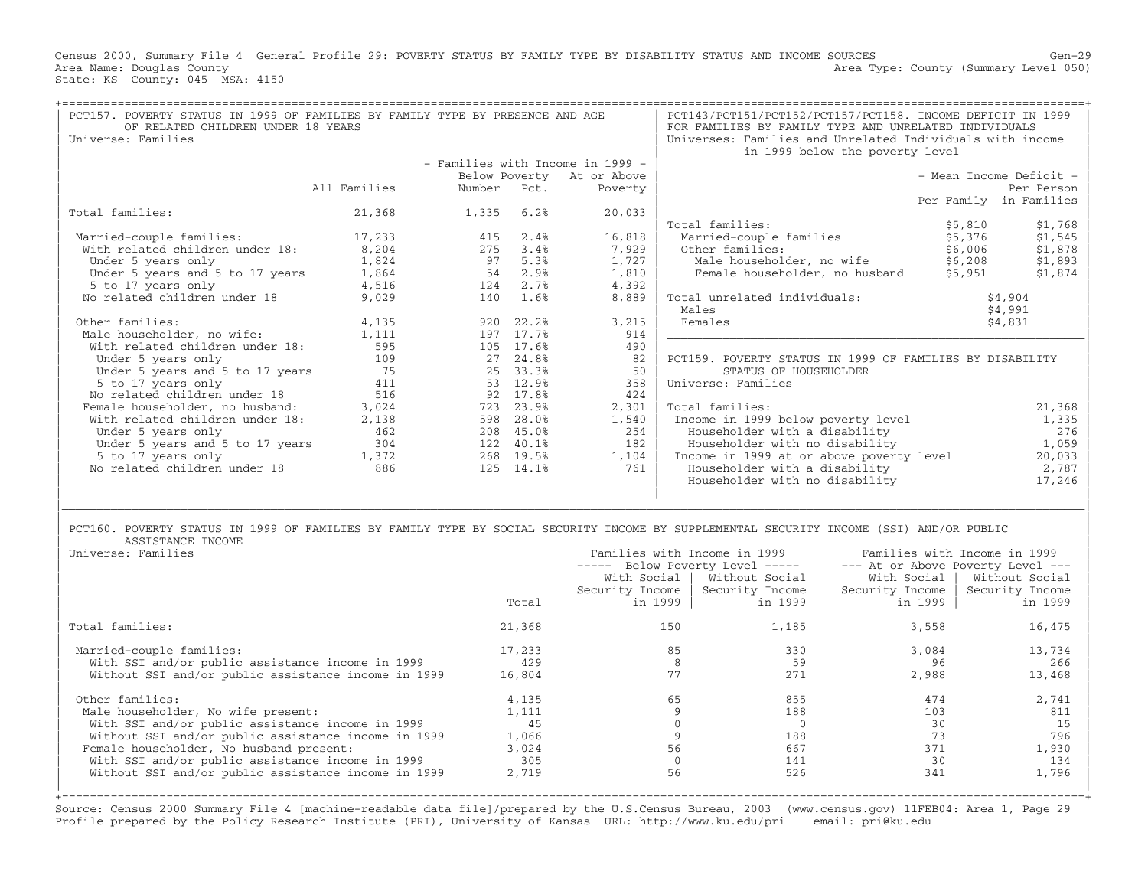Census 2000, Summary File 4 General Profile 29: POVERTY STATUS BY FAMILY TYPE BY DISABILITY STATUS AND INCOME SOURCES Gen−29 Area Type: County (Summary Level 050) Area Name: Douglas County<br>State: KS County: 045 MSA: 4150

| PCT157. POVERTY STATUS IN 1999 OF FAMILIES BY FAMILY TYPE BY PRESENCE AND AGE<br>OF RELATED CHILDREN UNDER 18 YEARS |              |             |                        | PCT143/PCT151/PCT152/PCT157/PCT158. INCOME DEFICIT IN 1999<br>FOR FAMILIES BY FAMILY TYPE AND UNRELATED INDIVIDUALS |                                                           |         |                         |
|---------------------------------------------------------------------------------------------------------------------|--------------|-------------|------------------------|---------------------------------------------------------------------------------------------------------------------|-----------------------------------------------------------|---------|-------------------------|
| Universe: Families                                                                                                  |              |             |                        |                                                                                                                     | Universes: Families and Unrelated Individuals with income |         |                         |
|                                                                                                                     |              |             |                        |                                                                                                                     | in 1999 below the poverty level                           |         |                         |
|                                                                                                                     |              |             |                        | - Families with Income in 1999 -                                                                                    |                                                           |         |                         |
|                                                                                                                     |              |             |                        | Below Poverty At or Above                                                                                           |                                                           |         | - Mean Income Deficit - |
|                                                                                                                     | All Families | Number Pct. |                        | Poverty                                                                                                             |                                                           |         | Per Person              |
|                                                                                                                     |              |             |                        |                                                                                                                     |                                                           |         | Per Family in Families  |
| Total families:                                                                                                     | 21,368       | 1,335       | 6.2%                   | 20,033                                                                                                              |                                                           |         |                         |
|                                                                                                                     |              |             |                        |                                                                                                                     | Total families:                                           | \$5,810 | \$1,768                 |
| Married-couple families:                                                                                            | 17,233       | 415         | 2.4%                   | 16,818                                                                                                              | Married-couple families                                   | \$5,376 | \$1,545                 |
| With related children under 18: 8,204                                                                               |              | 275         | 3.4%                   | 7,929                                                                                                               | Other families:                                           | \$6,006 | \$1,878                 |
| Under 5 years only                                                                                                  | 1,824        | 97          | 5.3%                   | $1,727$                                                                                                             | Male householder, no wife \$6,208                         |         | \$1,893                 |
| Under 5 years and 5 to 17 years                                                                                     | 1,864        | 54          | 2.9%                   | 1,810                                                                                                               | Female householder, no husband \$5,951                    |         | \$1,874                 |
| 5 to 17 years only                                                                                                  | 4,516        | 124         | 2.7%                   | 4,392                                                                                                               |                                                           |         |                         |
| No related children under 18                                                                                        | 9,029        | 140         | 1.6%                   | 8,889                                                                                                               | Total unrelated individuals:                              |         | \$4,904                 |
|                                                                                                                     |              |             |                        |                                                                                                                     | Males                                                     |         | \$4,991                 |
| Other families:                                                                                                     | 4,135        |             | 920 22.2%<br>197 17.7% | 3,215<br>914                                                                                                        | Females                                                   |         | \$4,831                 |
| Male householder, no wife:                                                                                          | 1,111        |             |                        |                                                                                                                     |                                                           |         |                         |
| With related children under 18:                                                                                     | 595<br>109   |             | 105 17.6%<br>27 24.8%  | 490<br>82                                                                                                           | PCT159. POVERTY STATUS IN 1999 OF FAMILIES BY DISABILITY  |         |                         |
| Under 5 years only                                                                                                  | 75           |             |                        |                                                                                                                     |                                                           |         |                         |
| Under 5 years and 5 to 17 years<br>5 to 17 years only                                                               | 411          |             | 25 33.3%<br>53 12.9%   | 50<br>358                                                                                                           | STATUS OF HOUSEHOLDER<br>Universe: Families               |         |                         |
| No related children under 18                                                                                        | 516          |             | 92 17.8%               | 424                                                                                                                 |                                                           |         |                         |
| Female householder, no husband:                                                                                     | 3,024        |             | 723 23.9%              | 2,301                                                                                                               | Total families:                                           |         | 21,368                  |
| With related children under 18:                                                                                     | 2,138        |             | 598 28.0%              | 1,540                                                                                                               | Income in 1999 below poverty level                        |         | 1,335                   |
| Under 5 years only                                                                                                  | 462          |             | 208 45.0%              | 254                                                                                                                 | Householder with a disability                             |         | 276                     |
| Under 5 years and 5 to 17 years                                                                                     | 304          |             | 122 40.1%              | 182                                                                                                                 | Householder with no disability                            |         | 1,059                   |
| 5 to 17 years only                                                                                                  | 1,372        |             | 268 19.5%              | 1,104                                                                                                               | Income in 1999 at or above poverty level                  |         | 20,033                  |
| No related children under 18                                                                                        | 886          |             | 125 14.1%              | 761                                                                                                                 | Householder with a disability                             |         | 2,787                   |
|                                                                                                                     |              |             |                        |                                                                                                                     | Householder with no disability                            |         | 17,246                  |
|                                                                                                                     |              |             |                        |                                                                                                                     |                                                           |         |                         |
|                                                                                                                     |              |             |                        |                                                                                                                     |                                                           |         |                         |

## PCT160. POVERTY STATUS IN 1999 OF FAMILIES BY FAMILY TYPE BY SOCIAL SECURITY INCOME BY SUPPLEMENTAL SECURITY INCOME (SSI) AND/OR PUBLIC<br>ASSISTANCE INCOME | ASSISTANCE INCOME |

| Universe: Families                                  |        | Families with Income in 1999 |                                   | Families with Income in 1999      |                 |  |  |
|-----------------------------------------------------|--------|------------------------------|-----------------------------------|-----------------------------------|-----------------|--|--|
|                                                     |        | -----                        | Below Poverty Level -----         | --- At or Above Poverty Level --- |                 |  |  |
|                                                     |        |                              | With Social   Without Social      | With Social                       | Without Social  |  |  |
|                                                     |        |                              | Security Income   Security Income | Security Income                   | Security Income |  |  |
|                                                     | Total  | in 1999                      | in 1999                           | in 1999                           | in 1999         |  |  |
| Total families:                                     | 21,368 | 150                          | 1,185                             | 3,558                             | 16,475          |  |  |
| Married-couple families:                            | 17,233 | 85                           | 330                               | 3,084                             | 13,734          |  |  |
| With SSI and/or public assistance income in 1999    | 429    |                              | 59                                | 96                                | 266             |  |  |
| Without SSI and/or public assistance income in 1999 | 16,804 | 77                           | 271                               | 2,988                             | 13,468          |  |  |
| Other families:                                     | 4,135  | 65                           | 855                               | 474                               | 2,741           |  |  |
| Male householder, No wife present:                  | 1,111  |                              | 188                               | 103                               | 811             |  |  |
| With SSI and/or public assistance income in 1999    | 45     |                              |                                   | 30                                | 15              |  |  |
| Without SSI and/or public assistance income in 1999 | 1,066  |                              | 188                               | 73                                | 796             |  |  |
| Female householder, No husband present:             | 3,024  | 56                           | 667                               | 371                               | 1,930           |  |  |
| With SSI and/or public assistance income in 1999    | 305    |                              | 141                               | 30                                | 134             |  |  |
| Without SSI and/or public assistance income in 1999 | 2,719  | 56                           | 526                               | 341                               | 1,796           |  |  |
|                                                     |        |                              |                                   |                                   |                 |  |  |

| |

Source: Census 2000 Summary File 4 [machine−readable data file]/prepared by the U.S.Census Bureau, 2003 (www.census.gov) 11FEB04: Area 1, Page 29 Profile prepared by the Policy Research Institute (PRI), University of Kansas URL: http://www.ku.edu/pri email: pri@ku.edu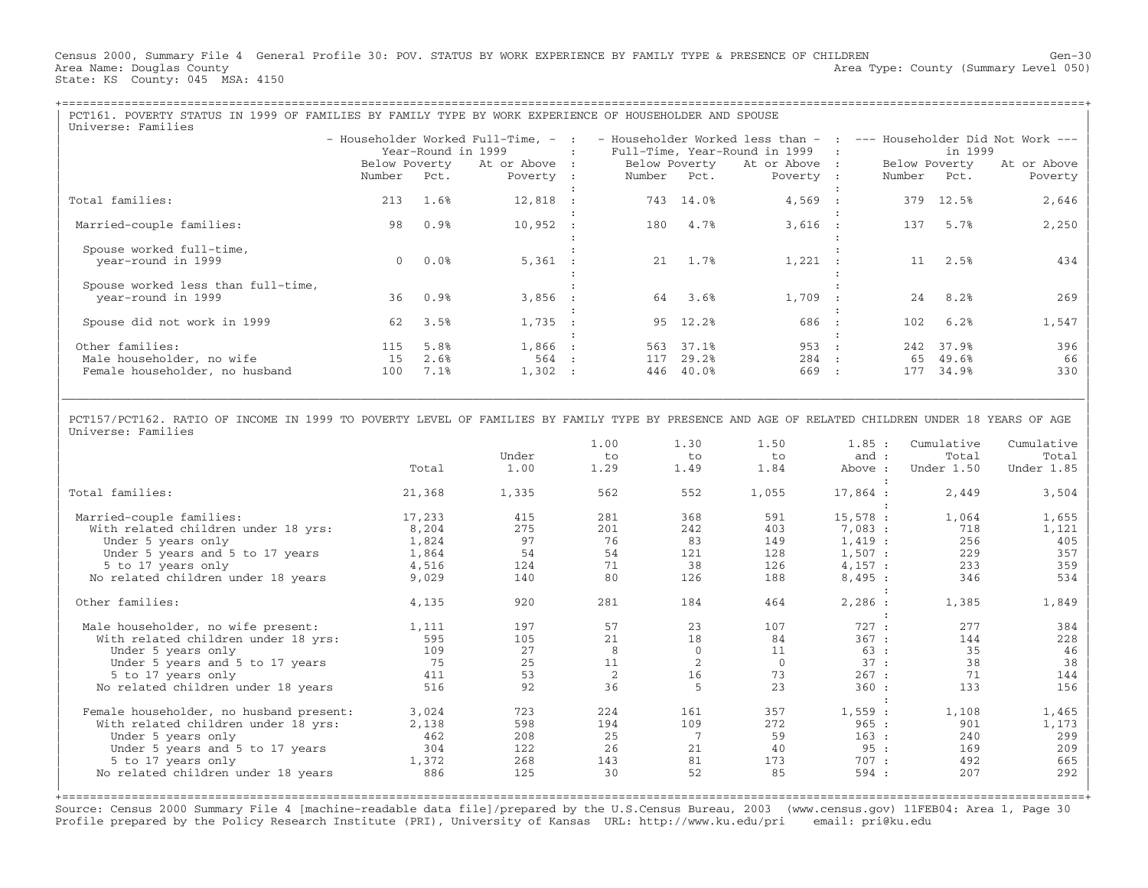Census 2000, Summary File 4 General Profile 30: POV. STATUS BY WORK EXPERIENCE BY FAMILY TYPE & PRESENCE OF CHILDREN Gen−30 Area Type: County (Summary Level 050) Area Name: Douglas County<br>State: KS County: 045 MSA: 4150

| PCT161. POVERTY STATUS IN 1999 OF FAMILIES BY FAMILY TYPE BY WORK EXPERIENCE OF HOUSEHOLDER AND SPOUSE<br>Universe: Families                                                       |           |                 |                                   |  |     |                    |                                                                      |           |                              |                    |                        |  |
|------------------------------------------------------------------------------------------------------------------------------------------------------------------------------------|-----------|-----------------|-----------------------------------|--|-----|--------------------|----------------------------------------------------------------------|-----------|------------------------------|--------------------|------------------------|--|
| - Householder Worked Full-Time, - :  - Householder Worked less than -  :  --- Householder Did Not Work ---<br>in 1999<br>Year-Round in 1999<br>: Full-Time, Year-Round in 1999   : |           |                 |                                   |  |     |                    |                                                                      |           |                              |                    |                        |  |
|                                                                                                                                                                                    |           |                 | Number Pct. Poverty : Number Pct. |  |     |                    | Below Poverty At or Above : Below Poverty At or Above :<br>Poverty : |           | Below Poverty<br>Number Pct. |                    | At or Above<br>Poverty |  |
| Total families:                                                                                                                                                                    |           | 213 1.6%        | 12,818 :                          |  |     | 743 14.0%          | $4,569$ :                                                            |           |                              | 379 12.5%          | 2,646                  |  |
| Married-couple families:                                                                                                                                                           | 98        | $0.9\%$         | $10,952$ :                        |  |     | 180 4.7%           | $3,616$ :                                                            |           |                              | 137 5.7%           | 2,250                  |  |
| Spouse worked full-time,<br>year-round in 1999                                                                                                                                     |           | $0.0$ $0.0$ $8$ | $5,361$ :                         |  |     | 21 1.7%            | $1,221$ :                                                            |           |                              | $11 \quad 2.5\%$   | 434                    |  |
| Spouse worked less than full-time,<br>year-round in 1999                                                                                                                           |           | 360.9%          | $3,856$ :                         |  |     | 64 3.6%            | $1,709$ :                                                            |           |                              | 24 8.2%            | 269                    |  |
| Spouse did not work in 1999                                                                                                                                                        |           | 62 3.5%         | $1,735$ :                         |  |     | 95 12.2%           | 686 :                                                                |           |                              | 102 6.2%           | 1,547                  |  |
| Other families:<br>Male householder, no wife                                                                                                                                       | 115<br>15 | 5.8%<br>2.6%    | $1,866$ :<br>564 :                |  | 117 | 563 37.1%<br>29.2% | 953 :<br>284 :                                                       |           | 65                           | 242 37.9%<br>49.6% | 396<br>66              |  |
| Female householder, no husband                                                                                                                                                     | 100       | 7.1%            | 1,302 :                           |  | 446 | 40.0%              | 669                                                                  | $\sim$ 1. | 177                          | 34.9%              | 330                    |  |

| | | PCT157/PCT162. RATIO OF INCOME IN 1999 TO POVERTY LEVEL OF FAMILIES BY FAMILY TYPE BY PRESENCE AND AGE OF RELATED CHILDREN UNDER 18 YEARS OF AGE | | Universe: Families |

|\_\_\_\_\_\_\_\_\_\_\_\_\_\_\_\_\_\_\_\_\_\_\_\_\_\_\_\_\_\_\_\_\_\_\_\_\_\_\_\_\_\_\_\_\_\_\_\_\_\_\_\_\_\_\_\_\_\_\_\_\_\_\_\_\_\_\_\_\_\_\_\_\_\_\_\_\_\_\_\_\_\_\_\_\_\_\_\_\_\_\_\_\_\_\_\_\_\_\_\_\_\_\_\_\_\_\_\_\_\_\_\_\_\_\_\_\_\_\_\_\_\_\_\_\_\_\_\_\_\_\_\_\_\_\_\_\_\_\_\_\_\_\_\_\_\_\_|

|                                         |        |       | 1.00 | 1.30     | 1.50           | 1.85:   | Cumulative | Cumulative |
|-----------------------------------------|--------|-------|------|----------|----------------|---------|------------|------------|
|                                         |        | Under | to   | to       | to             | and :   | Total      | Total      |
|                                         | Total  | 1.00  | 1.29 | 1.49     | 1.84           | Above : | Under 1.50 | Under 1.85 |
| Total families:                         | 21,368 | 1,335 | 562  | 552      | 1,055          | 17,864: | 2,449      | 3,504      |
| Married-couple families:                | 17,233 | 415   | 281  | 368      | 591            | 15,578: | 1,064      | 1,655      |
| With related children under 18 yrs:     | 8,204  | 275   | 201  | 242      | 403            | 7,083:  | 718        | 1,121      |
| Under 5 years only                      | 1,824  | 97    | 76   | 83       | 149            | 1,419:  | 256        | 405        |
| Under 5 years and 5 to 17 years         | 1,864  | 54    | 54   | 121      | 128            | 1,507:  | 229        | 357        |
| 5 to 17 years only                      | 4,516  | 124   | 71   | 38       | 126            | 4,157:  | 233        | 359        |
| No related children under 18 years      | 9,029  | 140   | 80   | 126      | 188            | 8,495:  | 346        | 534        |
|                                         |        |       |      |          |                |         |            |            |
| Other families:                         | 4,135  | 920   | 281  | 184      | 464            | 2,286:  | 1,385      | 1,849      |
| Male householder, no wife present:      | 1,111  | 197   | 57   | 23       | 107            | 727:    | 277        | 384        |
| With related children under 18 yrs:     | 595    | 105   | 21   | 18       | 84             | 367 :   | 144        | 228        |
| Under 5 years only                      | 109    | 27    | 8    | $\Omega$ | 11             | 63 :    | 35         | 46         |
| Under 5 years and 5 to 17 years         | 75     | 25    | 11   | 2        | $\overline{0}$ | 37:     | 38         | 38         |
| 5 to 17 years only                      | 411    | 53    | 2    | 16       | 73             | 267:    | 71         | 144        |
| No related children under 18 years      | 516    | 92    | 36   |          | 23             | 360:    | 133        | 156        |
|                                         |        |       |      |          |                |         |            |            |
| Female householder, no husband present: | 3,024  | 723   | 224  | 161      | 357            | 1,559:  | 1,108      | 1,465      |
| With related children under 18 yrs:     | 2,138  | 598   | 194  | 109      | 272            | 965:    | 901        | 1,173      |
| Under 5 years only                      | 462    | 208   | 25   |          | 59             | 163:    | 240        | 299        |
| Under 5 years and 5 to 17 years         | 304    | 122   | 26   | 21       | 40             | 95:     | 169        | 209        |
| 5 to 17 years only                      | 1,372  | 268   | 143  | 81       | 173            | 707:    | 492        | 665        |
| No related children under 18 years      | 886    | 125   | 30   | 52       | 85             | 594 :   | 207        | 292        |
|                                         |        |       |      |          |                |         |            |            |

Source: Census 2000 Summary File 4 [machine−readable data file]/prepared by the U.S.Census Bureau, 2003 (www.census.gov) 11FEB04: Area 1, Page 30 Profile prepared by the Policy Research Institute (PRI), University of Kansas URL: http://www.ku.edu/pri email: pri@ku.edu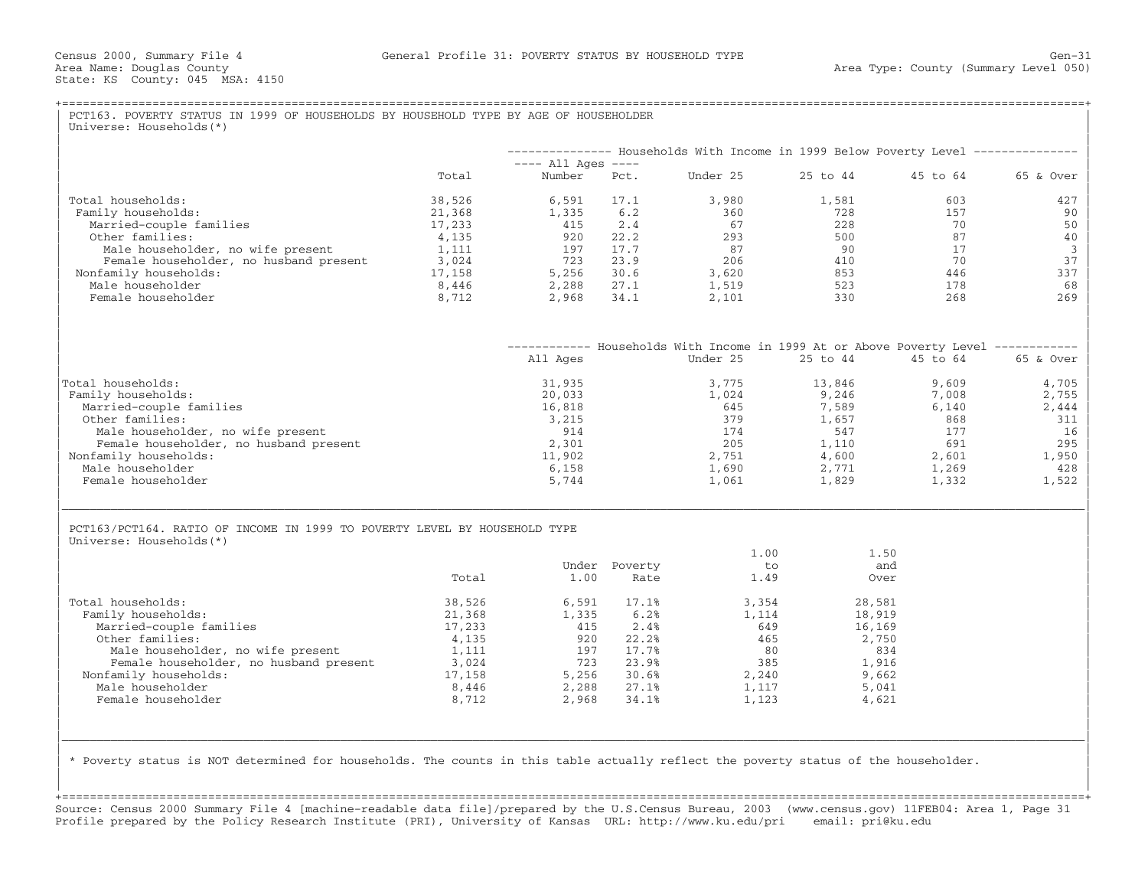|                                                                                                      |                  |                                |                       | -------------- Households With Income in 1999 Below Poverty Level -------------- |                     |           |           |
|------------------------------------------------------------------------------------------------------|------------------|--------------------------------|-----------------------|----------------------------------------------------------------------------------|---------------------|-----------|-----------|
|                                                                                                      | Total            | $---$ All Ages $---$<br>Number | Pct.                  | Under 25                                                                         | 25 to 44            | 45 to 64  | 65 & Over |
|                                                                                                      |                  |                                |                       |                                                                                  |                     |           |           |
| Total households:                                                                                    | 38,526           | 6,591                          | 17.1                  | 3,980                                                                            | 1,581               | 603       | 427       |
| Family households:                                                                                   | 21,368<br>17,233 | 1,335<br>415                   | 6.2<br>2.4            | 360<br>67                                                                        | 728<br>2.28         | 157<br>70 | 90<br>50  |
| Married-couple families<br>Other families:                                                           | 4,135            | 920                            | 22.2                  | 293                                                                              | 500                 | 87        | 40        |
| Male householder, no wife present                                                                    | 1,111            | 197                            | 17.7                  | 87                                                                               | 90                  | 17        |           |
| Female householder, no husband present                                                               | 3,024            | 723                            | 23.9                  | 206                                                                              | 410                 | 70        | 37        |
| Nonfamily households:                                                                                | 17,158           | 5,256                          | 30.6                  | 3,620                                                                            | 853                 | 446       | 337       |
| Male householder                                                                                     | 8,446            | 2,288                          | 27.1                  | 1,519                                                                            | 523                 | 178       | 68        |
| Female householder                                                                                   | 8,712            | 2,968                          | 34.1                  | 2,101                                                                            | 330                 | 268       | 269       |
|                                                                                                      |                  |                                |                       |                                                                                  |                     |           |           |
|                                                                                                      |                  |                                |                       | ----------- Households With Income in 1999 At or Above Poverty Level ----------- |                     |           |           |
|                                                                                                      |                  | All Ages                       |                       | Under 25                                                                         | 25 to 44            | 45 to 64  | 65 & Over |
| Total households:                                                                                    |                  | 31,935                         |                       | 3,775                                                                            | 13,846              | 9,609     | 4,705     |
| Family households:                                                                                   |                  | 20,033                         |                       | 1,024                                                                            | 9,246               | 7,008     | 2,755     |
| Married-couple families                                                                              |                  | 16,818                         |                       | 645                                                                              | 7,589               | 6,140     | 2,444     |
| Other families:                                                                                      |                  | 3,215                          |                       | 379                                                                              | 1,657               | 868       | 311       |
| Male householder, no wife present                                                                    |                  | 914                            |                       | 174                                                                              | 547                 | 177       | 16        |
| Female householder, no husband present                                                               |                  | 2,301                          |                       | 205                                                                              | 1,110               | 691       | 295       |
| Nonfamily households:                                                                                |                  | 11,902                         |                       | 2,751                                                                            | 4,600               | 2,601     | 1,950     |
| Male householder                                                                                     |                  | 6,158                          |                       | 1,690                                                                            | 2,771               | 1,269     | 428       |
| Female householder                                                                                   |                  | 5,744                          |                       | 1,061                                                                            | 1,829               | 1,332     | 1,522     |
| PCT163/PCT164. RATIO OF INCOME IN 1999 TO POVERTY LEVEL BY HOUSEHOLD TYPE<br>Universe: Households(*) | Total            | 1.00                           | Under Poverty<br>Rate | 1.00<br>to<br>1.49                                                               | 1.50<br>and<br>Over |           |           |
| Total households:                                                                                    | 38,526           | 6,591                          | 17.1%                 | 3,354                                                                            | 28,581              |           |           |
| Family households:                                                                                   | 21,368           | 1,335                          | 6.2%                  | 1,114                                                                            | 18,919              |           |           |
| Married-couple families                                                                              | 17,233           | 415                            | 2.4%                  | 649                                                                              | 16,169              |           |           |
| Other families:                                                                                      | 4,135            | 920                            | 22.2%                 | 465                                                                              | 2,750               |           |           |
| Male householder, no wife present                                                                    | 1,111            | 197                            | 17.7%                 | 80                                                                               | 834                 |           |           |
|                                                                                                      | 3,024            | 723                            | 23.9%                 | 385                                                                              | 1,916               |           |           |
| Female householder, no husband present                                                               | 17,158           | 5,256                          | 30.6%                 | 2,240                                                                            | 9,662               |           |           |
| Nonfamily households:                                                                                |                  | 2,288                          | 27.1%                 | 1,117                                                                            | 5,041               |           |           |
| Male householder<br>Female householder                                                               | 8,446<br>8,712   | 2,968                          | 34.1%                 | 1,123                                                                            | 4,621               |           |           |

+===================================================================================================================================================+ Source: Census 2000 Summary File 4 [machine−readable data file]/prepared by the U.S.Census Bureau, 2003 (www.census.gov) 11FEB04: Area 1, Page 31 Profile prepared by the Policy Research Institute (PRI), University of Kansas URL: http://www.ku.edu/pri email: pri@ku.edu

| | | |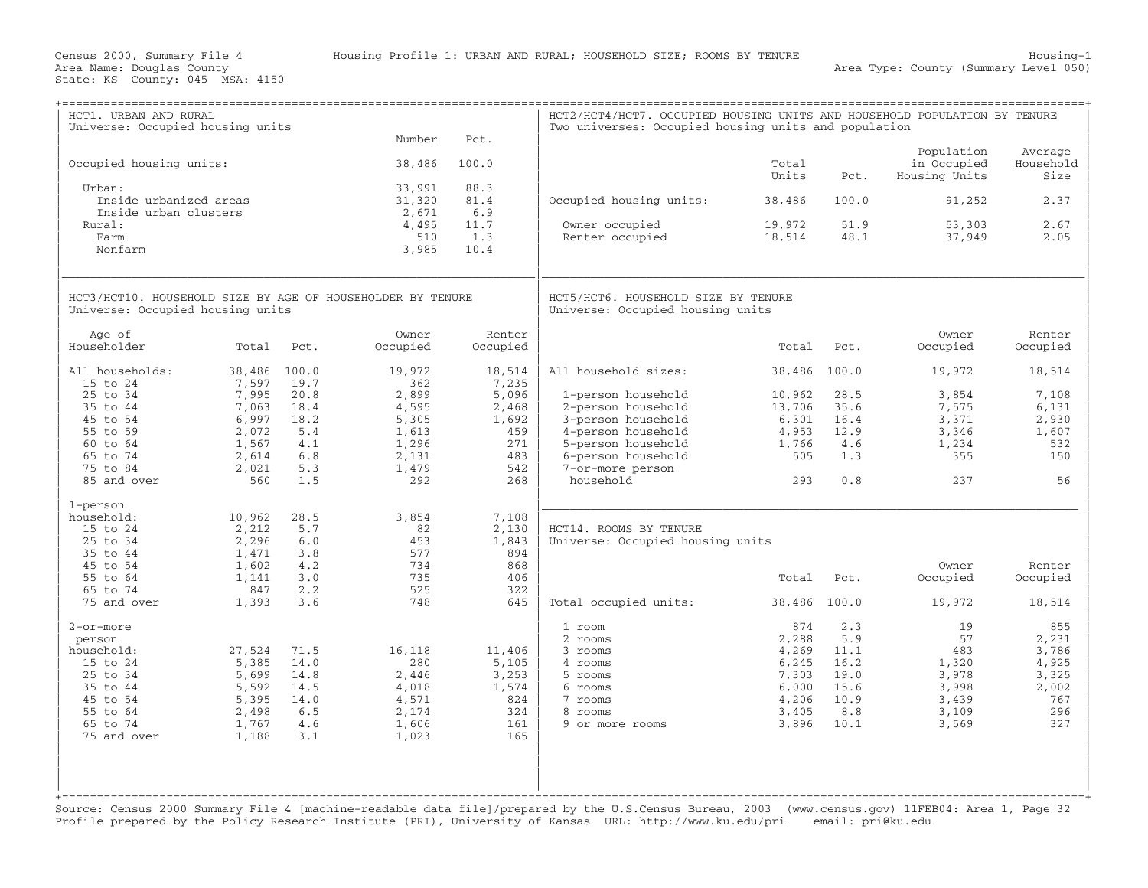Area Type: County (Summary Level 050)

| HCT1. URBAN AND RURAL<br>Universe: Occupied housing units                                                                |                                                                       |                                                           | Number                                                              | Pct.                                                          | HCT2/HCT4/HCT7. OCCUPIED HOUSING UNITS AND HOUSEHOLD POPULATION BY TENURE<br>Two universes: Occupied housing units and population |                                                                             |                                                                   |                                                                       |                                                                       |
|--------------------------------------------------------------------------------------------------------------------------|-----------------------------------------------------------------------|-----------------------------------------------------------|---------------------------------------------------------------------|---------------------------------------------------------------|-----------------------------------------------------------------------------------------------------------------------------------|-----------------------------------------------------------------------------|-------------------------------------------------------------------|-----------------------------------------------------------------------|-----------------------------------------------------------------------|
| Occupied housing units:                                                                                                  |                                                                       |                                                           | 38,486                                                              | 100.0                                                         |                                                                                                                                   | Total<br>Units                                                              | Pct.                                                              | Population<br>in Occupied<br>Housing Units                            | Average<br>Household<br>Size                                          |
| Urban:<br>Inside urbanized areas<br>Inside urban clusters                                                                |                                                                       |                                                           | 33,991<br>31,320<br>2,671                                           | 88.3<br>81.4<br>6.9                                           | Occupied housing units:                                                                                                           | 38,486                                                                      | 100.0                                                             | 91,252                                                                | 2.37                                                                  |
| Rural:<br>Farm<br>Nonfarm                                                                                                |                                                                       |                                                           | 4,495<br>510<br>3,985                                               | 11.7<br>1.3<br>10.4                                           | Owner occupied<br>Renter occupied                                                                                                 | 19,972<br>18,514                                                            | 51.9<br>48.1                                                      | 53,303<br>37,949                                                      | 2.67<br>2.05                                                          |
| HCT3/HCT10. HOUSEHOLD SIZE BY AGE OF HOUSEHOLDER BY TENURE<br>Universe: Occupied housing units                           |                                                                       |                                                           |                                                                     |                                                               | HCT5/HCT6. HOUSEHOLD SIZE BY TENURE<br>Universe: Occupied housing units                                                           |                                                                             |                                                                   |                                                                       |                                                                       |
| Age of<br>Householder                                                                                                    | Total                                                                 | Pct.                                                      | Owner<br>Occupied                                                   | Renter<br>Occupied                                            |                                                                                                                                   | Total                                                                       | Pct.                                                              | Owner<br>Occupied                                                     | Renter<br>Occupied                                                    |
| All households:<br>15 to 24                                                                                              | 38,486 100.0<br>7,597                                                 | 19.7                                                      | 19,972<br>362                                                       | 18,514<br>7,235                                               | All household sizes:                                                                                                              | 38,486                                                                      | 100.0                                                             | 19,972                                                                | 18,514                                                                |
| 25 to 34<br>35 to 44<br>45 to 54<br>55 to 59                                                                             | 7,995<br>7,063<br>6,997<br>2,072                                      | 20.8<br>18.4<br>18.2<br>5.4                               | 2,899<br>4,595<br>5,305<br>1,613                                    | 5,096<br>2,468<br>1,692<br>459                                | 1-person household<br>2-person household<br>3-person household<br>4-person household                                              | 10,962<br>13,706<br>6,301<br>4,953                                          | 28.5<br>35.6<br>16.4<br>12.9                                      | 3,854<br>7,575<br>3,371<br>3,346                                      | 7,108<br>6,131<br>2,930<br>1,607                                      |
| 60 to 64<br>65 to 74<br>75 to 84<br>85 and over                                                                          | 1,567<br>2,614<br>2,021<br>560                                        | 4.1<br>6.8<br>5.3<br>1.5                                  | 1,296<br>2,131<br>1,479<br>292                                      | 271<br>483<br>542<br>268                                      | 5-person household<br>6-person household<br>7-or-more person<br>household                                                         | 1,766<br>505<br>293                                                         | 4.6<br>1.3<br>0.8                                                 | 1,234<br>355<br>237                                                   | 532<br>150<br>56                                                      |
| 1-person<br>household:<br>15 to 24<br>25 to 34<br>35 to 44                                                               | 10,962<br>2,212<br>2,296<br>1,471                                     | 28.5<br>5.7<br>6.0<br>3.8                                 | 3,854<br>82<br>453<br>577                                           | 7,108<br>2,130<br>1,843<br>894                                | HCT14. ROOMS BY TENURE<br>Universe: Occupied housing units                                                                        |                                                                             |                                                                   |                                                                       |                                                                       |
| 45 to 54<br>55 to 64<br>65 to 74                                                                                         | 1,602<br>1,141<br>847                                                 | 4.2<br>3.0<br>2.2                                         | 734<br>735<br>525                                                   | 868<br>406<br>322                                             |                                                                                                                                   | Total                                                                       | Pct.                                                              | Owner<br>Occupied                                                     | Renter<br>Occupied                                                    |
| 75 and over                                                                                                              | 1,393                                                                 | 3.6                                                       | 748                                                                 | 645                                                           | Total occupied units:                                                                                                             | 38,486 100.0                                                                |                                                                   | 19,972                                                                | 18,514                                                                |
| 2-or-more<br>person<br>household:<br>15 to 24<br>25 to 34<br>35 to 44<br>45 to 54<br>55 to 64<br>65 to 74<br>75 and over | 27,524<br>5,385<br>5,699<br>5,592<br>5,395<br>2,498<br>1,767<br>1,188 | 71.5<br>14.0<br>14.8<br>14.5<br>14.0<br>6.5<br>4.6<br>3.1 | 16,118<br>280<br>2,446<br>4,018<br>4,571<br>2,174<br>1,606<br>1,023 | 11,406<br>5,105<br>3,253<br>1,574<br>824<br>324<br>161<br>165 | 1 room<br>2 rooms<br>3 rooms<br>4 rooms<br>5 rooms<br>6 rooms<br>7 rooms<br>8 rooms<br>9 or more rooms                            | 874<br>2,288<br>4,269<br>6,245<br>7,303<br>6,000<br>4,206<br>3,405<br>3,896 | 2.3<br>5.9<br>11.1<br>16.2<br>19.0<br>15.6<br>10.9<br>8.8<br>10.1 | 19<br>57<br>483<br>1,320<br>3,978<br>3,998<br>3,439<br>3,109<br>3,569 | 855<br>2,231<br>3,786<br>4,925<br>3,325<br>2,002<br>767<br>296<br>327 |

Source: Census 2000 Summary File 4 [machine−readable data file]/prepared by the U.S.Census Bureau, 2003 (www.census.gov) 11FEB04: Area 1, Page 32 Profile prepared by the Policy Research Institute (PRI), University of Kansas URL: http://www.ku.edu/pri email: pri@ku.edu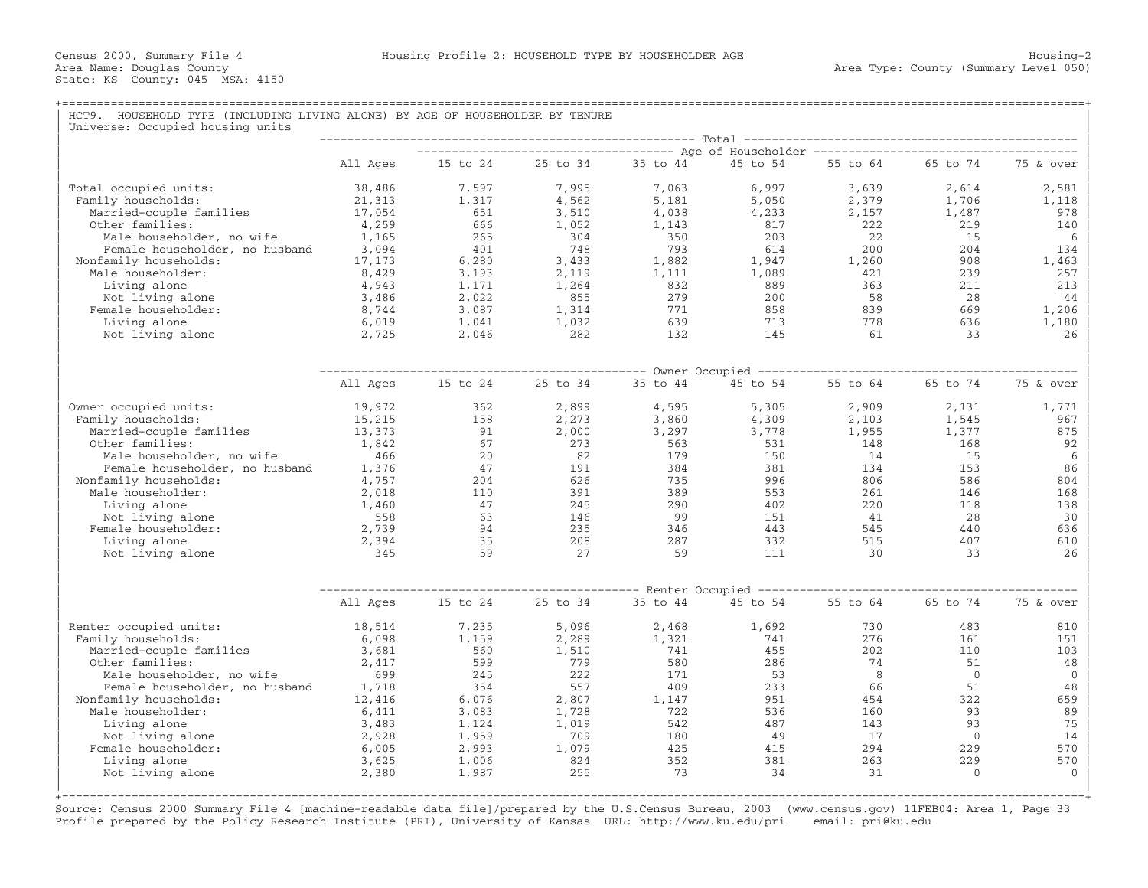## +===================================================================================================================================================+HCT9. HOUSEHOLD TYPE (INCLUDING LIVING ALONE) BY AGE OF HOUSEHOLDER BY TENURE  $\overline{\phantom{a}}$  Universe: Occupied housing units

| oniverse. occupica nousing     |          |          |          |          |          |          |                |              |  |  |
|--------------------------------|----------|----------|----------|----------|----------|----------|----------------|--------------|--|--|
|                                | All Ages | 15 to 24 | 25 to 34 | 35 to 44 | 45 to 54 | 55 to 64 | 65 to 74       | 75 & over    |  |  |
|                                |          |          |          |          |          |          |                |              |  |  |
| Total occupied units:          | 38,486   | 7,597    | 7,995    | 7,063    | 6,997    | 3,639    | 2,614          | 2,581        |  |  |
| Family households:             | 21,313   | 1,317    | 4,562    | 5,181    | 5,050    | 2,379    | 1,706          | 1,118        |  |  |
| Married-couple families        | 17,054   | 651      | 3,510    | 4,038    | 4,233    | 2,157    | 1,487          | 978          |  |  |
| Other families:                | 4,259    | 666      | 1,052    | 1,143    | 817      | 222      | 219            | 140          |  |  |
| Male householder, no wife      | 1,165    | 265      | 304      | 350      | 203      | 22       | 15             | 6            |  |  |
| Female householder, no husband | 3,094    | 401      | 748      | 793      | 614      | 200      | 204            | 134          |  |  |
| Nonfamily households:          | 17,173   | 6,280    | 3,433    | 1,882    | 1,947    | 1,260    | 908            | 1,463        |  |  |
| Male householder:              | 8,429    | 3,193    | 2,119    | 1,111    | 1,089    | 421      | 239            | 257          |  |  |
| Living alone                   | 4,943    | 1,171    | 1,264    | 832      | 889      | 363      | 211            | 213          |  |  |
| Not living alone               | 3,486    | 2,022    | 855      | 279      | 200      | 58       | 28             | 44           |  |  |
| Female householder:            | 8,744    | 3,087    | 1,314    | 771      | 858      | 839      | 669            | 1,206        |  |  |
| Living alone                   | 6,019    | 1,041    | 1,032    | 639      | 713      | 778      | 636            | 1,180        |  |  |
| Not living alone               | 2,725    | 2,046    | 282      | 132      | 145      | 61       | 33             | 26           |  |  |
|                                |          |          |          |          |          |          |                |              |  |  |
|                                |          |          |          |          |          |          |                |              |  |  |
|                                | All Ages | 15 to 24 | 25 to 34 | 35 to 44 | 45 to 54 | 55 to 64 | 65 to 74       | 75 & over    |  |  |
|                                |          |          |          |          |          |          |                |              |  |  |
| Owner occupied units:          | 19,972   | 362      | 2,899    | 4,595    | 5,305    | 2,909    | 2,131          | 1,771        |  |  |
| Family households:             | 15,215   | 158      | 2,273    | 3,860    | 4,309    | 2,103    | 1,545          | 967          |  |  |
| Married-couple families        | 13,373   | 91       | 2,000    | 3,297    | 3,778    | 1,955    | 1,377          | 875          |  |  |
| Other families:                | 1,842    | 67       | 273      | 563      | 531      | 148      | 168            | 92           |  |  |
| Male householder, no wife      | 466      | 20       | 82       | 179      | 150      | 14       | 15             | 6            |  |  |
| Female householder, no husband | 1,376    | 47       | 191      | 384      | 381      | 134      | 153            | 86           |  |  |
| Nonfamily households:          | 4,757    | 204      | 626      | 735      | 996      | 806      | 586            | 804          |  |  |
| Male householder:              | 2,018    | 110      | 391      | 389      | 553      | 261      | 146            | 168          |  |  |
| Living alone                   | 1,460    | 47       | 245      | 290      | 402      | 220      | 118            | 138          |  |  |
| Not living alone               | 558      | 63       | 146      | 99       | 151      | 41       | 28             | 30           |  |  |
| Female householder:            | 2,739    | 94       | 235      | 346      | 443      | 545      | 440            | 636          |  |  |
| Living alone                   | 2,394    | 35       | 208      | 287      | 332      | 515      | 407            | 610          |  |  |
| Not living alone               | 345      | 59       | 27       | 59       | 111      | 30       | 33             | 26           |  |  |
|                                |          |          |          |          |          |          |                |              |  |  |
|                                |          |          |          |          |          |          |                |              |  |  |
|                                | All Ages | 15 to 24 | 25 to 34 | 35 to 44 | 45 to 54 | 55 to 64 | 65 to 74       | 75 & over    |  |  |
| Renter occupied units:         | 18,514   | 7,235    | 5,096    | 2,468    | 1,692    | 730      | 483            | 810          |  |  |
| Family households:             | 6,098    | 1,159    | 2,289    | 1,321    | 741      | 276      | 161            | 151          |  |  |
| Married-couple families        | 3,681    | 560      | 1,510    | 741      | 455      | 202      | 110            | 103          |  |  |
| Other families:                | 2,417    | 599      | 779      | 580      | 286      | 74       | 51             | 48           |  |  |
| Male householder, no wife      | 699      | 245      | 222      | 171      | 53       | 8        | $\Omega$       | $\mathbf{0}$ |  |  |
| Female householder, no husband | 1,718    | 354      | 557      | 409      | 233      | 66       | 51             | 48           |  |  |
| Nonfamily households:          | 12,416   | 6,076    | 2,807    | 1,147    | 951      | 454      | 322            | 659          |  |  |
| Male householder:              | 6,411    | 3,083    | 1,728    | 722      | 536      | 160      | 93             | 89           |  |  |
| Living alone                   | 3,483    | 1,124    | 1,019    | 542      | 487      | 143      | 93             | 75           |  |  |
| Not living alone               | 2,928    | 1,959    | 709      | 180      | 49       | 17       | $\overline{0}$ | 14           |  |  |
| Female householder:            | 6,005    | 2,993    | 1,079    | 425      | 415      | 294      | 229            | 570          |  |  |
| Living alone                   | 3,625    | 1,006    | 824      | 352      | 381      | 263      | 229            | 570          |  |  |
| Not living alone               | 2,380    | 1,987    | 255      | 73       | 34       | 31       | $\mathbf{0}$   | $\Omega$     |  |  |
|                                |          |          |          |          |          |          |                |              |  |  |

Source: Census 2000 Summary File 4 [machine−readable data file]/prepared by the U.S.Census Bureau, 2003 (www.census.gov) 11FEB04: Area 1, Page 33 Profile prepared by the Policy Research Institute (PRI), University of Kansas URL: http://www.ku.edu/pri email: pri@ku.edu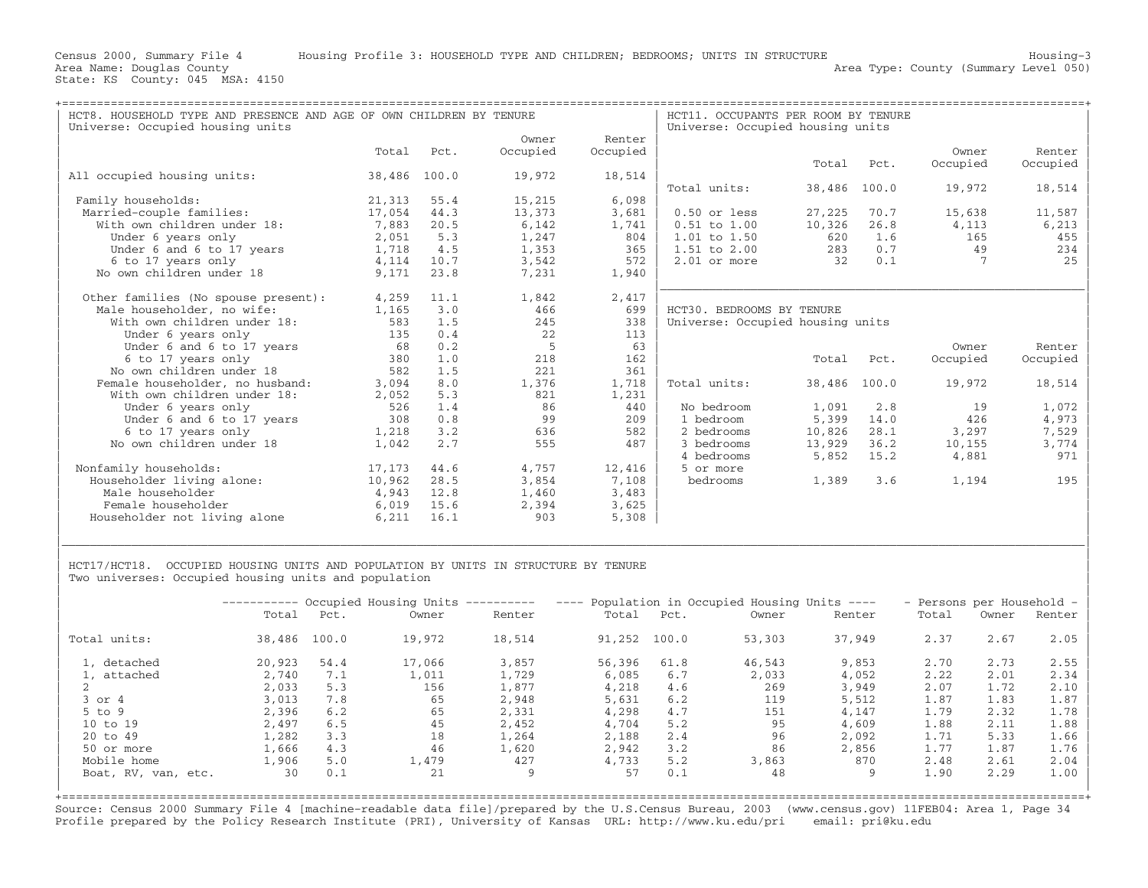| HCT8. HOUSEHOLD TYPE AND PRESENCE AND AGE OF OWN CHILDREN BY TENURE |        |       |          | HCT11. OCCUPANTS PER ROOM BY TENURE |                                  |              |       |          |          |
|---------------------------------------------------------------------|--------|-------|----------|-------------------------------------|----------------------------------|--------------|-------|----------|----------|
| Universe: Occupied housing units                                    |        |       |          |                                     | Universe: Occupied housing units |              |       |          |          |
|                                                                     |        |       | Owner    | Renter                              |                                  |              |       |          |          |
|                                                                     | Total  | Pct.  | Occupied | Occupied                            |                                  |              |       | Owner    | Renter   |
|                                                                     |        |       |          |                                     |                                  | Total        | Pct.  | Occupied | Occupied |
| All occupied housing units:                                         | 38,486 | 100.0 | 19,972   | 18,514                              |                                  |              |       |          |          |
|                                                                     |        |       |          |                                     | Total units:                     | 38,486       | 100.0 | 19,972   | 18,514   |
| Family households:                                                  | 21,313 | 55.4  | 15,215   | 6,098                               |                                  |              |       |          |          |
| Married-couple families:                                            | 17,054 | 44.3  | 13,373   | 3,681                               | $0.50$ or less                   | 27,225       | 70.7  | 15,638   | 11,587   |
| With own children under 18:                                         | 7,883  | 20.5  | 6,142    | 1,741                               | $0.51$ to $1.00$                 | 10,326       | 26.8  | 4,113    | 6,213    |
| Under 6 years only                                                  | 2,051  | 5.3   | 1,247    | 804                                 | $1.01$ to $1.50$                 | 620          | 1.6   | 165      | 455      |
| Under 6 and 6 to 17 years                                           | 1,718  | 4.5   | 1,353    | 365                                 | $1.51$ to $2.00$                 | 283          | 0.7   | 49       | 234      |
| 6 to 17 years only                                                  | 4,114  | 10.7  | 3,542    | 572                                 | $2.01$ or more                   | 32           | 0.1   |          | 25       |
| No own children under 18                                            | 9,171  | 23.8  | 7,231    | 1,940                               |                                  |              |       |          |          |
|                                                                     |        |       |          |                                     |                                  |              |       |          |          |
| Other families (No spouse present):                                 | 4,259  | 11.1  | 1,842    | 2,417                               |                                  |              |       |          |          |
| Male householder, no wife:                                          | 1,165  | 3.0   | 466      | 699                                 | HCT30. BEDROOMS BY TENURE        |              |       |          |          |
| With own children under 18:                                         | 583    | 1.5   | 245      | 338                                 | Universe: Occupied housing units |              |       |          |          |
| Under 6 years only                                                  | 135    | 0.4   | 22       | 113                                 |                                  |              |       |          |          |
| Under 6 and 6 to 17 years                                           | 68     | 0.2   | .5       | 63                                  |                                  |              |       | Owner    | Renter   |
| 6 to 17 years only                                                  | 380    | 1.0   | 218      | 162                                 |                                  | Total        | Pct.  | Occupied | Occupied |
| No own children under 18                                            | 582    | 1.5   | 221      | 361                                 |                                  |              |       |          |          |
| Female householder, no husband:                                     | 3,094  | 8.0   | 1,376    | 1,718                               | Total units:                     | 38,486 100.0 |       | 19,972   | 18,514   |
| With own children under 18:                                         | 2,052  | 5.3   | 821      | 1,231                               |                                  |              |       |          |          |
| Under 6 years only                                                  | 526    | 1.4   | 86       | 440                                 | No bedroom                       | 1,091        | 2.8   | 19       | 1,072    |
| Under 6 and 6 to 17 years                                           | 308    | 0.8   | 99       | 209                                 | 1 bedroom                        | 5,399        | 14.0  | 426      | 4,973    |
| 6 to 17 years only                                                  | 1,218  | 3.2   | 636      | 582                                 | 2 bedrooms                       | 10,826       | 28.1  | 3,297    | 7,529    |
| No own children under 18                                            | 1,042  | 2.7   | 555      | 487                                 | 3 bedrooms                       | 13,929       | 36.2  | 10,155   | 3,774    |
|                                                                     |        |       |          |                                     | 4 bedrooms                       | 5,852        | 15.2  | 4,881    | 971      |
| Nonfamily households:                                               | 17,173 | 44.6  | 4,757    | 12,416                              | 5 or more                        |              |       |          |          |
| Householder living alone:                                           | 10,962 | 28.5  | 3,854    | 7,108                               | bedrooms                         | 1,389        | 3.6   | 1,194    | 195      |
| Male householder                                                    | 4,943  | 12.8  | 1,460    | 3,483                               |                                  |              |       |          |          |
| Female householder                                                  | 6,019  | 15.6  | 2,394    | 3,625                               |                                  |              |       |          |          |
| Householder not living alone                                        | 6,211  | 16.1  | 903      | 5,308                               |                                  |              |       |          |          |
|                                                                     |        |       |          |                                     |                                  |              |       |          |          |

HCT17/HCT18. OCCUPIED HOUSING UNITS AND POPULATION BY UNITS IN STRUCTURE BY TENURE Two universes: Occupied housing units and population

|                     |        |       | ---------- Occupied Housing Units | ___________ | $\frac{1}{2}$ | Population in Occupied Housing Units ---- | - Persons per Household - |        |       |       |        |
|---------------------|--------|-------|-----------------------------------|-------------|---------------|-------------------------------------------|---------------------------|--------|-------|-------|--------|
|                     | Total  | Pct.  | Owner                             | Renter      | Total         | Pct.                                      | Owner                     | Renter | Total | Owner | Renter |
| Total units:        | 38,486 | 100.0 | 19,972                            | 18,514      | 91,252        | 100.0                                     | 53,303                    | 37,949 | 2.37  | 2.67  | 2.05   |
| 1, detached         | 20,923 | 54.4  | 17,066                            | 3,857       | 56,396        | 61.8                                      | 46,543                    | 9,853  | 2.70  | 2.73  | 2.55   |
| 1, attached         | 2,740  | 7.1   | 1,011                             | 1,729       | 6,085         | 6.7                                       | 2,033                     | 4,052  | 2.22  | 2.01  | 2.34   |
|                     | 2,033  | 5.3   | 156                               | 1,877       | 4,218         | 4.6                                       | 269                       | 3,949  | 2.07  | 1.72  | 2.10   |
| $3$ or $4$          | 3,013  | 7.8   | 65                                | 2,948       | 5,631         | 6.2                                       | 119                       | 5,512  | 1.87  | 1.83  | 1.87   |
| $5$ to $9$          | 2,396  | 6.2   | 65                                | 2,331       | 4,298         | 4.7                                       | 151                       | 4,147  | 1.79  | 2.32  | 1.78   |
| 10 to 19            | 2,497  | 6.5   | 45                                | 2,452       | 4,704         | 5.2                                       | 95                        | 4,609  | 1.88  | 2.11  | 1.88   |
| 20 to 49            | 1,282  | 3.3   | 18                                | 1,264       | 2,188         | 2.4                                       | 96                        | 2,092  | 1.71  | 5.33  | 1.66   |
| 50 or more          | 1,666  | 4.3   | 46                                | 1,620       | 2,942         | 3.2                                       | 86                        | 2,856  | 1.77  | 1.87  | 1.76   |
| Mobile home         | 1,906  | 5.0   | 1,479                             | 427         | 4,733         | 5.2                                       | 3,863                     | 870    | 2.48  | 2.61  | 2.04   |
| Boat, RV, van, etc. | 30     | 0.1   | 21                                | 9           | 57            | 0.1                                       | 48                        |        | 1.90  | 2.29  | 1.00   |

|\_\_\_\_\_\_\_\_\_\_\_\_\_\_\_\_\_\_\_\_\_\_\_\_\_\_\_\_\_\_\_\_\_\_\_\_\_\_\_\_\_\_\_\_\_\_\_\_\_\_\_\_\_\_\_\_\_\_\_\_\_\_\_\_\_\_\_\_\_\_\_\_\_\_\_\_\_\_\_\_\_\_\_\_\_\_\_\_\_\_\_\_\_\_\_\_\_\_\_\_\_\_\_\_\_\_\_\_\_\_\_\_\_\_\_\_\_\_\_\_\_\_\_\_\_\_\_\_\_\_\_\_\_\_\_\_\_\_\_\_\_\_\_\_\_\_\_| | |

+===================================================================================================================================================+ Source: Census 2000 Summary File 4 [machine−readable data file]/prepared by the U.S.Census Bureau, 2003 (www.census.gov) 11FEB04: Area 1, Page 34 Profile prepared by the Policy Research Institute (PRI), University of Kansas URL: http://www.ku.edu/pri email: pri@ku.edu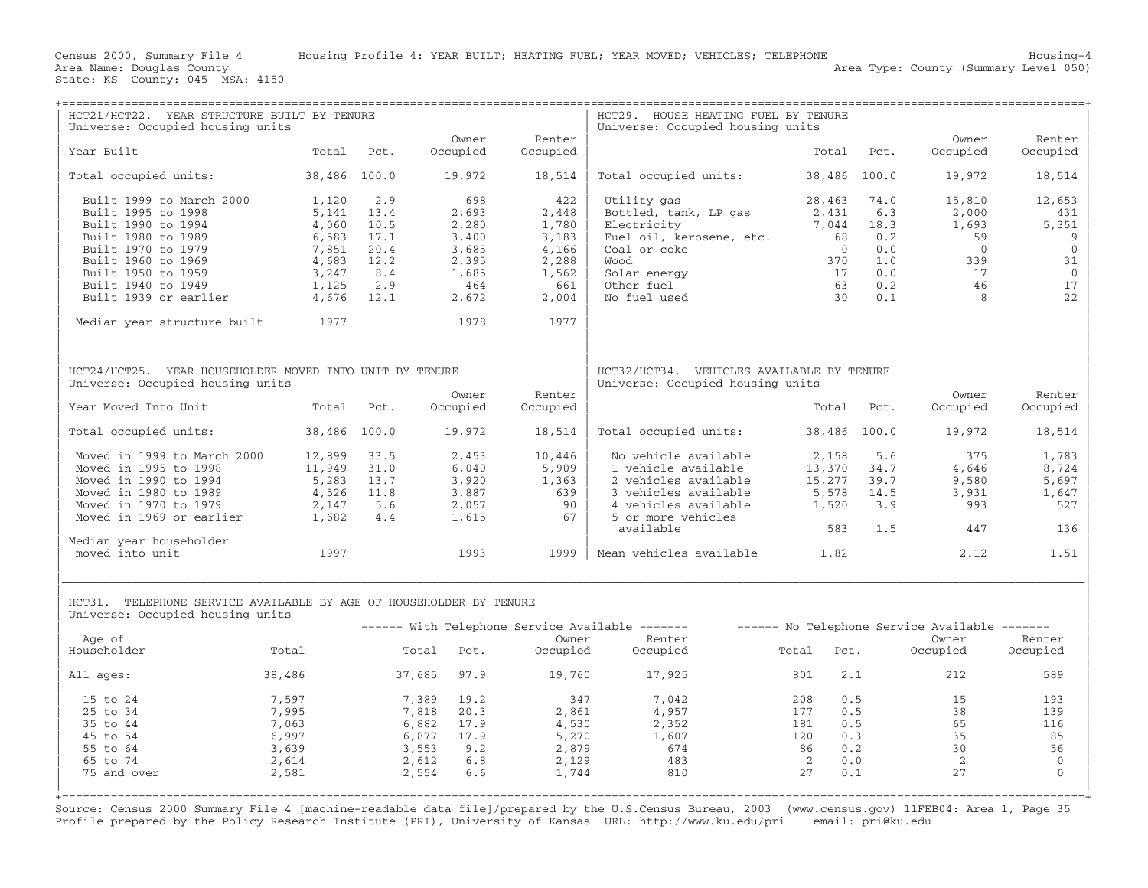| HCT21/HCT22. YEAR STRUCTURE BUILT BY TENURE<br>Universe: Occupied housing units                                                                              |                                                             |                                                    |                                                               |                                                           | HCT29. HOUSE HEATING FUEL BY TENURE<br>Universe: Occupied housing units                                                                                |                                                                                                         |                                                 |                                                               |                                                                       |
|--------------------------------------------------------------------------------------------------------------------------------------------------------------|-------------------------------------------------------------|----------------------------------------------------|---------------------------------------------------------------|-----------------------------------------------------------|--------------------------------------------------------------------------------------------------------------------------------------------------------|---------------------------------------------------------------------------------------------------------|-------------------------------------------------|---------------------------------------------------------------|-----------------------------------------------------------------------|
| Year Built                                                                                                                                                   | Total                                                       | Pct.                                               | Owner<br>Occupied                                             | Renter<br>Occupied                                        |                                                                                                                                                        | Total                                                                                                   | Pct.                                            | Owner<br>Occupied                                             | Renter<br>Occupied                                                    |
| Total occupied units:                                                                                                                                        | 38,486 100.0                                                |                                                    | 19,972                                                        | 18,514                                                    | Total occupied units:                                                                                                                                  | 38,486 100.0                                                                                            |                                                 | 19,972                                                        | 18,514                                                                |
| Built 1999 to March 2000<br>Built 1995 to 1998<br>Built 1990 to 1994<br>Built 1980 to 1989<br>Built 1970 to 1979<br>Built 1960 to 1969<br>Built 1950 to 1959 | 1,120<br>5,141<br>4,060<br>6,583<br>7,851<br>4,683<br>3,247 | 2.9<br>13.4<br>10.5<br>17.1<br>20.4<br>12.2<br>8.4 | 698<br>2,693<br>2,280<br>3,400<br>3,685<br>2,395<br>1,685     | 422<br>2,448<br>1,780<br>3,183<br>4,166<br>2,288<br>1,562 | Utility gas<br>Bottled, tank, LP gas<br>Electricity<br>Fuel oil, kerosene, etc.<br>Coal or coke<br>Wood<br>Solar energy                                | 28,463<br>2,431<br>7,044<br>68<br>$\overline{0}$<br>370<br>17                                           | 74.0<br>6.3<br>18.3<br>0.2<br>0.0<br>1.0<br>0.0 | 15,810<br>2,000<br>1,693<br>59<br>$\overline{0}$<br>339<br>17 | 12,653<br>431<br>5,351<br>9<br>$\overline{0}$<br>31<br>$\overline{0}$ |
| Built 1940 to 1949<br>Built 1939 or earlier                                                                                                                  | 1,125<br>4,676                                              | 2.9<br>12.1                                        | 464<br>2,672                                                  | 661<br>2,004                                              | Other fuel<br>No fuel used                                                                                                                             | 63<br>30 <sup>7</sup>                                                                                   | 0.2<br>0.1                                      | 46<br>8                                                       | 17<br>22                                                              |
| Median year structure built                                                                                                                                  | 1977                                                        |                                                    | 1978                                                          | 1977                                                      |                                                                                                                                                        |                                                                                                         |                                                 |                                                               |                                                                       |
| HCT24/HCT25. YEAR HOUSEHOLDER MOVED INTO UNIT BY TENURE<br>Universe: Occupied housing units                                                                  |                                                             |                                                    | Owner                                                         | Renter                                                    | HCT32/HCT34. VEHICLES AVAILABLE BY TENURE<br>Universe: Occupied housing units                                                                          |                                                                                                         |                                                 | Owner                                                         | Renter                                                                |
| Year Moved Into Unit                                                                                                                                         | Total                                                       | Pct.                                               | Occupied                                                      | Occupied                                                  |                                                                                                                                                        |                                                                                                         | Total Pct.                                      | Occupied                                                      | Occupied                                                              |
| Total occupied units:                                                                                                                                        | 38,486 100.0                                                |                                                    | 19,972                                                        | 18,514                                                    | Total occupied units:                                                                                                                                  | 38,486 100.0                                                                                            |                                                 | 19,972                                                        | 18,514                                                                |
| Moved in 1999 to March 2000<br>Moved in 1995 to 1998<br>Moved in 1990 to 1994<br>Moved in 1980 to 1989<br>Moved in 1970 to 1979<br>Moved in 1969 or earlier  | 12,899<br>11,949<br>5,283<br>4,526<br>2,147<br>1,682        | 33.5<br>31.0<br>13.7<br>11.8<br>5.6<br>4.4         | 2,453<br>6,040<br>3,920<br>3,887<br>2,057<br>1,615            | 10,446<br>5,909<br>1,363<br>639<br>90<br>67               | No vehicle available<br>1 vehicle available<br>2 vehicles available<br>3 vehicles available<br>4 vehicles available<br>5 or more vehicles<br>available | 2,158<br>13,370<br>15,277<br>5,578<br>1,520<br>583                                                      | 5.6<br>34.7<br>39.7<br>14.5<br>3.9<br>1.5       | 375<br>4,646<br>9,580<br>3,931<br>993<br>447                  | 1,783<br>8,724<br>5,697<br>1,647<br>527<br>136                        |
| Median year householder<br>moved into unit                                                                                                                   | 1997                                                        |                                                    | 1993                                                          | 1999                                                      | Mean vehicles available 1.82                                                                                                                           |                                                                                                         |                                                 | 2.12                                                          | 1.51                                                                  |
| HCT31. TELEPHONE SERVICE AVAILABLE BY AGE OF HOUSEHOLDER BY TENURE<br>Universe: Occupied housing units<br>Age of                                             |                                                             |                                                    |                                                               | Owner                                                     | ------ With Telephone Service Available -------<br>Renter                                                                                              |                                                                                                         |                                                 | ------ No Telephone Service Available -------<br>Owner        | Renter                                                                |
| Householder                                                                                                                                                  | <b>Total</b>                                                |                                                    | Total Pct.                                                    | Occupied                                                  | Occupied                                                                                                                                               | Total<br>Pct.                                                                                           |                                                 | Occupied                                                      | Occupied                                                              |
| All ages:                                                                                                                                                    | 38,486                                                      |                                                    | 37,685 97.9                                                   | 19,760                                                    | 17,925                                                                                                                                                 | 801                                                                                                     | 2.1                                             | 212                                                           | 589                                                                   |
| 15 to 24<br>25 to 34<br>35 to 44<br>45 to 54<br>55 to 64<br>65 to 74<br>75 and over                                                                          | 7,597<br>7,995<br>7,063<br>6,997<br>3,639<br>2,614<br>2,581 | 7,389<br>7,818<br>3,553<br>2,612<br>2,554          | 19.2<br>20.3<br>6,882 17.9<br>6,877 17.9<br>9.2<br>6.8<br>6.6 | 347<br>2,861<br>4,530<br>5,270<br>2,879<br>2,129<br>1,744 | 7,042<br>4,957<br>2,352<br>1,607<br>674<br>483<br>810                                                                                                  | 0.5<br>208<br>177<br>0.5<br>181<br>0.5<br>0.3<br>120<br>0.2<br>86<br>$\overline{2}$<br>0.0<br>27<br>0.1 |                                                 | 15<br>38<br>65<br>35<br>30<br>2<br>27                         | 193<br>139<br>116<br>85<br>56<br>$\overline{0}$<br>$\Omega$           |

Source: Census 2000 Summary File 4 [machine−readable data file]/prepared by the U.S.Census Bureau, 2003 (www.census.gov) 11FEB04: Area 1, Page 35 Profile prepared by the Policy Research Institute (PRI), University of Kansas URL: http://www.ku.edu/pri email: pri@ku.edu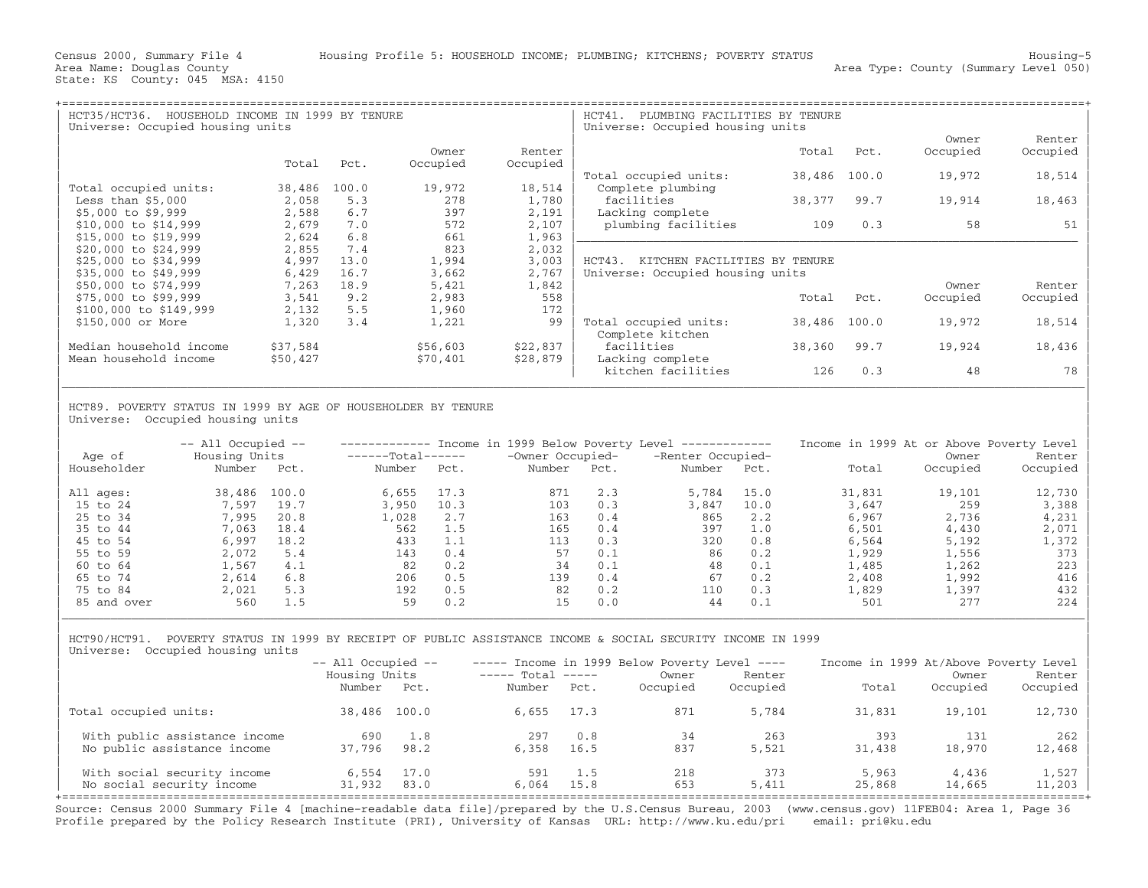| HCT35/HCT36.<br>HOUSEHOLD INCOME IN 1999 BY TENURE<br>Universe: Occupied housing units |          |       |          |          | HCT41.<br>PLUMBING FACILITIES BY TENURE<br>Universe: Occupied housing units |        |       |          |          |  |
|----------------------------------------------------------------------------------------|----------|-------|----------|----------|-----------------------------------------------------------------------------|--------|-------|----------|----------|--|
|                                                                                        |          |       |          |          |                                                                             |        |       | Owner    | Renter   |  |
|                                                                                        |          |       | Owner    | Renter   |                                                                             | Total  | Pct.  | Occupied | Occupied |  |
|                                                                                        | Total    | Pct.  | Occupied | Occupied |                                                                             |        |       |          |          |  |
|                                                                                        |          |       |          |          | Total occupied units:                                                       | 38,486 | 100.0 | 19,972   | 18,514   |  |
| Total occupied units:                                                                  | 38,486   | 100.0 | 19,972   | 18,514   | Complete plumbing                                                           |        |       |          |          |  |
| Less than $$5,000$                                                                     | 2,058    | 5.3   | 278      | 1,780    | facilities                                                                  | 38,377 | 99.7  | 19,914   | 18,463   |  |
| \$5,000 to \$9,999                                                                     | 2,588    | 6.7   | 397      | 2,191    | Lacking complete                                                            |        |       |          |          |  |
| \$10,000 to \$14,999                                                                   | 2,679    | 7.0   | 572      | 2,107    | plumbing facilities                                                         | 109    | 0.3   | 58       | 51       |  |
| \$15,000 to \$19,999                                                                   | 2,624    | 6.8   | 661      | 1,963    |                                                                             |        |       |          |          |  |
| \$20,000 to \$24,999                                                                   | 2,855    | 7.4   | 823      | 2,032    |                                                                             |        |       |          |          |  |
| \$25,000 to \$34,999                                                                   | 4,997    | 13.0  | 1,994    | 3,003    | $HCT43$ .<br>KITCHEN FACILITIES BY TENURE                                   |        |       |          |          |  |
| \$35,000 to \$49,999                                                                   | 6,429    | 16.7  | 3,662    | 2,767    | Universe: Occupied housing units                                            |        |       |          |          |  |
| \$50,000 to \$74,999                                                                   | 7,263    | 18.9  | 5,421    | 1,842    |                                                                             |        |       | Owner    | Renter   |  |
| \$75,000 to \$99,999                                                                   | 3,541    | 9.2   | 2,983    | 558      |                                                                             | Total  | Pct.  | Occupied | Occupied |  |
| \$100,000 to \$149,999                                                                 | 2,132    | 5.5   | 1,960    | 172      |                                                                             |        |       |          |          |  |
| \$150,000 or More                                                                      | 1,320    | 3.4   | 1,221    | 99       | Total occupied units:                                                       | 38,486 | 100.0 | 19,972   | 18,514   |  |
|                                                                                        |          |       |          |          | Complete kitchen                                                            |        |       |          |          |  |
| Median household income                                                                | \$37,584 |       | \$56,603 | \$22,837 | facilities                                                                  | 38,360 | 99.7  | 19,924   | 18,436   |  |
| Mean household income                                                                  | \$50,427 |       | \$70,401 | \$28,879 | Lacking complete                                                            |        |       |          |          |  |
|                                                                                        |          |       |          |          | kitchen facilities                                                          | 126    | 0.3   | 48       | 78       |  |
|                                                                                        |          |       |          |          |                                                                             |        |       |          |          |  |

## | | HCT89. POVERTY STATUS IN 1999 BY AGE OF HOUSEHOLDER BY TENURE Universe: Occupied housing units

| Age of      | $--$ All Occupied $--$<br>Housing Units |       | $---Total---$ |      | Income in 1999 Below Poverty Level<br>-Owner Occupied- |      | --------------<br>-Renter Occupied- |      | Income in 1999 At or Above Poverty Level | Owner    | Renter   |
|-------------|-----------------------------------------|-------|---------------|------|--------------------------------------------------------|------|-------------------------------------|------|------------------------------------------|----------|----------|
| Householder | Number                                  | Pct.  | Number        | Pct. | Number                                                 | Pct. | Number                              | Pct. | Total                                    | Occupied | Occupied |
| All ages:   | 38,486                                  | 100.0 | 6,655         | 17.3 | 871                                                    | 2.3  | 5,784                               | 15.0 | 31,831                                   | 19,101   | 12,730   |
| 15 to 24    | 7,597                                   | 19.7  | 3,950         | 10.3 | 103                                                    | 0.3  | 3,847                               | 10.0 | 3,647                                    | 259      | 3,388    |
| 25 to 34    | 7,995                                   | 20.8  | 1,028         | 2.7  | 163                                                    | 0.4  | 865                                 | 2.2  | 6,967                                    | 2,736    | 4,231    |
| 35 to 44    | 7,063                                   | 18.4  | 562           | 1.5  | 165                                                    | 0.4  | 397                                 | 1.0  | 6,501                                    | 4,430    | 2,071    |
| 45 to 54    | 6,997                                   | 18.2  | 433           | 1.1  | 113                                                    | 0.3  | 320                                 | 0.8  | 6,564                                    | 5,192    | 1,372    |
| 55 to 59    | 2,072                                   | 5.4   | 143           | 0.4  | 57                                                     | 0.1  | 86                                  | 0.2  | 1,929                                    | 1,556    | 373      |
| 60 to 64    | 1.567                                   | 4.1   | 82            | 0.2  | 34                                                     | 0.1  | 48                                  | 0.1  | 1,485                                    | 1,262    | 223      |
| 65 to 74    | 2,614                                   | 6.8   | 206           | 0.5  | 139                                                    | 0.4  | 67                                  | 0.2  | 2,408                                    | 1,992    | 416      |
| 75 to 84    | 2,021                                   | 5.3   | 192           | 0.5  | 82                                                     | 0.2  | 110                                 | 0.3  | 1,829                                    | 1,397    | 432      |
| 85 and over | 560                                     | 1.5   | 59            | 0.2  | 15                                                     | 0.0  | 44                                  | 0.1  | 501                                      | 277      | 224      |

| HCT90/HCT91. POVERTY STATUS IN 1999 BY RECEIPT OF PUBLIC ASSISTANCE INCOME & SOCIAL SECURITY INCOME IN 1999 | Universe: Occupied housing units

|                                                          | $--$ All Occupied $--$ |              |                   |             | $---$ Income in 1999 Below Poverty Level $---$ |              | Income in 1999 At/Above Poverty Level |                 |                   |  |
|----------------------------------------------------------|------------------------|--------------|-------------------|-------------|------------------------------------------------|--------------|---------------------------------------|-----------------|-------------------|--|
|                                                          | Housing Units          |              | $---$ Total $---$ |             | Owner                                          | Renter       |                                       | Owner           | Renter            |  |
|                                                          | Number                 | Pct.         | Number            | Pct.        | Occupied                                       | Occupied     | Total                                 | Occupied        | Occupied          |  |
| Total occupied units:                                    | 38,486 100.0           |              | 6,655             | 17.3        | 871                                            | 5,784        | 31,831                                | 19,101          | 12,730            |  |
| With public assistance income                            | 690                    | 1.8          | 297               | 0.8         | 34                                             | 263          | 393                                   | 131             | 262               |  |
| No public assistance income                              | 37,796                 | 98.2         | 6,358             | 16.5        | 837                                            | 5,521        | 31,438                                | 18,970          | 12,468            |  |
| With social security income<br>No social security income | 6,554<br>31,932        | 17.0<br>83.0 | 591<br>6,064      | 1.5<br>15.8 | 218<br>653                                     | 373<br>5,411 | 5,963<br>25,868                       | 4,436<br>14,665 | 1,527<br>$11,203$ |  |

| |

Source: Census 2000 Summary File 4 [machine−readable data file]/prepared by the U.S.Census Bureau, 2003 (www.census.gov) 11FEB04: Area 1, Page 36 Profile prepared by the Policy Research Institute (PRI), University of Kansas URL: http://www.ku.edu/pri email: pri@ku.edu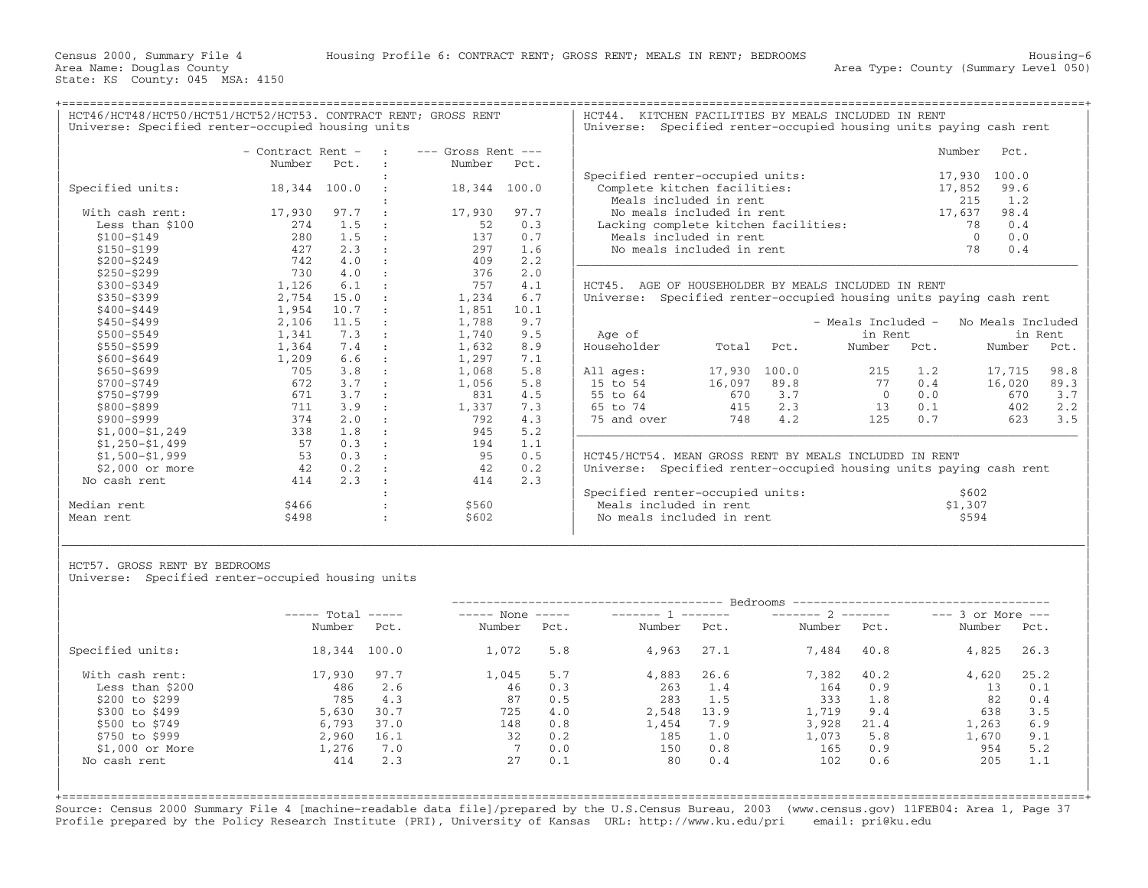Area Name: Douglas County (Summary Level 050) (Area Type: County (Summary Level 050)

+===================================================================================================================================================+

HCT46/HCT48/HCT50/HCT51/HCT52/HCT53. CONTRACT RENT; GROSS RENT | HCT44. KITCHEN FACILITIES BY MEALS INCLUDED IN RENT<br>| Universe: Specified renter-occupied housing units | Universe: Specified renter-occupied housing units p

|                   | - Contract Rent - |      | $---$ Gross Rent $---$ |       |                                                                    |        |       |                                                          |      | Number<br>Pct.    |         |
|-------------------|-------------------|------|------------------------|-------|--------------------------------------------------------------------|--------|-------|----------------------------------------------------------|------|-------------------|---------|
|                   | Number            | Pct. | Number                 | Pct.  |                                                                    |        |       |                                                          |      |                   |         |
|                   |                   |      |                        |       | Specified renter-occupied units:                                   |        |       |                                                          |      | 100.0<br>17,930   |         |
| Specified units:  | 18,344 100.0      |      | 18,344                 | 100.0 | Complete kitchen facilities:                                       |        |       |                                                          |      | 99.6<br>17,852    |         |
|                   |                   |      |                        |       | Meals included in rent                                             |        |       |                                                          |      | 1.2<br>215        |         |
| With cash rent:   | 17,930            | 97.7 | 17,930                 | 97.7  | No meals included in rent                                          |        |       |                                                          |      | 17,637<br>98.4    |         |
| Less than \$100   | 274               | 1.5  | 52                     | 0.3   | Lacking complete kitchen facilities:                               |        |       |                                                          |      | 0.4<br>78         |         |
| $$100 - $149$     | 280               | 1.5  | 137                    | 0.7   | Meals included in rent                                             |        |       |                                                          |      | 0.0<br>$\Omega$   |         |
| $$150 - $199$     | 427               | 2.3  | 297                    | 1.6   | No meals included in rent                                          |        |       |                                                          |      | 0.4<br>78         |         |
| $$200 - $249$     | 742               | 4.0  | 409                    | 2.2   |                                                                    |        |       |                                                          |      |                   |         |
| $$250 - $299$     | 730               | 4.0  | 376                    | 2.0   |                                                                    |        |       |                                                          |      |                   |         |
| $$300 - $349$     | 1,126             | 6.1  | 757                    | 4.1   | HCT45. AGE OF HOUSEHOLDER BY MEALS INCLUDED IN RENT                |        |       |                                                          |      |                   |         |
| $$350 - $399$     | 2,754             | 15.0 | 1,234                  | 6.7   | Universe:                                                          |        |       | Specified renter-occupied housing units paying cash rent |      |                   |         |
| $$400 - $449$     | 1,954             | 10.7 | 1,851                  | 10.1  |                                                                    |        |       |                                                          |      |                   |         |
| $$450 - $499$     | 2,106             | 11.5 | 1,788                  | 9.7   |                                                                    |        |       | - Meals Included -                                       |      | No Meals Included |         |
| $$500 - $549$     | 1,341             | 7.3  | 1,740                  | 9.5   | Age of                                                             |        |       | in Rent                                                  |      |                   | in Rent |
| $$550 - $599$     | 1,364             | 7.4  | 1,632                  | 8.9   | Householder                                                        | Total  | Pct.  | Number                                                   | Pct. | Number            | Pct.    |
| $$600 - $649$     | 1,209             | 6.6  | 1,297                  | 7.1   |                                                                    |        |       |                                                          |      |                   |         |
| $$650 - $699$     | 705               | 3.8  | 1,068                  | 5.8   | All ages:                                                          | 17,930 | 100.0 | 215                                                      | 1.2  | 17,715            | 98.8    |
| $$700 - $749$     | 672               | 3.7  | 1,056                  | 5.8   | 15 to 54                                                           | 16,097 | 89.8  | 77                                                       | 0.4  | 16,020            | 89.3    |
| \$750-\$799       | 671               | 3.7  | 831                    | 4.5   | 55 to 64                                                           | 670    | 3.7   | $\Omega$                                                 | 0.0  | 670               | 3.7     |
| \$800-\$899       | 711               | 3.9  | 1,337                  | 7.3   | 65 to 74                                                           | 415    | 2.3   | 13                                                       | 0.1  | 402               | 2.2     |
| \$900-\$999       | 374               | 2.0  | 792                    | 4.3   | 75 and over                                                        | 748    | 4.2   | 125                                                      | 0.7  | 623               | 3.5     |
| $$1,000 - $1,249$ | 338               | 1.8  | 945                    | 5.2   |                                                                    |        |       |                                                          |      |                   |         |
| $$1,250-$1,499$   | 57                | 0.3  | 194                    | 1.1   |                                                                    |        |       |                                                          |      |                   |         |
| $$1,500 - $1,999$ | 53                | 0.3  | 95                     | 0.5   | HCT45/HCT54. MEAN GROSS RENT BY MEALS INCLUDED IN RENT             |        |       |                                                          |      |                   |         |
| $$2.000$ or more  | 42                | 0.2  | 42                     | 0.2   | Universe: Specified renter-occupied housing units paying cash rent |        |       |                                                          |      |                   |         |
| No cash rent      | 414               | 2.3  | 414                    | 2.3   |                                                                    |        |       |                                                          |      |                   |         |
|                   |                   |      |                        |       | Specified renter-occupied units:                                   |        |       |                                                          |      | \$602             |         |
| Median rent       | \$466             |      | \$560                  |       | Meals included in rent                                             |        |       |                                                          |      | \$1,307           |         |
| Mean rent         | \$498             |      | \$602                  |       | No meals included in rent                                          |        |       |                                                          |      | \$594             |         |

| HCT57. GROSS RENT BY BEDROOMS |  |  |
|-------------------------------|--|--|

Universe: Specified renter-occupied housing units

|                  | $---$ Total  |      | $---$ None<br>$\qquad \qquad - - - - -$ |      | _______ 1 ______ |      | $------ 2$ |      | $---$ 3 or More $---$ |      |
|------------------|--------------|------|-----------------------------------------|------|------------------|------|------------|------|-----------------------|------|
|                  | Number       | Pct. | Number                                  | Pct. | Number           | Pct. | Number     | Pct. | Number                | Pct. |
| Specified units: | 18,344 100.0 |      | 1,072                                   | 5.8  | 4,963            | 27.1 | 7,484      | 40.8 | 4,825                 | 26.3 |
| With cash rent:  | 17,930       | 97.7 | 1,045                                   | 5.7  | 4,883            | 26.6 | 7,382      | 40.2 | 4,620                 | 25.2 |
| Less than \$200  | 486          | 2.6  | 46                                      | 0.3  | 263              | 1.4  | 164        | 0.9  | 13                    | 0.1  |
| \$200 to \$299   | 785          | 4.3  | 87                                      | 0.5  | 283              | 1.5  | 333        | 1.8  | 82                    | 0.4  |
| \$300 to \$499   | 5,630        | 30.7 | 725                                     | 4.0  | 2,548            | 13.9 | 1,719      | 9.4  | 638                   | 3.5  |
| \$500 to \$749   | 6,793        | 37.0 | 148                                     | 0.8  | 1,454            | 7.9  | 3,928      | 21.4 | 1,263                 | 6.9  |
| \$750 to \$999   | 2,960        | 16.1 | 32                                      | 0.2  | 185              | 1.0  | 1,073      | 5.8  | 1,670                 | 9.1  |
| $$1,000$ or More | 1,276        | 7.0  |                                         | 0.0  | 150              | 0.8  | 165        | 0.9  | 954                   | 5.2  |
| No cash rent     | 414          | 2.3  | 27                                      | 0.1  | 80               | 0.4  | 102        | 0.6  | 205                   | 1.1  |

|\_\_\_\_\_\_\_\_\_\_\_\_\_\_\_\_\_\_\_\_\_\_\_\_\_\_\_\_\_\_\_\_\_\_\_\_\_\_\_\_\_\_\_\_\_\_\_\_\_\_\_\_\_\_\_\_\_\_\_\_\_\_\_\_\_\_\_\_\_\_\_\_\_\_\_\_\_\_\_\_\_\_\_\_\_\_\_\_\_\_\_\_\_\_\_\_\_\_\_\_\_\_\_\_\_\_\_\_\_\_\_\_\_\_\_\_\_\_\_\_\_\_\_\_\_\_\_\_\_\_\_\_\_\_\_\_\_\_\_\_\_\_\_\_\_\_\_|

+===================================================================================================================================================+Source: Census 2000 Summary File 4 [machine−readable data file]/prepared by the U.S.Census Bureau, 2003 (www.census.gov) 11FEB04: Area 1, Page 37 Profile prepared by the Policy Research Institute (PRI), University of Kansas URL: http://www.ku.edu/pri email: pri@ku.edu

Universe: Specified renter−occupied housing units paying cash rent

|                      | - Contract Rent -        |               | <b>Contract Contract</b> | $---$ Gross Rent $---$  |               |                                      | Number       | Pct. |
|----------------------|--------------------------|---------------|--------------------------|-------------------------|---------------|--------------------------------------|--------------|------|
|                      | Number                   | Pct.          |                          | Number Pct.             |               |                                      |              |      |
|                      |                          |               |                          |                         |               | Specified renter-occupied units:     | 17,930 100.0 |      |
| Specified units:     | 18,344 100.0             |               |                          | 18,344 100.0            |               | Complete kitchen facilities:         | 17,852       | 99.6 |
|                      |                          |               |                          |                         |               | Meals included in rent               | 215          | 1.2  |
| With cash rent:      | 17,930                   | 97.7          |                          | 17,930                  | 97.7          | No meals included in rent            | 17,637       | 98.4 |
| Less than \$100      | 274                      | $\perp$ .5    |                          | 52                      | 0.3           | Lacking complete kitchen facilities: | 78           | 0.4  |
| \$100-\$149          | 280                      | 1.5           | $\sim$ $\sim$ $\sim$     | 137                     | 0.7           | Meals included in rent               |              | 0.0  |
| \$150-\$199          | 427                      |               |                          | 297                     | 1.6           | No meals included in rent            | 78           | 0.4  |
| $A \cap \cap \cap A$ | $\neg$ $\wedge$ $\wedge$ | $\sim$ $\sim$ |                          | $\Lambda$ $\cap$ $\cap$ | $\cap$ $\cap$ |                                      |              |      |

sing units paying cash rent

| Age of                                                       |                                       |                                    | - Meals Included -<br>in Rent      |                                 | No Meals Included                     | in Rent                           |
|--------------------------------------------------------------|---------------------------------------|------------------------------------|------------------------------------|---------------------------------|---------------------------------------|-----------------------------------|
| Householder                                                  | Total                                 | Pct.                               | Number                             | Pot.                            | Number                                | Pct.                              |
| All ages:<br>15 to 54<br>55 to 64<br>65 to 74<br>75 and over | 17,930<br>16,097<br>670<br>415<br>748 | 100.0<br>89.8<br>3.7<br>2.3<br>4.2 | 215<br>77<br>$\Omega$<br>13<br>125 | 1.2<br>0.4<br>0.0<br>0.1<br>0.7 | 17,715<br>16,020<br>670<br>402<br>623 | 98.8<br>89.3<br>3.7<br>2.2<br>3.5 |

|             |       |       | Specified renter-occupied units: | \$602   |
|-------------|-------|-------|----------------------------------|---------|
| Median rent | \$466 |       | Meals included in rent           | \$1,307 |
| Mean rent   | \$498 | \$602 | No meals included in rent        | \$594   |
|             |       |       |                                  |         |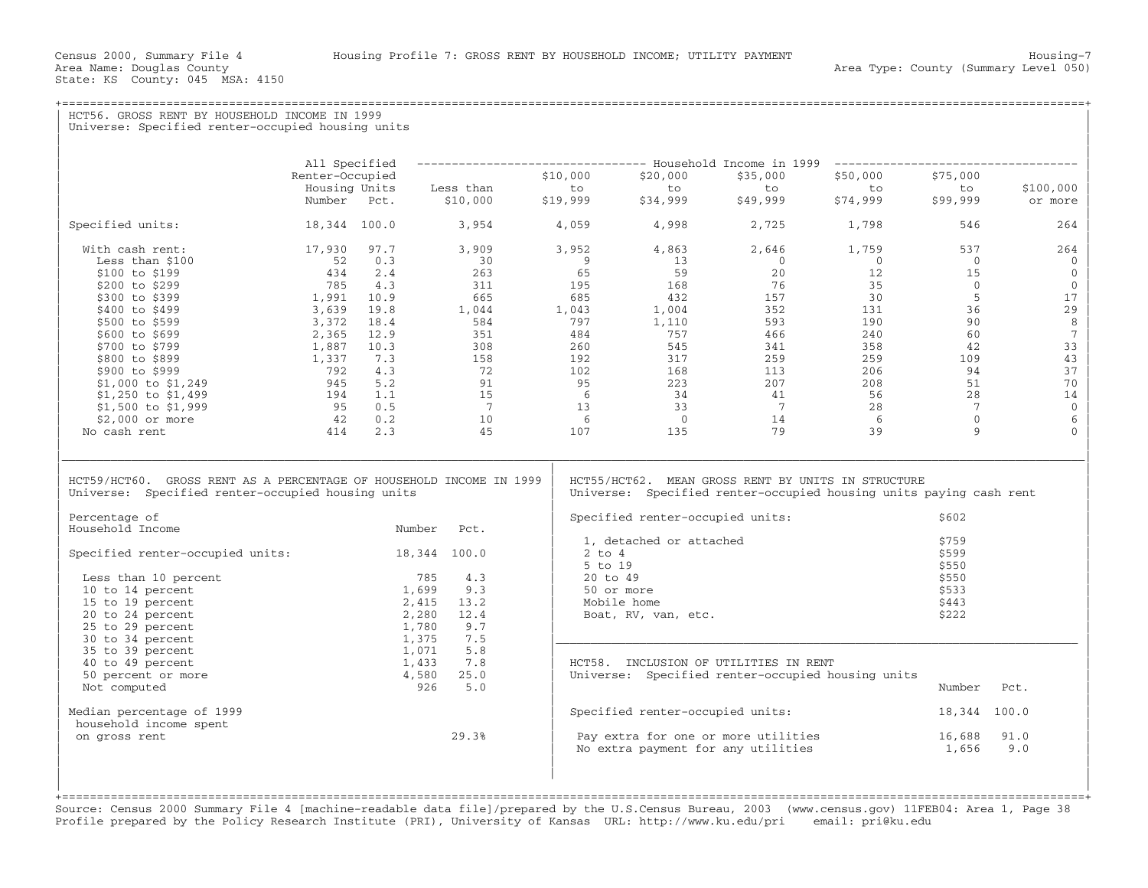State: KS County: 045 MSA: 4150

+===================================================================================================================================================+

HCT56. GROSS RENT BY HOUSEHOLD INCOME IN 1999 Universe: Specified renter-occupied housing units | | | | | All Specified −−−−−−−−−−−−−−−−−−−−−−−−−−−−−−−−− Household Income in 1999 −−−−−−−−−−−−−−−−−−−−−−−−−−−−−−−−−−− | | Renter−Occupied \$10,000 \$20,000 \$35,000 \$50,000 \$75,000 | | Housing Units Less than to to to to to \$100,000 | | Number Pct. \$10,000 \$19,999 \$34,999 \$49,999 \$74,999 \$99,999 or more | | | | Specified units: 18,344 100.0 3,954 4,059 4,998 2,725 1,798 546 264 | | | | With cash rent: 17,930 97.7 3,909 3,952 4,863 2,646 1,759 537 264 | | Less than \$100 52 0.3 30 9 13 0 0 0 0 | | \$100 to \$199 434 2.4 263 65 59 20 12 15 0 | | \$200 to \$299 785 4.3 311 195 168 76 35 0 0 | | \$300 to \$399 1,991 10.9 665 685 432 157 30 5 17 | | \$400 to \$499 3,639 19.8 1,044 1,043 1,004 352 131 36 29 | | \$500 to \$599 3,372 18.4 584 797 1,110 593 190 90 8 | | \$600 to \$699 2,365 12.9 351 484 757 466 240 60 7 | | \$700 to \$799 1,887 10.3 308 545 311 358 42 33 | | \$800 to \$899 1,337 7.3 158 317 259 109 43 | | \$900 to \$999 792 4.3 72 102 108 113 206 94 37 | | \$1,000 to \$1,249 945 5.2 91 95 223 207 208 51 70 | | \$1,250 to \$1,499 194 1.1 15 6 34 41 56 28 14 | | \$1,500 to \$1,999 95 0.5 7 13 33 7 28 7 0 | | \$2,000 or more 42 0.2 10 6 0 14 6 0 6 | | No cash rent 414 2.3 45 107 135 79 39 9 0 | | | |\_\_\_\_\_\_\_\_\_\_\_\_\_\_\_\_\_\_\_\_\_\_\_\_\_\_\_\_\_\_\_\_\_\_\_\_\_\_\_\_\_\_\_\_\_\_\_\_\_\_\_\_\_\_\_\_\_\_\_\_\_\_\_\_\_\_\_\_\_\_\_\_\_\_\_\_\_\_\_\_\_\_\_\_\_\_\_\_\_\_\_\_\_\_\_\_\_\_\_\_\_\_\_\_\_\_\_\_\_\_\_\_\_\_\_\_\_\_\_\_\_\_\_\_\_\_\_\_\_\_\_\_\_\_\_\_\_\_\_\_\_\_\_\_\_\_\_| | | | HCT59/HCT60. GROSS RENT AS A PERCENTAGE OF HOUSEHOLD INCOME IN 1999 | HCT55/HCT62. MEAN GROSS RENT BY UNITS IN STRUCTURE<br>Universe: Specified renter-occupied housing units | Universe: Specified renter-occupied housing units Universe: Specified renter−occupied housing units paying cash rent | | | | Percentage of | Specified renter−occupied units: \$602 | Number Pct. | Specified fencer occupied direct.<br>1. detached or attached \$759 1, detached or attached  $$759$ <br>2 to 4  $$599$  $\text{Special}$  renter-occupied units: 18,344 100.0  $\begin{array}{|l|l|} \hline 2 \text{ to } 4 \end{array}$  5 to 19  $\vert$  5 to 19  $\vert$  5 to 19  $\vert$  5 to 19  $\vert$  5 to 19  $\vert$  5 to 19  $\vert$  5 to 19  $\vert$  5 to 19  $\vert$  5 to 19  $\vert$  5 to 19  $\vert$  5 to 19  $\vert$  5 to 19  $\vert$  5 to 19  $\vert$  5 to 19  $\vert$  5 to 19  $\vert$  5 to 19  $\vert$  5 to 19  $\vert$  5 to 19 | Less than 10 percent 785 4.3 | 20 to 49 \$550 | | 10 to 14 percent 1,699 9.3 | 50 or more \$533 | | 15 to 19 percent 2,415 13.2 | Mobile home \$443 | | 20 to 24 percent 2,280 12.4 | Boat, RV, van, etc. \$222 | | 25 to 29 percent 1,780 9.7 | | | 30 to 34 percent 1,375 7.5 |\_\_\_\_\_\_\_\_\_\_\_\_\_\_\_\_\_\_\_\_\_\_\_\_\_\_\_\_\_\_\_\_\_\_\_\_\_\_\_\_\_\_\_\_\_\_\_\_\_\_\_\_\_\_\_\_\_\_\_\_\_\_\_\_\_\_\_\_\_\_\_\_\_\_\_ | | 35 to 39 percent 1,071 5.8 | | | 40 to 49 percent 1,433 7.8 | HCT58. INCLUSION OF UTILITIES IN RENT | | 50 percent or more 4,580 25.0 | Universe: Specified renter−occupied housing units | | Not computed 926 5.0 | Number Pct. | | | | | Median percentage of 1999 | Specified renter−occupied units: 18,344 100.0 | medial percentage of 1999<br>household income spent<br>on gross rent and the spent of the set of the set of the set of the spent of the spent of the spent of the spen | on gross rent 29.3% | Pay extra for one or more utilities 16,688 91.0 |  $\vert$  No extra payment for any utilities  $1,656$  9.0  $\vert$ | | |

+===================================================================================================================================================+Source: Census 2000 Summary File 4 [machine−readable data file]/prepared by the U.S.Census Bureau, 2003 (www.census.gov) 11FEB04: Area 1, Page 38 Profile prepared by the Policy Research Institute (PRI), University of Kansas URL: http://www.ku.edu/pri email: pri@ku.edu

| | | | |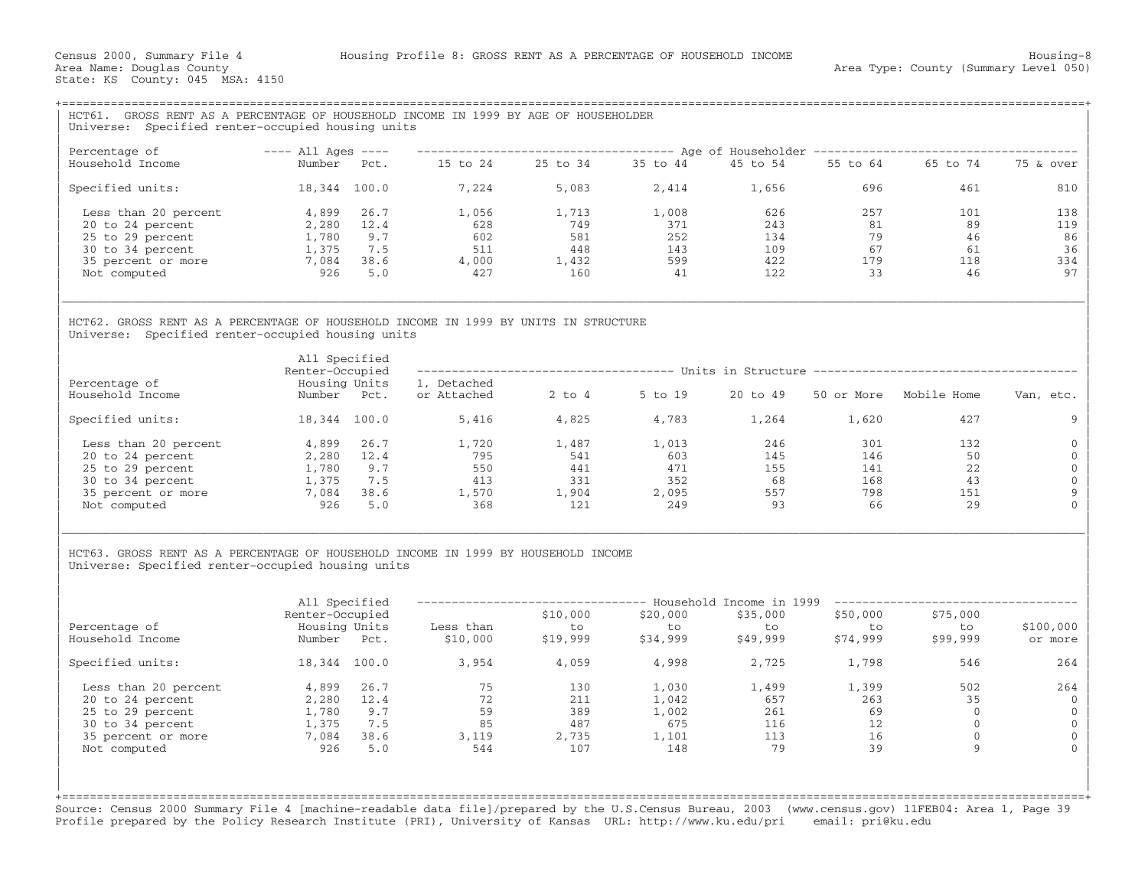| HCT61. GROSS RENT AS A PERCENTAGE OF HOUSEHOLD INCOME IN 1999 BY AGE OF HOUSEHOLDER                                                                                         |                                                                  |                           |                                                   |                                          |                                                |                                         |                                      |                                                                                                                   |                                                         |
|-----------------------------------------------------------------------------------------------------------------------------------------------------------------------------|------------------------------------------------------------------|---------------------------|---------------------------------------------------|------------------------------------------|------------------------------------------------|-----------------------------------------|--------------------------------------|-------------------------------------------------------------------------------------------------------------------|---------------------------------------------------------|
| Universe: Specified renter-occupied housing units                                                                                                                           |                                                                  |                           |                                                   |                                          |                                                |                                         |                                      |                                                                                                                   |                                                         |
| Percentage of                                                                                                                                                               | $---$ All Ages $---$                                             |                           |                                                   |                                          |                                                |                                         |                                      | ------------------------------------ Age of Householder -------------------------------                           |                                                         |
| Household Income                                                                                                                                                            | Number Pct.                                                      |                           |                                                   |                                          | 15 to 24  25 to 34  35 to 44  45 to 54         |                                         |                                      | 55 to 64 65 to 74                                                                                                 | 75 & over                                               |
| Specified units:                                                                                                                                                            | 18,344 100.0                                                     |                           | 7,224                                             | 5,083                                    | 2,414                                          | 1,656                                   | 696                                  | 461                                                                                                               | 810                                                     |
| Less than 20 percent                                                                                                                                                        | 4,899                                                            | 26.7                      | 1,056                                             | 1,713                                    | 1,008                                          | 626                                     | 257                                  | 101                                                                                                               | 138                                                     |
| 20 to 24 percent                                                                                                                                                            | 2,280                                                            | 12.4                      | 628                                               | 749                                      | 371                                            | 243                                     | 81                                   | 89                                                                                                                | 119                                                     |
| 25 to 29 percent                                                                                                                                                            | 1,780                                                            | 9.7                       | 602                                               | 581                                      | 252                                            | 134                                     | 79                                   | 46                                                                                                                | 86                                                      |
| 30 to 34 percent                                                                                                                                                            | 1,375                                                            | 7.5                       | 511                                               | 448                                      | 143                                            | 109                                     | 67                                   | 61                                                                                                                | 36                                                      |
| 35 percent or more                                                                                                                                                          | 7,084                                                            | 38.6                      | 4,000                                             | 1,432                                    | 599                                            | 422                                     | 179                                  | 118                                                                                                               | 334                                                     |
| Not computed                                                                                                                                                                | 926                                                              | 5.0                       | 427                                               | 160                                      | 41                                             | 122                                     | 33                                   | 46                                                                                                                | 97                                                      |
| Universe: Specified renter-occupied housing units<br>Percentage of<br>Household Income                                                                                      | All Specified<br>Renter-Occupied<br>Housing Units<br>Number Pct. |                           | 1, Detached<br>or Attached                        |                                          | 2 to 4 5 to 19                                 | 20 to 49                                |                                      | ------------------------------------ Units in Structure -------------------------------<br>50 or More Mobile Home | Van, etc.                                               |
| Specified units:                                                                                                                                                            | 18,344 100.0                                                     |                           | 5,416                                             | 4,825                                    | 4,783                                          | 1,264                                   | 1,620                                | 427                                                                                                               | 9                                                       |
|                                                                                                                                                                             |                                                                  |                           |                                                   |                                          |                                                |                                         |                                      |                                                                                                                   |                                                         |
| Less than 20 percent                                                                                                                                                        | 4,899 26.7                                                       |                           | 1,720                                             | 1,487                                    | 1,013                                          | 246                                     | 301                                  | 132                                                                                                               | $\Omega$                                                |
| 20 to 24 percent                                                                                                                                                            | 2,280 12.4                                                       |                           | 795                                               | 541                                      | 603                                            | 145                                     | 146                                  | 50                                                                                                                | $\mathbf{0}$                                            |
| 25 to 29 percent                                                                                                                                                            | 1,780                                                            | 9.7                       | 550                                               | 441                                      | 471                                            | 155                                     | 141                                  | 22                                                                                                                | $\mathbf{0}$                                            |
| 30 to 34 percent                                                                                                                                                            | 1,375                                                            | 7.5                       | 413                                               | 331                                      | 352                                            | 68                                      | 168                                  | 43                                                                                                                | $\mathbf{0}$                                            |
| 35 percent or more                                                                                                                                                          | 7,084                                                            | 38.6                      |                                                   | 1,904                                    | 2,095                                          | 557                                     | 798                                  | 151                                                                                                               | $\mathbf{Q}$                                            |
| Not computed                                                                                                                                                                | 926                                                              | 5.0                       | 1,570<br>368                                      | 121                                      | 249                                            | 93                                      | 66                                   | 29                                                                                                                |                                                         |
| HCT63. GROSS RENT AS A PERCENTAGE OF HOUSEHOLD INCOME IN 1999 BY HOUSEHOLD INCOME<br>Universe: Specified renter-occupied housing units<br>Percentage of<br>Household Income | All Specified<br>Renter-Occupied<br>Housing Units<br>Number Pct. |                           | Less than<br>\$10,000                             | \$10,000<br>to<br>\$19,999               | \$20,000<br>to to<br>\$34,999                  | \$35,000<br>to<br>\$49,999              | \$50,000<br>to<br>\$74,999           | -------------------------------- Household Income in 1999 -----------------------<br>\$75,000<br>to<br>\$99,999   | \$100,000<br>or more                                    |
| Specified units:                                                                                                                                                            | 18,344 100.0                                                     |                           | 3,954                                             | 4,059                                    | 4,998                                          | 2,725                                   | 1,798                                | 546                                                                                                               | 264                                                     |
| Less than 20 percent<br>20 to 24 percent<br>25 to 29 percent<br>30 to 34 percent<br>35 percent or more<br>Not computed                                                      | 4,899<br>2,280 12.4<br>1,780<br>1,375<br>7,084 38.6<br>926       | 26.7<br>9.7<br>7.5<br>5.0 | 75<br>72<br>$\frac{59}{85}$<br>85<br>3,119<br>544 | 130<br>211<br>389<br>487<br>2,735<br>107 | 1,030<br>1,042<br>1,002<br>675<br>1,101<br>148 | 1,499<br>657<br>261<br>116<br>113<br>79 | 1,399<br>263<br>69<br>12<br>16<br>39 | 502<br>35<br>$\bigcirc$<br>$\circ$<br>$\mathbf{0}$<br>9                                                           | 264<br>$\Omega$<br>$\Omega$<br>$\mathbf{0}$<br>$\Omega$ |

Source: Census 2000 Summary File 4 [machine−readable data file]/prepared by the U.S.Census Bureau, 2003 (www.census.gov) 11FEB04: Area 1, Page 39 Profile prepared by the Policy Research Institute (PRI), University of Kansas URL: http://www.ku.edu/pri email: pri@ku.edu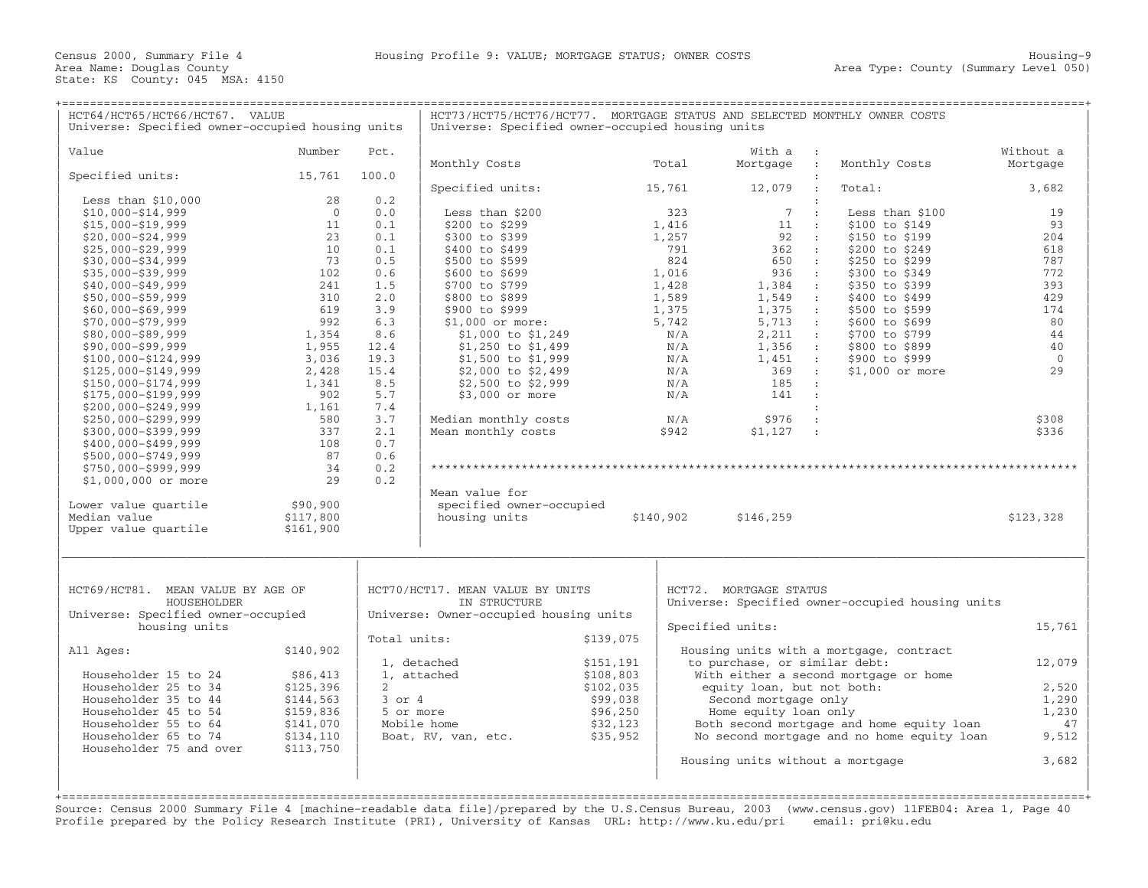| HCT64/HCT65/HCT66/HCT67. VALUE<br>Universe: Specified owner-occupied housing units |                       |              | HCT73/HCT75/HCT76/HCT77. MORTGAGE STATUS AND SELECTED MONTHLY OWNER COSTS<br>Universe: Specified owner-occupied housing units |           |            |                                  |                                  |                                                  |                |
|------------------------------------------------------------------------------------|-----------------------|--------------|-------------------------------------------------------------------------------------------------------------------------------|-----------|------------|----------------------------------|----------------------------------|--------------------------------------------------|----------------|
| Value                                                                              | Number                | Pct.         |                                                                                                                               |           |            | With a                           |                                  |                                                  | Without a      |
|                                                                                    |                       |              | Monthly Costs                                                                                                                 |           | Total      | Mortgage :                       |                                  | Monthly Costs                                    | Mortgage       |
| Specified units:                                                                   | 15,761                | 100.0        |                                                                                                                               |           |            |                                  |                                  |                                                  |                |
| Less than $$10,000$                                                                | 28                    | 0.2          | Specified units:                                                                                                              |           | 15,761     | 12,079                           |                                  | Total:                                           | 3,682          |
| $$10,000 - $14,999$                                                                | $\overline{0}$        | 0.0          | Less than \$200                                                                                                               |           | 323        | $7\phantom{.0}$                  | $\cdot$ :                        | Less than \$100                                  | 19             |
| $$15,000 - $19,999$                                                                | 11                    | 0.1          | \$200 to \$299                                                                                                                |           | 1,416      | 11                               | $\sim$ 1.                        | \$100 to \$149                                   | 93             |
| $$20,000 - $24,999$                                                                | 23                    | 0.1          | \$300 to \$399                                                                                                                |           | 1,257      | 92                               | $\sim$ 100                       | \$150 to \$199                                   | 204            |
| $$25,000 - $29,999$                                                                | 10                    | 0.1          | \$400 to \$499                                                                                                                |           | 791        | 362                              | $\sim 10$                        | \$200 to \$249                                   | 618            |
| $$30,000 - $34,999$                                                                | 73                    | 0.5          | \$500 to \$599                                                                                                                |           | 824        | 650 :                            |                                  | \$250 to \$299                                   | 787            |
| $$35,000 - $39,999$                                                                | 102                   | 0.6          | \$600 to \$699                                                                                                                |           | 1,016      | 936                              | $\sim$ :                         | \$300 to \$349                                   | 772            |
| $$40,000 - $49,999$                                                                | 241                   | 1.5          | \$700 to \$799                                                                                                                |           | 1,428      | 1,384                            | $\sim 100$                       | \$350 to \$399                                   | 393            |
| $$50,000 - $59,999$                                                                | 310                   | 2.0          | \$800 to \$899                                                                                                                |           | 1,589      | 1,549                            | $\cdot$ :                        | \$400 to \$499                                   | 429            |
| $$60,000 - $69,999$                                                                | 619                   | 3.9          | \$900 to \$999                                                                                                                |           | 1,375      | 1,375                            | $\sim$ 100                       | \$500 to \$599                                   | 174            |
| $$70,000 - $79,999$                                                                | 992                   | 6.3          | \$1,000 or more:                                                                                                              |           | 5,742      | 5,713 :                          |                                  | \$600 to \$699                                   | 80             |
| \$80,000-\$89,999                                                                  | 1,354                 | 8.6          | \$1,000 to \$1,249                                                                                                            |           | N/A        | 2,211                            | $\sim 20$                        | \$700 to \$799                                   | 44             |
| $$90,000 - $99,999$                                                                | 1,955<br>3,036        | 12.4<br>19.3 | \$1,250 to \$1,499                                                                                                            |           | N/A<br>N/A | 1,356<br>1,451                   | $\sim$ 100 $\sim$<br>$\sim 10^7$ | \$800 to \$899<br>\$900 to \$999                 | 40<br>$\Omega$ |
| $$100,000 - $124,999$<br>\$125,000-\$149,999                                       | 2,428                 | 15.4         | \$1,500 to \$1,999<br>\$2,000 to \$2,499                                                                                      |           | N/A        | 369                              | $\sim$ :                         | \$1,000 or more                                  | 29             |
| \$150,000-\$174,999                                                                | 1,341                 | 8.5          | \$2,500 to \$2,999                                                                                                            |           | N/A        | 185                              | $\cdot$                          |                                                  |                |
| \$175,000-\$199,999                                                                | 902                   | 5.7          | \$3,000 or more                                                                                                               |           | N/A        | 141                              | $\sim$ 1.                        |                                                  |                |
| $$200,000 - $249,999$                                                              | 1,161                 | 7.4          |                                                                                                                               |           |            |                                  |                                  |                                                  |                |
| $$250,000 - $299,999$                                                              | 580                   | 3.7          | Median monthly costs                                                                                                          |           | N/A        | \$976                            | $\cdot$                          |                                                  | \$308          |
| \$300,000-\$399,999                                                                | 337                   | 2.1          | Mean monthly costs                                                                                                            |           | \$942      | \$1,127                          | $\sim$ 10 $\pm$                  |                                                  | \$336          |
| $$400,000 - $499,999$                                                              | 108                   | 0.7          |                                                                                                                               |           |            |                                  |                                  |                                                  |                |
| $$500,000 - $749,999$                                                              | 87                    | 0.6          |                                                                                                                               |           |            |                                  |                                  |                                                  |                |
| \$750,000-\$999,999                                                                | 34                    | 0.2          |                                                                                                                               |           |            |                                  |                                  |                                                  |                |
| \$1,000,000 or more                                                                | 29                    | 0.2          |                                                                                                                               |           |            |                                  |                                  |                                                  |                |
|                                                                                    |                       |              | Mean value for                                                                                                                |           |            |                                  |                                  |                                                  |                |
| Lower value quartile<br>Median value                                               | \$90,900<br>\$117,800 |              | specified owner-occupied<br>housing units                                                                                     |           | \$140,902  | \$146,259                        |                                  |                                                  | \$123,328      |
| Upper value quartile                                                               | \$161,900             |              |                                                                                                                               |           |            |                                  |                                  |                                                  |                |
|                                                                                    |                       |              |                                                                                                                               |           |            |                                  |                                  |                                                  |                |
| HCT69/HCT81. MEAN VALUE BY AGE OF                                                  |                       |              | HCT70/HCT17. MEAN VALUE BY UNITS                                                                                              |           |            | HCT72. MORTGAGE STATUS           |                                  |                                                  |                |
| HOUSEHOLDER                                                                        |                       |              | IN STRUCTURE                                                                                                                  |           |            |                                  |                                  | Universe: Specified owner-occupied housing units |                |
| Universe: Specified owner-occupied<br>housing units                                |                       |              | Universe: Owner-occupied housing units                                                                                        |           |            |                                  |                                  |                                                  | 15,761         |
|                                                                                    |                       | Total units: |                                                                                                                               | \$139,075 |            | Specified units:                 |                                  |                                                  |                |
| All Ages:                                                                          | \$140,902             |              |                                                                                                                               |           |            |                                  |                                  | Housing units with a mortgage, contract          |                |
|                                                                                    |                       |              | 1, detached                                                                                                                   | \$151,191 |            | to purchase, or similar debt:    |                                  |                                                  | 12,079         |
| Householder 15 to 24                                                               | \$86,413              |              | 1, attached                                                                                                                   | \$108,803 |            |                                  |                                  | With either a second mortgage or home            |                |
| Householder 25 to 34                                                               | \$125,396             | $2^{\circ}$  |                                                                                                                               | \$102,035 |            | equity loan, but not both:       |                                  |                                                  | 2,520          |
| Householder 35 to 44                                                               | \$144,563             | $3$ or $4$   |                                                                                                                               | \$99,038  |            | Second mortgage only             |                                  |                                                  | 1,290          |
| Householder 45 to 54                                                               | \$159,836             | 5 or more    |                                                                                                                               | \$96,250  |            | Home equity loan only            |                                  |                                                  | 1,230          |
| Householder 55 to 64                                                               | \$141,070             |              | Mobile home                                                                                                                   | \$32,123  |            |                                  |                                  | Both second mortgage and home equity loan        | 47             |
| Householder 65 to 74                                                               | \$134,110             |              | Boat, RV, van, etc.                                                                                                           | \$35,952  |            |                                  |                                  | No second mortgage and no home equity loan       | 9,512          |
| Householder 75 and over                                                            | \$113,750             |              |                                                                                                                               |           |            |                                  |                                  |                                                  |                |
|                                                                                    |                       |              |                                                                                                                               |           |            | Housing units without a mortgage |                                  |                                                  | 3,682          |
|                                                                                    |                       |              |                                                                                                                               |           |            |                                  |                                  |                                                  |                |
|                                                                                    |                       |              |                                                                                                                               |           |            |                                  |                                  |                                                  |                |

Source: Census 2000 Summary File 4 [machine−readable data file]/prepared by the U.S.Census Bureau, 2003 (www.census.gov) 11FEB04: Area 1, Page 40 Profile prepared by the Policy Research Institute (PRI), University of Kansas URL: http://www.ku.edu/pri email: pri@ku.edu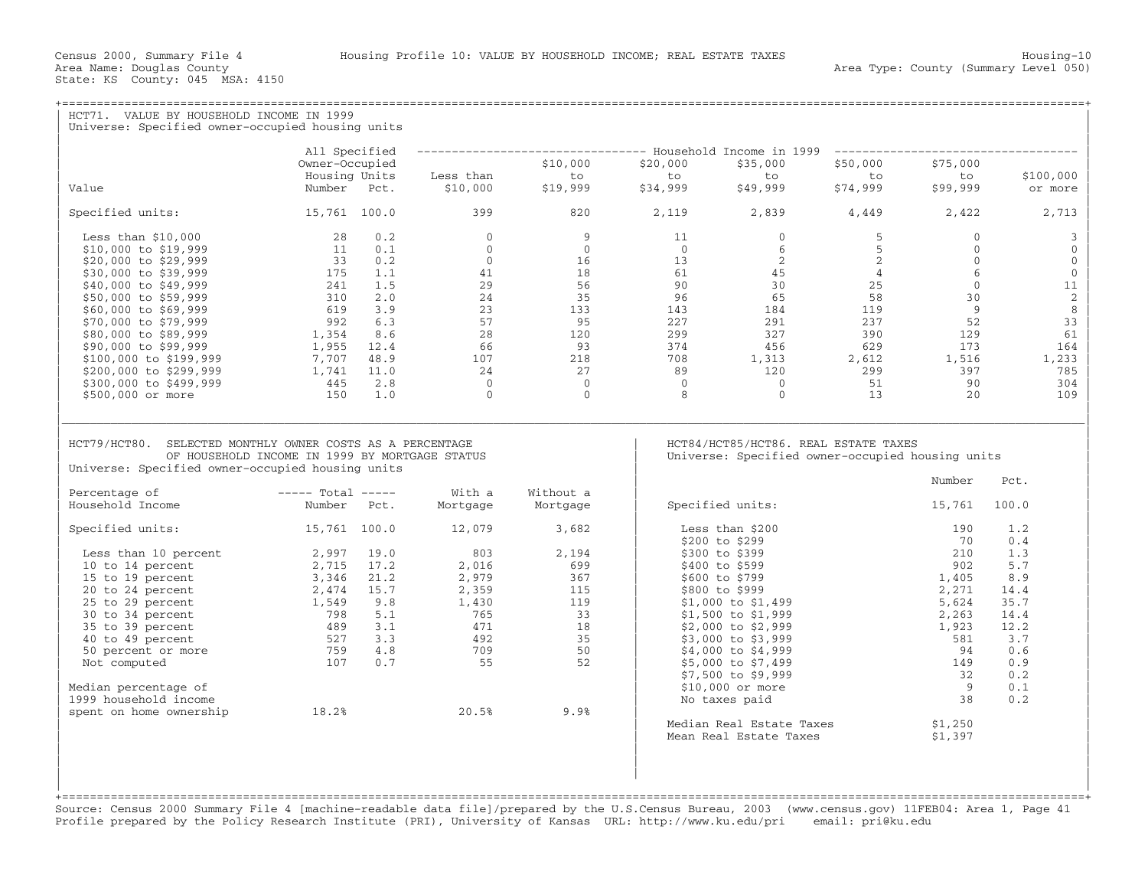| HCT71. VALUE BY HOUSEHOLD INCOME IN 1999<br>Universe: Specified owner-occupied housing units                                                                                                         |                                                                        |                                                               |                                                                                                                                                                                                                                                                 |                                                                                    |                                                                                          |                                                                            |                 |              |
|------------------------------------------------------------------------------------------------------------------------------------------------------------------------------------------------------|------------------------------------------------------------------------|---------------------------------------------------------------|-----------------------------------------------------------------------------------------------------------------------------------------------------------------------------------------------------------------------------------------------------------------|------------------------------------------------------------------------------------|------------------------------------------------------------------------------------------|----------------------------------------------------------------------------|-----------------|--------------|
|                                                                                                                                                                                                      | All Specified                                                          |                                                               | -------------------------------- Household Income in 1999 --------------------------                                                                                                                                                                            |                                                                                    |                                                                                          |                                                                            |                 |              |
|                                                                                                                                                                                                      | Owner-Occupied                                                         |                                                               | \$10,000                                                                                                                                                                                                                                                        | \$20,000                                                                           | \$35,000                                                                                 | \$50,000                                                                   | \$75,000        |              |
|                                                                                                                                                                                                      | Housing Units                                                          | Less than                                                     | to                                                                                                                                                                                                                                                              | to                                                                                 | to                                                                                       | to to                                                                      | to              | \$100,000    |
| Value                                                                                                                                                                                                | Number Pct.                                                            | \$10,000                                                      | \$19,999                                                                                                                                                                                                                                                        | \$34,999                                                                           | ں<br>\$49,999                                                                            | \$74,999                                                                   | \$99,999        | or more      |
| Specified units: 15,761 100.0                                                                                                                                                                        |                                                                        | 399                                                           | 820                                                                                                                                                                                                                                                             | 2,119 2,839 4,449 2,422                                                            |                                                                                          |                                                                            |                 | 2,713        |
| Less than $$10,000$                                                                                                                                                                                  | 28 0.2                                                                 |                                                               | $\begin{array}{cccc} 0 & 9 & 11 \\ 0 & 0 & 16 \\ 0 & 16 & 13 \\ 41 & 18 & 61 \\ 29 & 56 & 90 \\ 24 & 35 & 96 \\ 23 & 133 & 143 \\ 57 & 95 & 227 \\ 28 & 120 & 299 \\ 66 & 93 & 374 \\ 107 & 218 & 708 \\ 24 & 27 & 89 \\ 0 & 0 & 0 \\ 0 & 0 & 8 \\ \end{array}$ |                                                                                    | $0 \qquad \qquad$                                                                        | 5 <sup>5</sup>                                                             | $\overline{0}$  | 3            |
| \$10,000 to \$19,999                                                                                                                                                                                 | 11 0.1                                                                 |                                                               |                                                                                                                                                                                                                                                                 | $\begin{array}{ccc} 0 & 0 \\ 16 & 13 \\ 18 & 61 \\ 56 & 90 \\ 35 & 43 \end{array}$ | $\begin{array}{c} 6 \\ 2 \end{array}$                                                    | $5^{\circ}$                                                                | $\Omega$        | $\mathbf{0}$ |
| \$20,000 to \$29,999                                                                                                                                                                                 | 33 0.2                                                                 |                                                               |                                                                                                                                                                                                                                                                 |                                                                                    |                                                                                          | $\overline{2}$                                                             | $\Omega$        | $\mathbf{0}$ |
| \$30,000 to \$39,999                                                                                                                                                                                 | $175$ $1.1$                                                            |                                                               |                                                                                                                                                                                                                                                                 |                                                                                    |                                                                                          | $\begin{array}{ccc} 45 & 4 \\ 30 & 25 \\ 65 & 58 \\ 184 & 119 \end{array}$ | $6\overline{6}$ | $\mathbf{0}$ |
| \$40,000 to \$49,999                                                                                                                                                                                 | $241$ $1.5$<br>310 $2.0$                                               |                                                               |                                                                                                                                                                                                                                                                 |                                                                                    |                                                                                          |                                                                            | $\overline{0}$  | 11           |
| \$50,000 to \$59,999                                                                                                                                                                                 |                                                                        |                                                               |                                                                                                                                                                                                                                                                 |                                                                                    |                                                                                          | 58                                                                         | 30              | $\sqrt{2}$   |
| \$60,000 to \$69,999                                                                                                                                                                                 | 619 3.9                                                                |                                                               |                                                                                                                                                                                                                                                                 |                                                                                    |                                                                                          |                                                                            | 9               | 8            |
| \$70,000 to \$79,999                                                                                                                                                                                 | 992 6.3                                                                |                                                               |                                                                                                                                                                                                                                                                 |                                                                                    | 291                                                                                      | 237                                                                        | 52              | 33           |
| \$80,000 to \$89,999                                                                                                                                                                                 | ے وو<br>1,354<br>8.6                                                   |                                                               |                                                                                                                                                                                                                                                                 |                                                                                    |                                                                                          |                                                                            | 129             | 61           |
| \$90,000 to \$99,999                                                                                                                                                                                 | 1,955 12.4                                                             |                                                               |                                                                                                                                                                                                                                                                 |                                                                                    | $251$<br>$327$<br>$456$<br>$1,313$<br>$2,612$<br>$299$                                   |                                                                            | 173             | 164          |
| \$100,000 to \$199,999                                                                                                                                                                               | 7,707 48.9                                                             |                                                               |                                                                                                                                                                                                                                                                 |                                                                                    |                                                                                          |                                                                            | 1,516           | 1,233        |
|                                                                                                                                                                                                      | 1,741 11.0                                                             |                                                               |                                                                                                                                                                                                                                                                 |                                                                                    | 120                                                                                      | 299                                                                        | 397             | 785          |
|                                                                                                                                                                                                      |                                                                        |                                                               |                                                                                                                                                                                                                                                                 |                                                                                    | $\overline{0}$                                                                           | 51                                                                         | 90              | 304          |
| $\frac{200}{200}$ , $\frac{1}{200}$ , $\frac{299}{200}$ , $\frac{299}{200}$ , $\frac{999}{200}$<br>$\frac{445}{100}$<br>$\frac{2.8}{100}$<br>$\frac{1}{200}$<br>$\frac{445}{10}$<br>$\frac{2.8}{10}$ |                                                                        |                                                               |                                                                                                                                                                                                                                                                 |                                                                                    | $\Omega$                                                                                 | 13                                                                         | 20              | 109          |
| HCT79/HCT80. SELECTED MONTHLY OWNER COSTS AS A PERCENTAGE<br>Universe: Specified owner-occupied housing units<br>Percentage of                                                                       | OF HOUSEHOLD INCOME IN 1999 BY MORTGAGE STATUS<br>$---$ Total $---$    | With a                                                        | Without a                                                                                                                                                                                                                                                       |                                                                                    | HCT84/HCT85/HCT86. REAL ESTATE TAXES<br>Universe: Specified owner-occupied housing units |                                                                            | Number          | Pct.         |
| Household Income                                                                                                                                                                                     | Number Pct.                                                            | Mortgage                                                      | Mortgage                                                                                                                                                                                                                                                        |                                                                                    | Specified units:                                                                         |                                                                            | 15,761          | 100.0        |
| Specified units: 15,761 100.0                                                                                                                                                                        |                                                                        | 12,079                                                        | 3,682                                                                                                                                                                                                                                                           |                                                                                    | Less than \$200<br>\$200 to \$299                                                        |                                                                            | 190<br>70       | 1.2<br>0.4   |
| Less than 10 percent                                                                                                                                                                                 |                                                                        | 803                                                           | 2,194                                                                                                                                                                                                                                                           |                                                                                    | \$300 to \$399                                                                           |                                                                            | 210             | 1.3          |
| 10 to 14 percent                                                                                                                                                                                     | 2, 997 19.0<br>2, 715 17.2<br>3, 346 21.2<br>2, 474 15.7<br>1, 549 9.8 | 2,016                                                         | 699                                                                                                                                                                                                                                                             |                                                                                    | \$400 to \$599                                                                           |                                                                            | 902             | 5.7          |
| 15 to 19 percent                                                                                                                                                                                     |                                                                        | 2,979                                                         | 367                                                                                                                                                                                                                                                             |                                                                                    | \$600 to \$799                                                                           |                                                                            | 1,405           | 8.9          |
| 20 to 24 percent                                                                                                                                                                                     |                                                                        | 2,359                                                         | 115                                                                                                                                                                                                                                                             |                                                                                    | \$800 to \$999                                                                           |                                                                            | 2,271           | 14.4         |
| 25 to 29 percent                                                                                                                                                                                     |                                                                        | 1,430                                                         | 119                                                                                                                                                                                                                                                             |                                                                                    | \$1,000 to \$1,499                                                                       |                                                                            | 5,624           | 35.7         |
| 30 to 34 percent                                                                                                                                                                                     | $798$ 5.1<br>$489$ 3.1<br>$527$ 3.3<br>$759$ 4.8<br>$107$ 0.7          | 765                                                           | 33                                                                                                                                                                                                                                                              |                                                                                    | \$1,500 to \$1,999                                                                       |                                                                            | 2,263           | 14.4         |
| 35 to 39 percent                                                                                                                                                                                     |                                                                        | $\begin{array}{l} 765 \\ 471 \\ 492 \\ 709 \\ 55 \end{array}$ | 18                                                                                                                                                                                                                                                              |                                                                                    | \$2,000 to \$2,999                                                                       |                                                                            | 1,923           | 12.2         |
| 40 to 49 percent                                                                                                                                                                                     |                                                                        |                                                               | 35                                                                                                                                                                                                                                                              |                                                                                    | \$3,000 to \$3,999                                                                       |                                                                            | 581             | 3.7          |
| 50 percent or more                                                                                                                                                                                   |                                                                        |                                                               | 50                                                                                                                                                                                                                                                              |                                                                                    | \$4,000 to \$4,999                                                                       |                                                                            | 94              | 0.6          |
| Not computed                                                                                                                                                                                         |                                                                        |                                                               | 52                                                                                                                                                                                                                                                              |                                                                                    | \$5,000 to \$7,499                                                                       |                                                                            | 149             | 0.9          |
|                                                                                                                                                                                                      |                                                                        |                                                               |                                                                                                                                                                                                                                                                 |                                                                                    | \$7,500 to \$9,999                                                                       |                                                                            | 32              | 0.2          |
| Median percentage of                                                                                                                                                                                 |                                                                        |                                                               |                                                                                                                                                                                                                                                                 |                                                                                    | \$10,000 or more                                                                         |                                                                            | - 9             | 0.1          |
| 1999 household income                                                                                                                                                                                |                                                                        |                                                               |                                                                                                                                                                                                                                                                 |                                                                                    | No taxes paid                                                                            |                                                                            | 38              | 0.2          |
| spent on home ownership                                                                                                                                                                              | 18.2% 20.5%                                                            |                                                               | 9.9%                                                                                                                                                                                                                                                            |                                                                                    |                                                                                          |                                                                            |                 |              |
|                                                                                                                                                                                                      |                                                                        |                                                               |                                                                                                                                                                                                                                                                 |                                                                                    | Median Real Estate Taxes                                                                 |                                                                            | \$1,250         |              |
|                                                                                                                                                                                                      |                                                                        |                                                               |                                                                                                                                                                                                                                                                 |                                                                                    | Mean Real Estate Taxes                                                                   |                                                                            | \$1,397         |              |
|                                                                                                                                                                                                      |                                                                        |                                                               |                                                                                                                                                                                                                                                                 |                                                                                    |                                                                                          |                                                                            |                 |              |
|                                                                                                                                                                                                      |                                                                        |                                                               |                                                                                                                                                                                                                                                                 |                                                                                    |                                                                                          |                                                                            |                 |              |
|                                                                                                                                                                                                      |                                                                        |                                                               |                                                                                                                                                                                                                                                                 |                                                                                    |                                                                                          |                                                                            |                 |              |

+===================================================================================================================================================+Source: Census 2000 Summary File 4 [machine−readable data file]/prepared by the U.S.Census Bureau, 2003 (www.census.gov) 11FEB04: Area 1, Page 41 Profile prepared by the Policy Research Institute (PRI), University of Kansas URL: http://www.ku.edu/pri email: pri@ku.edu

| |